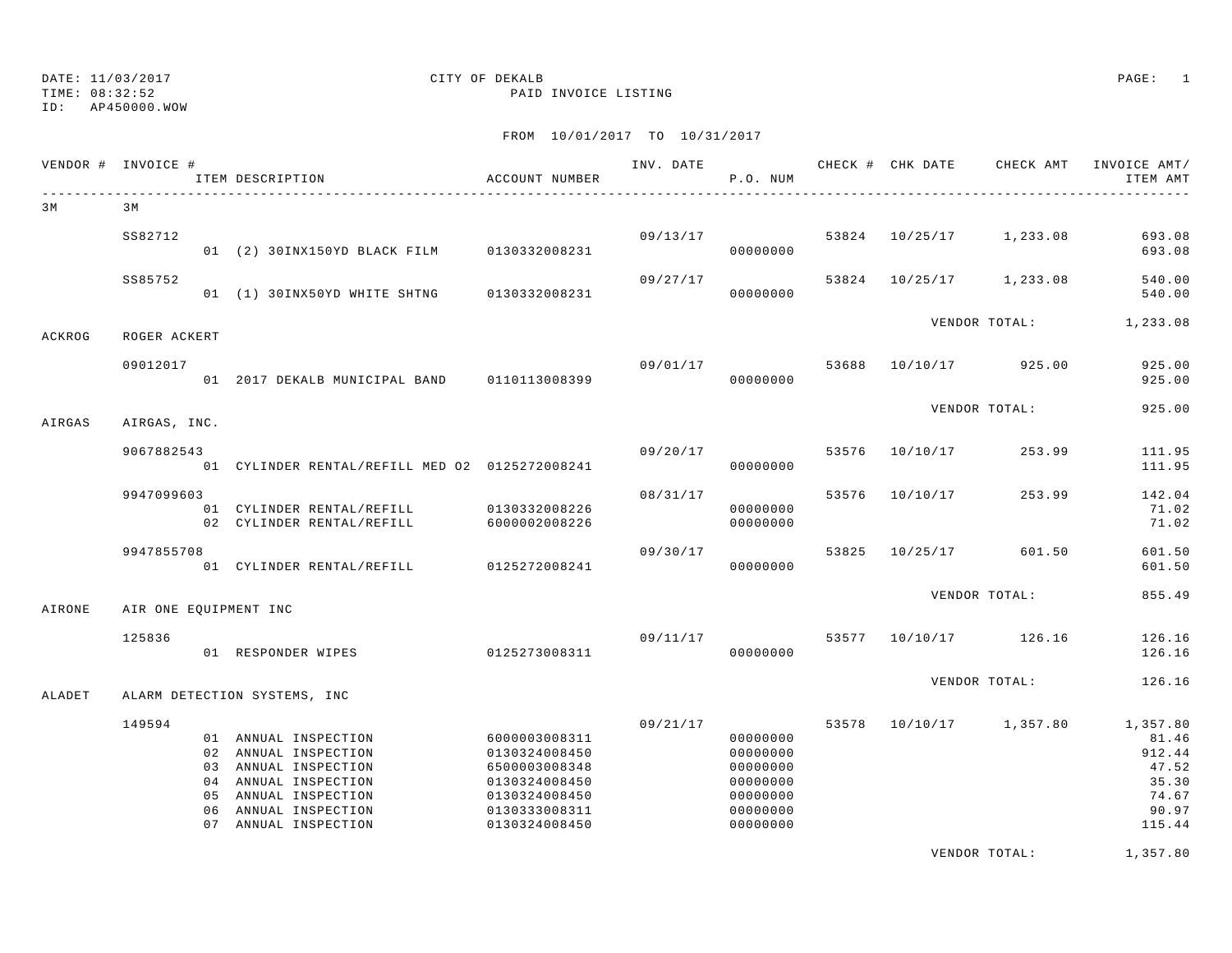#### DATE: 11/03/2017 CITY OF DEKALB PAGE: 1 TIME: 08:32:52 PAID INVOICE LISTING

FROM 10/01/2017 TO 10/31/2017

|        | VENDOR # INVOICE #    |          | ITEM DESCRIPTION                                                                                                                                               | ACCOUNT NUMBER                                                                                                      | INV. DATE      | P.O. NUM                                                                         |       |                | CHECK # CHK DATE CHECK AMT | INVOICE AMT/<br>ITEM AMT                                                  |
|--------|-----------------------|----------|----------------------------------------------------------------------------------------------------------------------------------------------------------------|---------------------------------------------------------------------------------------------------------------------|----------------|----------------------------------------------------------------------------------|-------|----------------|----------------------------|---------------------------------------------------------------------------|
| 3 M    | 3 M                   |          |                                                                                                                                                                |                                                                                                                     |                |                                                                                  |       |                |                            |                                                                           |
|        | SS82712               |          | 01 (2) 30INX150YD BLACK FILM 0130332008231                                                                                                                     |                                                                                                                     |                | 09/13/17<br>00000000                                                             |       | 53824 10/25/17 | 1,233.08                   | 693.08<br>693.08                                                          |
|        | SS85752               |          | 01 (1) 30INX50YD WHITE SHTNG 0130332008231                                                                                                                     |                                                                                                                     | 09/27/17       | 00000000                                                                         |       | 53824 10/25/17 | 1,233.08                   | 540.00<br>540.00                                                          |
| ACKROG | ROGER ACKERT          |          |                                                                                                                                                                |                                                                                                                     |                |                                                                                  |       |                | VENDOR TOTAL:              | 1,233.08                                                                  |
|        | 09012017              |          | 01 2017 DEKALB MUNICIPAL BAND 0110113008399                                                                                                                    |                                                                                                                     | 09/01/17 53688 | 00000000                                                                         |       | 10/10/17       | 925.00                     | 925.00<br>925.00                                                          |
| AIRGAS | AIRGAS, INC.          |          |                                                                                                                                                                |                                                                                                                     |                |                                                                                  |       |                | VENDOR TOTAL:              | 925.00                                                                    |
|        | 9067882543            |          | 01 CYLINDER RENTAL/REFILL MED 02 0125272008241                                                                                                                 |                                                                                                                     | 09/20/17       | 00000000                                                                         | 53576 | 10/10/17       | 253.99                     | 111.95<br>111.95                                                          |
|        | 9947099603            |          | 01 CYLINDER RENTAL/REFILL<br>02 CYLINDER RENTAL/REFILL                                                                                                         | 0130332008226<br>6000002008226                                                                                      | 08/31/17       | 00000000<br>00000000                                                             | 53576 | 10/10/17       | 253.99                     | 142.04<br>71.02<br>71.02                                                  |
|        | 9947855708            |          | 01 CYLINDER RENTAL/REFILL                                                                                                                                      | 0125272008241                                                                                                       | 09/30/17       | 00000000                                                                         | 53825 | 10/25/17       | 601.50                     | 601.50<br>601.50                                                          |
| AIRONE | AIR ONE EQUIPMENT INC |          |                                                                                                                                                                |                                                                                                                     |                |                                                                                  |       |                | VENDOR TOTAL:              | 855.49                                                                    |
|        | 125836                |          | 01 RESPONDER WIPES                                                                                                                                             | 0125273008311                                                                                                       | 09/11/17       | 00000000                                                                         |       |                | 53577 10/10/17 126.16      | 126.16<br>126.16                                                          |
| ALADET |                       |          | ALARM DETECTION SYSTEMS, INC                                                                                                                                   |                                                                                                                     |                |                                                                                  |       |                | VENDOR TOTAL:              | 126.16                                                                    |
|        | 149594                | 06<br>07 | 01 ANNUAL INSPECTION<br>02 ANNUAL INSPECTION<br>03 ANNUAL INSPECTION<br>04 ANNUAL INSPECTION<br>05 ANNUAL INSPECTION<br>ANNUAL INSPECTION<br>ANNUAL INSPECTION | 6000003008311<br>0130324008450<br>6500003008348<br>0130324008450<br>0130324008450<br>0130333008311<br>0130324008450 | 09/21/17       | 00000000<br>00000000<br>00000000<br>00000000<br>00000000<br>00000000<br>00000000 |       |                | 53578 10/10/17 1,357.80    | 1,357.80<br>81.46<br>912.44<br>47.52<br>35.30<br>74.67<br>90.97<br>115.44 |

VENDOR TOTAL: 1,357.80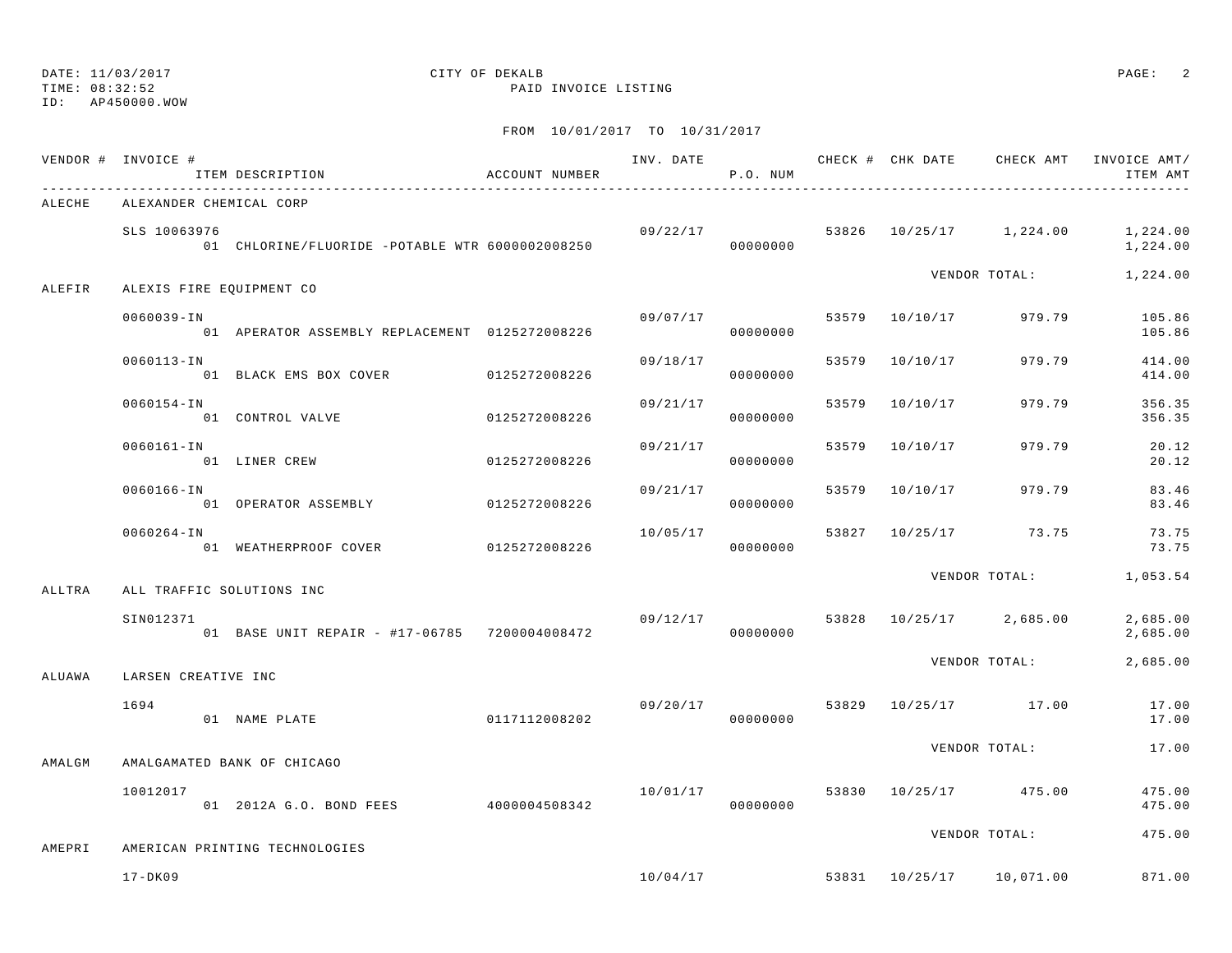TIME: 08:32:52 PAID INVOICE LISTING

ID: AP450000.WOW

|        | VENDOR # INVOICE #        | ITEM DESCRIPTION                                | ACCOUNT NUMBER |          | P.O. NUM |       |                |                          | INV. DATE 6 CHECK # CHK DATE CHECK AMT INVOICE AMT/<br>ITEM AMT |
|--------|---------------------------|-------------------------------------------------|----------------|----------|----------|-------|----------------|--------------------------|-----------------------------------------------------------------|
| ALECHE | ALEXANDER CHEMICAL CORP   |                                                 |                |          |          |       |                |                          |                                                                 |
|        | SLS 10063976              | 01 CHLORINE/FLUORIDE -POTABLE WTR 6000002008250 |                | 09/22/17 | 00000000 |       |                | 53826 10/25/17 1,224.00  | 1,224.00<br>1,224.00                                            |
| ALEFIR | ALEXIS FIRE EQUIPMENT CO  |                                                 |                |          |          |       |                | VENDOR TOTAL:            | 1,224.00                                                        |
|        | $0060039 - IN$            | 01 APERATOR ASSEMBLY REPLACEMENT 0125272008226  |                | 09/07/17 | 00000000 |       |                | 53579 10/10/17 979.79    | 105.86<br>105.86                                                |
|        | 0060113-IN                | 01 BLACK EMS BOX COVER                          | 0125272008226  | 09/18/17 | 00000000 |       | 53579 10/10/17 | 979.79                   | 414.00<br>414.00                                                |
|        | $0060154 - IN$            | 01 CONTROL VALVE                                | 0125272008226  | 09/21/17 | 00000000 | 53579 | 10/10/17       | 979.79                   | 356.35<br>356.35                                                |
|        | $0060161 - IN$            | 01 LINER CREW                                   | 0125272008226  | 09/21/17 | 00000000 | 53579 | 10/10/17       | 979.79                   | 20.12<br>20.12                                                  |
|        | 0060166-IN                | 01 OPERATOR ASSEMBLY                            | 0125272008226  | 09/21/17 | 00000000 | 53579 | 10/10/17       | 979.79                   | 83.46<br>83.46                                                  |
|        | $0060264 - IN$            | 01 WEATHERPROOF COVER                           | 0125272008226  | 10/05/17 | 00000000 | 53827 | 10/25/17       | 73.75                    | 73.75<br>73.75                                                  |
| ALLTRA | ALL TRAFFIC SOLUTIONS INC |                                                 |                |          |          |       |                | VENDOR TOTAL:            | 1,053.54                                                        |
|        | SIN012371                 | 01 BASE UNIT REPAIR - #17-06785 7200004008472   |                | 09/12/17 | 00000000 |       |                | 53828 10/25/17 2,685.00  | 2,685.00<br>2,685.00                                            |
| ALUAWA | LARSEN CREATIVE INC       |                                                 |                |          |          |       |                | VENDOR TOTAL:            | 2,685.00                                                        |
|        | 1694                      | 01 NAME PLATE                                   | 0117112008202  | 09/20/17 | 00000000 |       |                | 53829 10/25/17 17.00     | 17.00<br>17.00                                                  |
| AMALGM |                           | AMALGAMATED BANK OF CHICAGO                     |                |          |          |       |                | VENDOR TOTAL:            | 17.00                                                           |
|        | 10012017                  | 01 2012A G.O. BOND FEES                         | 4000004508342  | 10/01/17 | 00000000 |       |                | 53830 10/25/17 475.00    | 475.00<br>475.00                                                |
| AMEPRI |                           | AMERICAN PRINTING TECHNOLOGIES                  |                |          |          |       |                | VENDOR TOTAL:            | 475.00                                                          |
|        | $17 - DK09$               |                                                 |                | 10/04/17 |          |       |                | 53831 10/25/17 10,071.00 | 871.00                                                          |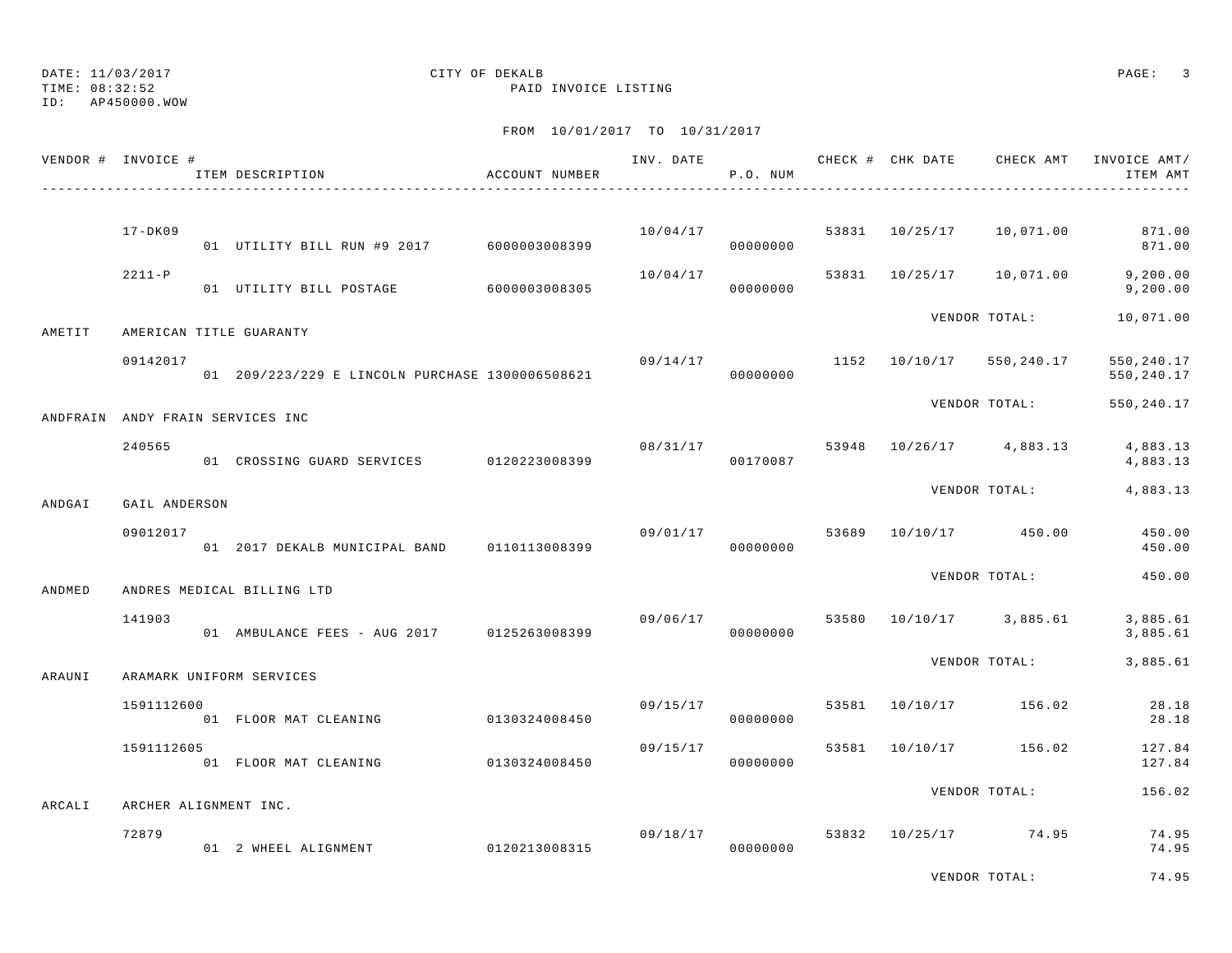ID: AP450000.WOW

#### TIME: 08:32:52 PAID INVOICE LISTING

|          | VENDOR # INVOICE # | ITEM DESCRIPTION                                | ACCOUNT NUMBER | INV. DATE | P.O. NUM             |       | CHECK # CHK DATE | CHECK AMT                | INVOICE AMT/<br>ITEM AMT  |
|----------|--------------------|-------------------------------------------------|----------------|-----------|----------------------|-------|------------------|--------------------------|---------------------------|
|          |                    |                                                 |                |           |                      |       |                  |                          |                           |
|          | $17 - DK09$        | 01 UTILITY BILL RUN #9 2017 6000003008399       |                | 10/04/17  | 00000000             |       | 53831 10/25/17   | 10,071.00                | 871.00<br>871.00          |
|          | $2211 - P$         | 01 UTILITY BILL POSTAGE                         | 6000003008305  | 10/04/17  | 00000000             | 53831 | 10/25/17         | 10,071.00                | 9, 200.00<br>9, 200.00    |
| AMETIT   |                    | AMERICAN TITLE GUARANTY                         |                |           |                      |       |                  | VENDOR TOTAL:            | 10,071.00                 |
|          | 09142017           | 01 209/223/229 E LINCOLN PURCHASE 1300006508621 |                |           | 09/14/17<br>00000000 |       |                  | 1152 10/10/17 550,240.17 | 550, 240.17<br>550,240.17 |
| ANDFRAIN |                    | ANDY FRAIN SERVICES INC                         |                |           |                      |       |                  | VENDOR TOTAL:            | 550, 240.17               |
|          | 240565             | 01 CROSSING GUARD SERVICES 0120223008399        |                |           | 08/31/17<br>00170087 | 53948 |                  | 10/26/17 4,883.13        | 4,883.13<br>4,883.13      |
| ANDGAI   | GAIL ANDERSON      |                                                 |                |           |                      |       |                  | VENDOR TOTAL:            | 4,883.13                  |
|          | 09012017           | 01 2017 DEKALB MUNICIPAL BAND                   | 0110113008399  | 09/01/17  | 00000000             | 53689 |                  | 10/10/17 450.00          | 450.00<br>450.00          |
| ANDMED   |                    | ANDRES MEDICAL BILLING LTD                      |                |           |                      |       |                  | VENDOR TOTAL:            | 450.00                    |
|          | 141903             | 01 AMBULANCE FEES - AUG 2017 0125263008399      |                | 09/06/17  | 00000000             | 53580 |                  | 10/10/17 3,885.61        | 3,885.61<br>3,885.61      |
| ARAUNI   |                    | ARAMARK UNIFORM SERVICES                        |                |           |                      |       |                  | VENDOR TOTAL:            | 3,885.61                  |
|          | 1591112600         | 01 FLOOR MAT CLEANING                           | 0130324008450  | 09/15/17  | 00000000             | 53581 | 10/10/17         | 156.02                   | 28.18<br>28.18            |
|          | 1591112605         | 01 FLOOR MAT CLEANING                           | 0130324008450  | 09/15/17  | 00000000             | 53581 | 10/10/17         | 156.02                   | 127.84<br>127.84          |
| ARCALI   |                    | ARCHER ALIGNMENT INC.                           |                |           |                      |       |                  | VENDOR TOTAL:            | 156.02                    |
|          | 72879              | 01 2 WHEEL ALIGNMENT                            | 0120213008315  |           | 09/18/17<br>00000000 | 53832 |                  | 10/25/17 74.95           | 74.95<br>74.95            |
|          |                    |                                                 |                |           |                      |       |                  | VENDOR TOTAL:            | 74.95                     |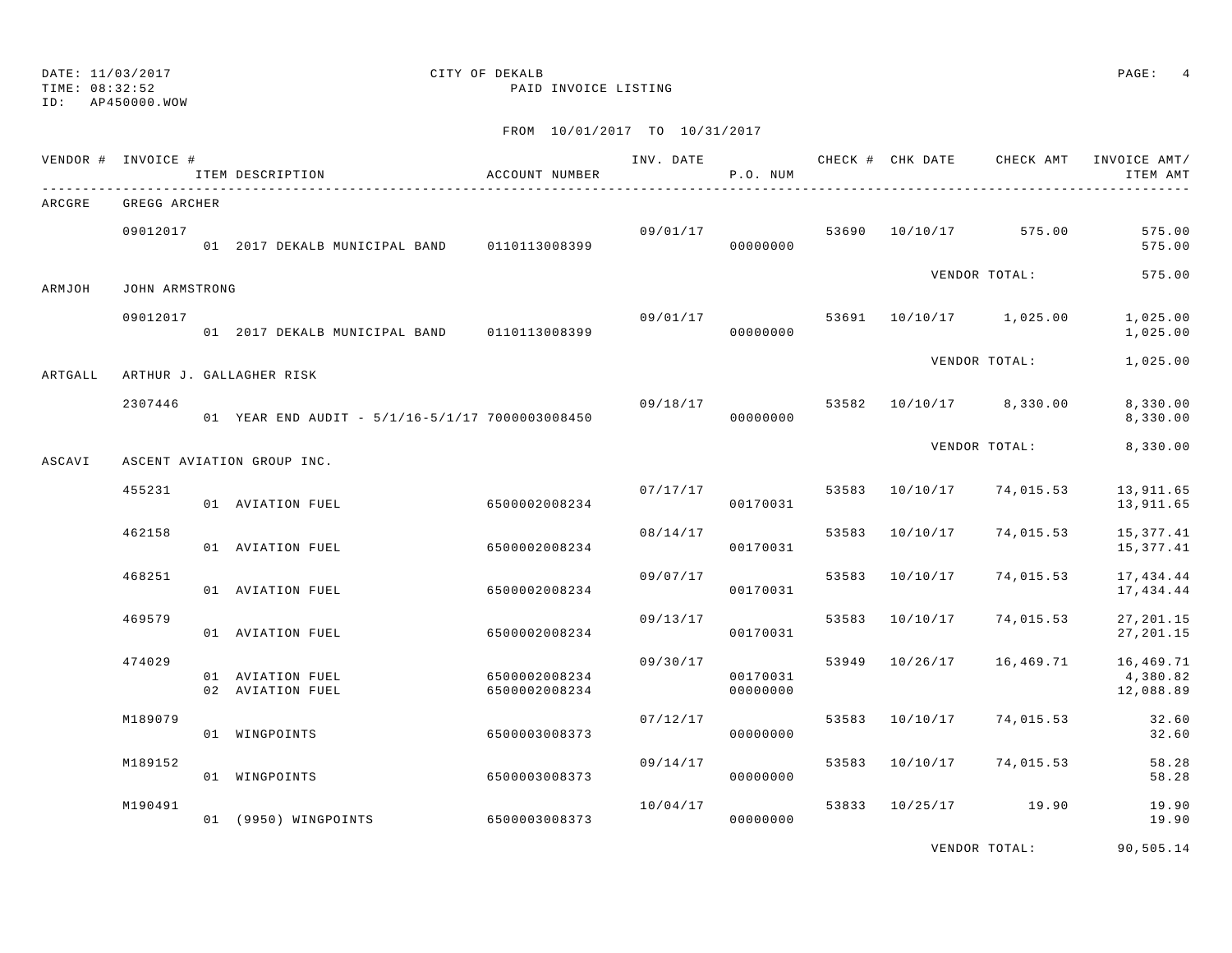#### TIME: 08:32:52 PAID INVOICE LISTING ID: AP450000.WOW

# DATE: 11/03/2017 CITY OF DEKALB PAGE: 4

FROM 10/01/2017 TO 10/31/2017

|         | VENDOR # INVOICE # | ITEM DESCRIPTION                                | ACCOUNT NUMBER                 | INV. DATE | P.O. NUM             |       |                         | CHECK # CHK DATE CHECK AMT | INVOICE AMT/<br>ITEM AMT           |
|---------|--------------------|-------------------------------------------------|--------------------------------|-----------|----------------------|-------|-------------------------|----------------------------|------------------------------------|
| ARCGRE  | GREGG ARCHER       |                                                 |                                |           |                      |       |                         |                            |                                    |
|         | 09012017           | 01 2017 DEKALB MUNICIPAL BAND 0110113008399     |                                |           | 00000000             |       | 09/01/17 53690 10/10/17 | 575.00                     | 575.00<br>575.00                   |
| ARMJOH  | JOHN ARMSTRONG     |                                                 |                                |           |                      |       |                         | VENDOR TOTAL:              | 575.00                             |
|         | 09012017           | 01 2017 DEKALB MUNICIPAL BAND 0110113008399     |                                |           | 09/01/17<br>00000000 |       |                         | 53691 10/10/17 1,025.00    | 1,025.00<br>1,025.00               |
| ARTGALL |                    | ARTHUR J. GALLAGHER RISK                        |                                |           |                      |       |                         | VENDOR TOTAL:              | 1,025.00                           |
|         | 2307446            | 01 YEAR END AUDIT - 5/1/16-5/1/17 7000003008450 |                                | 09/18/17  | 00000000             |       |                         | 53582 10/10/17 8,330.00    | 8,330.00<br>8,330.00               |
| ASCAVI  |                    | ASCENT AVIATION GROUP INC.                      |                                |           |                      |       |                         | VENDOR TOTAL:              | 8,330.00                           |
|         | 455231             | 01 AVIATION FUEL                                | 6500002008234                  | 07/17/17  | 00170031             |       | 53583 10/10/17          | 74,015.53                  | 13,911.65<br>13,911.65             |
|         | 462158             | 01 AVIATION FUEL                                | 6500002008234                  | 08/14/17  | 00170031             | 53583 | 10/10/17                | 74,015.53                  | 15, 377.41<br>15,377.41            |
|         | 468251             | 01 AVIATION FUEL                                | 6500002008234                  |           | 09/07/17<br>00170031 | 53583 | 10/10/17                | 74,015.53                  | 17,434.44<br>17,434.44             |
|         | 469579             | 01 AVIATION FUEL                                | 6500002008234                  | 09/13/17  | 00170031             | 53583 | 10/10/17                | 74,015.53                  | 27, 201.15<br>27, 201.15           |
|         | 474029             | 01 AVIATION FUEL<br>02 AVIATION FUEL            | 6500002008234<br>6500002008234 | 09/30/17  | 00170031<br>00000000 | 53949 | 10/26/17                | 16,469.71                  | 16,469.71<br>4,380.82<br>12,088.89 |
|         | M189079            | 01 WINGPOINTS                                   | 6500003008373                  | 07/12/17  | 00000000             | 53583 | 10/10/17                | 74,015.53                  | 32.60<br>32.60                     |
|         | M189152            | 01 WINGPOINTS                                   | 6500003008373                  | 09/14/17  | 00000000             | 53583 | 10/10/17                | 74,015.53                  | 58.28<br>58.28                     |
|         | M190491            | 01 (9950) WINGPOINTS                            | 6500003008373                  | 10/04/17  | 00000000             |       | 53833 10/25/17          | 19.90                      | 19.90<br>19.90                     |

VENDOR TOTAL: 90,505.14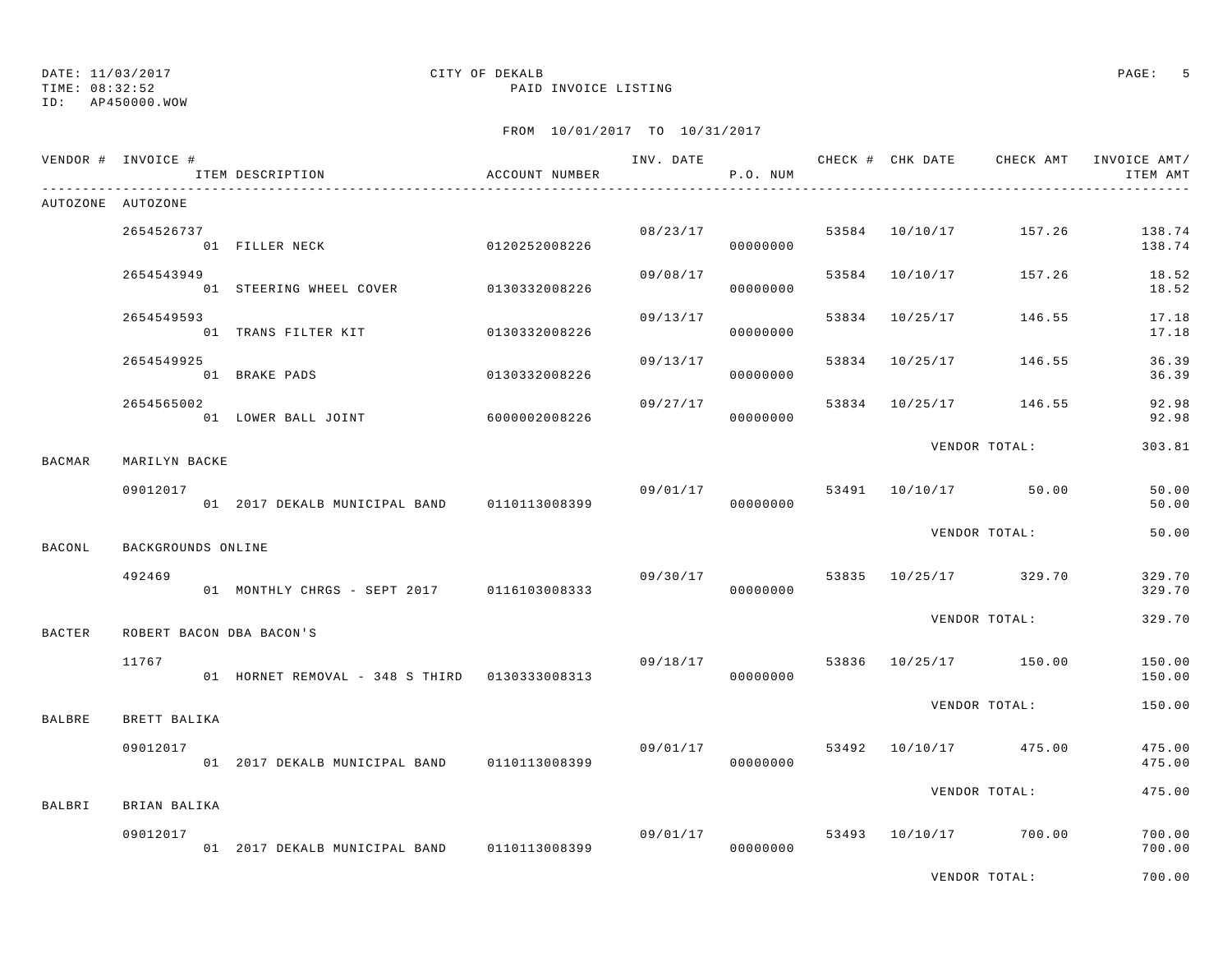## DATE: 11/03/2017 CITY OF DEKALB PAGE: 5

TIME: 08:32:52 PAID INVOICE LISTING

|               | VENDOR # INVOICE #       | ITEM DESCRIPTION                              | ACCOUNT NUMBER |          | P.O. NUM             |       |                | INV. DATE 6 CHECK # CHK DATE CHECK AMT | INVOICE AMT/<br>ITEM AMT |
|---------------|--------------------------|-----------------------------------------------|----------------|----------|----------------------|-------|----------------|----------------------------------------|--------------------------|
|               | AUTOZONE AUTOZONE        |                                               |                |          |                      |       |                |                                        |                          |
|               | 2654526737               | 0120252008226<br>01 FILLER NECK               |                | 08/23/17 | 00000000             |       |                | 53584 10/10/17 157.26                  | 138.74<br>138.74         |
|               | 2654543949               | 01 STEERING WHEEL COVER                       | 0130332008226  | 09/08/17 | 00000000             | 53584 | 10/10/17       | 157.26                                 | 18.52<br>18.52           |
|               | 2654549593               | 01 TRANS FILTER KIT                           | 0130332008226  | 09/13/17 | 00000000             | 53834 |                | 10/25/17 146.55                        | 17.18<br>17.18           |
|               | 2654549925               | 01 BRAKE PADS                                 | 0130332008226  | 09/13/17 | 00000000             |       | 53834 10/25/17 | 146.55                                 | 36.39<br>36.39           |
|               | 2654565002               | 01 LOWER BALL JOINT                           | 6000002008226  | 09/27/17 | 00000000             |       |                | 53834 10/25/17 146.55                  | 92.98<br>92.98           |
| <b>BACMAR</b> | MARILYN BACKE            |                                               |                |          |                      |       |                | VENDOR TOTAL:                          | 303.81                   |
|               | 09012017                 | 01 2017 DEKALB MUNICIPAL BAND 0110113008399   |                |          | 00000000             |       |                | $09/01/17$ 53491 $10/10/17$ 50.00      | 50.00<br>50.00           |
| <b>BACONL</b> | BACKGROUNDS ONLINE       |                                               |                |          |                      |       |                | VENDOR TOTAL:                          | 50.00                    |
|               | 492469                   | 01 MONTHLY CHRGS - SEPT 2017 0116103008333    |                |          | 09/30/17<br>00000000 |       |                | 53835 10/25/17 329.70                  | 329.70<br>329.70         |
| <b>BACTER</b> | ROBERT BACON DBA BACON'S |                                               |                |          |                      |       |                | VENDOR TOTAL:                          | 329.70                   |
|               | 11767                    | 01 HORNET REMOVAL - 348 S THIRD 0130333008313 |                |          | 09/18/17<br>00000000 |       |                | 53836 10/25/17 150.00                  | 150.00<br>150.00         |
| <b>BALBRE</b> | BRETT BALIKA             |                                               |                |          |                      |       |                | VENDOR TOTAL:                          | 150.00                   |
|               | 09012017                 | 01 2017 DEKALB MUNICIPAL BAND                 | 0110113008399  | 09/01/17 | 00000000             |       |                | 53492 10/10/17 475.00                  | 475.00<br>475.00         |
| BALBRI        | BRIAN BALIKA             |                                               |                |          |                      |       |                | VENDOR TOTAL:                          | 475.00                   |
|               | 09012017                 | 01 2017 DEKALB MUNICIPAL BAND 0110113008399   |                |          | 09/01/17<br>00000000 |       |                | 53493 10/10/17 700.00                  | 700.00<br>700.00         |
|               |                          |                                               |                |          |                      |       |                | VENDOR TOTAL:                          | 700.00                   |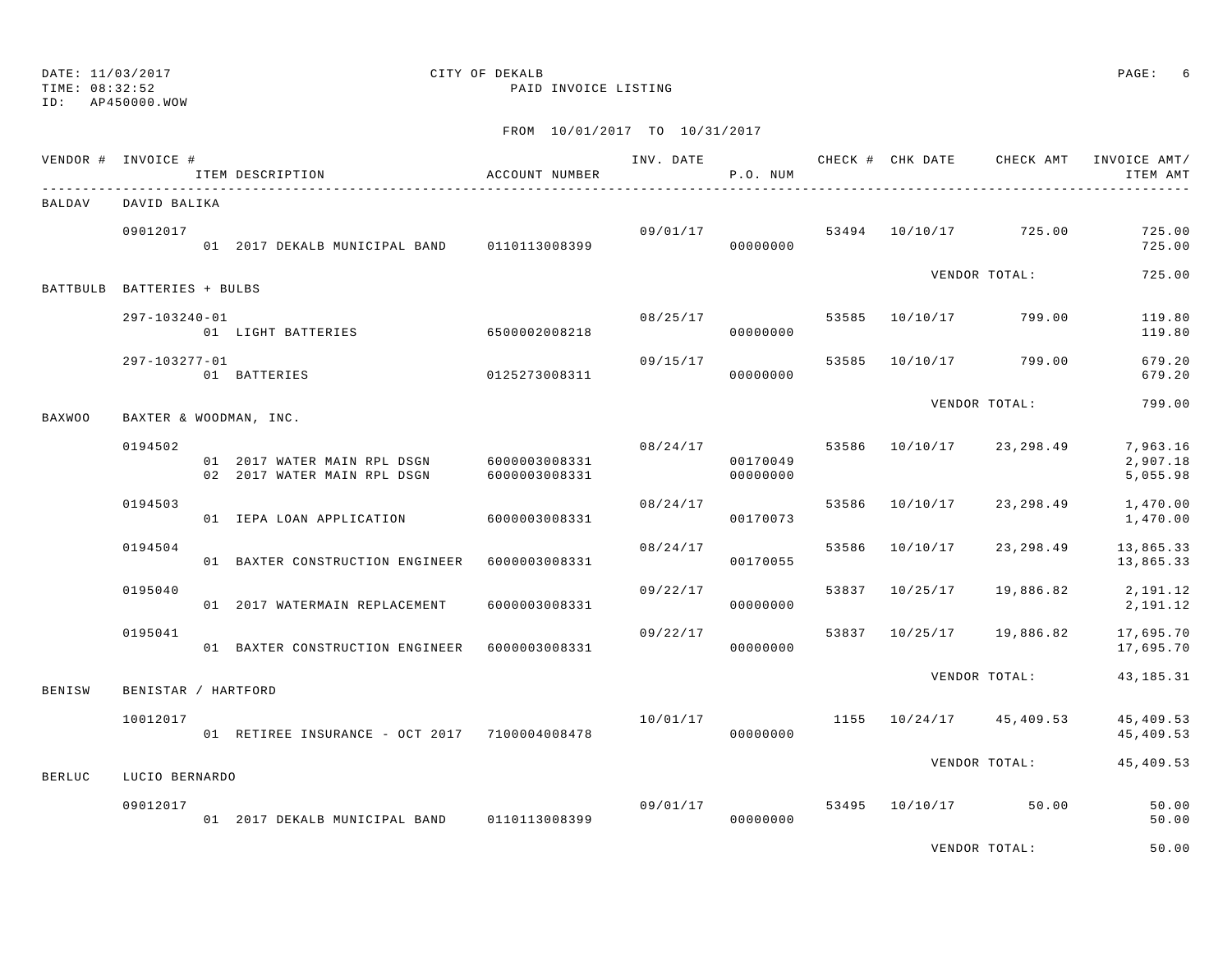## DATE: 11/03/2017 CITY OF DEKALB PAGE: 6

TIME: 08:32:52 PAID INVOICE LISTING

## FROM 10/01/2017 TO 10/31/2017

|               | VENDOR # INVOICE #         | ITEM DESCRIPTION                                                         | ACCOUNT NUMBER |          | P.O. NUM             |       |                |                                    | INV. DATE 6 19 CHECK # CHK DATE 6 CHECK AMT INVOICE AMT<br>ITEM AMT |
|---------------|----------------------------|--------------------------------------------------------------------------|----------------|----------|----------------------|-------|----------------|------------------------------------|---------------------------------------------------------------------|
| BALDAV        | DAVID BALIKA               |                                                                          |                |          |                      |       |                |                                    |                                                                     |
|               | 09012017                   | 01 2017 DEKALB MUNICIPAL BAND 0110113008399                              |                |          | 00000000             |       |                | $09/01/17$ 53494 $10/10/17$ 725.00 | 725.00<br>725.00                                                    |
|               | BATTBULB BATTERIES + BULBS |                                                                          |                |          |                      |       |                | VENDOR TOTAL:                      | 725.00                                                              |
|               | 297-103240-01              | )-01<br>01 LIGHT BATTERIES 6500002008218                                 |                | 08/25/17 | 00000000             |       |                | 53585 10/10/17 799.00              | 119.80<br>119.80                                                    |
|               | 297-103277-01              | 01 BATTERIES                                                             | 0125273008311  |          | 09/15/17<br>00000000 | 53585 |                | 10/10/17 799.00                    | 679.20<br>679.20                                                    |
| <b>BAXWOO</b> | BAXTER & WOODMAN, INC.     |                                                                          |                |          |                      |       |                | VENDOR TOTAL:                      | 799.00                                                              |
|               | 0194502                    | 01 2017 WATER MAIN RPL DSGN 6000003008331<br>02 2017 WATER MAIN RPL DSGN | 6000003008331  | 08/24/17 | 00170049<br>00000000 |       |                | 53586 10/10/17 23,298.49           | 7,963.16<br>2,907.18<br>5,055.98                                    |
|               | 0194503                    | 01 IEPA LOAN APPLICATION                                                 | 6000003008331  | 08/24/17 | 00170073             | 53586 | 10/10/17       | 23,298.49                          | 1,470.00<br>1,470.00                                                |
|               | 0194504                    | 01 BAXTER CONSTRUCTION ENGINEER 6000003008331                            |                | 08/24/17 | 00170055             | 53586 | 10/10/17       | 23,298.49                          | 13,865.33<br>13,865.33                                              |
|               | 0195040                    | 01 2017 WATERMAIN REPLACEMENT                                            | 6000003008331  | 09/22/17 | 00000000             |       | 53837 10/25/17 | 19,886.82                          | 2,191.12<br>2,191.12                                                |
|               | 0195041                    | 01 BAXTER CONSTRUCTION ENGINEER 6000003008331                            |                | 09/22/17 | 00000000             |       |                | 53837 10/25/17 19,886.82           | 17,695.70<br>17,695.70                                              |
| <b>BENISW</b> | BENISTAR / HARTFORD        |                                                                          |                |          |                      |       |                | VENDOR TOTAL:                      | 43, 185. 31                                                         |
|               | 10012017                   | 01 RETIREE INSURANCE - OCT 2017 7100004008478                            |                | 10/01/17 | 00000000             |       |                | 1155 10/24/17 45,409.53            | 45,409.53<br>45,409.53                                              |
| <b>BERLUC</b> | LUCIO BERNARDO             |                                                                          |                |          |                      |       |                | VENDOR TOTAL:                      | 45,409.53                                                           |
|               | 09012017                   | 01 2017 DEKALB MUNICIPAL BAND 0110113008399                              |                | 09/01/17 | 00000000             | 53495 | 10/10/17       | 50.00                              | 50.00<br>50.00                                                      |
|               |                            |                                                                          |                |          |                      |       |                |                                    |                                                                     |

VENDOR TOTAL: 50.00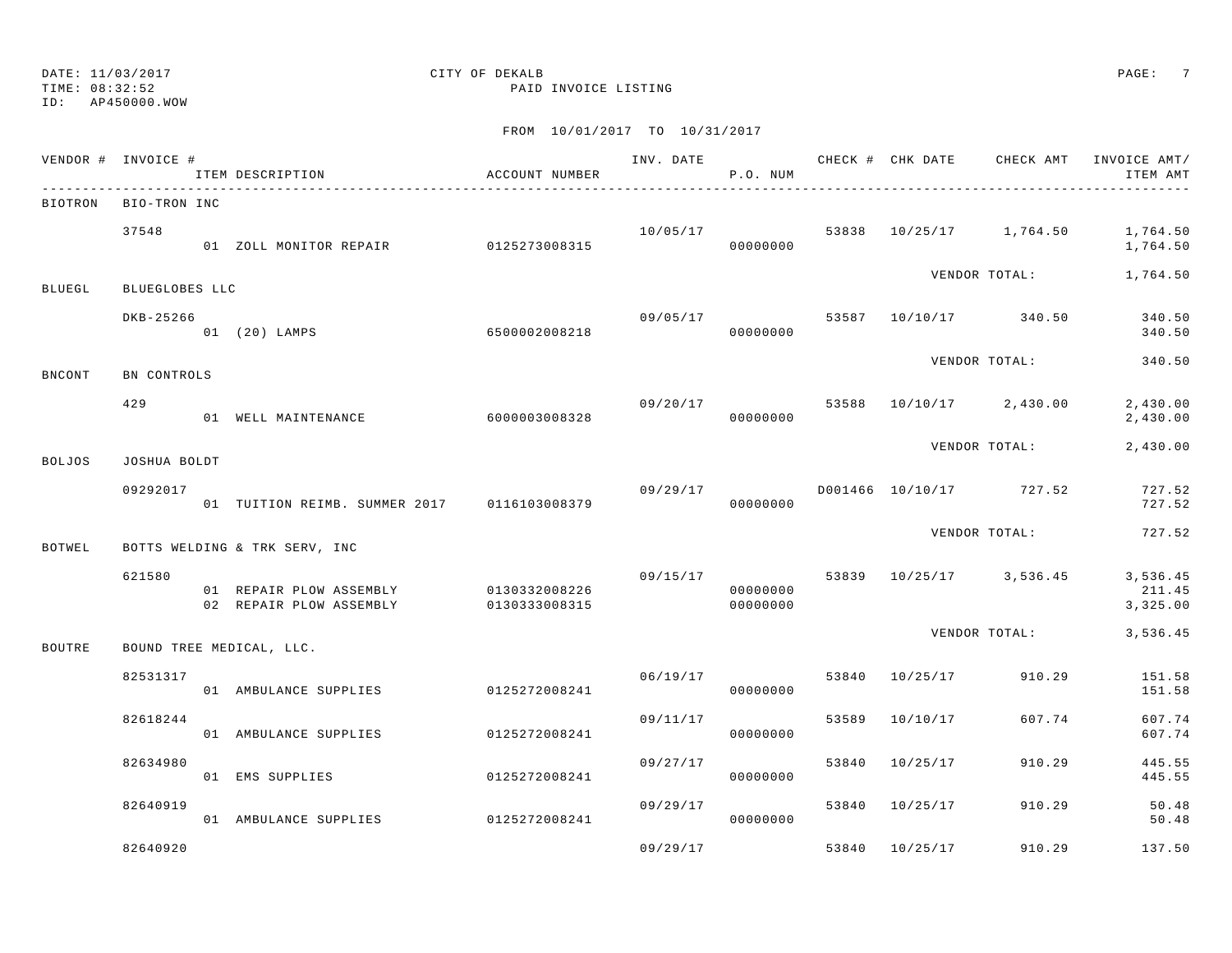TIME: 08:32:52 PAID INVOICE LISTING

ID: AP450000.WOW

|               | VENDOR # INVOICE #   | ITEM DESCRIPTION                                   | ACCOUNT NUMBER                 |          | P.O. NUM             |       |                |                                      | ITEM AMT                       |
|---------------|----------------------|----------------------------------------------------|--------------------------------|----------|----------------------|-------|----------------|--------------------------------------|--------------------------------|
|               | BIOTRON BIO-TRON INC |                                                    |                                |          |                      |       |                |                                      |                                |
|               | 37548                | 01 ZOLL MONITOR REPAIR 0125273008315               |                                |          | 00000000             |       |                | 10/05/17 53838 10/25/17 1,764.50     | 1,764.50<br>1,764.50           |
| <b>BLUEGL</b> | BLUEGLOBES LLC       |                                                    |                                |          |                      |       |                | VENDOR TOTAL:                        | 1,764.50                       |
|               | DKB-25266            | 01 (20) LAMPS                                      | 6500002008218                  |          | 00000000             |       |                | $09/05/17$ 53587 $10/10/17$ 340.50   | 340.50<br>340.50               |
| <b>BNCONT</b> | BN CONTROLS          |                                                    |                                |          |                      |       |                | VENDOR TOTAL:                        | 340.50                         |
|               | 429                  | 01 WELL MAINTENANCE                                | 6000003008328                  |          | 00000000             |       |                | $09/20/17$ 53588 $10/10/17$ 2,430.00 | 2,430.00<br>2,430.00           |
| <b>BOLJOS</b> | JOSHUA BOLDT         |                                                    |                                |          |                      |       |                | VENDOR TOTAL:                        | 2,430.00                       |
|               | 09292017             | 01 TUITION REIMB. SUMMER 2017 0116103008379        |                                | 09/29/17 | 00000000             |       |                | D001466 10/10/17 727.52              | 727.52<br>727.52               |
| <b>BOTWEL</b> |                      | BOTTS WELDING & TRK SERV, INC                      |                                |          |                      |       |                | VENDOR TOTAL:                        | 727.52                         |
|               | 621580               | 01 REPAIR PLOW ASSEMBLY<br>02 REPAIR PLOW ASSEMBLY | 0130332008226<br>0130333008315 |          | 00000000<br>00000000 |       |                | $09/15/17$ 53839 10/25/17 3,536.45   | 3,536.45<br>211.45<br>3,325.00 |
| <b>BOUTRE</b> |                      | BOUND TREE MEDICAL, LLC.                           |                                |          |                      |       |                | VENDOR TOTAL:                        | 3,536.45                       |
|               | 82531317             | 01 AMBULANCE SUPPLIES                              | 0125272008241                  | 06/19/17 | 00000000             |       | 53840 10/25/17 | 910.29                               | 151.58<br>151.58               |
|               | 82618244             | 01 AMBULANCE SUPPLIES                              | 0125272008241                  | 09/11/17 | 00000000             | 53589 | 10/10/17       | 607.74                               | 607.74<br>607.74               |
|               | 82634980             | 01 EMS SUPPLIES                                    | 0125272008241                  | 09/27/17 | 00000000             |       | 53840 10/25/17 | 910.29                               | 445.55<br>445.55               |
|               | 82640919             | 01 AMBULANCE SUPPLIES 0125272008241                |                                | 09/29/17 | 00000000             |       | 53840 10/25/17 | 910.29                               | 50.48<br>50.48                 |
|               | 82640920             |                                                    |                                | 09/29/17 |                      |       | 53840 10/25/17 | 910.29                               | 137.50                         |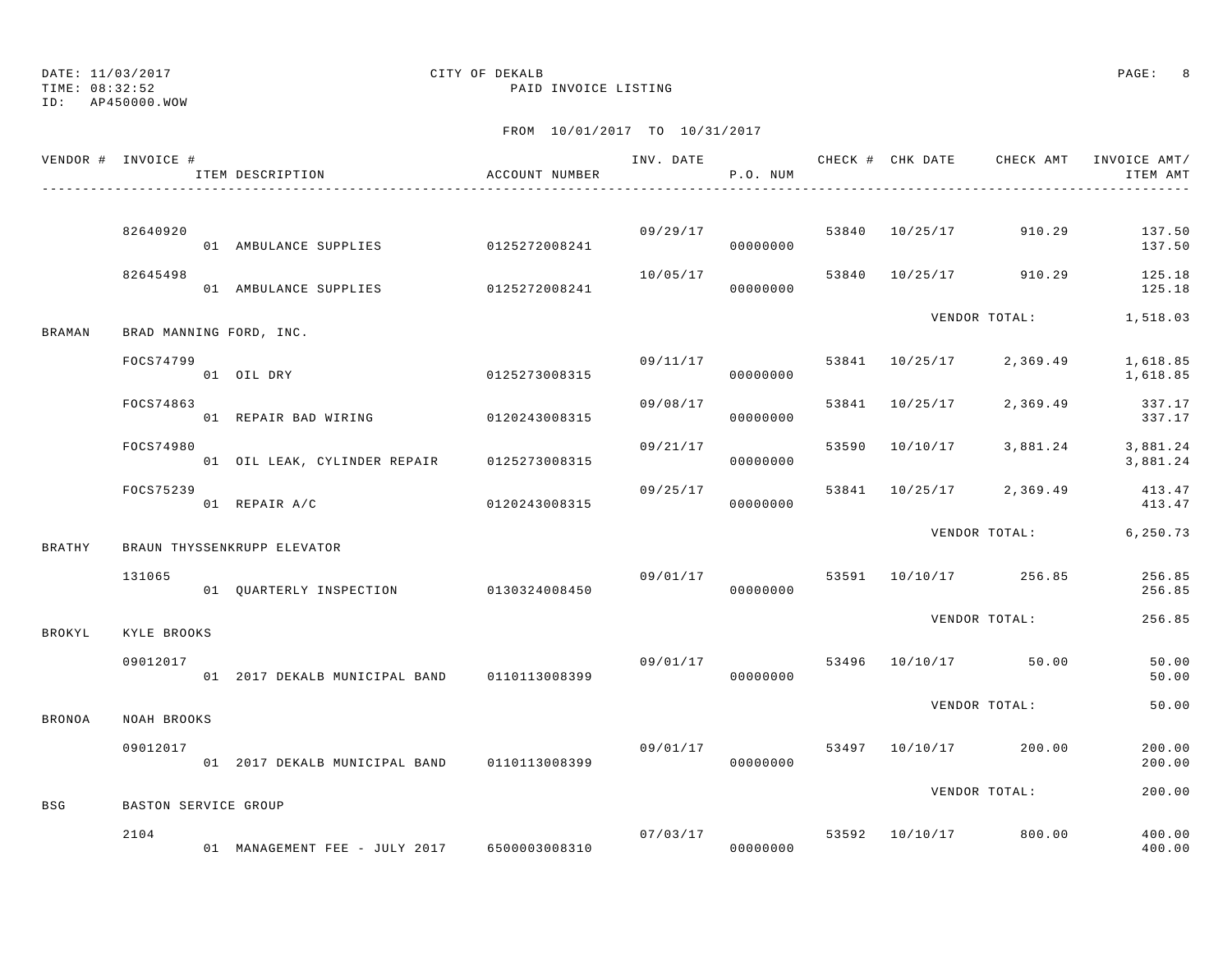TIME: 08:32:52 PAID INVOICE LISTING

## DATE: 11/03/2017 CITY OF DEKALB PAGE: 8

ID: AP450000.WOW

|               | VENDOR # INVOICE #      | ITEM DESCRIPTION                                               | ACCOUNT NUMBER |          | P.O. NUM             |                | INV. DATE 6 CHECK # CHK DATE CHECK AMT INVOICE AMT/ | ITEM AMT                  |
|---------------|-------------------------|----------------------------------------------------------------|----------------|----------|----------------------|----------------|-----------------------------------------------------|---------------------------|
|               |                         |                                                                |                |          |                      |                |                                                     |                           |
|               | 82640920                | 01 AMBULANCE SUPPLIES 0125272008241                            |                |          | 09/29/17<br>00000000 |                | 53840 10/25/17 910.29                               | 137.50<br>137.50          |
|               | 82645498                | 01 AMBULANCE SUPPLIES 0125272008241                            |                | 10/05/17 | 00000000             |                | 53840 10/25/17 910.29                               | 125.18<br>125.18          |
| BRAMAN        | BRAD MANNING FORD, INC. |                                                                |                |          |                      |                | VENDOR TOTAL: 1,518.03                              |                           |
|               | FOCS74799               | 0125273008315<br>01 OIL DRY                                    |                | 09/11/17 | 00000000             | 53841 10/25/17 | 2,369.49                                            | 1,618.85<br>1,618.85      |
|               | FOCS74863               | 01 REPAIR BAD WIRING 0120243008315                             |                | 09/08/17 | 00000000             | 53841 10/25/17 |                                                     | 2,369.49 337.17<br>337.17 |
|               | FOCS74980               | 01 OIL LEAK, CYLINDER REPAIR 0125273008315                     |                | 09/21/17 | 00000000             |                | 53590 10/10/17 3,881.24 3,881.24                    | 3,881.24                  |
|               | FOCS75239               | 01 REPAIR A/C                                                  | 0120243008315  | 09/25/17 | 00000000             |                | 53841 10/25/17 2,369.49                             | 413.47<br>413.47          |
| BRATHY        |                         | BRAUN THYSSENKRUPP ELEVATOR                                    |                |          |                      |                | VENDOR TOTAL: 6,250.73                              |                           |
|               | 131065                  |                                                                |                | 09/01/17 |                      |                | 53591 10/10/17 256.85                               | 256.85<br>256.85          |
| BROKYL        | KYLE BROOKS             |                                                                |                |          |                      |                | VENDOR TOTAL:                                       | 256.85                    |
|               | 09012017                | 01 2017 DEKALB MUNICIPAL BAND 0110113008399 000000000 00000000 |                |          |                      |                | 09/01/17 53496 10/10/17 50.00                       | 50.00<br>50.00            |
| <b>BRONOA</b> | NOAH BROOKS             |                                                                |                |          |                      |                | VENDOR TOTAL:                                       | 50.00                     |
|               | 09012017                | 01 2017 DEKALB MUNICIPAL BAND 0110113008399                    |                | 09/01/17 | 00000000             |                | 53497 10/10/17 200.00                               | 200.00<br>200.00          |
| BSG           | BASTON SERVICE GROUP    |                                                                |                |          |                      |                | VENDOR TOTAL:                                       | 200.00                    |
|               | 2104                    |                                                                |                | 07/03/17 |                      |                | 53592 10/10/17 800.00                               | 400.00<br>400.00          |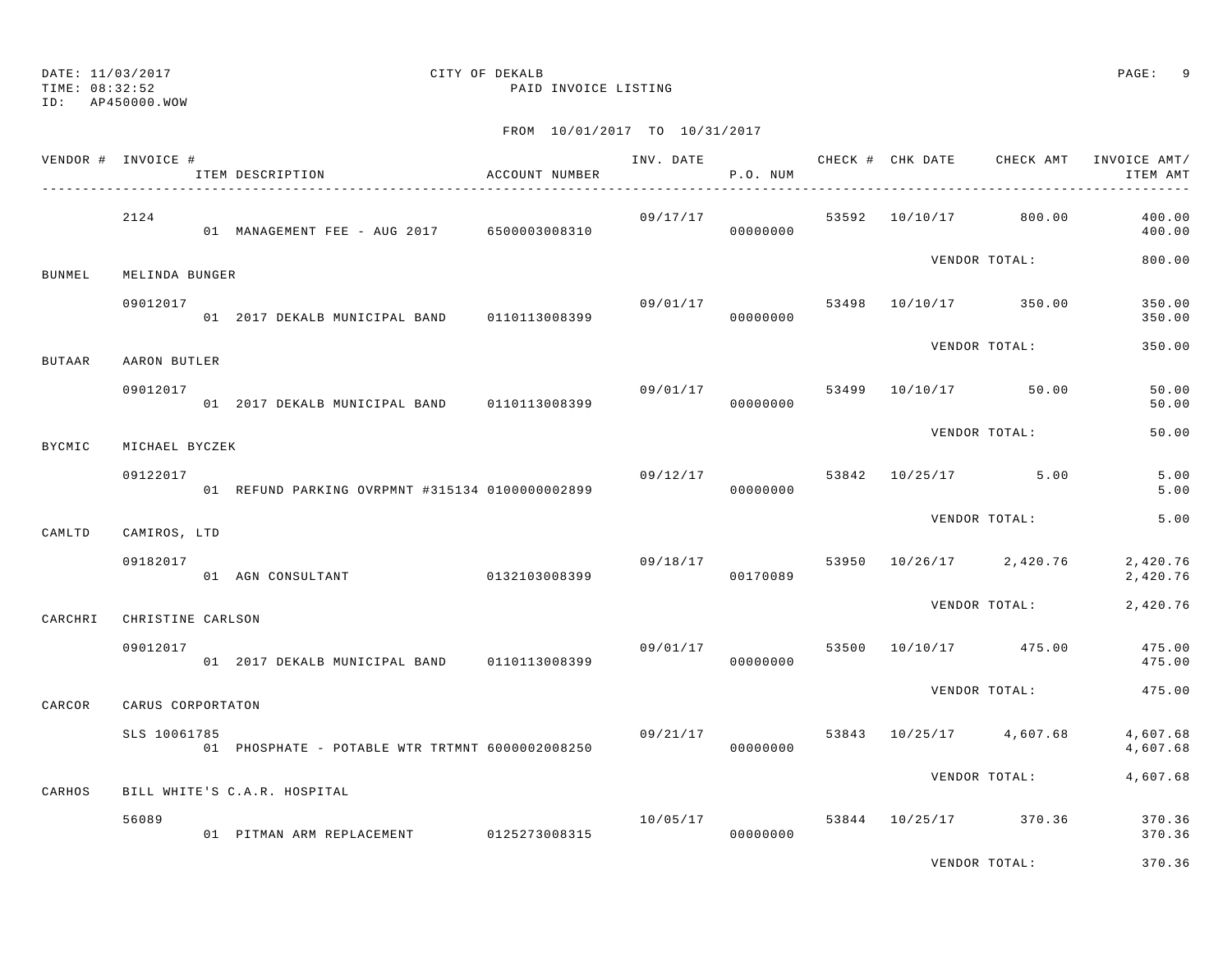#### TIME: 08:32:52 PAID INVOICE LISTING ID: AP450000.WOW

# DATE: 11/03/2017 CITY OF DEKALB PAGE: 9

| VENDOR # INVOICE # |                   | ITEM DESCRIPTION                                 | ACCOUNT NUMBER |          | INV. DATE<br>P.O. NUM | CHECK # CHK DATE | CHECK AMT                            | INVOICE AMT/<br>ITEM AMT |
|--------------------|-------------------|--------------------------------------------------|----------------|----------|-----------------------|------------------|--------------------------------------|--------------------------|
|                    | 2124              | 01 MANAGEMENT FEE - AUG 2017 6500003008310       |                |          | 00000000              |                  | $09/17/17$ 53592 10/10/17 800.00     | 400.00<br>400.00         |
| <b>BUNMEL</b>      | MELINDA BUNGER    |                                                  |                |          |                       |                  | VENDOR TOTAL:                        | 800.00                   |
|                    | 09012017          | 01 2017 DEKALB MUNICIPAL BAND 0110113008399      |                |          | 00000000              |                  | 09/01/17 53498 10/10/17 350.00       | 350.00<br>350.00         |
| BUTAAR             | AARON BUTLER      |                                                  |                |          |                       |                  | VENDOR TOTAL:                        | 350.00                   |
|                    | 09012017          | 01 2017 DEKALB MUNICIPAL BAND 0110113008399      |                | 09/01/17 | 00000000              |                  | 53499 10/10/17 50.00                 | 50.00<br>50.00           |
| BYCMIC             | MICHAEL BYCZEK    |                                                  |                |          |                       |                  | VENDOR TOTAL:                        | 50.00                    |
|                    | 09122017          | 01 REFUND PARKING OVRPMNT #315134 01000000002899 |                |          | 00000000              |                  | $09/12/17$ 53842 10/25/17 5.00       | 5.00<br>5.00             |
| CAMLTD             | CAMIROS, LTD      |                                                  |                |          |                       |                  | VENDOR TOTAL:                        | 5.00                     |
|                    | 09182017          | 01 AGN CONSULTANT 0132103008399                  |                |          | 00170089              |                  | $09/18/17$ 53950 $10/26/17$ 2,420.76 | 2,420.76<br>2,420.76     |
| CARCHRI            | CHRISTINE CARLSON |                                                  |                |          |                       |                  | VENDOR TOTAL:                        | 2,420.76                 |
|                    | 09012017          | 01 2017 DEKALB MUNICIPAL BAND 0110113008399      |                |          | 00000000              |                  | $09/01/17$ 53500 10/10/17 475.00     | 475.00<br>475.00         |
| CARCOR             | CARUS CORPORTATON |                                                  |                |          |                       |                  | VENDOR TOTAL:                        | 475.00                   |
|                    | SLS 10061785      | 01 PHOSPHATE - POTABLE WTR TRTMNT 6000002008250  |                | 09/21/17 | 00000000              |                  | 53843 10/25/17 4,607.68              | 4,607.68<br>4,607.68     |
| CARHOS             |                   | BILL WHITE'S C.A.R. HOSPITAL                     |                |          |                       |                  | VENDOR TOTAL:                        | 4,607.68                 |
|                    | 56089             | 01 PITMAN ARM REPLACEMENT 0125273008315          |                |          | 00000000              |                  | $10/05/17$ 53844 $10/25/17$ 370.36   | 370.36<br>370.36         |
|                    |                   |                                                  |                |          |                       |                  | VENDOR TOTAL:                        | 370.36                   |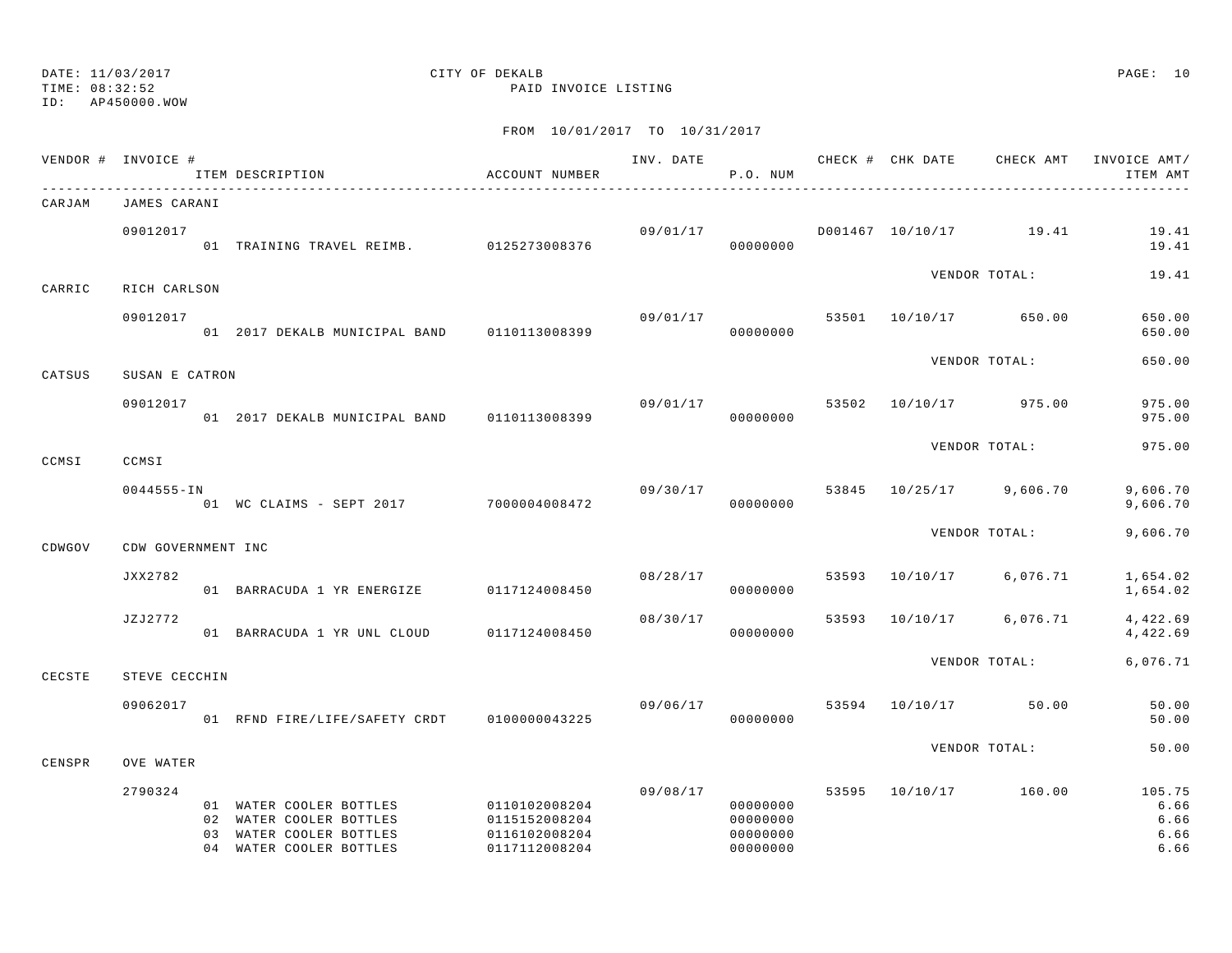## DATE: 11/03/2017 CITY OF DEKALB PAGE: 10

TIME: 08:32:52 PAID INVOICE LISTING

|        | VENDOR # INVOICE # |          | ITEM DESCRIPTION                                                                                   | ACCOUNT NUMBER                                                   | INV. DATE | P.O. NUM                                     |       |                | CHECK # CHK DATE CHECK AMT | INVOICE AMT/<br>ITEM AMT               |
|--------|--------------------|----------|----------------------------------------------------------------------------------------------------|------------------------------------------------------------------|-----------|----------------------------------------------|-------|----------------|----------------------------|----------------------------------------|
| CARJAM | JAMES CARANI       |          |                                                                                                    |                                                                  |           |                                              |       |                |                            |                                        |
|        | 09012017           |          | 01 TRAINING TRAVEL REIMB. 0125273008376                                                            |                                                                  |           | 09/01/17<br>00000000                         |       |                | D001467 10/10/17 19.41     | 19.41<br>19.41                         |
| CARRIC | RICH CARLSON       |          |                                                                                                    |                                                                  |           |                                              |       |                | VENDOR TOTAL:              | 19.41                                  |
|        | 09012017           |          | 01 2017 DEKALB MUNICIPAL BAND 0110113008399                                                        |                                                                  | 09/01/17  | 00000000                                     | 53501 |                | 10/10/17 650.00            | 650.00<br>650.00                       |
| CATSUS | SUSAN E CATRON     |          |                                                                                                    |                                                                  |           |                                              |       |                | VENDOR TOTAL:              | 650.00                                 |
|        | 09012017           |          | 01 2017 DEKALB MUNICIPAL BAND 0110113008399                                                        |                                                                  | 09/01/17  | 00000000                                     | 53502 |                | 10/10/17 975.00            | 975.00<br>975.00                       |
| CCMSI  | CCMSI              |          |                                                                                                    |                                                                  |           |                                              |       |                | VENDOR TOTAL:              | 975.00                                 |
|        | $0044555 - IN$     |          | .<br>01 WC CLAIMS - SEPT 2017 7000004008472                                                        |                                                                  |           | 09/30/17<br>00000000                         | 53845 |                | 10/25/17 9,606.70          | 9,606.70<br>9,606.70                   |
| CDWGOV | CDW GOVERNMENT INC |          |                                                                                                    |                                                                  |           |                                              |       |                | VENDOR TOTAL:              | 9,606.70                               |
|        | JXX2782            |          | 01 BARRACUDA 1 YR ENERGIZE                                                                         | 0117124008450                                                    | 08/28/17  | 00000000                                     | 53593 |                | 10/10/17 6,076.71          | 1,654.02<br>1,654.02                   |
|        | JZJ2772            |          | 01 BARRACUDA 1 YR UNL CLOUD                                                                        | 0117124008450                                                    | 08/30/17  | 00000000                                     | 53593 |                | 10/10/17 6,076.71          | 4,422.69<br>4,422.69                   |
| CECSTE | STEVE CECCHIN      |          |                                                                                                    |                                                                  |           |                                              |       |                | VENDOR TOTAL:              | 6,076.71                               |
|        | 09062017           |          | 01 RFND FIRE/LIFE/SAFETY CRDT                                                                      | 0100000043225                                                    | 09/06/17  | 00000000                                     |       | 53594 10/10/17 | 50.00                      | 50.00<br>50.00                         |
| CENSPR | OVE WATER          |          |                                                                                                    |                                                                  |           |                                              |       |                | VENDOR TOTAL:              | 50.00                                  |
|        | 2790324            | 02<br>03 | 01 WATER COOLER BOTTLES<br>WATER COOLER BOTTLES<br>WATER COOLER BOTTLES<br>04 WATER COOLER BOTTLES | 0110102008204<br>0115152008204<br>0116102008204<br>0117112008204 | 09/08/17  | 00000000<br>00000000<br>00000000<br>00000000 | 53595 |                | 10/10/17 160.00            | 105.75<br>6.66<br>6.66<br>6.66<br>6.66 |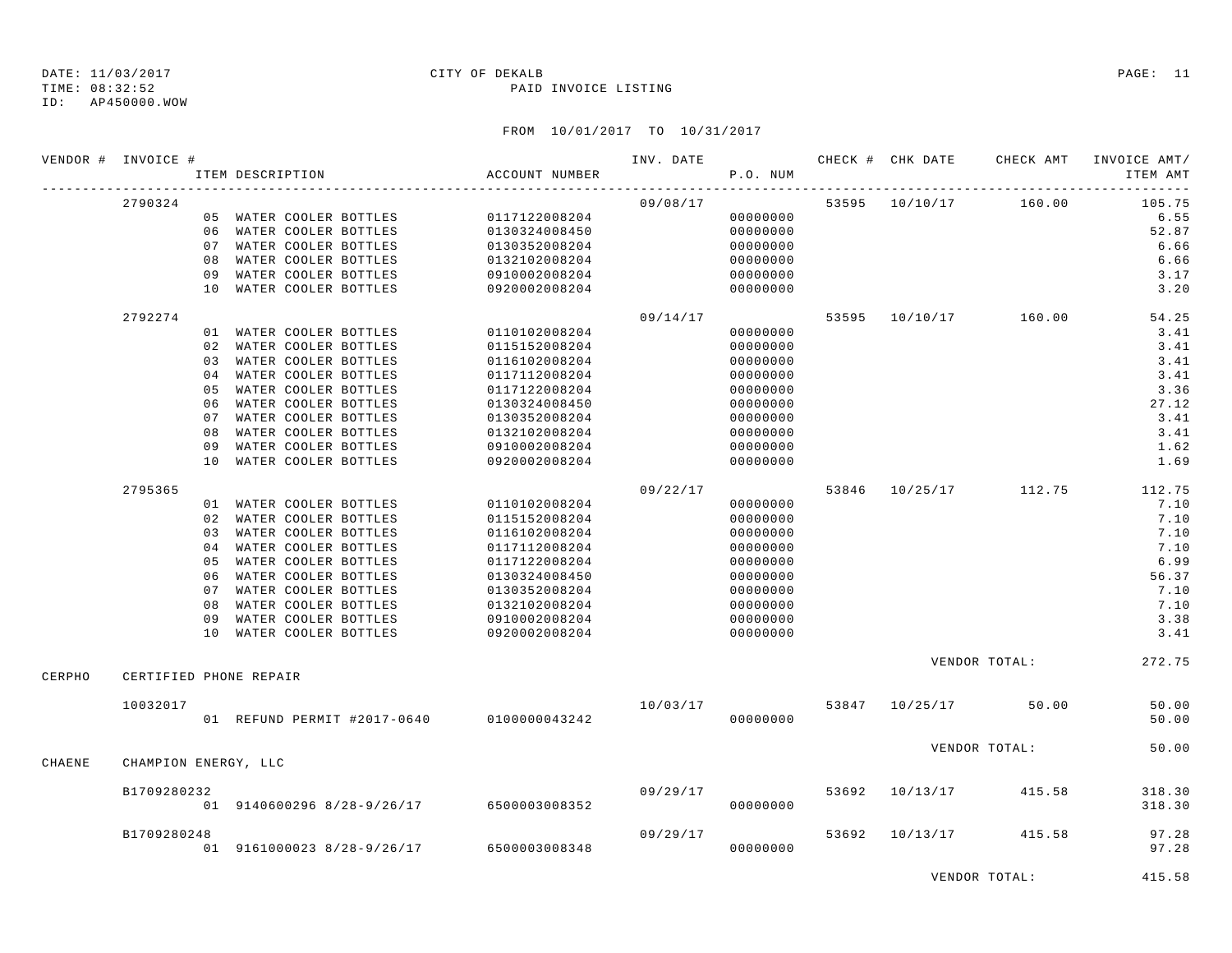TIME: 08:32:52 PAID INVOICE LISTING

ID: AP450000.WOW

## FROM 10/01/2017 TO 10/31/2017

|        | VENDOR # INVOICE #     |     | ITEM DESCRIPTION                          | ACCOUNT NUMBER | INV. DATE | P.O. NUM |                | CHECK # CHK DATE CHECK AMT | INVOICE AMT/<br>ITEM AMT     |
|--------|------------------------|-----|-------------------------------------------|----------------|-----------|----------|----------------|----------------------------|------------------------------|
|        |                        |     |                                           |                |           |          |                |                            | .                            |
|        | 2790324                |     |                                           |                | 09/08/17  |          |                | 53595 10/10/17 160.00      | 105.75                       |
|        |                        |     | 05 WATER COOLER BOTTLES                   | 0117122008204  |           | 00000000 |                |                            | 6.55                         |
|        |                        |     | 06 WATER COOLER BOTTLES                   | 0130324008450  |           | 00000000 |                |                            | 52.87                        |
|        |                        |     | 07 WATER COOLER BOTTLES                   | 0130352008204  |           | 00000000 |                |                            | 6.66                         |
|        |                        | 0.8 | WATER COOLER BOTTLES                      | 0132102008204  |           | 00000000 |                |                            | 6.66                         |
|        |                        | 09  | WATER COOLER BOTTLES                      | 0910002008204  |           | 00000000 |                |                            | 3.17                         |
|        |                        | 10  | WATER COOLER BOTTLES                      | 0920002008204  |           | 00000000 |                |                            | 3.20                         |
|        | 2792274                |     |                                           |                | 09/14/17  |          |                | 53595 10/10/17 160.00      | 54.25                        |
|        |                        |     | 01 WATER COOLER BOTTLES                   | 0110102008204  |           | 00000000 |                |                            | 3.41                         |
|        |                        |     | 02 WATER COOLER BOTTLES                   | 0115152008204  |           | 00000000 |                |                            | 3.41                         |
|        |                        |     | 03 WATER COOLER BOTTLES                   | 0116102008204  |           | 00000000 |                |                            | 3.41                         |
|        |                        |     | 04 WATER COOLER BOTTLES                   | 0117112008204  |           | 00000000 |                |                            | 3.41                         |
|        |                        | 05  | WATER COOLER BOTTLES                      | 0117122008204  |           | 00000000 |                |                            | 3.36                         |
|        |                        | 06  | WATER COOLER BOTTLES                      | 0130324008450  |           | 00000000 |                |                            | 27.12                        |
|        |                        | 07  | WATER COOLER BOTTLES                      | 0130352008204  |           | 00000000 |                |                            | 3.41                         |
|        |                        | 08  | WATER COOLER BOTTLES                      | 0132102008204  |           | 00000000 |                |                            | 3.41                         |
|        |                        | 09  | WATER COOLER BOTTLES                      | 0910002008204  |           | 00000000 |                |                            | 1.62                         |
|        |                        | 10  | WATER COOLER BOTTLES                      | 0920002008204  |           | 00000000 |                |                            | 1.69                         |
|        | 2795365                |     |                                           |                | 09/22/17  |          |                |                            | 53846 10/25/17 112.75 112.75 |
|        |                        |     | 01 WATER COOLER BOTTLES                   | 0110102008204  |           | 00000000 |                |                            | 7.10                         |
|        |                        |     | 02 WATER COOLER BOTTLES                   | 0115152008204  |           | 00000000 |                |                            | 7.10                         |
|        |                        | 03  | WATER COOLER BOTTLES                      | 0116102008204  |           | 00000000 |                |                            | 7.10                         |
|        |                        |     | 04 WATER COOLER BOTTLES                   | 0117112008204  |           | 00000000 |                |                            | 7.10                         |
|        |                        | 05  | WATER COOLER BOTTLES                      | 0117122008204  |           | 00000000 |                |                            | 6.99                         |
|        |                        | 06  | WATER COOLER BOTTLES                      | 0130324008450  |           | 00000000 |                |                            | 56.37                        |
|        |                        |     | 07 WATER COOLER BOTTLES                   | 0130352008204  |           | 00000000 |                |                            | 7.10                         |
|        |                        | 08  | WATER COOLER BOTTLES                      | 0132102008204  |           | 00000000 |                |                            | 7.10                         |
|        |                        | 09  | WATER COOLER BOTTLES                      | 0910002008204  |           | 00000000 |                |                            | 3.38                         |
|        |                        |     | 10 WATER COOLER BOTTLES                   | 0920002008204  |           | 00000000 |                |                            | 3.41                         |
|        |                        |     |                                           |                |           |          |                | VENDOR TOTAL:              | 272.75                       |
| CERPHO | CERTIFIED PHONE REPAIR |     |                                           |                |           |          |                |                            |                              |
|        | 10032017               |     |                                           |                | 10/03/17  |          |                | 53847 10/25/17 50.00       | 50.00                        |
|        |                        |     | 01 REFUND PERMIT #2017-0640 0100000043242 |                |           | 00000000 |                |                            | 50.00                        |
|        |                        |     |                                           |                |           |          |                |                            |                              |
| CHAENE | CHAMPION ENERGY, LLC   |     |                                           |                |           |          |                | VENDOR TOTAL:              | 50.00                        |
|        |                        |     |                                           |                |           |          |                |                            |                              |
|        | B1709280232            |     | 01 9140600296 8/28-9/26/17 6500003008352  |                | 09/29/17  | 00000000 | 53692 10/13/17 | 415.58                     | 318.30<br>318.30             |
|        |                        |     |                                           |                |           |          |                |                            |                              |
|        | B1709280248            |     |                                           |                | 09/29/17  |          | 53692 10/13/17 | 415.58                     | 97.28                        |
|        |                        |     | 01 9161000023 8/28-9/26/17 6500003008348  |                |           | 00000000 |                |                            | 97.28                        |
|        |                        |     |                                           |                |           |          |                |                            |                              |

VENDOR TOTAL: 415.58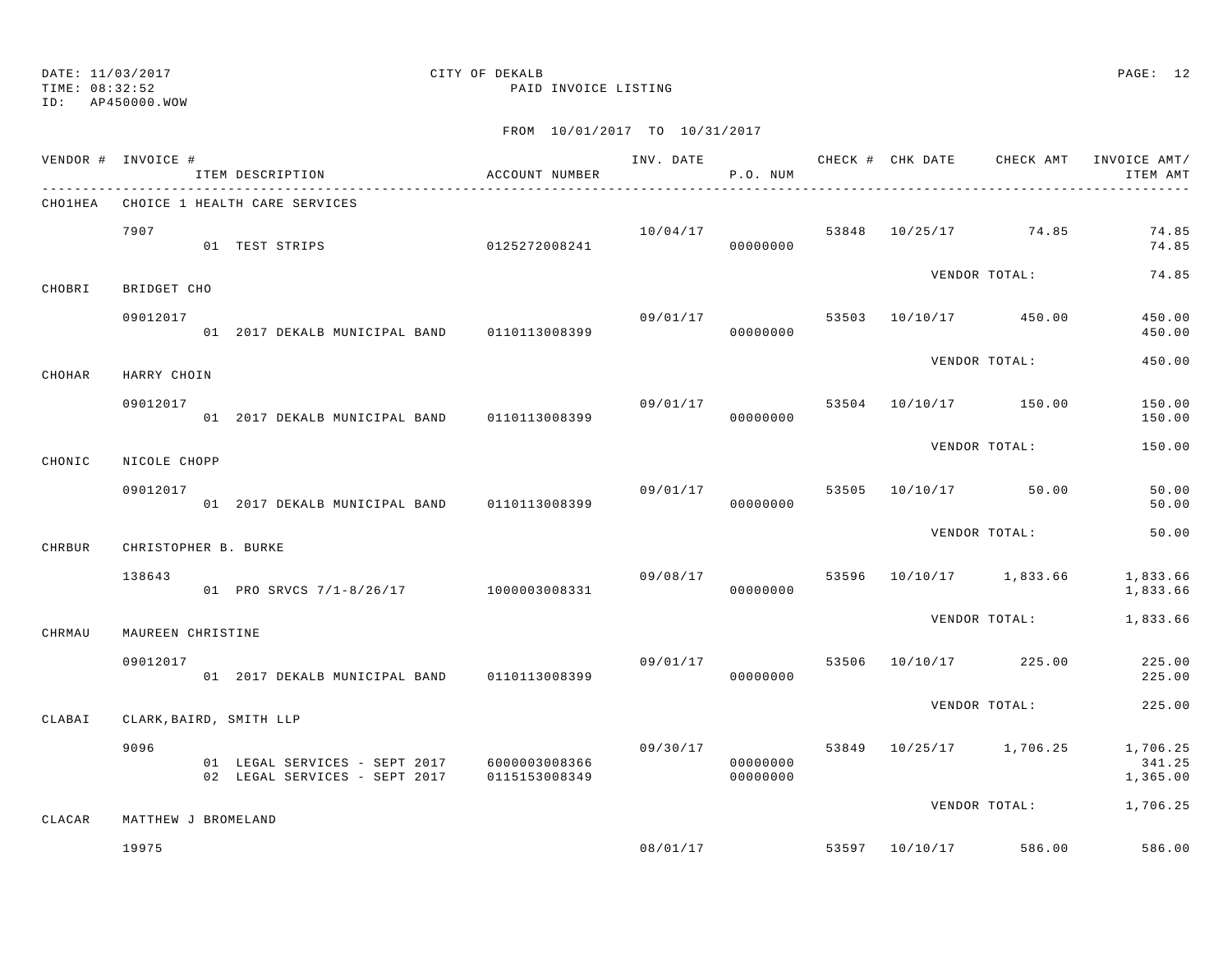TIME: 08:32:52 PAID INVOICE LISTING

ID: AP450000.WOW

|         | VENDOR # INVOICE #   | ITEM DESCRIPTION                                                             | ACCOUNT NUMBER |          | P.O. NUM             |       |                                  | INV. DATE 6 7 7 20 20 CHECK # CHK DATE 6 CHECK AMT INVOICE AMT<br>ITEM AMT |
|---------|----------------------|------------------------------------------------------------------------------|----------------|----------|----------------------|-------|----------------------------------|----------------------------------------------------------------------------|
| CHO1HEA |                      | CHOICE 1 HEALTH CARE SERVICES                                                |                |          |                      |       |                                  |                                                                            |
|         | 7907                 | 01 TEST STRIPS                                                               | 0125272008241  |          | 10/04/17<br>00000000 |       | 53848 10/25/17 74.85             | 74.85<br>74.85                                                             |
| CHOBRI  | BRIDGET CHO          |                                                                              |                |          |                      |       | VENDOR TOTAL:                    | 74.85                                                                      |
|         | 09012017             | 01 2017 DEKALB MUNICIPAL BAND 0110113008399                                  |                | 09/01/17 | 00000000             |       | 53503 10/10/17 450.00            | 450.00<br>450.00                                                           |
| CHOHAR  | HARRY CHOIN          |                                                                              |                |          |                      |       | VENDOR TOTAL:                    | 450.00                                                                     |
|         | 09012017             | 01 2017 DEKALB MUNICIPAL BAND 0110113008399                                  |                | 09/01/17 | 00000000             | 53504 | 10/10/17 150.00                  | 150.00<br>150.00                                                           |
| CHONIC  | NICOLE CHOPP         |                                                                              |                |          |                      |       | VENDOR TOTAL:                    | 150.00                                                                     |
|         | 09012017             | 01 2017 DEKALB MUNICIPAL BAND 0110113008399                                  |                | 09/01/17 | 00000000             | 53505 | 10/10/17 50.00                   | 50.00<br>50.00                                                             |
| CHRBUR  | CHRISTOPHER B. BURKE |                                                                              |                |          |                      |       | VENDOR TOTAL:                    | 50.00                                                                      |
|         | 138643               | 01 PRO SRVCS 7/1-8/26/17 1000003008331                                       |                | 09/08/17 | 00000000             | 53596 | 10/10/17 1,833.66                | 1,833.66<br>1,833.66                                                       |
| CHRMAU  | MAUREEN CHRISTINE    |                                                                              |                |          |                      |       | VENDOR TOTAL:                    | 1,833.66                                                                   |
|         | 09012017             | 01 2017 DEKALB MUNICIPAL BAND 0110113008399                                  |                |          | 09/01/17<br>00000000 | 53506 | 10/10/17 225.00                  | 225.00<br>225.00                                                           |
| CLABAI  |                      | CLARK, BAIRD, SMITH LLP                                                      |                |          |                      |       | VENDOR TOTAL:                    | 225.00                                                                     |
|         | 9096                 | 01 LEGAL SERVICES - SEPT 2017 6000003008366<br>02 LEGAL SERVICES - SEPT 2017 | 0115153008349  | 09/30/17 | 00000000<br>00000000 |       | 53849 10/25/17 1,706.25          | 1,706.25<br>341.25<br>1,365.00                                             |
| CLACAR  | MATTHEW J BROMELAND  |                                                                              |                |          |                      |       | VENDOR TOTAL:                    | 1,706.25                                                                   |
|         | 19975                |                                                                              |                |          |                      |       | $08/01/17$ 53597 10/10/17 586.00 | 586.00                                                                     |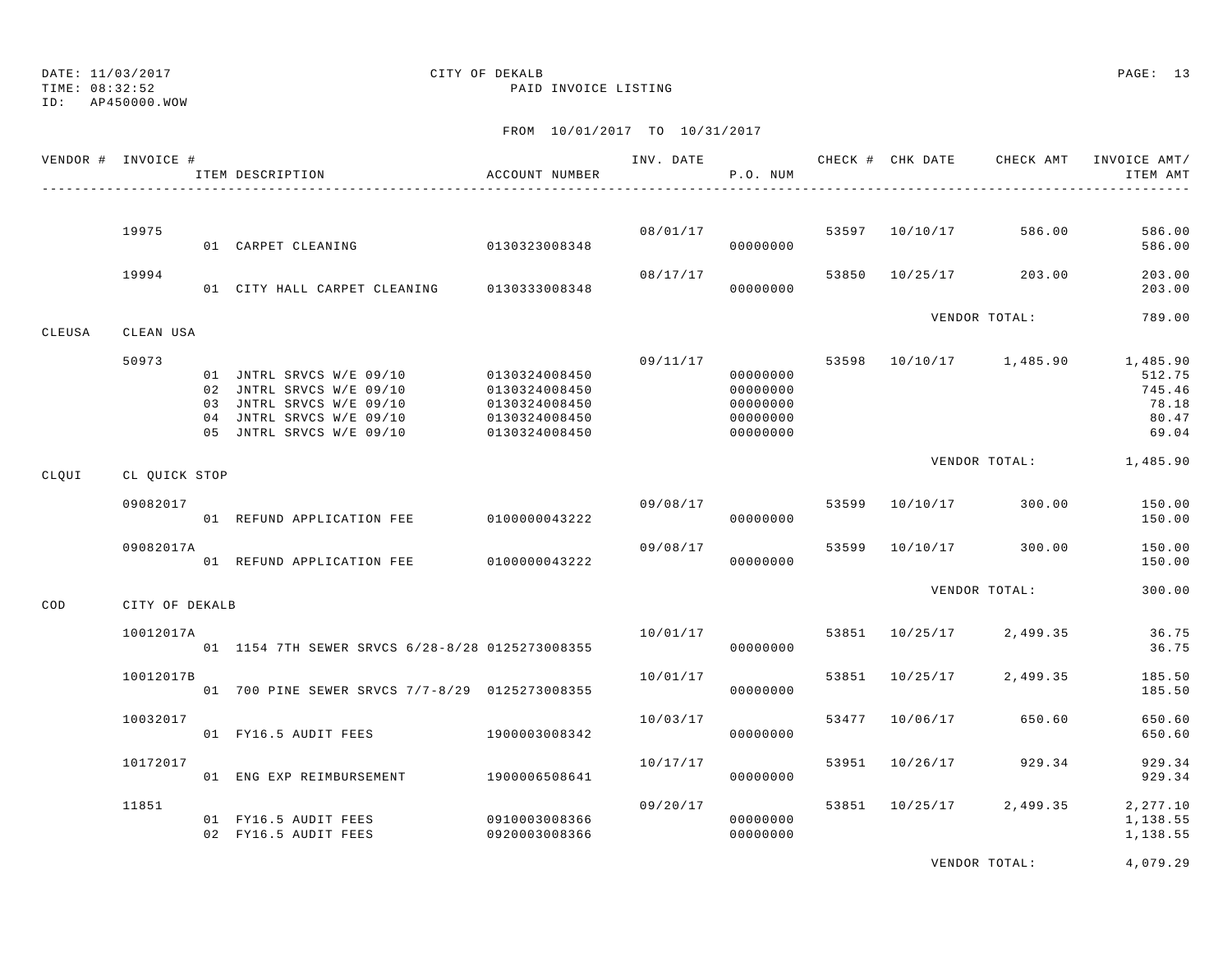TIME: 08:32:52 PAID INVOICE LISTING

ID: AP450000.WOW

## FROM 10/01/2017 TO 10/31/2017

|        | VENDOR # INVOICE # | ITEM DESCRIPTION                                                                                                                         | ACCOUNT NUMBER                                                                    |          | P.O. NUM                                                 |       |                | INV. DATE 6 1999 CHECK # CHK DATE CHECK AMT INVOICE AMT/ | ITEM AMT                                                |
|--------|--------------------|------------------------------------------------------------------------------------------------------------------------------------------|-----------------------------------------------------------------------------------|----------|----------------------------------------------------------|-------|----------------|----------------------------------------------------------|---------------------------------------------------------|
|        |                    |                                                                                                                                          |                                                                                   |          |                                                          |       |                |                                                          |                                                         |
|        | 19975              | 01 CARPET CLEANING                                                                                                                       | 0130323008348                                                                     |          | 08/01/17<br>00000000                                     |       | 53597 10/10/17 | 586.00                                                   | 586.00<br>586.00                                        |
|        | 19994              | 01 CITY HALL CARPET CLEANING 0130333008348                                                                                               |                                                                                   | 08/17/17 | 00000000                                                 |       | 53850 10/25/17 | 203.00                                                   | 203.00<br>203.00                                        |
| CLEUSA | CLEAN USA          |                                                                                                                                          |                                                                                   |          |                                                          |       |                | VENDOR TOTAL:                                            | 789.00                                                  |
|        | 50973              | 01 JNTRL SRVCS W/E 09/10<br>02 JNTRL SRVCS W/E 09/10<br>03 JNTRL SRVCS W/E 09/10<br>04 JNTRL SRVCS W/E 09/10<br>05 JNTRL SRVCS W/E 09/10 | 0130324008450<br>0130324008450<br>0130324008450<br>0130324008450<br>0130324008450 | 09/11/17 | 00000000<br>00000000<br>00000000<br>00000000<br>00000000 |       |                | 53598 10/10/17 1,485.90                                  | 1,485.90<br>512.75<br>745.46<br>78.18<br>80.47<br>69.04 |
| CLQUI  | CL QUICK STOP      |                                                                                                                                          |                                                                                   |          |                                                          |       |                | VENDOR TOTAL: 1,485.90                                   |                                                         |
|        | 09082017           | 01 REFUND APPLICATION FEE 0100000043222                                                                                                  |                                                                                   | 09/08/17 | 00000000                                                 |       | 53599 10/10/17 | 300.00                                                   | 150.00<br>150.00                                        |
|        | 09082017A          | 01 REFUND APPLICATION FEE 0100000043222                                                                                                  |                                                                                   | 09/08/17 | 00000000                                                 | 53599 | 10/10/17       | 300.00                                                   | 150.00<br>150.00                                        |
| COD    | CITY OF DEKALB     |                                                                                                                                          |                                                                                   |          |                                                          |       |                | VENDOR TOTAL:                                            | 300.00                                                  |
|        | 10012017A          | 01 1154 7TH SEWER SRVCS 6/28-8/28 0125273008355                                                                                          |                                                                                   | 10/01/17 | 00000000                                                 |       | 53851 10/25/17 | 2,499.35                                                 | 36.75<br>36.75                                          |
|        | 10012017B          | 01 700 PINE SEWER SRVCS 7/7-8/29 0125273008355                                                                                           |                                                                                   | 10/01/17 | 00000000                                                 |       | 53851 10/25/17 | 2,499.35                                                 | 185.50<br>185.50                                        |
|        | 10032017           | 01 FY16.5 AUDIT FEES                                                                                                                     | 1900003008342                                                                     | 10/03/17 | 00000000                                                 |       | 53477 10/06/17 | 650.60                                                   | 650.60<br>650.60                                        |
|        | 10172017           | 01 ENG EXP REIMBURSEMENT 1900006508641                                                                                                   |                                                                                   | 10/17/17 | 00000000                                                 |       | 53951 10/26/17 | 929.34                                                   | 929.34<br>929.34                                        |
|        | 11851              | 01 FY16.5 AUDIT FEES<br>02 FY16.5 AUDIT FEES                                                                                             | 0910003008366<br>0920003008366                                                    | 09/20/17 | 00000000<br>00000000                                     |       | 53851 10/25/17 | 2,499.35                                                 | 2, 277.10<br>1,138.55<br>1,138.55                       |

VENDOR TOTAL: 4,079.29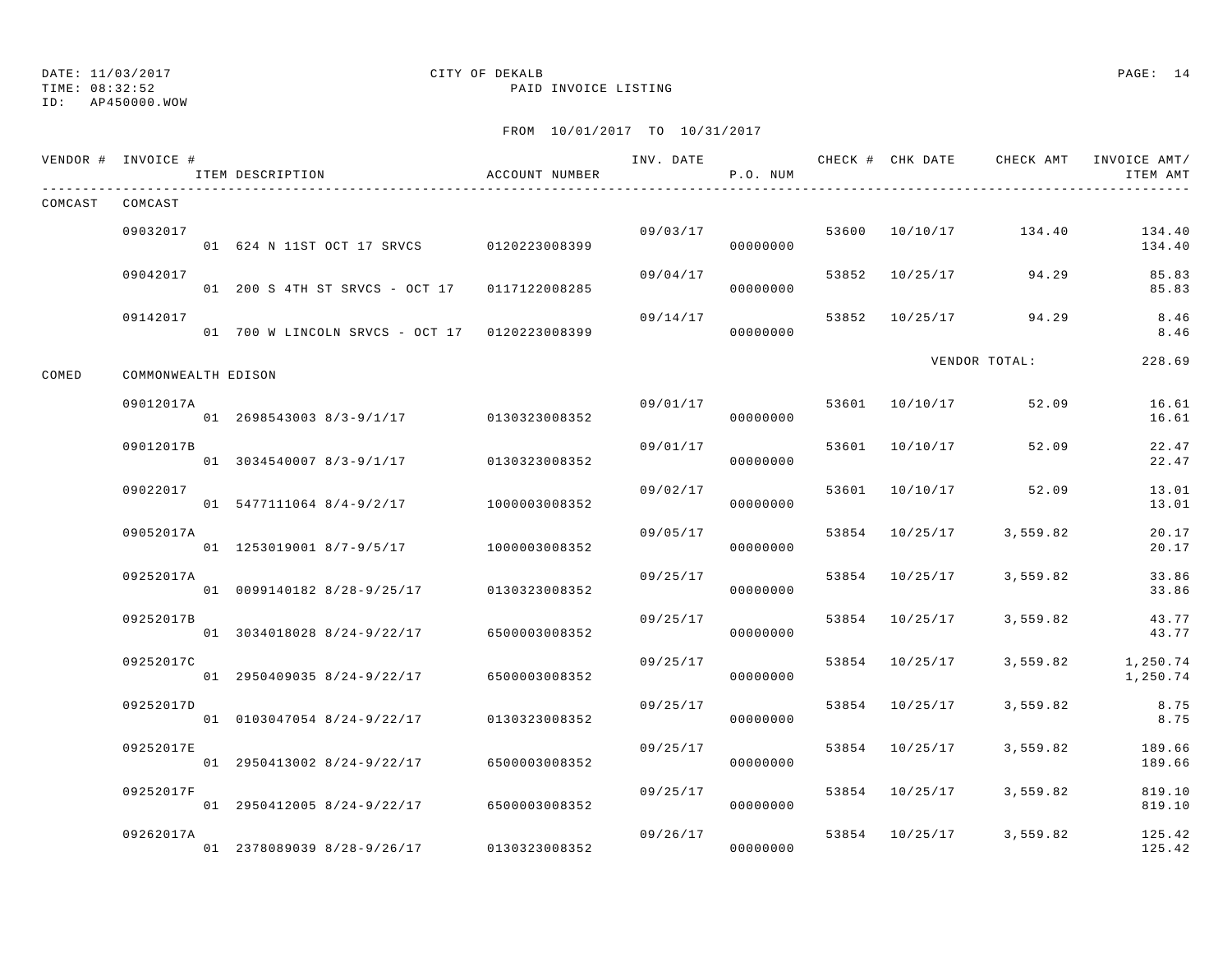## DATE: 11/03/2017 CITY OF DEKALB PAGE: 14

TIME: 08:32:52 PAID INVOICE LISTING

|         | VENDOR # INVOICE #  | ITEM DESCRIPTION                              | ACCOUNT NUMBER |          | P.O. NUM             |                |                         | INV. DATE 6 1999 CHECK # CHK DATE 6 CHECK AMT INVOICE AMT<br>ITEM AMT |
|---------|---------------------|-----------------------------------------------|----------------|----------|----------------------|----------------|-------------------------|-----------------------------------------------------------------------|
| COMCAST | COMCAST             |                                               |                |          |                      |                |                         |                                                                       |
|         | 09032017            | 01 624 N 11ST OCT 17 SRVCS 0120223008399      |                |          | 09/03/17<br>00000000 |                | 53600 10/10/17 134.40   | 134.40<br>134.40                                                      |
|         | 09042017            | 01 200 S 4TH ST SRVCS - OCT 17 0117122008285  |                | 09/04/17 | 00000000             | 53852 10/25/17 | 94.29                   | 85.83<br>85.83                                                        |
|         | 09142017            | 01 700 W LINCOLN SRVCS - OCT 17 0120223008399 |                | 09/14/17 | 00000000             | 53852 10/25/17 | 94.29                   | 8.46<br>8.46                                                          |
| COMED   | COMMONWEALTH EDISON |                                               |                |          |                      |                | VENDOR TOTAL:           | 228.69                                                                |
|         | 09012017A           | 01 2698543003 8/3-9/1/17 0130323008352        |                | 09/01/17 | 00000000             | 53601 10/10/17 | 52.09                   | 16.61<br>16.61                                                        |
|         | 09012017B           | 01 3034540007 8/3-9/1/17 0130323008352        |                | 09/01/17 | 00000000             | 53601 10/10/17 | 52.09                   | 22.47<br>22.47                                                        |
|         | 09022017            | 01 5477111064 8/4-9/2/17                      | 1000003008352  | 09/02/17 | 00000000             |                | 53601 10/10/17 52.09    | 13.01<br>13.01                                                        |
|         | 09052017A           | 01 1253019001 8/7-9/5/17 1000003008352        |                | 09/05/17 | 00000000             | 53854 10/25/17 | 3,559.82                | 20.17<br>20.17                                                        |
|         | 09252017A           | 01 0099140182 8/28-9/25/17 0130323008352      |                | 09/25/17 | 00000000             | 53854 10/25/17 | 3,559.82                | 33.86<br>33.86                                                        |
|         | 09252017B           | 01 3034018028 8/24-9/22/17                    | 6500003008352  | 09/25/17 | 00000000             | 53854 10/25/17 | 3,559.82                | 43.77<br>43.77                                                        |
|         | 09252017C           | 01 2950409035 8/24-9/22/17 6500003008352      |                | 09/25/17 | 00000000             | 53854 10/25/17 | 3,559.82                | 1,250.74<br>1,250.74                                                  |
|         | 09252017D           | 01 0103047054 8/24-9/22/17                    | 0130323008352  | 09/25/17 | 00000000             | 53854 10/25/17 | 3,559.82                | 8.75<br>8.75                                                          |
|         | 09252017E           | 01 2950413002 8/24-9/22/17                    | 6500003008352  | 09/25/17 | 00000000             | 53854 10/25/17 | 3,559.82                | 189.66<br>189.66                                                      |
|         | 09252017F           | 01 2950412005 8/24-9/22/17                    | 6500003008352  | 09/25/17 | 00000000             | 53854 10/25/17 | 3,559.82                | 819.10<br>819.10                                                      |
|         | 09262017A           | 01 2378089039 8/28-9/26/17 0130323008352      |                | 09/26/17 | 00000000             |                | 53854 10/25/17 3,559.82 | 125.42<br>125.42                                                      |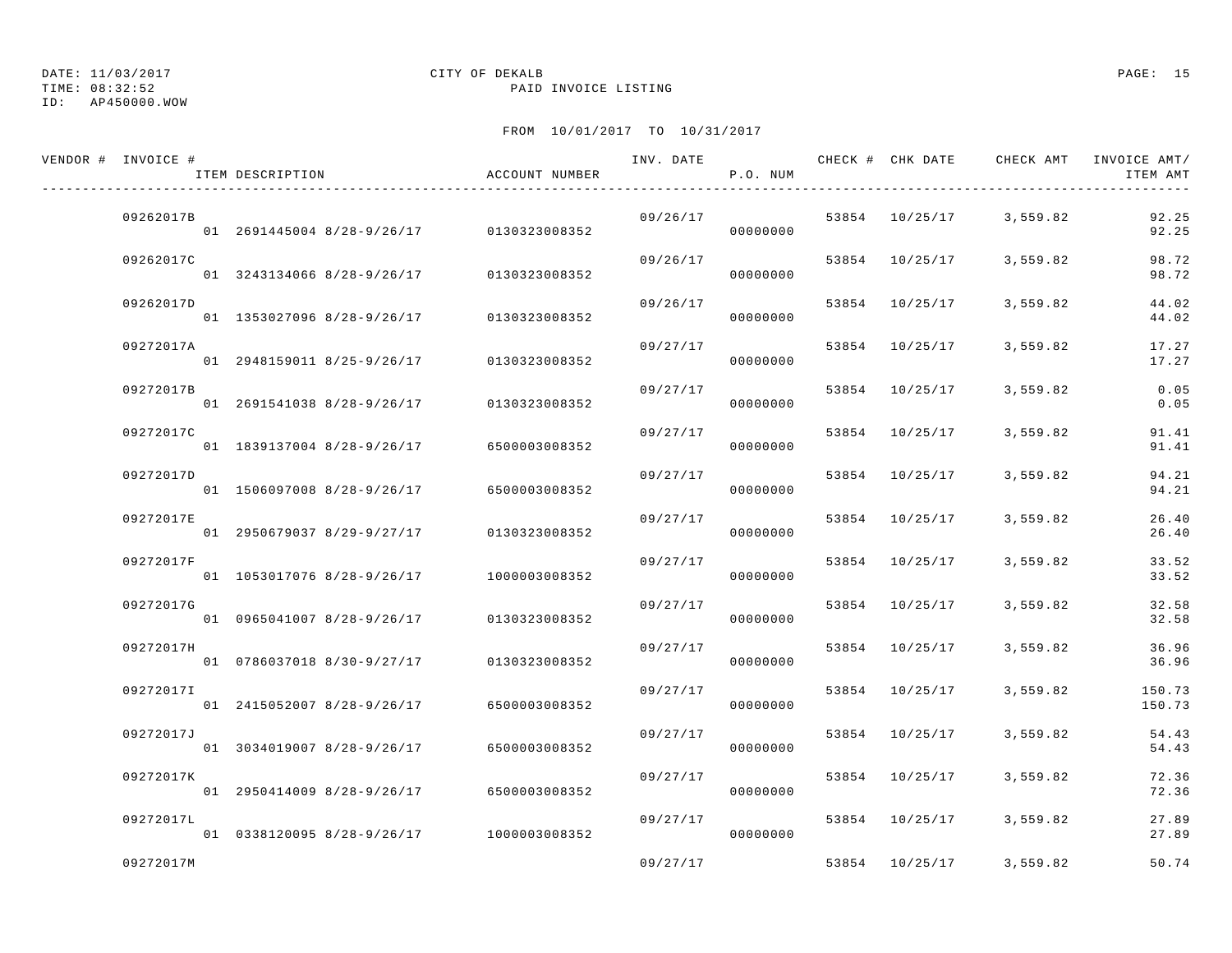TIME: 08:32:52 PAID INVOICE LISTING

## ID: AP450000.WOW

## DATE: 11/03/2017 CITY OF DEKALB PAGE: 15

| VENDOR # INVOICE # | ITEM DESCRIPTION                         | ACCOUNT NUMBER | INV. DATE | P.O. NUM | CHECK # CHK DATE | CHECK AMT               | INVOICE AMT/<br>ITEM AMT |
|--------------------|------------------------------------------|----------------|-----------|----------|------------------|-------------------------|--------------------------|
| 09262017B          | 01 2691445004 8/28-9/26/17 0130323008352 |                | 09/26/17  | 00000000 |                  | 53854 10/25/17 3,559.82 | 92.25<br>92.25           |
| 09262017C          | 01 3243134066 8/28-9/26/17               | 0130323008352  | 09/26/17  | 00000000 |                  | 53854 10/25/17 3,559.82 | 98.72<br>98.72           |
| 09262017D          | 01 1353027096 8/28-9/26/17               | 0130323008352  | 09/26/17  | 00000000 | 53854 10/25/17   | 3,559.82                | 44.02<br>44.02           |
| 09272017A          | 01 2948159011 8/25-9/26/17               | 0130323008352  | 09/27/17  | 00000000 | 53854 10/25/17   | 3,559.82                | 17.27<br>17.27           |
| 09272017B          | 01 2691541038 8/28-9/26/17               | 0130323008352  | 09/27/17  | 00000000 | 53854 10/25/17   | 3,559.82                | 0.05<br>0.05             |
| 09272017C          | 01 1839137004 8/28-9/26/17               | 6500003008352  | 09/27/17  | 00000000 | 53854 10/25/17   | 3,559.82                | 91.41<br>91.41           |
| 09272017D          | 01 1506097008 8/28-9/26/17               | 6500003008352  | 09/27/17  | 00000000 | 53854 10/25/17   | 3,559.82                | 94.21<br>94.21           |
| 09272017E          | 01 2950679037 8/29-9/27/17               | 0130323008352  | 09/27/17  | 00000000 | 53854 10/25/17   | 3,559.82                | 26.40<br>26.40           |
| 09272017F          | 01 1053017076 8/28-9/26/17               | 1000003008352  | 09/27/17  | 00000000 | 53854 10/25/17   | 3,559.82                | 33.52<br>33.52           |
| 09272017G          | 01 0965041007 8/28-9/26/17               | 0130323008352  | 09/27/17  | 00000000 | 53854 10/25/17   | 3,559.82                | 32.58<br>32.58           |
| 09272017H          | 01 0786037018 8/30-9/27/17               | 0130323008352  | 09/27/17  | 00000000 | 53854 10/25/17   | 3,559.82                | 36.96<br>36.96           |
| 092720171          | 01 2415052007 8/28-9/26/17               | 6500003008352  | 09/27/17  | 00000000 | 53854 10/25/17   | 3,559.82                | 150.73<br>150.73         |
| 09272017J          | 01 3034019007 8/28-9/26/17               | 6500003008352  | 09/27/17  | 00000000 | 53854 10/25/17   | 3,559.82                | 54.43<br>54.43           |
| 09272017K          | 01 2950414009 8/28-9/26/17               | 6500003008352  | 09/27/17  | 00000000 | 53854 10/25/17   | 3,559.82                | 72.36<br>72.36           |
| 09272017L          | 01 0338120095 8/28-9/26/17               | 1000003008352  | 09/27/17  | 00000000 | 53854 10/25/17   | 3,559.82                | 27.89<br>27.89           |
| 09272017M          |                                          |                | 09/27/17  |          | 53854 10/25/17   | 3,559.82                | 50.74                    |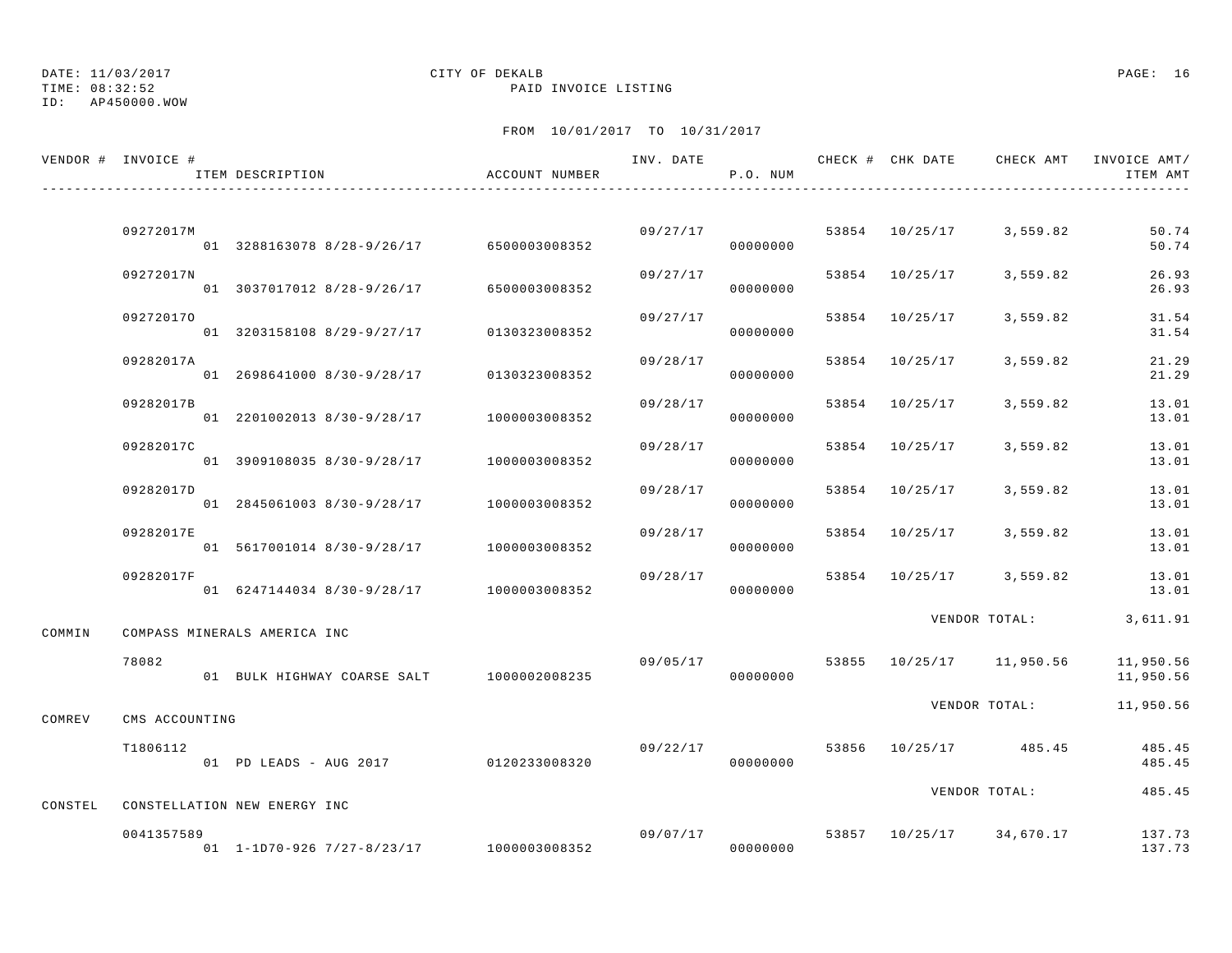## DATE: 11/03/2017 CITY OF DEKALB PAGE: 16

TIME: 08:32:52 PAID INVOICE LISTING

|         | VENDOR # INVOICE # | ITEM DESCRIPTION                          | ACCOUNT NUMBER |          | P.O. NUM             |                |                          | INV. DATE 6 . CHECK # CHK DATE 6 . CHECK AMT INVOICE AMT<br>ITEM AMT |
|---------|--------------------|-------------------------------------------|----------------|----------|----------------------|----------------|--------------------------|----------------------------------------------------------------------|
|         |                    |                                           |                |          |                      |                |                          |                                                                      |
|         | 09272017M          | 01 3288163078 8/28-9/26/17 6500003008352  |                |          | 09/27/17<br>00000000 |                | 53854 10/25/17 3,559.82  | 50.74<br>50.74                                                       |
|         | 09272017N          | 01 3037017012 8/28-9/26/17 6500003008352  |                | 09/27/17 | 00000000             |                | 53854 10/25/17 3,559.82  | 26.93<br>26.93                                                       |
|         | 092720170          | 01 3203158108 8/29-9/27/17 0130323008352  |                | 09/27/17 | 00000000             | 53854 10/25/17 | 3,559.82                 | 31.54<br>31.54                                                       |
|         | 09282017A          | 01 2698641000 8/30-9/28/17 0130323008352  |                | 09/28/17 | 00000000             | 53854 10/25/17 | 3,559.82                 | 21.29<br>21.29                                                       |
|         | 09282017B          | 01 2201002013 8/30-9/28/17 1000003008352  |                | 09/28/17 | 00000000             | 53854 10/25/17 | 3,559.82                 | 13.01<br>13.01                                                       |
|         | 09282017C          | 01 3909108035 8/30-9/28/17 1000003008352  |                | 09/28/17 | 00000000             | 53854 10/25/17 | 3,559.82                 | 13.01<br>13.01                                                       |
|         | 09282017D          | 01 2845061003 8/30-9/28/17 1000003008352  |                | 09/28/17 | 00000000             | 53854 10/25/17 | 3,559.82                 | 13.01<br>13.01                                                       |
|         | 09282017E          | 01 5617001014 8/30-9/28/17 1000003008352  |                | 09/28/17 | 00000000             | 53854 10/25/17 | 3,559.82                 | 13.01<br>13.01                                                       |
|         | 09282017F          | 01 6247144034 8/30-9/28/17 1000003008352  |                | 09/28/17 | 00000000             |                | 53854 10/25/17 3,559.82  | 13.01<br>13.01                                                       |
| COMMIN  |                    | COMPASS MINERALS AMERICA INC              |                |          |                      |                | VENDOR TOTAL:            | 3,611.91                                                             |
|         | 78082              | 01 BULK HIGHWAY COARSE SALT 1000002008235 |                | 09/05/17 | 00000000             |                | 53855 10/25/17 11,950.56 | 11,950.56<br>11,950.56                                               |
| COMREV  | CMS ACCOUNTING     |                                           |                |          |                      |                | VENDOR TOTAL:            | 11,950.56                                                            |
|         | T1806112           | 01 PD LEADS - AUG 2017 0120233008320      |                | 09/22/17 | 00000000             |                | 53856 10/25/17 485.45    | 485.45<br>485.45                                                     |
| CONSTEL |                    | CONSTELLATION NEW ENERGY INC              |                |          |                      |                | VENDOR TOTAL:            | 485.45                                                               |
|         | 0041357589         | 01 1-1D70-926 7/27-8/23/17 1000003008352  |                |          | 09/07/17<br>00000000 |                | 53857 10/25/17 34,670.17 | 137.73<br>137.73                                                     |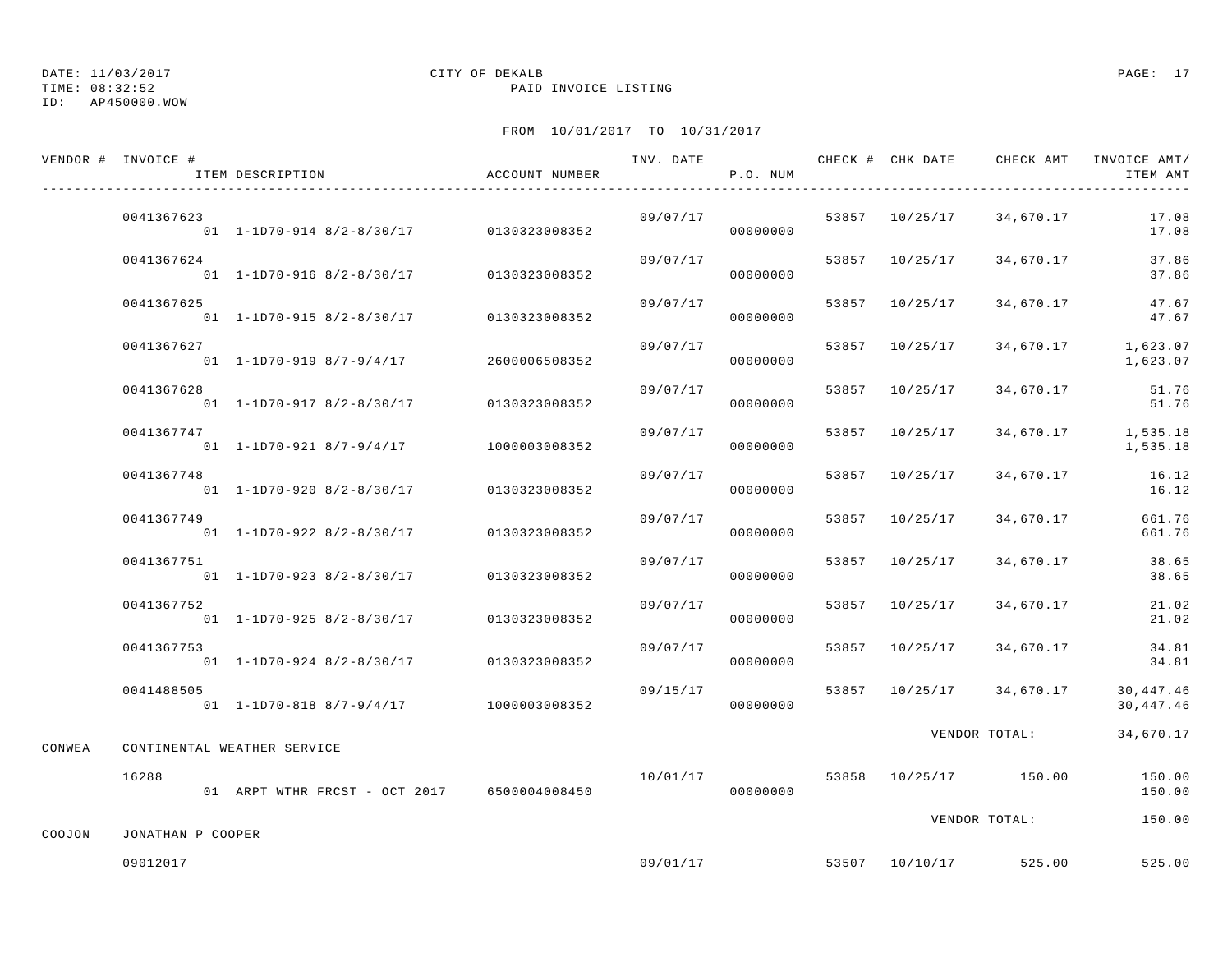TIME: 08:32:52 PAID INVOICE LISTING

#### ID: AP450000.WOW

## DATE: 11/03/2017 CITY OF DEKALB PAGE: 17

|        | VENDOR # INVOICE # | ITEM DESCRIPTION                                     | ACCOUNT NUMBER |          | P.O. NUM | INV. DATE CHECK # CHK DATE | CHECK AMT                | INVOICE AMT/<br>ITEM AMT |
|--------|--------------------|------------------------------------------------------|----------------|----------|----------|----------------------------|--------------------------|--------------------------|
|        | 0041367623         | $01 \quad 1 - 1$ D70-914 8/2-8/30/17 0130323008352   |                | 09/07/17 | 00000000 | 53857 10/25/17             | 34,670.17                | 17.08<br>17.08           |
|        | 0041367624         | $01$ 1-1D70-916 8/2-8/30/17                          | 0130323008352  | 09/07/17 | 00000000 | 53857 10/25/17             | 34,670.17                | 37.86<br>37.86           |
|        | 0041367625         | 01 1-1D70-915 8/2-8/30/17                            | 0130323008352  | 09/07/17 | 00000000 | 53857 10/25/17             | 34,670.17                | 47.67<br>47.67           |
|        | 0041367627         | $01 \quad 1 - 1D70 - 919 \quad 8/7 - 9/4/17$         | 2600006508352  | 09/07/17 | 00000000 | 53857 10/25/17             | 34,670.17                | 1,623.07<br>1,623.07     |
|        | 0041367628         | 01 1-1D70-917 8/2-8/30/17                            | 0130323008352  | 09/07/17 | 00000000 | 53857 10/25/17             | 34,670.17                | 51.76<br>51.76           |
|        | 0041367747         | 01 1-1D70-921 8/7-9/4/17                             | 1000003008352  | 09/07/17 | 00000000 | 53857 10/25/17             | 34,670.17                | 1,535.18<br>1,535.18     |
|        | 0041367748         | $01 \quad 1 - 1D70 - 920 \quad 8/2 - 8/30/17$        | 0130323008352  | 09/07/17 | 00000000 | 53857 10/25/17             | 34,670.17                | 16.12<br>16.12           |
|        | 0041367749         | $01 \quad 1 - 1D70 - 922 \quad 8/2 - 8/30/17$        | 0130323008352  | 09/07/17 | 00000000 | 53857 10/25/17             | 34,670.17                | 661.76<br>661.76         |
|        | 0041367751         | 01 1-1D70-923 8/2-8/30/17                            | 0130323008352  | 09/07/17 | 00000000 | 53857 10/25/17             | 34,670.17                | 38.65<br>38.65           |
|        | 0041367752         | $01$ 1-1D70-925 8/2-8/30/17                          | 0130323008352  | 09/07/17 | 00000000 | 53857 10/25/17             | 34,670.17                | 21.02<br>21.02           |
|        | 0041367753         | $01 \quad 1 - 1$ D70-924 8/2-8/30/17                 | 0130323008352  | 09/07/17 | 00000000 | 53857 10/25/17             | 34,670.17                | 34.81<br>34.81           |
|        | 0041488505         | $01 \quad 1-1D70-818 \quad 8/7-9/4/17$ 1000003008352 |                | 09/15/17 | 00000000 |                            | 53857 10/25/17 34,670.17 | 30,447.46<br>30, 447.46  |
| CONWEA |                    | CONTINENTAL WEATHER SERVICE                          |                |          |          |                            | VENDOR TOTAL:            | 34,670.17                |
|        | 16288              | 01 ARPT WTHR FRCST - OCT 2017 6500004008450          |                | 10/01/17 | 00000000 |                            | 53858 10/25/17 150.00    | 150.00<br>150.00         |
| COOJON | JONATHAN P COOPER  |                                                      |                |          |          |                            | VENDOR TOTAL:            | 150.00                   |
|        | 09012017           |                                                      |                | 09/01/17 |          |                            | 53507 10/10/17 525.00    | 525.00                   |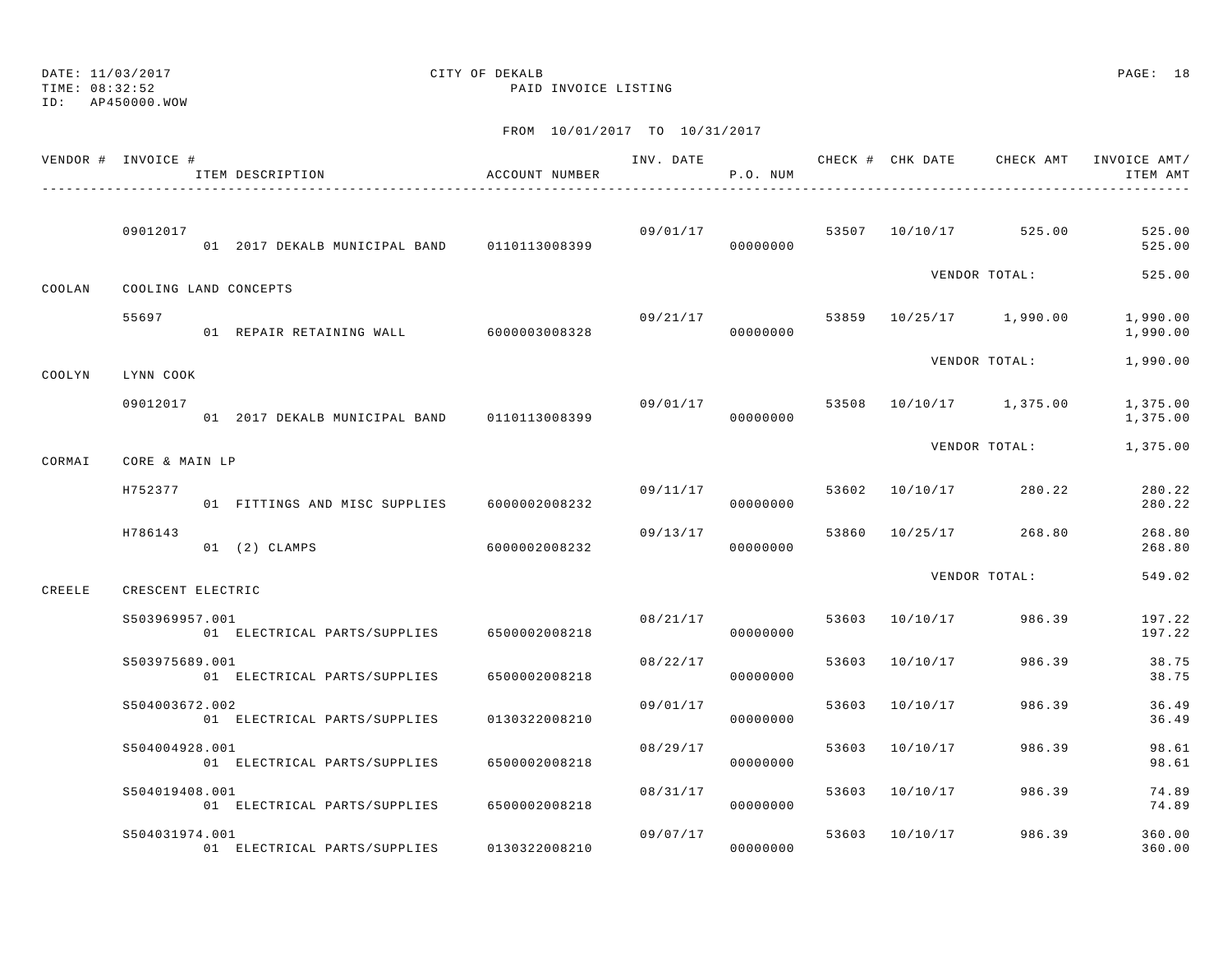## DATE: 11/03/2017 CITY OF DEKALB PAGE: 18

TIME: 08:32:52 PAID INVOICE LISTING

| VENDOR # INVOICE # |                   | ITEM DESCRIPTION                            | ACCOUNT NUMBER | INV. DATE | P.O. NUM             |       |                | CHECK # CHK DATE CHECK AMT | INVOICE AMT/<br>ITEM AMT |
|--------------------|-------------------|---------------------------------------------|----------------|-----------|----------------------|-------|----------------|----------------------------|--------------------------|
|                    | 09012017          | 01 2017 DEKALB MUNICIPAL BAND 0110113008399 |                | 09/01/17  | 00000000             |       | 53507 10/10/17 | 525.00                     | 525.00<br>525.00         |
| COOLAN             |                   | COOLING LAND CONCEPTS                       |                |           |                      |       |                | VENDOR TOTAL:              | 525.00                   |
|                    | 55697             | 01 REPAIR RETAINING WALL 6000003008328      |                | 09/21/17  | 00000000             |       |                | 53859 10/25/17 1,990.00    | 1,990.00<br>1,990.00     |
| COOLYN             | LYNN COOK         |                                             |                |           |                      |       |                | VENDOR TOTAL:              | 1,990.00                 |
|                    | 09012017          | 01 2017 DEKALB MUNICIPAL BAND               | 0110113008399  | 09/01/17  | 00000000             |       |                | 53508 10/10/17 1,375.00    | 1,375.00<br>1,375.00     |
| CORMAI             | CORE & MAIN LP    |                                             |                |           |                      |       |                | VENDOR TOTAL:              | 1,375.00                 |
|                    | H752377           | 01 FITTINGS AND MISC SUPPLIES               | 6000002008232  |           | 09/11/17<br>00000000 |       | 53602 10/10/17 | 280.22                     | 280.22<br>280.22         |
|                    | H786143           | 01 (2) CLAMPS                               | 6000002008232  | 09/13/17  | 00000000             | 53860 | 10/25/17       | 268.80                     | 268.80<br>268.80         |
| CREELE             | CRESCENT ELECTRIC |                                             |                |           |                      |       |                | VENDOR TOTAL:              | 549.02                   |
|                    | S503969957.001    | 01 ELECTRICAL PARTS/SUPPLIES                | 6500002008218  | 08/21/17  | 00000000             |       | 53603 10/10/17 | 986.39                     | 197.22<br>197.22         |
|                    | S503975689.001    | 01 ELECTRICAL PARTS/SUPPLIES                | 6500002008218  | 08/22/17  | 00000000             | 53603 | 10/10/17       | 986.39                     | 38.75<br>38.75           |
|                    | S504003672.002    | 01 ELECTRICAL PARTS/SUPPLIES                | 0130322008210  | 09/01/17  | 00000000             | 53603 | 10/10/17       | 986.39                     | 36.49<br>36.49           |
|                    | S504004928.001    | 01 ELECTRICAL PARTS/SUPPLIES                | 6500002008218  | 08/29/17  | 00000000             |       | 53603 10/10/17 | 986.39                     | 98.61<br>98.61           |
|                    | S504019408.001    | 01 ELECTRICAL PARTS/SUPPLIES                | 6500002008218  | 08/31/17  | 00000000             | 53603 | 10/10/17       | 986.39                     | 74.89<br>74.89           |
|                    | S504031974.001    | 01 ELECTRICAL PARTS/SUPPLIES                | 0130322008210  | 09/07/17  | 00000000             | 53603 | 10/10/17       | 986.39                     | 360.00<br>360.00         |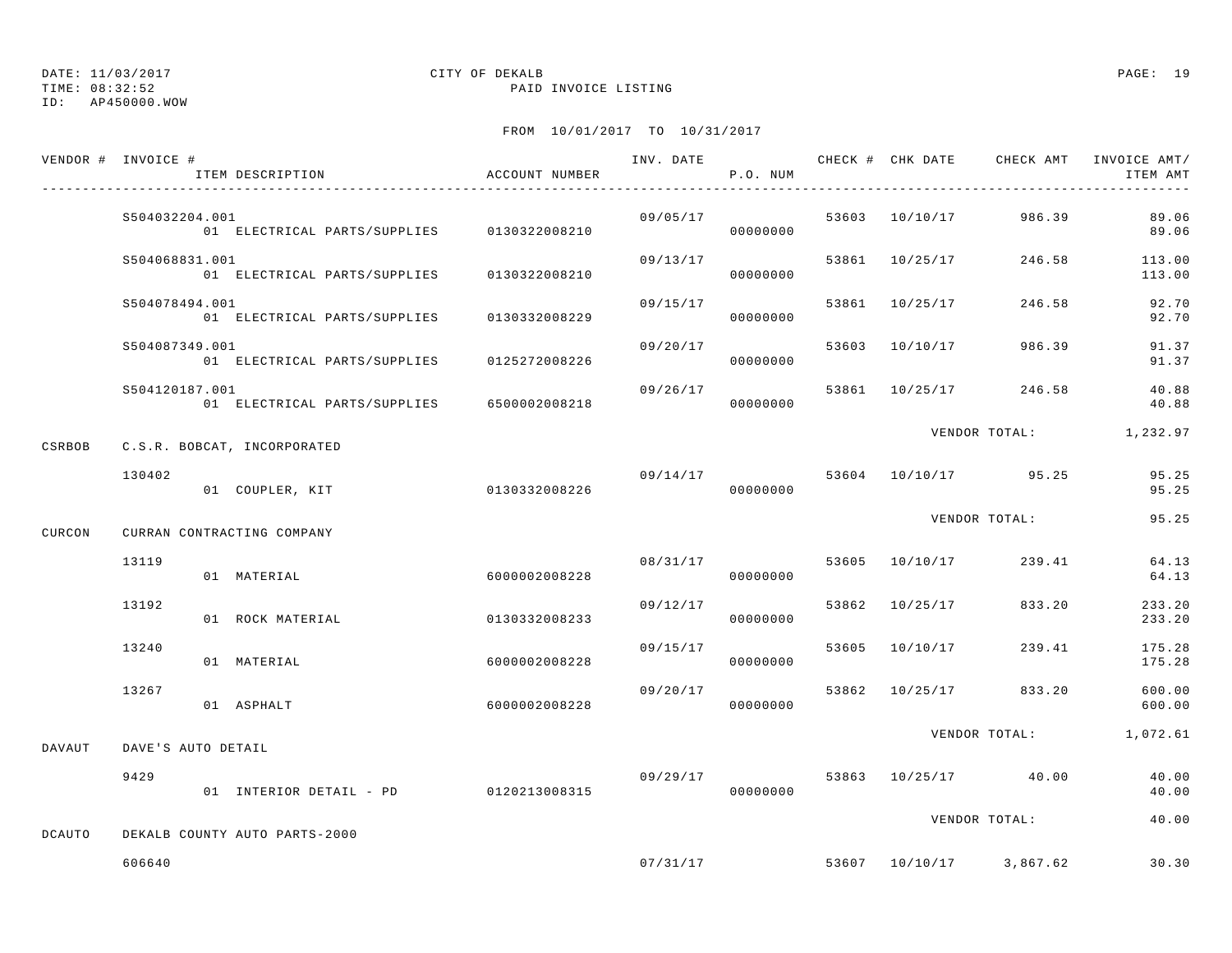TIME: 08:32:52 PAID INVOICE LISTING

ID: AP450000.WOW

|               | VENDOR # INVOICE # | ITEM DESCRIPTION                           | ACCOUNT NUMBER | ------------------ | P.O. NUM             |       |                | INV. DATE 6 1999 CHECK # CHK DATE 6 CHECK AMT INVOICE AMT | ITEM AMT         |
|---------------|--------------------|--------------------------------------------|----------------|--------------------|----------------------|-------|----------------|-----------------------------------------------------------|------------------|
|               | S504032204.001     | 01 ELECTRICAL PARTS/SUPPLIES 0130322008210 |                |                    | 09/05/17<br>00000000 |       |                | 53603 10/10/17 986.39                                     | 89.06<br>89.06   |
|               | S504068831.001     | 01 ELECTRICAL PARTS/SUPPLIES 0130322008210 |                | 09/13/17           | 00000000             |       | 53861 10/25/17 | 246.58                                                    | 113.00<br>113.00 |
|               | S504078494.001     | 01 ELECTRICAL PARTS/SUPPLIES 0130332008229 |                | 09/15/17           | 00000000             |       | 53861 10/25/17 | 246.58                                                    | 92.70<br>92.70   |
|               | S504087349.001     | 01 ELECTRICAL PARTS/SUPPLIES 0125272008226 |                | 09/20/17           | 00000000             |       | 53603 10/10/17 | 986.39                                                    | 91.37<br>91.37   |
|               | S504120187.001     | 01 ELECTRICAL PARTS/SUPPLIES 6500002008218 |                | 09/26/17           | 00000000             | 53861 | 10/25/17       | 246.58                                                    | 40.88<br>40.88   |
| CSRBOB        |                    | C.S.R. BOBCAT, INCORPORATED                |                |                    |                      |       |                | VENDOR TOTAL:                                             | 1,232.97         |
|               | 130402             | 01 COUPLER, KIT                            | 0130332008226  | 09/14/17           | 00000000             |       |                | 53604 10/10/17 95.25                                      | 95.25<br>95.25   |
| CURCON        |                    | CURRAN CONTRACTING COMPANY                 |                |                    |                      |       |                | VENDOR TOTAL:                                             | 95.25            |
|               | 13119              | 01 MATERIAL                                | 6000002008228  | 08/31/17           | 00000000             |       | 53605 10/10/17 | 239.41                                                    | 64.13<br>64.13   |
|               | 13192              | 01 ROCK MATERIAL                           | 0130332008233  | 09/12/17           | 00000000             |       | 53862 10/25/17 | 833.20                                                    | 233.20<br>233.20 |
|               | 13240              | 01 MATERIAL                                | 6000002008228  | 09/15/17           | 00000000             |       | 53605 10/10/17 | 239.41                                                    | 175.28<br>175.28 |
|               | 13267              | 01 ASPHALT                                 | 6000002008228  | 09/20/17           | 00000000             | 53862 |                | 10/25/17 833.20                                           | 600.00<br>600.00 |
| DAVAUT        | DAVE'S AUTO DETAIL |                                            |                |                    |                      |       |                | VENDOR TOTAL:                                             | 1,072.61         |
|               | 9429               | 01 INTERIOR DETAIL - PD                    | 0120213008315  | 09/29/17           | 00000000             |       |                | 53863 10/25/17 40.00                                      | 40.00<br>40.00   |
| <b>DCAUTO</b> |                    | DEKALB COUNTY AUTO PARTS-2000              |                |                    |                      |       |                | VENDOR TOTAL:                                             | 40.00            |
|               | 606640             |                                            |                |                    |                      |       |                | $07/31/17$ 53607 10/10/17 3,867.62                        | 30.30            |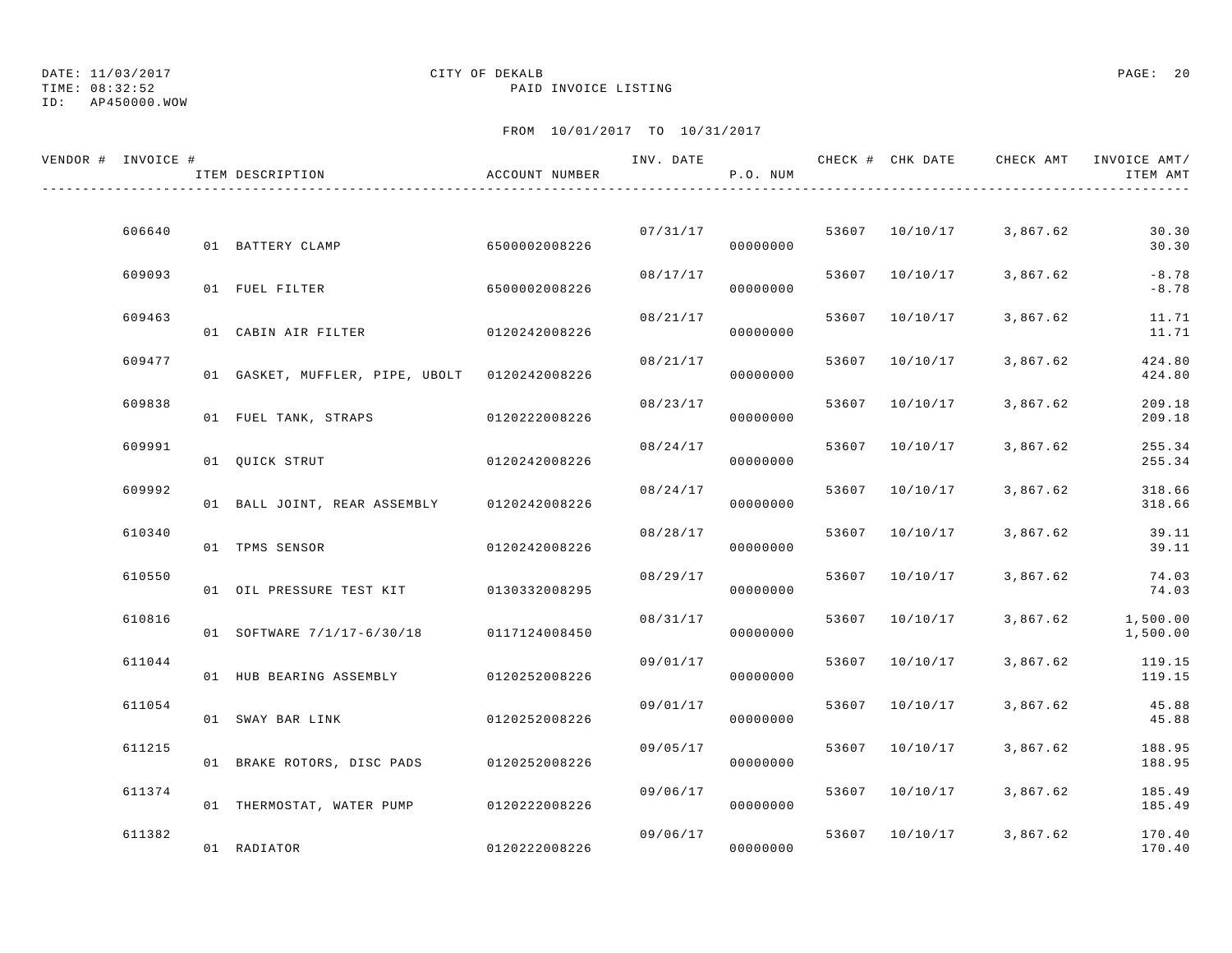TIME: 08:32:52 PAID INVOICE LISTING

ID: AP450000.WOW

| VENDOR # INVOICE # |        | ITEM DESCRIPTION                              | ACCOUNT NUMBER |          | P.O. NUM |       |                | INV. DATE 6 CHECK # CHK DATE CHECK AMT | INVOICE AMT/<br>ITEM AMT |
|--------------------|--------|-----------------------------------------------|----------------|----------|----------|-------|----------------|----------------------------------------|--------------------------|
|                    |        |                                               |                |          |          |       |                |                                        |                          |
|                    | 606640 | 01 BATTERY CLAMP                              | 6500002008226  | 07/31/17 | 00000000 |       | 53607 10/10/17 | 3,867.62                               | 30.30<br>30.30           |
|                    | 609093 | 01 FUEL FILTER                                | 6500002008226  | 08/17/17 | 00000000 |       | 53607 10/10/17 | 3,867.62                               | $-8.78$<br>$-8.78$       |
|                    | 609463 | 01 CABIN AIR FILTER                           | 0120242008226  | 08/21/17 | 00000000 |       | 53607 10/10/17 | 3,867.62                               | 11.71<br>11.71           |
|                    | 609477 | 01 GASKET, MUFFLER, PIPE, UBOLT 0120242008226 |                | 08/21/17 | 00000000 | 53607 | 10/10/17       | 3,867.62                               | 424.80<br>424.80         |
|                    | 609838 | 01 FUEL TANK, STRAPS                          | 0120222008226  | 08/23/17 | 00000000 | 53607 | 10/10/17       | 3,867.62                               | 209.18<br>209.18         |
|                    | 609991 | 01 QUICK STRUT                                | 0120242008226  | 08/24/17 | 00000000 |       | 53607 10/10/17 | 3,867.62                               | 255.34<br>255.34         |
|                    | 609992 | 01 BALL JOINT, REAR ASSEMBLY 0120242008226    |                | 08/24/17 | 00000000 |       | 53607 10/10/17 | 3,867.62                               | 318.66<br>318.66         |
|                    | 610340 | 01 TPMS SENSOR                                | 0120242008226  | 08/28/17 | 00000000 | 53607 | 10/10/17       | 3,867.62                               | 39.11<br>39.11           |
|                    | 610550 | 01 OIL PRESSURE TEST KIT                      | 0130332008295  | 08/29/17 | 00000000 | 53607 | 10/10/17       | 3,867.62                               | 74.03<br>74.03           |
|                    | 610816 |                                               |                | 08/31/17 |          |       | 53607 10/10/17 | 3,867.62                               | 1,500.00                 |
|                    | 611044 | 01 SOFTWARE 7/1/17-6/30/18                    | 0117124008450  | 09/01/17 | 00000000 |       | 53607 10/10/17 | 3,867.62                               | 1,500.00<br>119.15       |
|                    |        | 01 HUB BEARING ASSEMBLY                       | 0120252008226  |          | 00000000 |       |                |                                        | 119.15                   |
|                    | 611054 | 01 SWAY BAR LINK                              | 0120252008226  | 09/01/17 | 00000000 |       | 53607 10/10/17 | 3,867.62                               | 45.88<br>45.88           |
|                    | 611215 | 01 BRAKE ROTORS, DISC PADS                    | 0120252008226  | 09/05/17 | 00000000 |       | 53607 10/10/17 | 3,867.62                               | 188.95<br>188.95         |
|                    | 611374 | 01 THERMOSTAT, WATER PUMP                     | 0120222008226  | 09/06/17 | 00000000 |       | 53607 10/10/17 | 3,867.62                               | 185.49<br>185.49         |
|                    | 611382 | 01 RADIATOR                                   | 0120222008226  | 09/06/17 | 00000000 |       | 53607 10/10/17 | 3,867.62                               | 170.40<br>170.40         |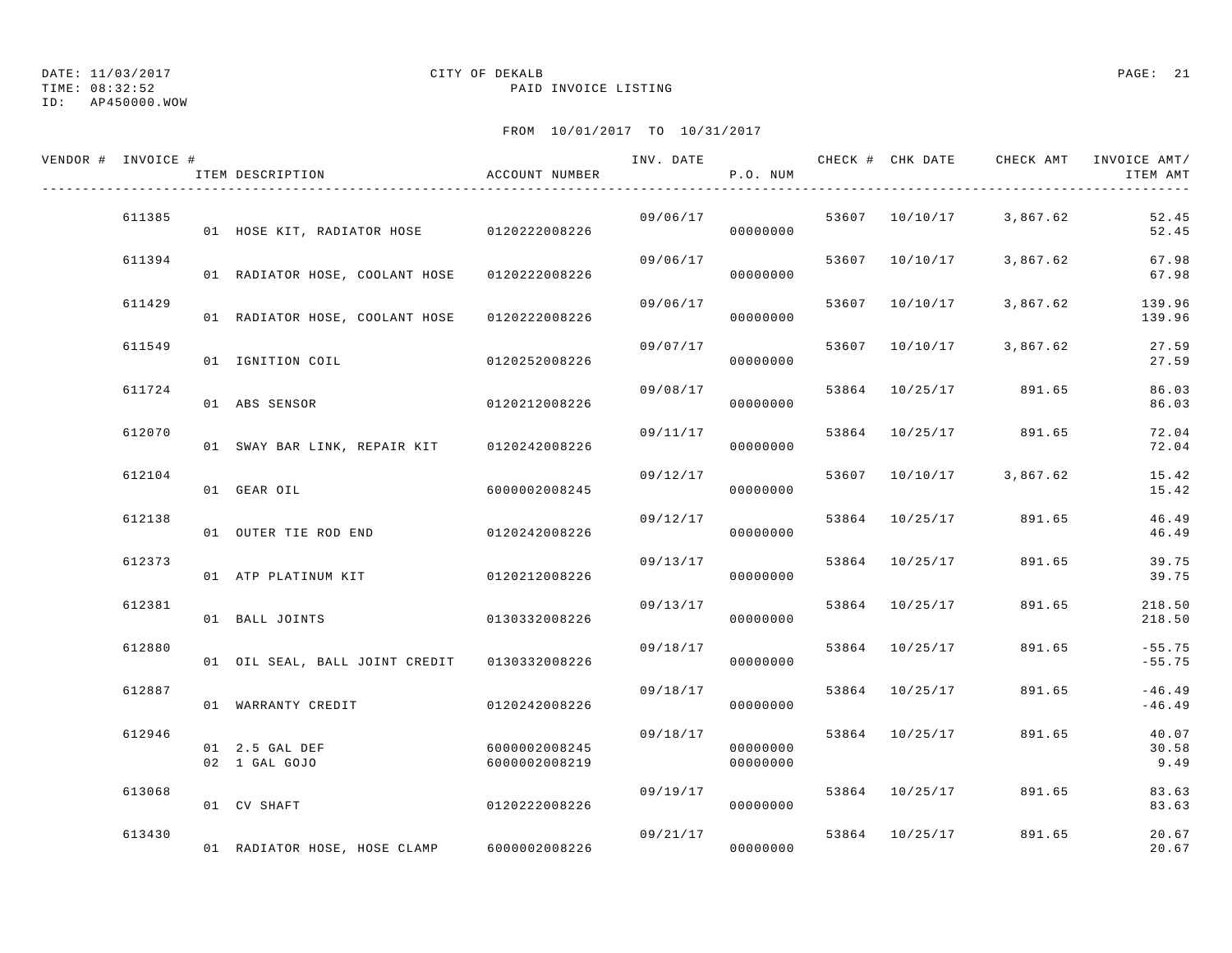## DATE: 11/03/2017 CITY OF DEKALB PAGE: 21

TIME: 08:32:52 PAID INVOICE LISTING

| VENDOR # INVOICE # | ITEM DESCRIPTION                             | ACCOUNT NUMBER                 | INV. DATE | P.O. NUM             |                | CHECK # CHK DATE CHECK AMT | INVOICE AMT/<br>ITEM AMT |
|--------------------|----------------------------------------------|--------------------------------|-----------|----------------------|----------------|----------------------------|--------------------------|
| 611385             | 01 HOSE KIT, RADIATOR HOSE 0120222008226     |                                | 09/06/17  | 00000000             |                | 53607 10/10/17 3,867.62    | 52.45<br>52.45           |
| 611394             | 01 RADIATOR HOSE, COOLANT HOSE 0120222008226 |                                | 09/06/17  | 00000000             | 53607 10/10/17 | 3,867.62                   | 67.98<br>67.98           |
| 611429             | 01 RADIATOR HOSE, COOLANT HOSE 0120222008226 |                                | 09/06/17  | 00000000             | 53607 10/10/17 | 3,867.62                   | 139.96<br>139.96         |
| 611549             | 01 IGNITION COIL                             | 0120252008226                  | 09/07/17  | 00000000             | 53607 10/10/17 | 3,867.62                   | 27.59<br>27.59           |
| 611724             | 01 ABS SENSOR                                | 0120212008226                  | 09/08/17  | 00000000             |                | 53864 10/25/17 891.65      | 86.03<br>86.03           |
| 612070             | 01 SWAY BAR LINK, REPAIR KIT 0120242008226   |                                | 09/11/17  | 00000000             |                | 53864 10/25/17 891.65      | 72.04<br>72.04           |
| 612104             | 01 GEAR OIL                                  | 6000002008245                  | 09/12/17  | 00000000             | 53607 10/10/17 | 3,867.62                   | 15.42<br>15.42           |
| 612138             | 01 OUTER TIE ROD END                         | 0120242008226                  | 09/12/17  | 00000000             | 53864 10/25/17 | 891.65                     | 46.49<br>46.49           |
| 612373             | 01 ATP PLATINUM KIT                          | 0120212008226                  | 09/13/17  | 00000000             | 53864 10/25/17 | 891.65                     | 39.75<br>39.75           |
| 612381             | 01 BALL JOINTS                               | 0130332008226                  | 09/13/17  | 00000000             | 53864 10/25/17 | 891.65                     | 218.50<br>218.50         |
| 612880             | 01 OIL SEAL, BALL JOINT CREDIT 0130332008226 |                                | 09/18/17  | 00000000             | 53864 10/25/17 | 891.65                     | $-55.75$<br>$-55.75$     |
| 612887             | 01 WARRANTY CREDIT                           | 0120242008226                  | 09/18/17  | 00000000             | 53864 10/25/17 | 891.65                     | $-46.49$<br>$-46.49$     |
| 612946             | 01 2.5 GAL DEF<br>02 1 GAL GOJO              | 6000002008245<br>6000002008219 | 09/18/17  | 00000000<br>00000000 | 53864 10/25/17 | 891.65                     | 40.07<br>30.58<br>9.49   |
| 613068             | 01 CV SHAFT                                  | 0120222008226                  | 09/19/17  | 00000000             | 53864 10/25/17 | 891.65                     | 83.63<br>83.63           |
| 613430             | 01 RADIATOR HOSE, HOSE CLAMP                 | 6000002008226                  | 09/21/17  | 00000000             | 53864 10/25/17 | 891.65                     | 20.67<br>20.67           |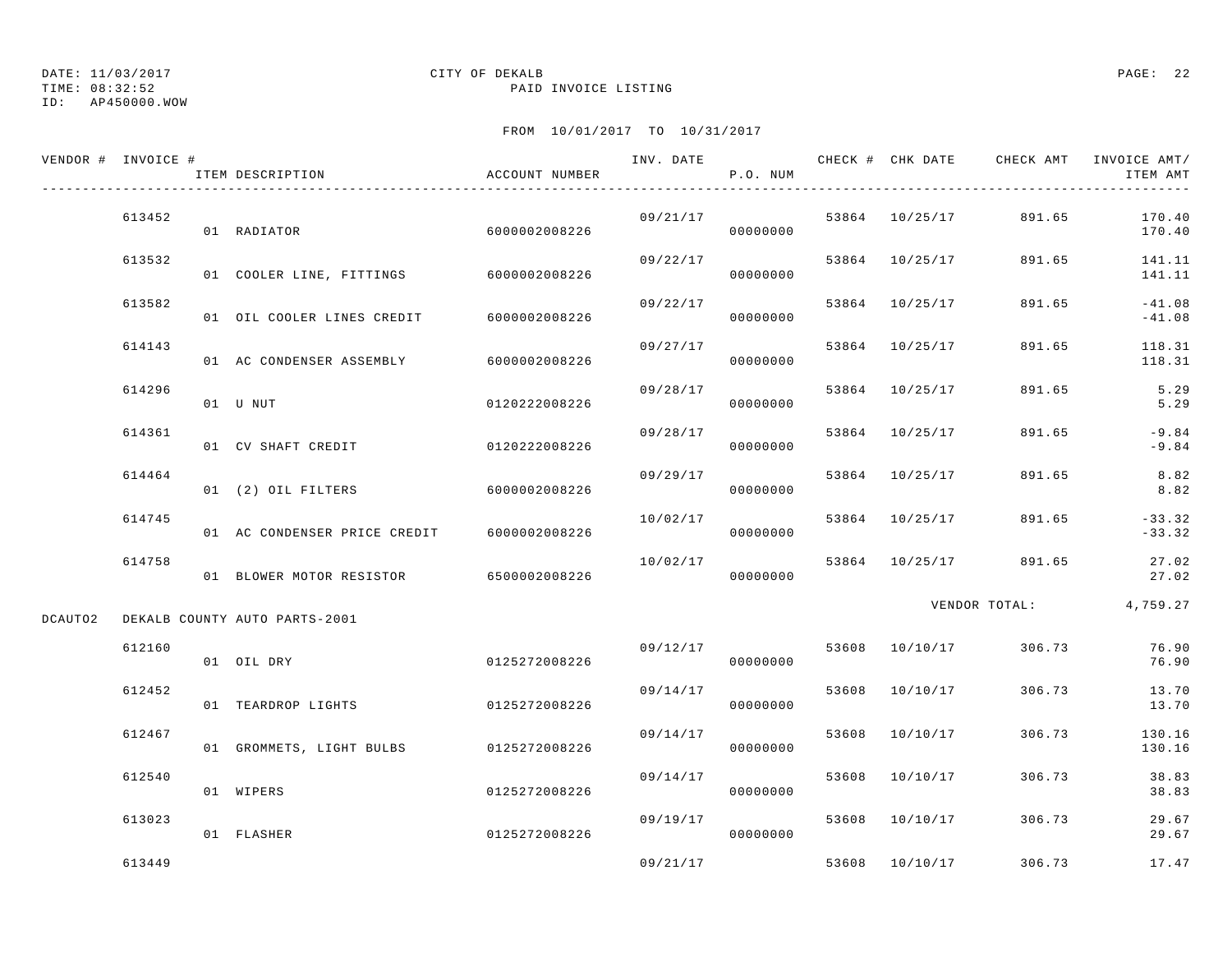TIME: 08:32:52 PAID INVOICE LISTING

ID: AP450000.WOW

|         | VENDOR # INVOICE # | ITEM DESCRIPTION                       | ACCOUNT NUMBER |          | P.O. NUM |       |                | INV. DATE 6 CHECK # CHK DATE CHECK AMT | INVOICE AMT/<br>ITEM AMT |
|---------|--------------------|----------------------------------------|----------------|----------|----------|-------|----------------|----------------------------------------|--------------------------|
|         | 613452             | 01 RADIATOR                            | 6000002008226  | 09/21/17 | 00000000 |       | 53864 10/25/17 | 891.65                                 | 170.40<br>170.40         |
|         | 613532             | 01 COOLER LINE, FITTINGS 6000002008226 |                | 09/22/17 | 00000000 |       | 53864 10/25/17 | 891.65                                 | 141.11<br>141.11         |
|         | 613582             | 01 OIL COOLER LINES CREDIT             | 6000002008226  | 09/22/17 | 00000000 |       | 53864 10/25/17 | 891.65                                 | $-41.08$<br>$-41.08$     |
|         | 614143             | 01 AC CONDENSER ASSEMBLY               | 6000002008226  | 09/27/17 | 00000000 |       | 53864 10/25/17 | 891.65                                 | 118.31<br>118.31         |
|         | 614296             | 01 U NUT                               | 0120222008226  | 09/28/17 | 00000000 |       | 53864 10/25/17 | 891.65                                 | 5.29<br>5.29             |
|         | 614361             | 01 CV SHAFT CREDIT                     | 0120222008226  | 09/28/17 | 00000000 |       | 53864 10/25/17 | 891.65                                 | $-9.84$<br>$-9.84$       |
|         | 614464             | 01 (2) OIL FILTERS                     | 6000002008226  | 09/29/17 | 00000000 |       | 53864 10/25/17 | 891.65                                 | 8.82<br>8.82             |
|         | 614745             | 01 AC CONDENSER PRICE CREDIT           | 6000002008226  | 10/02/17 | 00000000 |       | 53864 10/25/17 | 891.65                                 | $-33.32$<br>$-33.32$     |
|         | 614758             | 01 BLOWER MOTOR RESISTOR 6500002008226 |                | 10/02/17 | 00000000 |       | 53864 10/25/17 | 891.65                                 | 27.02<br>27.02           |
| DCAUTO2 |                    | DEKALB COUNTY AUTO PARTS-2001          |                |          |          |       |                | VENDOR TOTAL:                          | 4,759.27                 |
|         | 612160             | 01 OIL DRY                             | 0125272008226  | 09/12/17 | 00000000 |       | 53608 10/10/17 | 306.73                                 | 76.90<br>76.90           |
|         | 612452             | 01 TEARDROP LIGHTS                     | 0125272008226  | 09/14/17 | 00000000 | 53608 | 10/10/17       | 306.73                                 | 13.70<br>13.70           |
|         | 612467             | 01 GROMMETS, LIGHT BULBS 0125272008226 |                | 09/14/17 | 00000000 | 53608 | 10/10/17       | 306.73                                 | 130.16<br>130.16         |
|         | 612540             | 01 WIPERS                              | 0125272008226  | 09/14/17 | 00000000 |       | 53608 10/10/17 | 306.73                                 | 38.83<br>38.83           |
|         | 613023             | 01 FLASHER                             | 0125272008226  | 09/19/17 | 00000000 |       | 53608 10/10/17 | 306.73                                 | 29.67<br>29.67           |
|         | 613449             |                                        |                | 09/21/17 |          |       | 53608 10/10/17 | 306.73                                 | 17.47                    |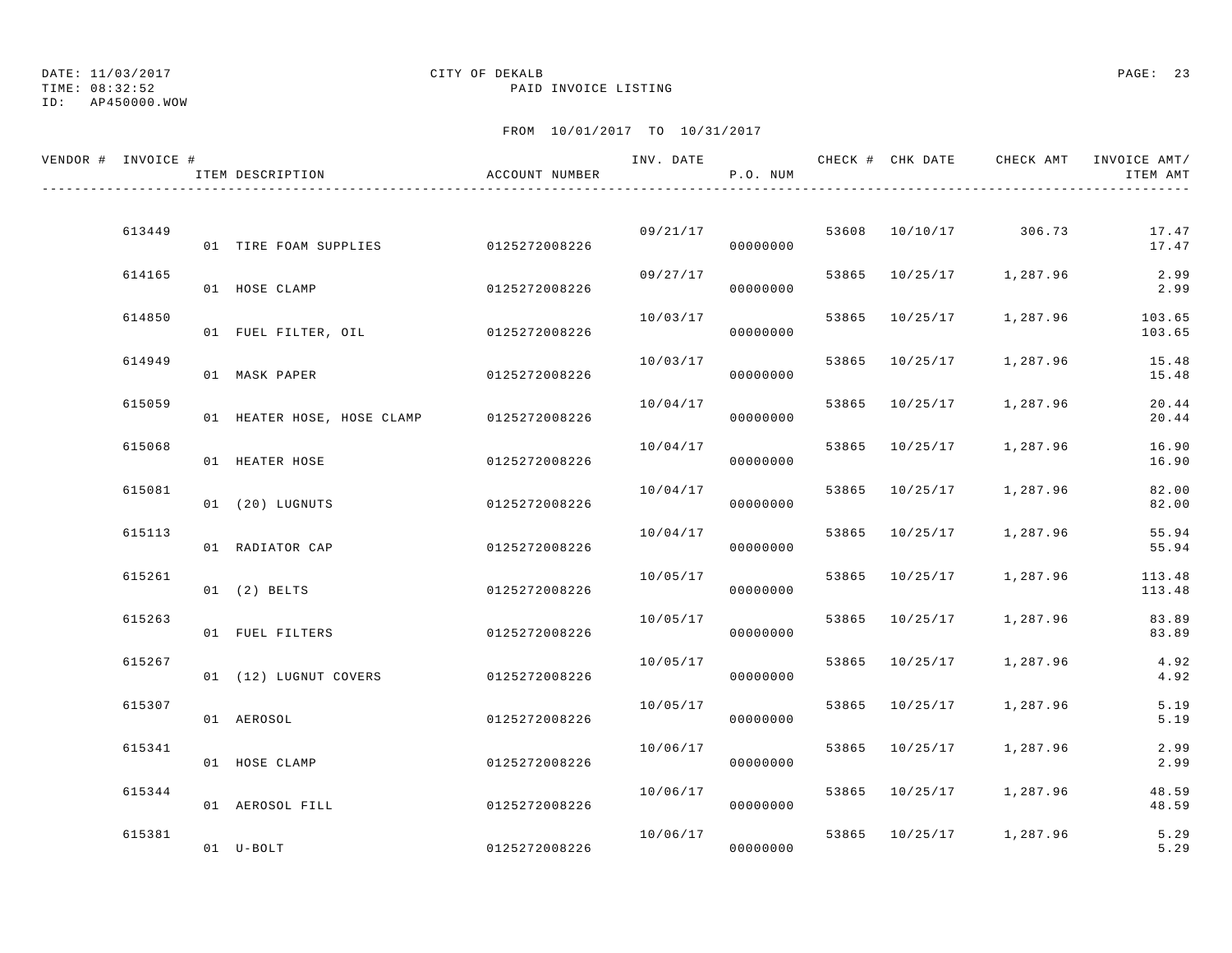ID: AP450000.WOW

#### TIME: 08:32:52 PAID INVOICE LISTING

| VENDOR # INVOICE # | ITEM DESCRIPTION                         | ACCOUNT NUMBER |          | P.O. NUM |       |                |                         | INV. DATE 6 1999 CHECK # CHK DATE 6 CHECK AMT INVOICE AMT<br>ITEM AMT |
|--------------------|------------------------------------------|----------------|----------|----------|-------|----------------|-------------------------|-----------------------------------------------------------------------|
| 613449             |                                          |                |          | 09/21/17 |       |                | 53608 10/10/17 306.73   | 17.47                                                                 |
|                    | 01 TIRE FOAM SUPPLIES 0125272008226      |                |          | 00000000 |       |                |                         | 17.47                                                                 |
| 614165             | 01 HOSE CLAMP                            | 0125272008226  | 09/27/17 | 00000000 |       |                | 53865 10/25/17 1,287.96 | 2.99<br>2.99                                                          |
| 614850             | 01 FUEL FILTER, OIL 6125272008226        |                | 10/03/17 | 00000000 |       | 53865 10/25/17 | 1,287.96                | 103.65<br>103.65                                                      |
| 614949             | 01 MASK PAPER                            | 0125272008226  | 10/03/17 | 00000000 | 53865 | 10/25/17       | 1,287.96                | 15.48<br>15.48                                                        |
| 615059             | 01 HEATER HOSE, HOSE CLAMP 0125272008226 |                | 10/04/17 | 00000000 | 53865 | 10/25/17       | 1,287.96                | 20.44<br>20.44                                                        |
| 615068             | 01 HEATER HOSE                           | 0125272008226  | 10/04/17 | 00000000 |       | 53865 10/25/17 | 1,287.96                | 16.90<br>16.90                                                        |
| 615081             | 01 (20) LUGNUTS                          | 0125272008226  | 10/04/17 | 00000000 |       | 53865 10/25/17 | 1,287.96                | 82.00<br>82.00                                                        |
| 615113             | 01 RADIATOR CAP                          | 0125272008226  | 10/04/17 | 00000000 | 53865 | 10/25/17       | 1,287.96                | 55.94<br>55.94                                                        |
| 615261             | $01$ $(2)$ BELTS                         | 0125272008226  | 10/05/17 | 00000000 |       | 53865 10/25/17 | 1,287.96                | 113.48<br>113.48                                                      |
| 615263             | 01 FUEL FILTERS                          | 0125272008226  | 10/05/17 | 00000000 |       | 53865 10/25/17 | 1,287.96                | 83.89<br>83.89                                                        |
| 615267             | 01 (12) LUGNUT COVERS 0125272008226      |                | 10/05/17 | 00000000 |       | 53865 10/25/17 | 1,287.96                | 4.92<br>4.92                                                          |
| 615307             | 01 AEROSOL                               | 0125272008226  | 10/05/17 | 00000000 |       | 53865 10/25/17 | 1,287.96                | 5.19<br>5.19                                                          |
| 615341             | 01 HOSE CLAMP                            | 0125272008226  | 10/06/17 | 00000000 |       | 53865 10/25/17 | 1,287.96                | 2.99<br>2.99                                                          |
| 615344             | 01 AEROSOL FILL                          | 0125272008226  | 10/06/17 | 00000000 |       |                | 53865 10/25/17 1,287.96 | 48.59<br>48.59                                                        |
| 615381             | 01 U-BOLT                                | 0125272008226  | 10/06/17 | 00000000 |       |                | 53865 10/25/17 1,287.96 | 5.29<br>5.29                                                          |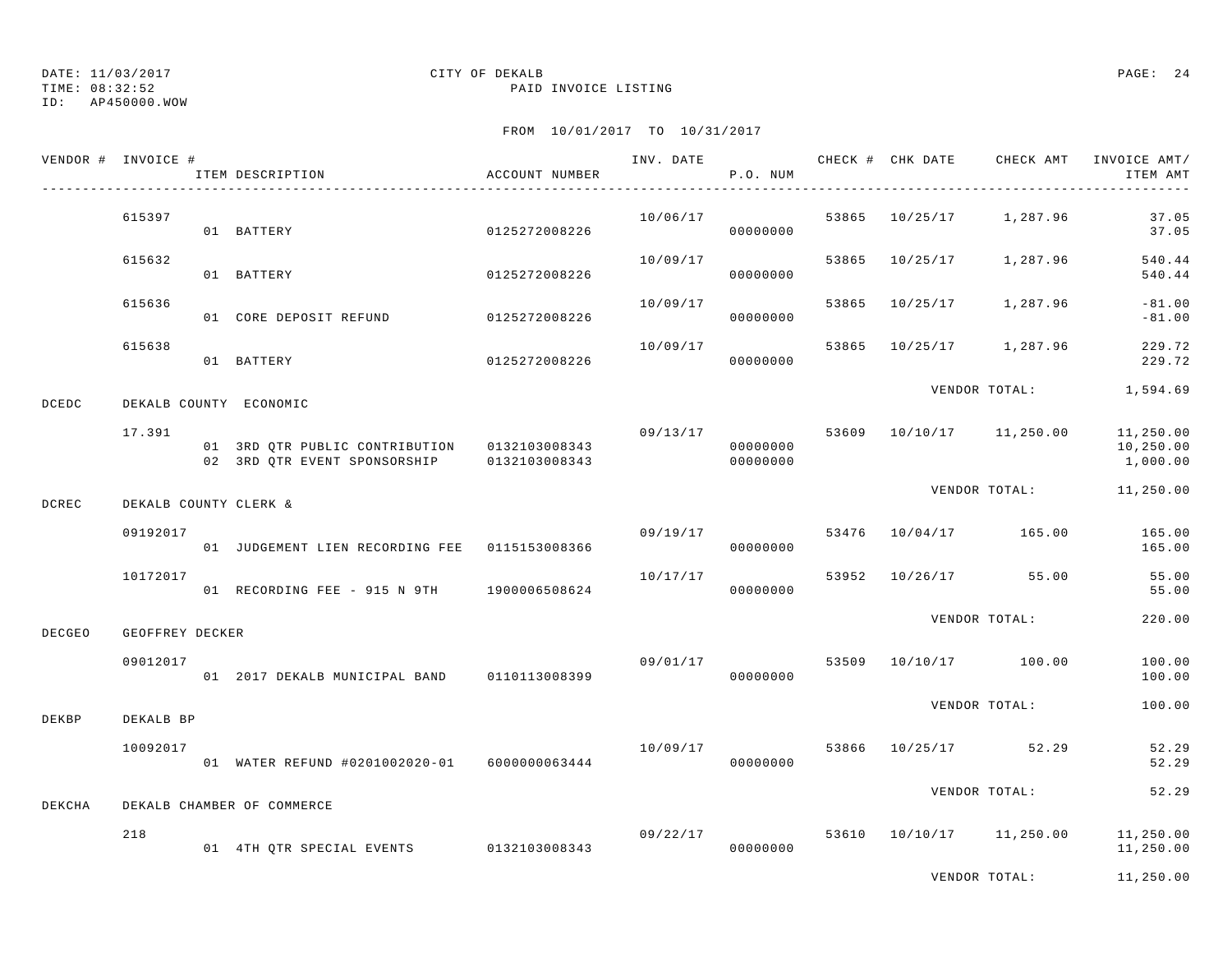TIME: 08:32:52 PAID INVOICE LISTING

ID: AP450000.WOW

|              | VENDOR # INVOICE # | ITEM DESCRIPTION                                                                           | ACCOUNT NUMBER | INV. DATE | P.O. NUM                         |       | CHECK # CHK DATE | CHECK AMT            | INVOICE AMT/<br>ITEM AMT           |
|--------------|--------------------|--------------------------------------------------------------------------------------------|----------------|-----------|----------------------------------|-------|------------------|----------------------|------------------------------------|
|              | 615397             | 01 BATTERY                                                                                 | 0125272008226  | 10/06/17  | 00000000                         | 53865 |                  | 10/25/17 1,287.96    | 37.05<br>37.05                     |
|              | 615632             | 01 BATTERY                                                                                 | 0125272008226  | 10/09/17  | 00000000                         | 53865 | 10/25/17         | 1,287.96             | 540.44<br>540.44                   |
|              | 615636             | 01 CORE DEPOSIT REFUND                                                                     | 0125272008226  | 10/09/17  | 00000000                         | 53865 | 10/25/17         | 1,287.96             | $-81.00$<br>$-81.00$               |
|              | 615638             | 01 BATTERY                                                                                 | 0125272008226  | 10/09/17  | 00000000                         | 53865 | 10/25/17         | 1,287.96             | 229.72<br>229.72                   |
| <b>DCEDC</b> |                    | DEKALB COUNTY ECONOMIC                                                                     |                |           |                                  |       |                  | VENDOR TOTAL:        | 1,594.69                           |
|              | 17.391             | 01 3RD QTR PUBLIC CONTRIBUTION 0132103008343<br>02 3RD OTR EVENT SPONSORSHIP 0132103008343 |                |           | 09/13/17<br>00000000<br>00000000 | 53609 |                  | 10/10/17   11,250.00 | 11,250.00<br>10,250.00<br>1,000.00 |
| DCREC        |                    | DEKALB COUNTY CLERK &                                                                      |                |           |                                  |       |                  | VENDOR TOTAL:        | 11,250.00                          |
|              | 09192017           | 01 JUDGEMENT LIEN RECORDING FEE   0115153008366                                            |                | 09/19/17  | 00000000                         | 53476 |                  | 10/04/17 165.00      | 165.00<br>165.00                   |
|              | 10172017           | 01 RECORDING FEE - 915 N 9TH 1900006508624                                                 |                | 10/17/17  | 00000000                         |       | 53952 10/26/17   | 55.00                | 55.00<br>55.00                     |
| DECGEO       | GEOFFREY DECKER    |                                                                                            |                |           |                                  |       |                  | VENDOR TOTAL:        | 220.00                             |
|              | 09012017           | 01 2017 DEKALB MUNICIPAL BAND                                                              | 0110113008399  |           | 09/01/17<br>00000000             | 53509 |                  | 10/10/17 100.00      | 100.00<br>100.00                   |
| DEKBP        | DEKALB BP          |                                                                                            |                |           |                                  |       |                  | VENDOR TOTAL:        | 100.00                             |
|              | 10092017           | 01 WATER REFUND #0201002020-01 6000000063444                                               |                | 10/09/17  | 00000000                         |       |                  | 53866 10/25/17 52.29 | 52.29<br>52.29                     |
| DEKCHA       |                    | DEKALB CHAMBER OF COMMERCE                                                                 |                |           |                                  |       |                  | VENDOR TOTAL:        | 52.29                              |
|              | 218                | 01 4TH QTR SPECIAL EVENTS 0132103008343                                                    |                |           | 09/22/17<br>00000000             | 53610 |                  | 10/10/17   11,250.00 | 11,250.00<br>11,250.00             |
|              |                    |                                                                                            |                |           |                                  |       |                  | VENDOR TOTAL:        | 11,250.00                          |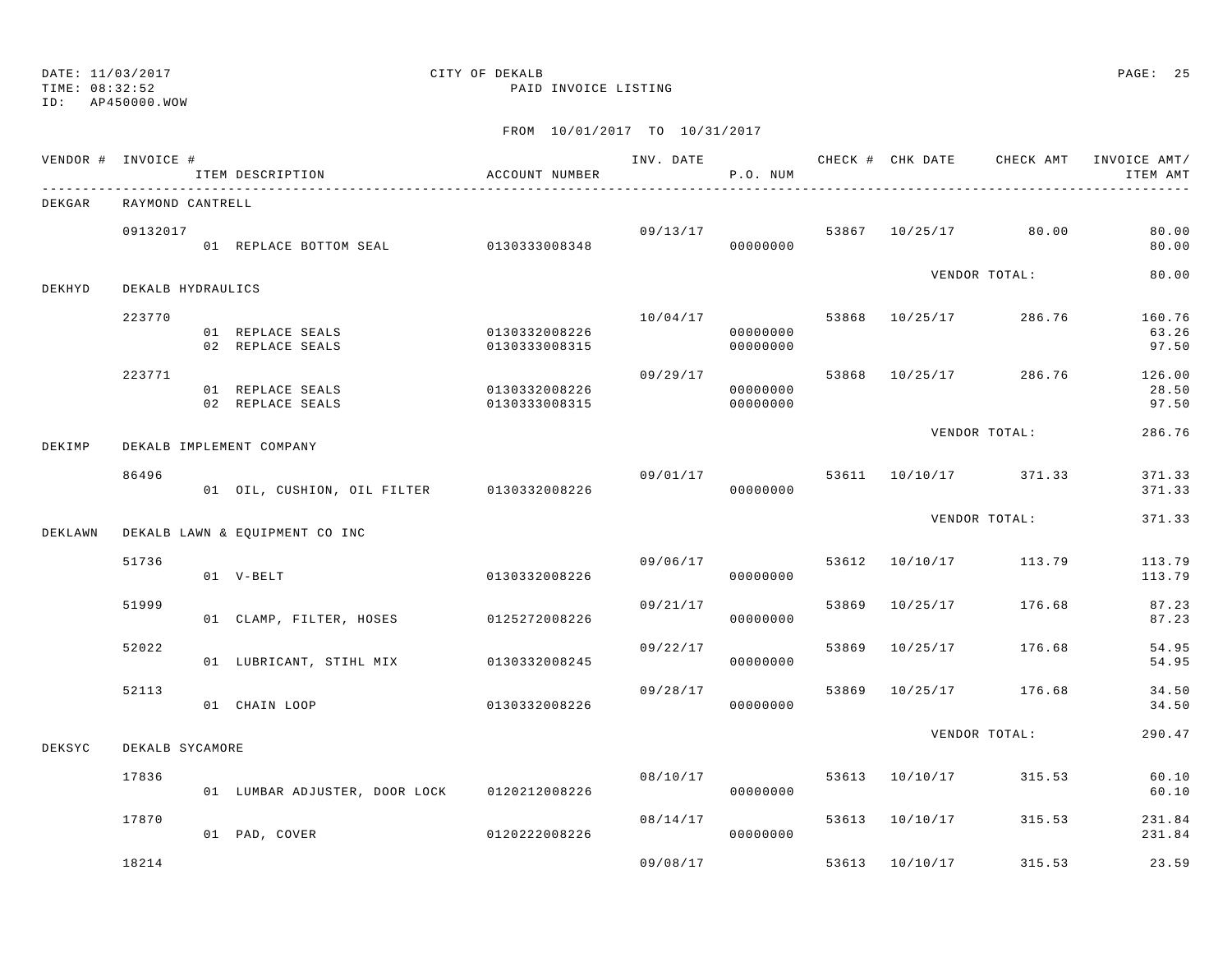TIME: 08:32:52 PAID INVOICE LISTING

ID: AP450000.WOW

|         | VENDOR # INVOICE #<br>_______________________ | ITEM DESCRIPTION                            | ACCOUNT NUMBER                 |          | P.O. NUM                         |       |                |                       | INV. DATE 6 CHECK # CHK DATE CHECK AMT INVOICE AMT/<br>ITEM AMT |
|---------|-----------------------------------------------|---------------------------------------------|--------------------------------|----------|----------------------------------|-------|----------------|-----------------------|-----------------------------------------------------------------|
| DEKGAR  | RAYMOND CANTRELL                              |                                             |                                |          |                                  |       |                |                       |                                                                 |
|         | 09132017                                      | 01 REPLACE BOTTOM SEAL 0130333008348        |                                |          | 09/13/17<br>00000000             |       |                | 53867 10/25/17 80.00  | 80.00<br>80.00                                                  |
| DEKHYD  | DEKALB HYDRAULICS                             |                                             |                                |          |                                  |       |                | VENDOR TOTAL:         | 80.00                                                           |
|         | 223770                                        | 01 REPLACE SEALS<br>02 REPLACE SEALS        | 0130332008226<br>0130333008315 |          | 10/04/17<br>00000000<br>00000000 |       |                | 53868 10/25/17 286.76 | 160.76<br>63.26<br>97.50                                        |
|         | 223771                                        | 01 REPLACE SEALS<br>02 REPLACE SEALS        | 0130332008226<br>0130333008315 | 09/29/17 | 00000000<br>00000000             |       |                | 53868 10/25/17 286.76 | 126.00<br>28.50<br>97.50                                        |
| DEKIMP  |                                               | DEKALB IMPLEMENT COMPANY                    |                                |          |                                  |       |                | VENDOR TOTAL:         | 286.76                                                          |
|         | 86496                                         | 01 OIL, CUSHION, OIL FILTER 0130332008226   |                                | 09/01/17 | 00000000                         |       |                | 53611 10/10/17 371.33 | 371.33<br>371.33                                                |
| DEKLAWN |                                               | DEKALB LAWN & EQUIPMENT CO INC              |                                |          |                                  |       |                | VENDOR TOTAL:         | 371.33                                                          |
|         | 51736                                         | 01 V-BELT                                   | 0130332008226                  | 09/06/17 | 00000000                         |       |                | 53612 10/10/17 113.79 | 113.79<br>113.79                                                |
|         | 51999                                         | 01 CLAMP, FILTER, HOSES 0125272008226       |                                | 09/21/17 | 00000000                         |       | 53869 10/25/17 | 176.68                | 87.23<br>87.23                                                  |
|         | 52022                                         | 01 LUBRICANT, STIHL MIX 0130332008245       |                                | 09/22/17 | 00000000                         | 53869 |                | 10/25/17 176.68       | 54.95<br>54.95                                                  |
|         | 52113                                         | 01 CHAIN LOOP                               | 0130332008226                  |          | 09/28/17<br>00000000             | 53869 |                | 10/25/17 176.68       | 34.50<br>34.50                                                  |
| DEKSYC  | DEKALB SYCAMORE                               |                                             |                                |          |                                  |       |                | VENDOR TOTAL:         | 290.47                                                          |
|         | 17836                                         | 01 LUMBAR ADJUSTER, DOOR LOCK 0120212008226 |                                |          | 08/10/17<br>00000000             |       | 53613 10/10/17 | 315.53                | 60.10<br>60.10                                                  |
|         | 17870                                         | 01 PAD, COVER                               | 0120222008226                  | 08/14/17 | 00000000                         |       | 53613 10/10/17 | 315.53                | 231.84<br>231.84                                                |
|         | 18214                                         |                                             |                                | 09/08/17 |                                  |       | 53613 10/10/17 | 315.53                | 23.59                                                           |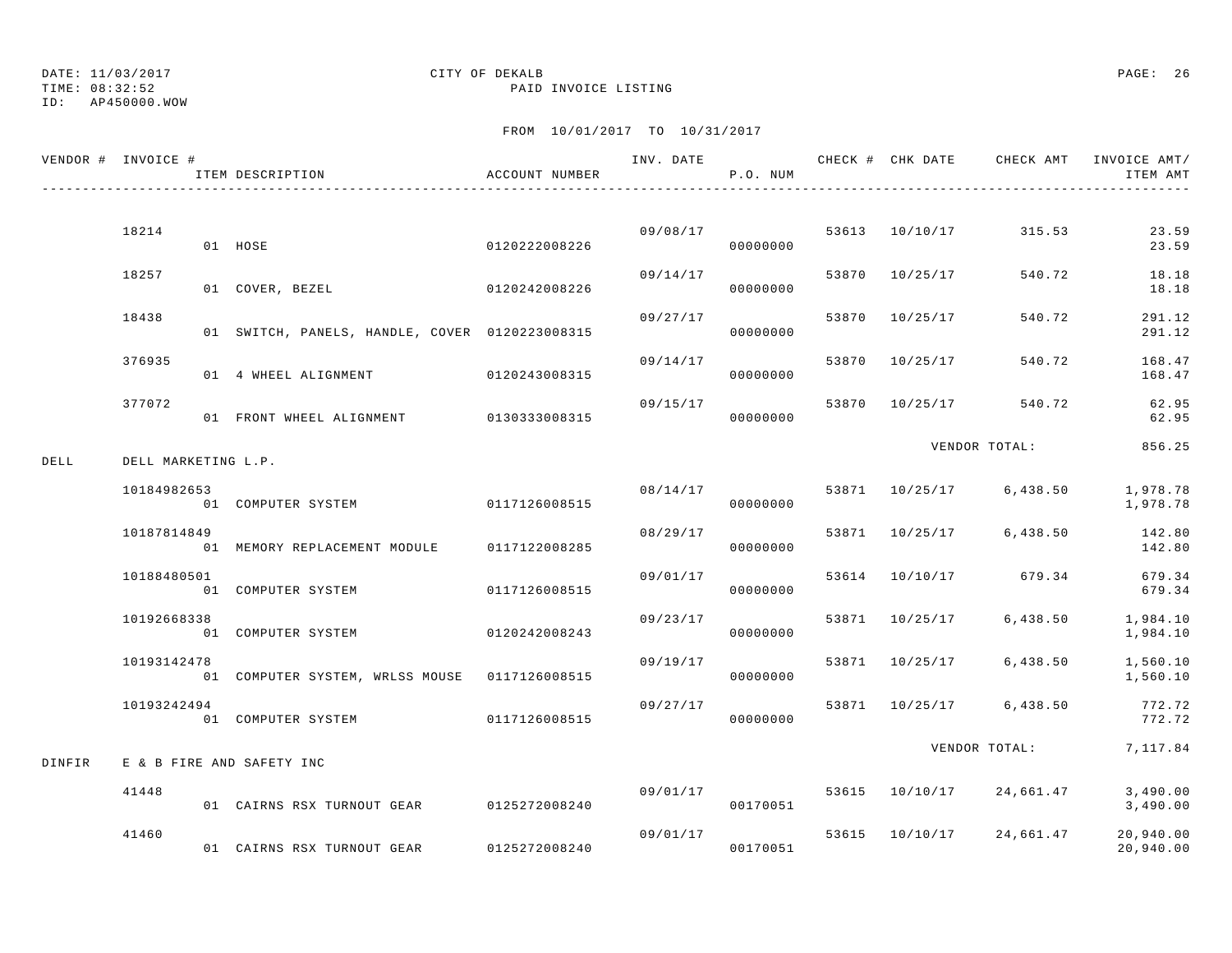TIME: 08:32:52 PAID INVOICE LISTING

ID: AP450000.WOW

|        | VENDOR # INVOICE #  | ITEM DESCRIPTION                               | ACCOUNT NUMBER |          | P.O. NUM             |       |                |                                | ITEM AMT               |
|--------|---------------------|------------------------------------------------|----------------|----------|----------------------|-------|----------------|--------------------------------|------------------------|
|        |                     |                                                |                |          |                      |       |                |                                |                        |
|        | 18214               | 01 HOSE                                        | 0120222008226  |          | 09/08/17<br>00000000 |       |                | 53613 10/10/17 315.53          | 23.59<br>23.59         |
|        | 18257               | 0120242008226<br>01 COVER, BEZEL               |                | 09/14/17 | 00000000             |       | 53870 10/25/17 | 540.72                         | 18.18<br>18.18         |
|        | 18438               | 01 SWITCH, PANELS, HANDLE, COVER 0120223008315 |                | 09/27/17 | 00000000             |       | 53870 10/25/17 | 540.72                         | 291.12<br>291.12       |
|        | 376935              | 01 4 WHEEL ALIGNMENT 0120243008315             |                | 09/14/17 | 00000000             |       | 53870 10/25/17 | 540.72                         | 168.47<br>168.47       |
|        | 377072              | 01 FRONT WHEEL ALIGNMENT 0130333008315         |                | 09/15/17 | 00000000             | 53870 | 10/25/17       | 540.72                         | 62.95<br>62.95         |
| DELL   | DELL MARKETING L.P. |                                                |                |          |                      |       |                | VENDOR TOTAL:                  | 856.25                 |
|        | 10184982653         | 01 COMPUTER SYSTEM                             | 0117126008515  | 08/14/17 | 00000000             |       |                | 53871 10/25/17 6,438.50        | 1,978.78<br>1,978.78   |
|        | 10187814849         | 01 MEMORY REPLACEMENT MODULE 0117122008285     |                | 08/29/17 | 00000000             |       |                | 53871 10/25/17 6,438.50 142.80 | 142.80                 |
|        | 10188480501         | 01 COMPUTER SYSTEM                             | 0117126008515  | 09/01/17 | 00000000             |       |                | 53614 10/10/17 679.34          | 679.34<br>679.34       |
|        | 10192668338         | 01 COMPUTER SYSTEM                             | 0120242008243  | 09/23/17 | 00000000             |       |                | 53871 10/25/17 6,438.50        | 1,984.10<br>1,984.10   |
|        | 10193142478         | 01 COMPUTER SYSTEM, WRLSS MOUSE 0117126008515  |                | 09/19/17 | 00000000             |       |                | 53871 10/25/17 6,438.50        | 1,560.10<br>1,560.10   |
|        | 10193242494         | 01 COMPUTER SYSTEM 0117126008515               |                | 09/27/17 | 00000000             |       |                | 53871 10/25/17 6,438.50        | 772.72<br>772.72       |
| DINFIR |                     | E & B FIRE AND SAFETY INC                      |                |          |                      |       |                | VENDOR TOTAL: 7, 117.84        |                        |
|        | 41448               | 01 CAIRNS RSX TURNOUT GEAR 0125272008240       |                |          | 09/01/17<br>00170051 |       |                | 53615 10/10/17 24,661.47       | 3,490.00<br>3,490.00   |
|        | 41460               | 01 CAIRNS RSX TURNOUT GEAR                     | 0125272008240  |          | 09/01/17<br>00170051 |       |                | 53615 10/10/17 24,661.47       | 20,940.00<br>20,940.00 |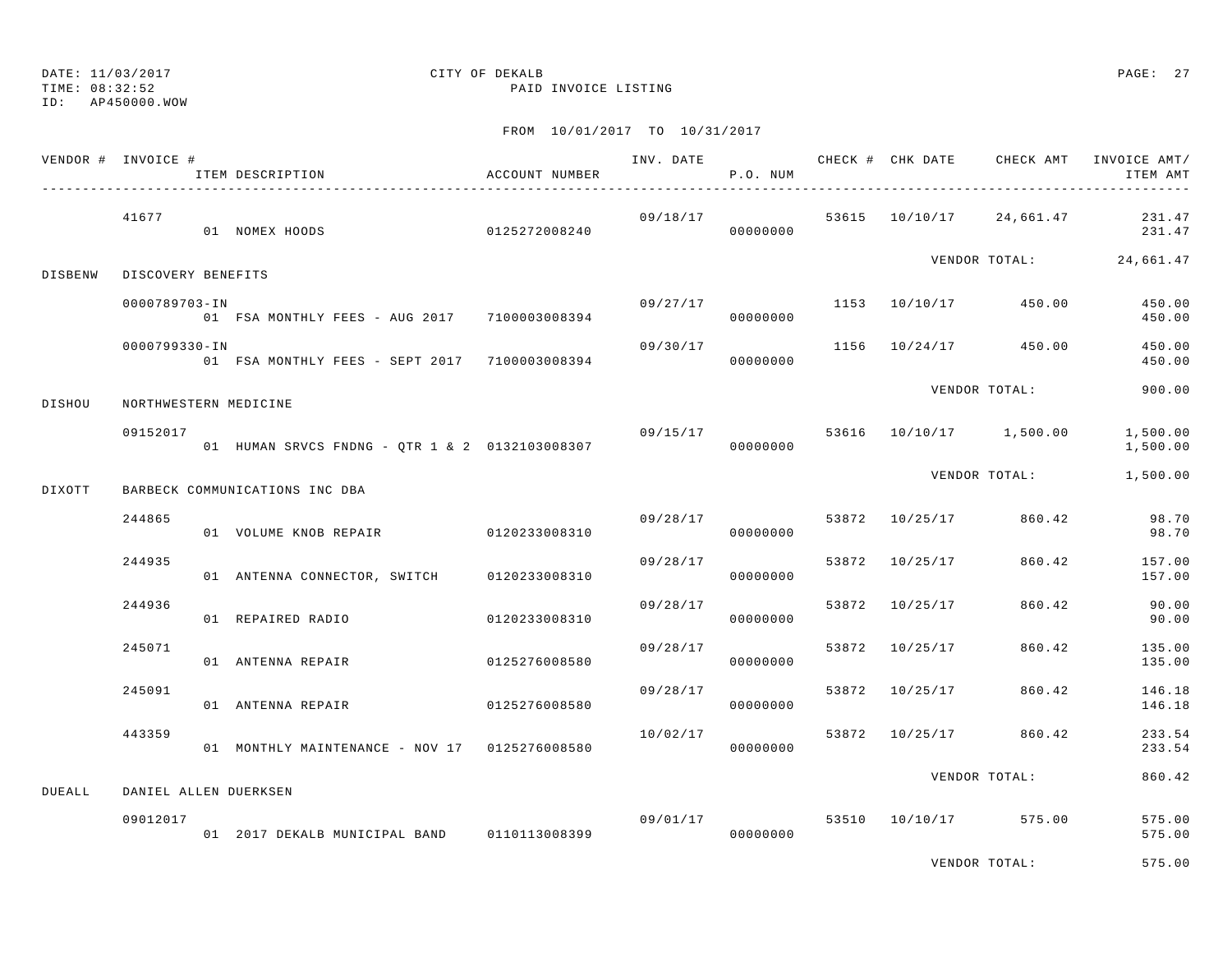TIME: 08:32:52 PAID INVOICE LISTING

ID: AP450000.WOW

## FROM 10/01/2017 TO 10/31/2017

|               | VENDOR # INVOICE #    | ITEM DESCRIPTION                               | ACCOUNT NUMBER |          | P.O. NUM             |       |                |                          | ITEM AMT             |
|---------------|-----------------------|------------------------------------------------|----------------|----------|----------------------|-------|----------------|--------------------------|----------------------|
|               | 41677                 | 01 NOMEX HOODS                                 |                | 09/18/17 |                      |       |                | 53615 10/10/17 24,661.47 | 231.47<br>231.47     |
| DISBENW       | DISCOVERY BENEFITS    |                                                |                |          |                      |       |                | VENDOR TOTAL: 24,661.47  |                      |
|               | 0000789703-IN         | 01 FSA MONTHLY FEES - AUG 2017 7100003008394   |                | 09/27/17 | 00000000             |       |                | 1153 10/10/17 450.00     | 450.00<br>450.00     |
|               | 0000799330-IN         | 01 FSA MONTHLY FEES - SEPT 2017 7100003008394  |                | 09/30/17 | 00000000             |       |                | 1156 10/24/17 450.00     | 450.00<br>450.00     |
| DISHOU        | NORTHWESTERN MEDICINE |                                                |                |          |                      |       |                | VENDOR TOTAL:            | 900.00               |
|               | 09152017              | 01 HUMAN SRVCS FNDNG - QTR 1 & 2 0132103008307 |                | 09/15/17 | 00000000             |       |                | 53616 10/10/17 1,500.00  | 1,500.00<br>1,500.00 |
| DIXOTT        |                       | BARBECK COMMUNICATIONS INC DBA                 |                |          |                      |       |                | VENDOR TOTAL: 1,500.00   |                      |
|               | 244865                | 01 VOLUME KNOB REPAIR                          | 0120233008310  | 09/28/17 | 00000000             |       |                | 53872 10/25/17 860.42    | 98.70<br>98.70       |
|               | 244935                | 01 ANTENNA CONNECTOR, SWITCH 0120233008310     |                | 09/28/17 | 00000000             |       |                | 53872 10/25/17 860.42    | 157.00<br>157.00     |
|               | 244936                | 01 REPAIRED RADIO                              | 0120233008310  | 09/28/17 | 00000000             | 53872 | 10/25/17       | 860.42                   | 90.00<br>90.00       |
|               | 245071                | 01 ANTENNA REPAIR                              | 0125276008580  | 09/28/17 | 00000000             |       | 53872 10/25/17 | 860.42                   | 135.00<br>135.00     |
|               | 245091                | 01 ANTENNA REPAIR 6125276008580                |                | 09/28/17 | 00000000             |       |                | 53872 10/25/17 860.42    | 146.18<br>146.18     |
|               | 443359                | 01 MONTHLY MAINTENANCE - NOV 17 0125276008580  |                | 10/02/17 | 00000000             |       |                | 53872 10/25/17 860.42    | 233.54<br>233.54     |
| <b>DUEALL</b> | DANIEL ALLEN DUERKSEN |                                                |                |          |                      |       |                | VENDOR TOTAL:            | 860.42               |
|               | 09012017              | 01 2017 DEKALB MUNICIPAL BAND 0110113008399    |                |          | 09/01/17<br>00000000 |       |                | 53510 10/10/17 575.00    | 575.00<br>575.00     |

VENDOR TOTAL: 575.00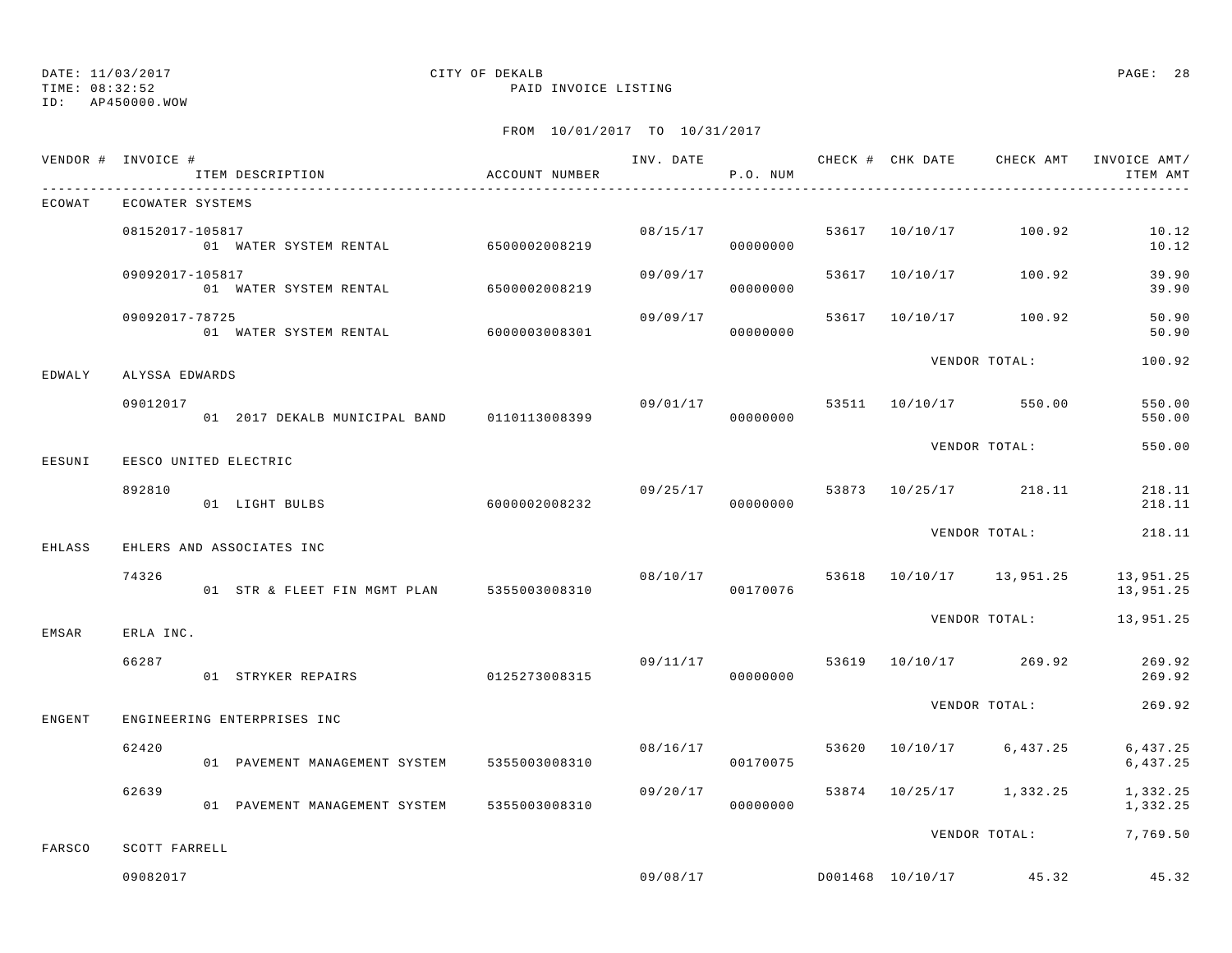## DATE: 11/03/2017 CITY OF DEKALB PAGE: 28

TIME: 08:32:52 PAID INVOICE LISTING

|        | VENDOR # INVOICE #        | ITEM DESCRIPTION                                | ACCOUNT NUMBER |          | P.O. NUM             |  |                                  | ITEM AMT                  |
|--------|---------------------------|-------------------------------------------------|----------------|----------|----------------------|--|----------------------------------|---------------------------|
| ECOWAT | ECOWATER SYSTEMS          |                                                 |                |          |                      |  |                                  |                           |
|        | 08152017-105817           | -105017<br>01 WATER SYSTEM RENTAL 6500002008219 |                |          | 08/15/17<br>00000000 |  | 53617 10/10/17 100.92            | 10.12<br>10.12            |
|        | 09092017-105817           | 01 WATER SYSTEM RENTAL 6500002008219            |                | 09/09/17 | 00000000             |  | 53617 10/10/17 100.92            | 39.90<br>39.90            |
|        | 09092017-78725            | 01 WATER SYSTEM RENTAL 6000003008301            |                | 09/09/17 | 00000000             |  | 53617 10/10/17 100.92            | 50.90<br>50.90            |
| EDWALY | ALYSSA EDWARDS            |                                                 |                |          |                      |  | VENDOR TOTAL:                    | 100.92                    |
|        | 09012017                  | 01 2017 DEKALB MUNICIPAL BAND 0110113008399     |                | 09/01/17 | 00000000             |  | 53511 10/10/17 550.00            | 550.00<br>550.00          |
| EESUNI | EESCO UNITED ELECTRIC     |                                                 |                |          |                      |  | VENDOR TOTAL:                    | 550.00                    |
|        | 892810                    | 01 LIGHT BULBS                                  | 6000002008232  | 09/25/17 | 00000000             |  | 53873 10/25/17 218.11            | 218.11<br>218.11          |
| EHLASS |                           | EHLERS AND ASSOCIATES INC                       |                |          |                      |  | VENDOR TOTAL:                    | 218.11                    |
|        | 74326                     | 01 STR & FLEET FIN MGMT PLAN 5355003008310      |                |          | 08/10/17<br>00170076 |  | 53618 10/10/17 13,951.25         | 13,951.25<br>13,951.25    |
| EMSAR  | ERLA INC.                 |                                                 |                |          |                      |  | VENDOR TOTAL:                    | 13,951.25                 |
|        | 66287                     | 01 STRYKER REPAIRS 0125273008315                |                |          | 00000000             |  | $09/11/17$ 53619 10/10/17 269.92 | 269.92<br>269.92          |
| ENGENT |                           | ENGINEERING ENTERPRISES INC                     |                |          |                      |  | VENDOR TOTAL:                    | 269.92                    |
|        | 62420                     | 01 PAVEMENT MANAGEMENT SYSTEM 5355003008310     |                |          | 08/16/17<br>00170075 |  | 53620 10/10/17 6,437.25          | 6, 437.25<br>6,437.25     |
|        | 62639                     | 01 PAVEMENT MANAGEMENT SYSTEM 5355003008310     |                | 09/20/17 | 00000000             |  | 53874 10/25/17 1,332.25          | 1,332.25<br>1,332.25      |
|        |                           |                                                 |                |          |                      |  |                                  | VENDOR TOTAL: 7,769.50    |
| FARSCO | SCOTT FARRELL<br>09082017 |                                                 |                |          |                      |  |                                  | $09/08/17$ 09/08/17 45.32 |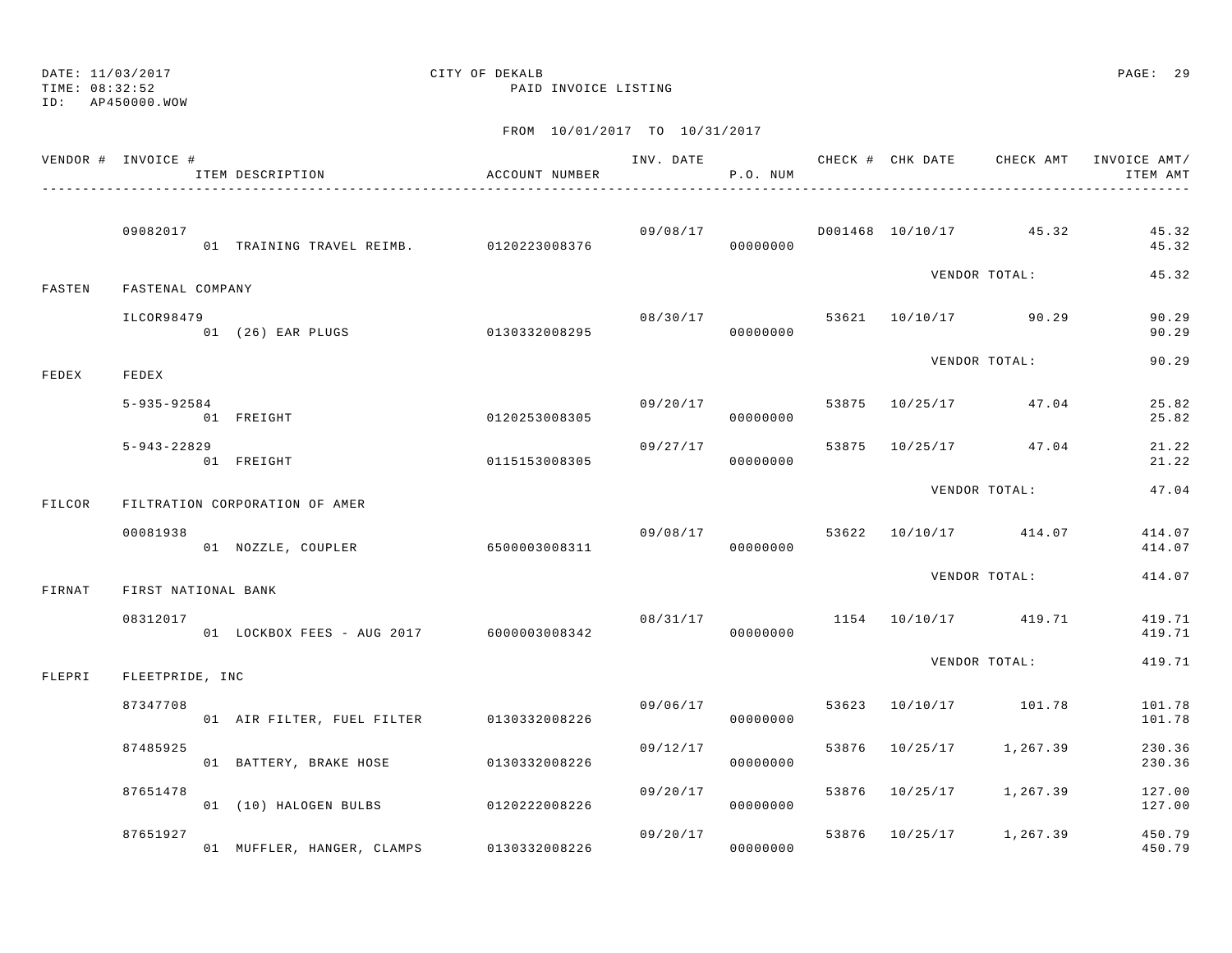TIME: 08:32:52 PAID INVOICE LISTING

ID: AP450000.WOW

|        | VENDOR # INVOICE #  | ITEM DESCRIPTION                         | ACCOUNT NUMBER |          | P.O. NUM             |  |                                   | ITEM AMT         |
|--------|---------------------|------------------------------------------|----------------|----------|----------------------|--|-----------------------------------|------------------|
|        | 09082017            | 01 TRAINING TRAVEL REIMB. 0120223008376  |                |          | 00000000             |  | $09/08/17$ D001468 10/10/17 45.32 | 45.32<br>45.32   |
| FASTEN | FASTENAL COMPANY    |                                          |                |          |                      |  | VENDOR TOTAL:                     | 45.32            |
|        | ILCOR98479          | 01 (26) EAR PLUGS 0130332008295          |                |          | 08/30/17<br>00000000 |  | 53621 10/10/17 90.29              | 90.29<br>90.29   |
| FEDEX  | FEDEX               |                                          |                |          |                      |  | VENDOR TOTAL:                     | 90.29            |
|        | $5 - 935 - 92584$   | 01 FREIGHT                               | 0120253008305  |          | 09/20/17<br>00000000 |  | 53875 10/25/17 47.04              | 25.82<br>25.82   |
|        | $5 - 943 - 22829$   | 01 FREIGHT                               | 0115153008305  | 09/27/17 | 00000000             |  | 53875 10/25/17 47.04              | 21.22<br>21.22   |
| FILCOR |                     | FILTRATION CORPORATION OF AMER           |                |          |                      |  | VENDOR TOTAL:                     | 47.04            |
|        | 00081938            | 01 NOZZLE, COUPLER 6500003008311         |                |          | 00000000             |  | $09/08/17$ 53622 10/10/17 414.07  | 414.07<br>414.07 |
| FIRNAT | FIRST NATIONAL BANK |                                          |                |          |                      |  | VENDOR TOTAL:                     | 414.07           |
|        | 08312017            | 01 LOCKBOX FEES - AUG 2017 6000003008342 |                | 08/31/17 | 00000000             |  | 1154 10/10/17 419.71              | 419.71<br>419.71 |
| FLEPRI | FLEETPRIDE, INC     |                                          |                |          |                      |  | VENDOR TOTAL:                     | 419.71           |
|        | 87347708            | 01 AIR FILTER, FUEL FILTER 0130332008226 |                | 09/06/17 | 00000000             |  | 53623 10/10/17 101.78             | 101.78<br>101.78 |
|        | 87485925            | 01 BATTERY, BRAKE HOSE 0130332008226     |                | 09/12/17 | 00000000             |  | 53876 10/25/17 1,267.39           | 230.36<br>230.36 |
|        | 87651478            | 01 (10) HALOGEN BULBS 0120222008226      |                | 09/20/17 | 00000000             |  | 53876 10/25/17 1,267.39           | 127.00<br>127.00 |
|        | 87651927            | 01 MUFFLER, HANGER, CLAMPS 0130332008226 |                |          | 09/20/17<br>00000000 |  | 53876 10/25/17 1,267.39           | 450.79<br>450.79 |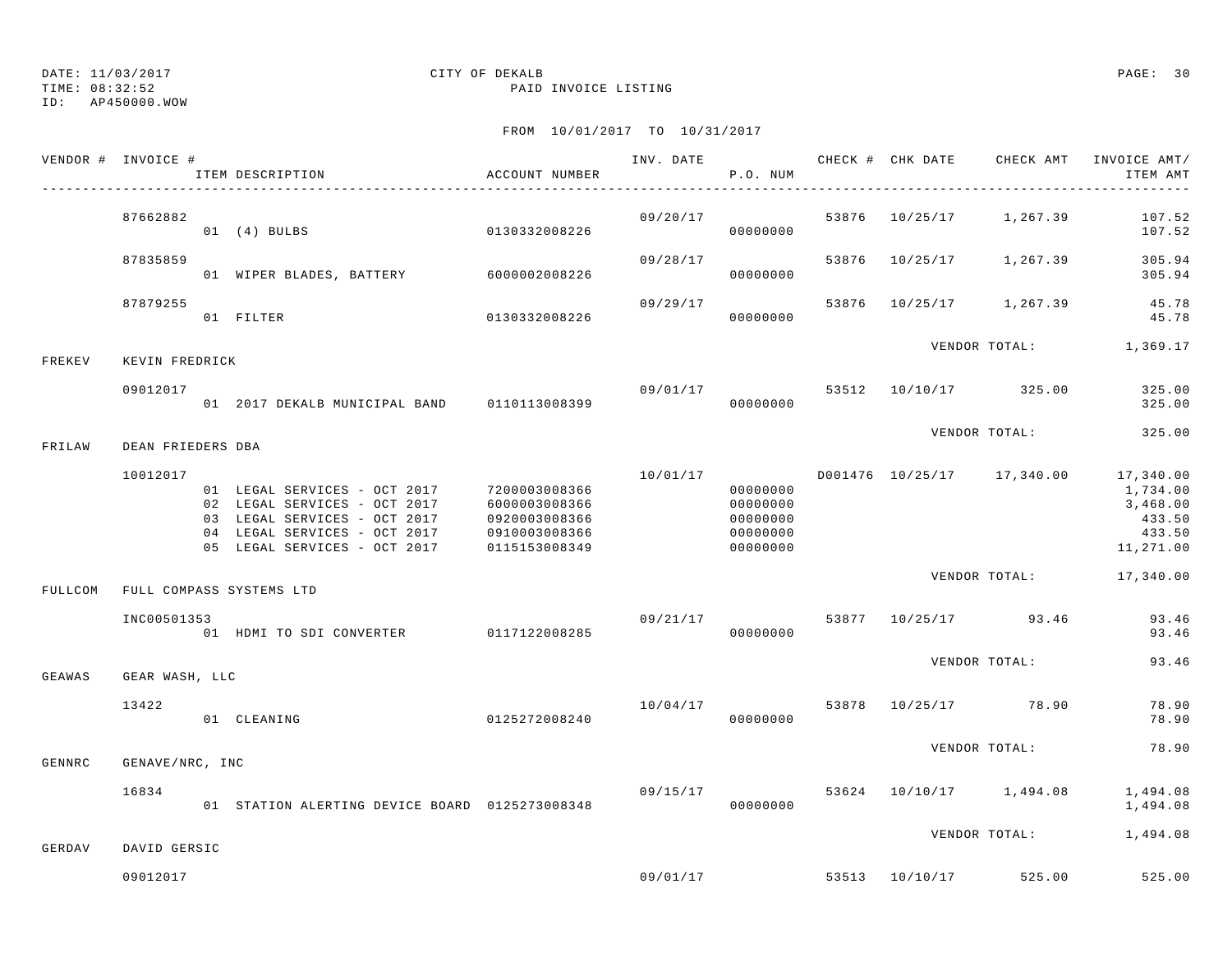TIME: 08:32:52 PAID INVOICE LISTING

ID: AP450000.WOW

|         | VENDOR # INVOICE # | ACCOUNT NUMBER<br>ITEM DESCRIPTION                                                                                                                                         |                                                                  |          | P.O. NUM                                                 |  |                                         | ITEM AMT                                              |
|---------|--------------------|----------------------------------------------------------------------------------------------------------------------------------------------------------------------------|------------------------------------------------------------------|----------|----------------------------------------------------------|--|-----------------------------------------|-------------------------------------------------------|
|         | 87662882           | 01 (4) BULBS 0130332008226                                                                                                                                                 |                                                                  |          | 09/20/17<br>00000000                                     |  | 53876 10/25/17 1,267.39                 | 107.52<br>107.52                                      |
|         | 87835859           | 01 WIPER BLADES, BATTERY 6000002008226                                                                                                                                     |                                                                  | 09/28/17 | 00000000                                                 |  | 53876 10/25/17 1,267.39                 | 305.94<br>305.94                                      |
|         | 87879255           | 01 FILTER                                                                                                                                                                  | 0130332008226                                                    | 09/29/17 | 00000000                                                 |  | 53876 10/25/17 1,267.39                 | 45.78<br>45.78                                        |
| FREKEV  | KEVIN FREDRICK     |                                                                                                                                                                            |                                                                  |          |                                                          |  | VENDOR TOTAL: 1,369.17                  |                                                       |
|         | 09012017           | 01  2017 DEKALB MUNICIPAL BAND   0110113008399                                                                                                                             |                                                                  |          | 00000000                                                 |  | 09/01/17 53512 10/10/17 325.00          | 325.00<br>325.00                                      |
| FRILAW  | DEAN FRIEDERS DBA  |                                                                                                                                                                            |                                                                  |          |                                                          |  | VENDOR TOTAL:                           | 325.00                                                |
|         | 10012017           | 01 LEGAL SERVICES - OCT 2017 7200003008366<br>02 LEGAL SERVICES - OCT 2017<br>03 LEGAL SERVICES - OCT 2017<br>04 LEGAL SERVICES - OCT 2017<br>05 LEGAL SERVICES - OCT 2017 | 6000003008366<br>0920003008366<br>0910003008366<br>0115153008349 | 10/01/17 | 00000000<br>00000000<br>00000000<br>00000000<br>00000000 |  | D001476  10/25/17  17,340.00  17,340.00 | 1,734.00<br>3,468.00<br>433.50<br>433.50<br>11,271.00 |
| FULLCOM |                    | FULL COMPASS SYSTEMS LTD                                                                                                                                                   |                                                                  |          |                                                          |  | VENDOR TOTAL: 17,340.00                 |                                                       |
|         | INC00501353        | 01 HDMI TO SDI CONVERTER 0117122008285                                                                                                                                     |                                                                  | 09/21/17 | 00000000                                                 |  | 53877 10/25/17 93.46                    | 93.46<br>93.46                                        |
| GEAWAS  | GEAR WASH, LLC     |                                                                                                                                                                            |                                                                  |          |                                                          |  | VENDOR TOTAL:                           | 93.46                                                 |
|         | 13422              | 01 CLEANING 0125272008240                                                                                                                                                  |                                                                  |          | 00000000                                                 |  | $10/04/17$ 53878 $10/25/17$ 78.90       | 78.90<br>78.90                                        |
| GENNRC  | GENAVE/NRC, INC    |                                                                                                                                                                            |                                                                  |          |                                                          |  | VENDOR TOTAL:                           | 78.90                                                 |
|         | 16834              | 01 STATION ALERTING DEVICE BOARD 0125273008348                                                                                                                             |                                                                  |          | 00000000                                                 |  | 09/15/17 53624 10/10/17 1,494.08        | 1,494.08<br>1,494.08                                  |
| GERDAV  | DAVID GERSIC       |                                                                                                                                                                            |                                                                  |          |                                                          |  | VENDOR TOTAL:                           | 1,494.08                                              |
|         | 09012017           |                                                                                                                                                                            |                                                                  |          |                                                          |  | 09/01/17 53513 10/10/17 525.00          | 525.00                                                |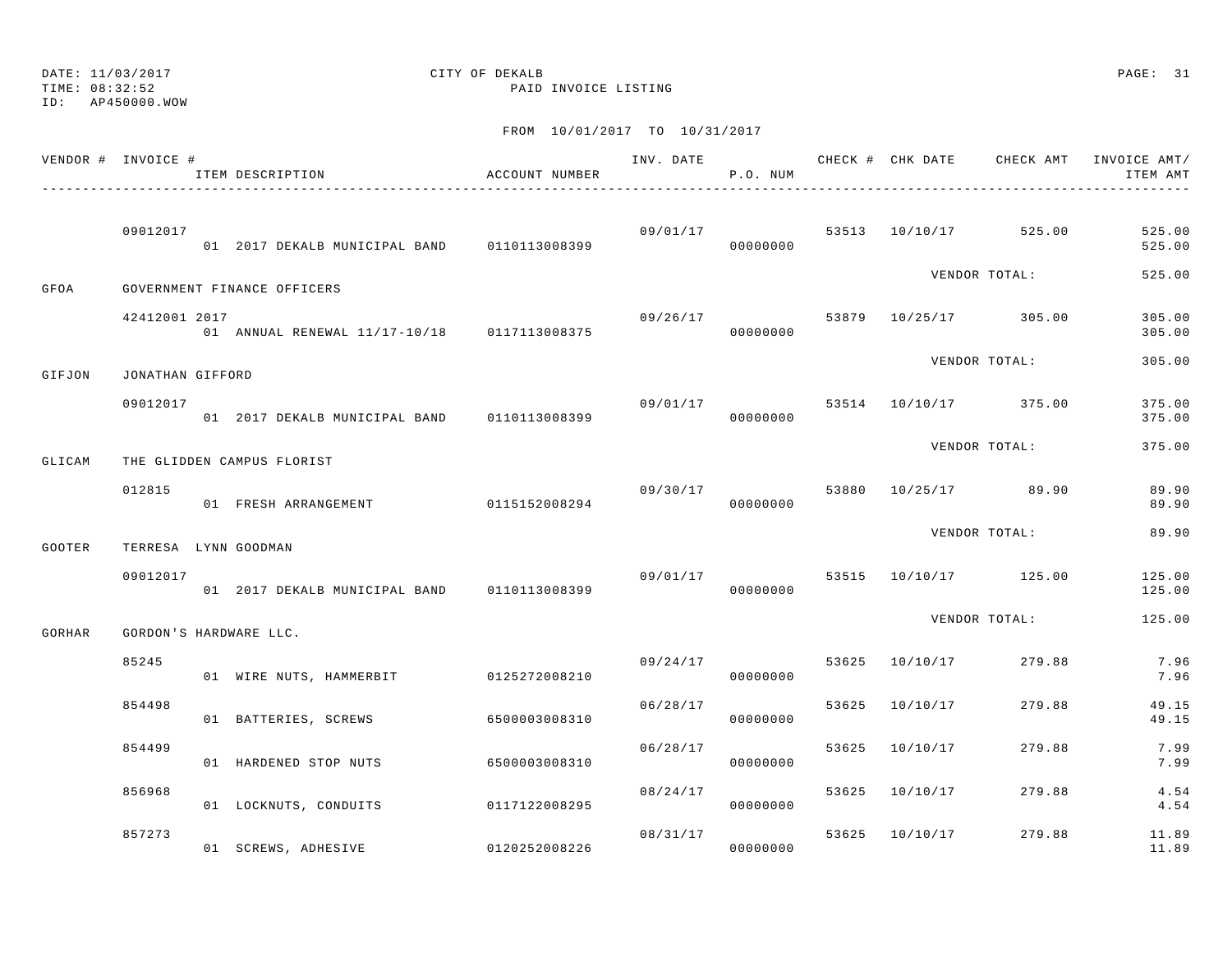TIME: 08:32:52 PAID INVOICE LISTING

ID: AP450000.WOW

|        | VENDOR # INVOICE # | ITEM DESCRIPTION                            | ACCOUNT NUMBER | INV. DATE | P.O. NUM             |       |                         |                                    | CHECK # CHK DATE CHECK AMT INVOICE AMT/<br>ITEM AMT |
|--------|--------------------|---------------------------------------------|----------------|-----------|----------------------|-------|-------------------------|------------------------------------|-----------------------------------------------------|
|        |                    |                                             |                |           |                      |       |                         |                                    |                                                     |
|        | 09012017           | 01 2017 DEKALB MUNICIPAL BAND 0110113008399 |                |           | 09/01/17<br>00000000 |       |                         | 53513 10/10/17 525.00              | 525.00<br>525.00                                    |
| GFOA   |                    | GOVERNMENT FINANCE OFFICERS                 |                |           |                      |       |                         | VENDOR TOTAL:                      | 525.00                                              |
|        | 42412001 2017      | 01 ANNUAL RENEWAL 11/17-10/18 0117113008375 |                |           | 09/26/17<br>00000000 |       |                         | 53879 10/25/17 305.00              | 305.00<br>305.00                                    |
| GIFJON | JONATHAN GIFFORD   |                                             |                |           |                      |       |                         | VENDOR TOTAL:                      | 305.00                                              |
|        | 09012017           | 01 2017 DEKALB MUNICIPAL BAND 0110113008399 |                |           | 00000000             |       |                         | $09/01/17$ 53514 $10/10/17$ 375.00 | 375.00<br>375.00                                    |
| GLICAM |                    | THE GLIDDEN CAMPUS FLORIST                  |                |           |                      |       |                         | VENDOR TOTAL:                      | 375.00                                              |
|        | 012815             | 01 FRESH ARRANGEMENT                        | 0115152008294  |           | 09/30/17<br>00000000 |       |                         | 53880 10/25/17 89.90               | 89.90<br>89.90                                      |
| GOOTER |                    | TERRESA LYNN GOODMAN                        |                |           |                      |       |                         | VENDOR TOTAL:                      | 89.90                                               |
|        | 09012017           | 01 2017 DEKALB MUNICIPAL BAND 0110113008399 |                |           | 09/01/17<br>00000000 |       |                         | 53515 10/10/17 125.00              | 125.00<br>125.00                                    |
| GORHAR |                    | GORDON'S HARDWARE LLC.                      |                |           |                      |       |                         | VENDOR TOTAL:                      | 125.00                                              |
|        | 85245              | 01 WIRE NUTS, HAMMERBIT 0125272008210       |                |           | 00000000             |       | 09/24/17 53625 10/10/17 | 279.88                             | 7.96<br>7.96                                        |
|        | 854498             | 01 BATTERIES, SCREWS                        | 6500003008310  | 06/28/17  | 00000000             | 53625 | 10/10/17                | 279.88                             | 49.15<br>49.15                                      |
|        | 854499             | 01 HARDENED STOP NUTS                       | 6500003008310  | 06/28/17  | 00000000             |       | 53625 10/10/17          | 279.88                             | 7.99<br>7.99                                        |
|        | 856968             | 01 LOCKNUTS, CONDUITS                       | 0117122008295  | 08/24/17  | 00000000             | 53625 | 10/10/17                | 279.88                             | 4.54<br>4.54                                        |
|        | 857273             | 01 SCREWS, ADHESIVE                         | 0120252008226  | 08/31/17  | 00000000             |       | 53625 10/10/17          | 279.88                             | 11.89<br>11.89                                      |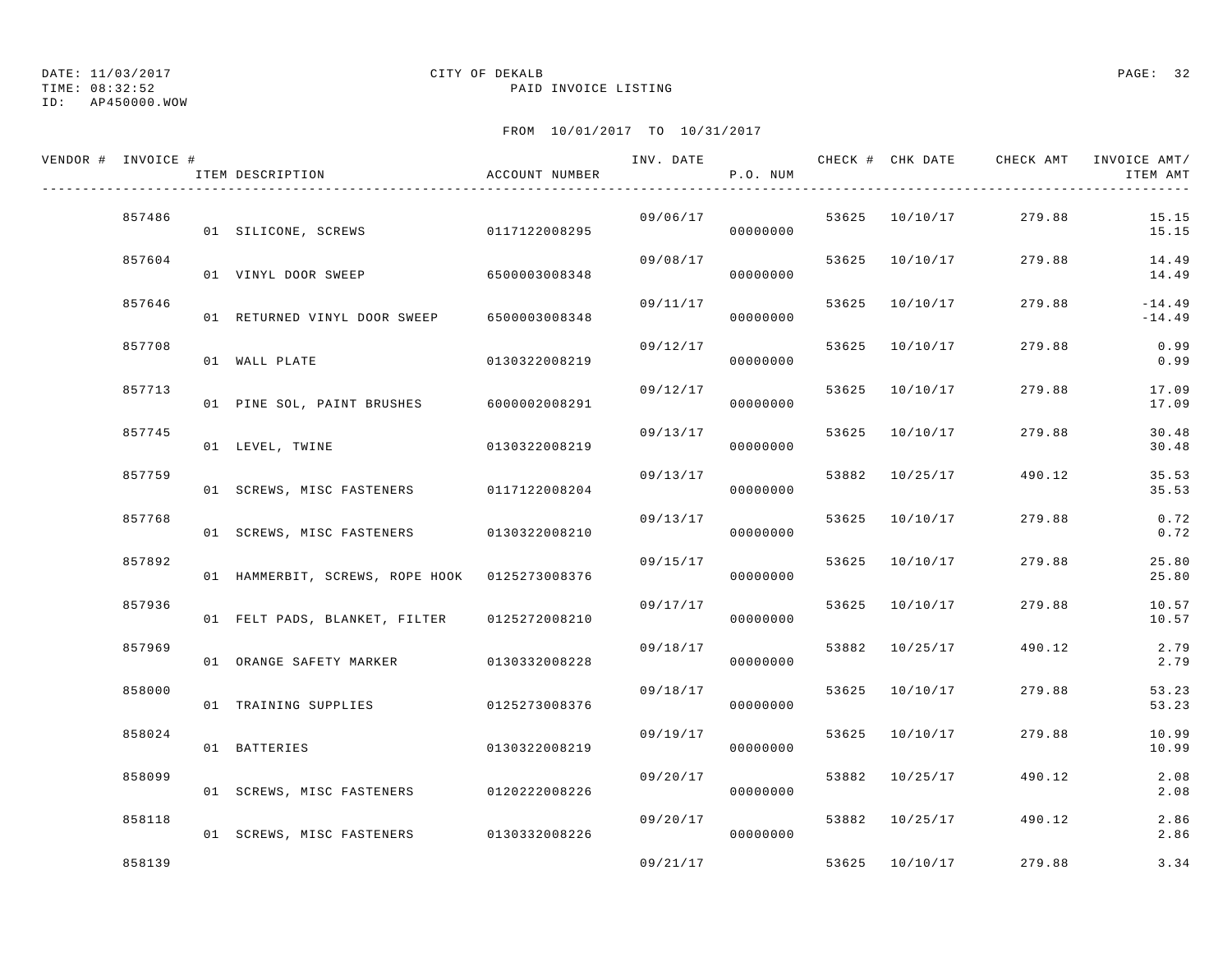TIME: 08:32:52 PAID INVOICE LISTING

## ID: AP450000.WOW

## DATE: 11/03/2017 CITY OF DEKALB PAGE: 32

| VENDOR # INVOICE # | ITEM DESCRIPTION                              | ACCOUNT NUMBER | INV. DATE | P.O. NUM |       | CHECK # CHK DATE | CHECK AMT | INVOICE AMT/<br>ITEM AMT |
|--------------------|-----------------------------------------------|----------------|-----------|----------|-------|------------------|-----------|--------------------------|
| 857486             | 01 SILICONE, SCREWS                           | 0117122008295  | 09/06/17  | 00000000 |       | 53625 10/10/17   | 279.88    | 15.15<br>15.15           |
| 857604             | 01 VINYL DOOR SWEEP                           | 6500003008348  | 09/08/17  | 00000000 |       | 53625 10/10/17   | 279.88    | 14.49<br>14.49           |
| 857646             | 01 RETURNED VINYL DOOR SWEEP                  | 6500003008348  | 09/11/17  | 00000000 |       | 53625 10/10/17   | 279.88    | $-14.49$<br>$-14.49$     |
| 857708             | 01 WALL PLATE                                 | 0130322008219  | 09/12/17  | 00000000 |       | 53625 10/10/17   | 279.88    | 0.99<br>0.99             |
| 857713             | 01 PINE SOL, PAINT BRUSHES 6000002008291      |                | 09/12/17  | 00000000 |       | 53625 10/10/17   | 279.88    | 17.09<br>17.09           |
| 857745             | 01 LEVEL, TWINE                               | 0130322008219  | 09/13/17  | 00000000 |       | 53625 10/10/17   | 279.88    | 30.48<br>30.48           |
| 857759             | 01 SCREWS, MISC FASTENERS 0117122008204       |                | 09/13/17  | 00000000 |       | 53882 10/25/17   | 490.12    | 35.53<br>35.53           |
| 857768             | 01 SCREWS, MISC FASTENERS 0130322008210       |                | 09/13/17  | 00000000 |       | 53625 10/10/17   | 279.88    | 0.72<br>0.72             |
| 857892             | 01 HAMMERBIT, SCREWS, ROPE HOOK 0125273008376 |                | 09/15/17  | 00000000 |       | 53625 10/10/17   | 279.88    | 25.80<br>25.80           |
| 857936             | 01 FELT PADS, BLANKET, FILTER 0125272008210   |                | 09/17/17  | 00000000 |       | 53625 10/10/17   | 279.88    | 10.57<br>10.57           |
| 857969             | 01 ORANGE SAFETY MARKER                       | 0130332008228  | 09/18/17  | 00000000 |       | 53882 10/25/17   | 490.12    | 2.79<br>2.79             |
| 858000             | 01 TRAINING SUPPLIES                          | 0125273008376  | 09/18/17  | 00000000 |       | 53625 10/10/17   | 279.88    | 53.23<br>53.23           |
| 858024             | 01 BATTERIES                                  | 0130322008219  | 09/19/17  | 00000000 | 53625 | 10/10/17         | 279.88    | 10.99<br>10.99           |
| 858099             | 01 SCREWS, MISC FASTENERS 0120222008226       |                | 09/20/17  | 00000000 |       | 53882 10/25/17   | 490.12    | 2.08<br>2.08             |
| 858118             | 01 SCREWS, MISC FASTENERS 0130332008226       |                | 09/20/17  | 00000000 |       | 53882 10/25/17   | 490.12    | 2.86<br>2.86             |
| 858139             |                                               |                | 09/21/17  |          |       | 53625 10/10/17   | 279.88    | 3.34                     |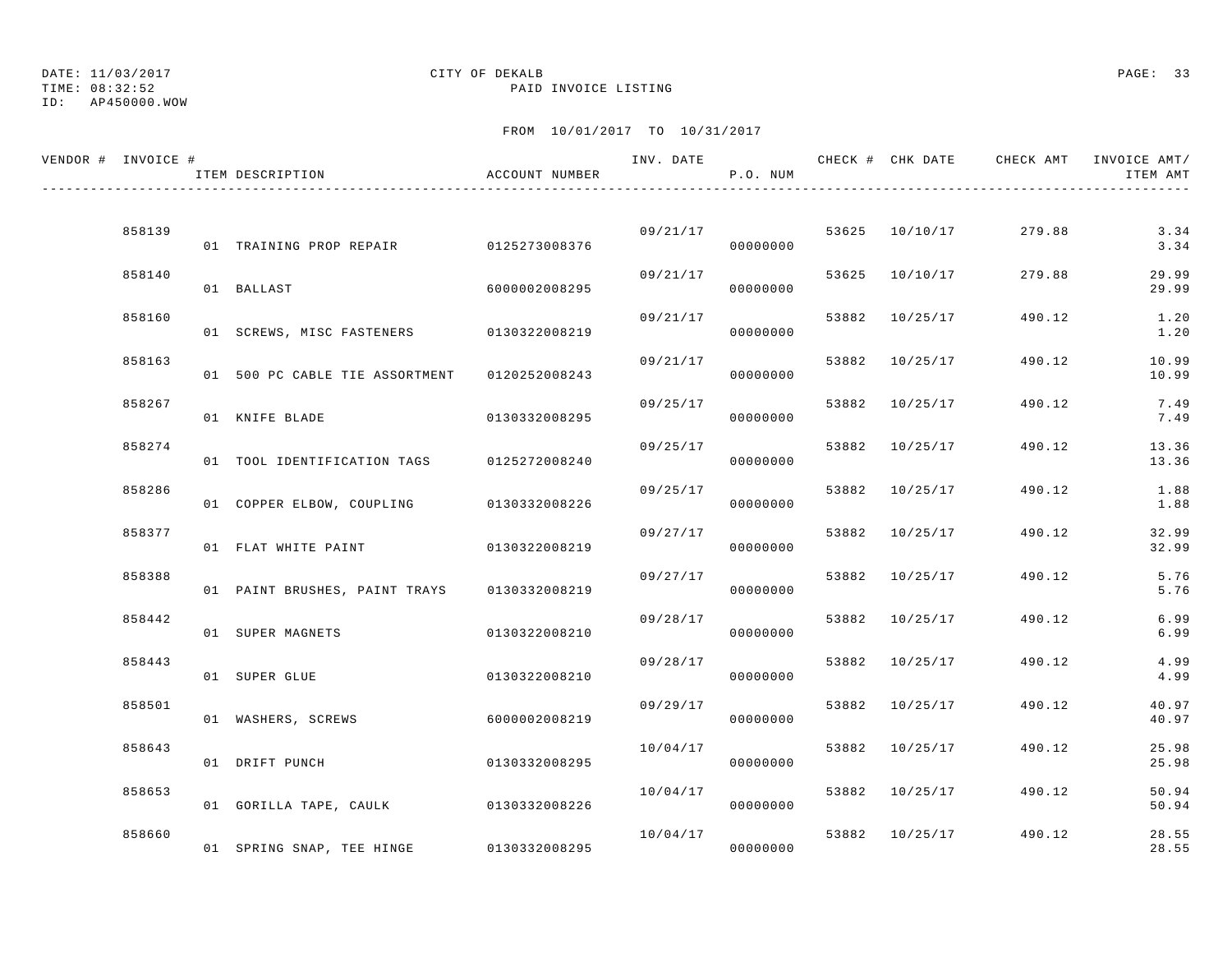TIME: 08:32:52 PAID INVOICE LISTING

ID: AP450000.WOW

| VENDOR # INVOICE # | ITEM DESCRIPTION                          | ACCOUNT NUMBER |          | P.O. NUM             |       |                | INV. DATE 6 CHECK # CHK DATE CHECK AMT INVOICE AMT/ | ITEM AMT       |
|--------------------|-------------------------------------------|----------------|----------|----------------------|-------|----------------|-----------------------------------------------------|----------------|
|                    |                                           |                |          |                      |       |                |                                                     |                |
| 858139             | 01 TRAINING PROP REPAIR 0125273008376     |                |          | 09/21/17<br>00000000 |       | 53625 10/10/17 | 279.88                                              | 3.34<br>3.34   |
| 858140             | 01 BALLAST                                | 6000002008295  | 09/21/17 | 00000000             |       | 53625 10/10/17 | 279.88                                              | 29.99<br>29.99 |
| 858160             | 01 SCREWS, MISC FASTENERS 0130322008219   |                | 09/21/17 | 00000000             |       | 53882 10/25/17 | 490.12                                              | 1.20<br>1.20   |
| 858163             | 01 500 PC CABLE TIE ASSORTMENT            | 0120252008243  | 09/21/17 | 00000000             |       | 53882 10/25/17 | 490.12                                              | 10.99<br>10.99 |
| 858267             | 01 KNIFE BLADE                            | 0130332008295  | 09/25/17 | 00000000             | 53882 | 10/25/17       | 490.12                                              | 7.49<br>7.49   |
| 858274             | 01 TOOL IDENTIFICATION TAGS 0125272008240 |                | 09/25/17 | 00000000             |       | 53882 10/25/17 | 490.12                                              | 13.36<br>13.36 |
| 858286             | 01 COPPER ELBOW, COUPLING 0130332008226   |                | 09/25/17 | 00000000             |       | 53882 10/25/17 | 490.12                                              | 1.88<br>1.88   |
| 858377             | 01 FLAT WHITE PAINT                       | 0130322008219  | 09/27/17 | 00000000             |       | 53882 10/25/17 | 490.12                                              | 32.99<br>32.99 |
| 858388             |                                           |                | 09/27/17 |                      |       | 53882 10/25/17 | 490.12                                              | 5.76           |
| 858442             | 01 PAINT BRUSHES, PAINT TRAYS             | 0130332008219  | 09/28/17 | 00000000             |       | 53882 10/25/17 | 490.12                                              | 5.76<br>6.99   |
|                    | 01 SUPER MAGNETS                          | 0130322008210  |          | 00000000             |       |                |                                                     | 6.99           |
| 858443             | 01 SUPER GLUE                             | 0130322008210  | 09/28/17 | 00000000             |       | 53882 10/25/17 | 490.12                                              | 4.99<br>4.99   |
| 858501             | 01 WASHERS, SCREWS                        | 6000002008219  | 09/29/17 | 00000000             |       | 53882 10/25/17 | 490.12                                              | 40.97<br>40.97 |
| 858643             | 01 DRIFT PUNCH                            | 0130332008295  | 10/04/17 | 00000000             |       | 53882 10/25/17 | 490.12                                              | 25.98<br>25.98 |
| 858653             | 01 GORILLA TAPE, CAULK 0130332008226      |                | 10/04/17 | 00000000             |       | 53882 10/25/17 | 490.12                                              | 50.94<br>50.94 |
| 858660             | 01 SPRING SNAP, TEE HINGE                 | 0130332008295  | 10/04/17 | 00000000             |       | 53882 10/25/17 | 490.12                                              | 28.55<br>28.55 |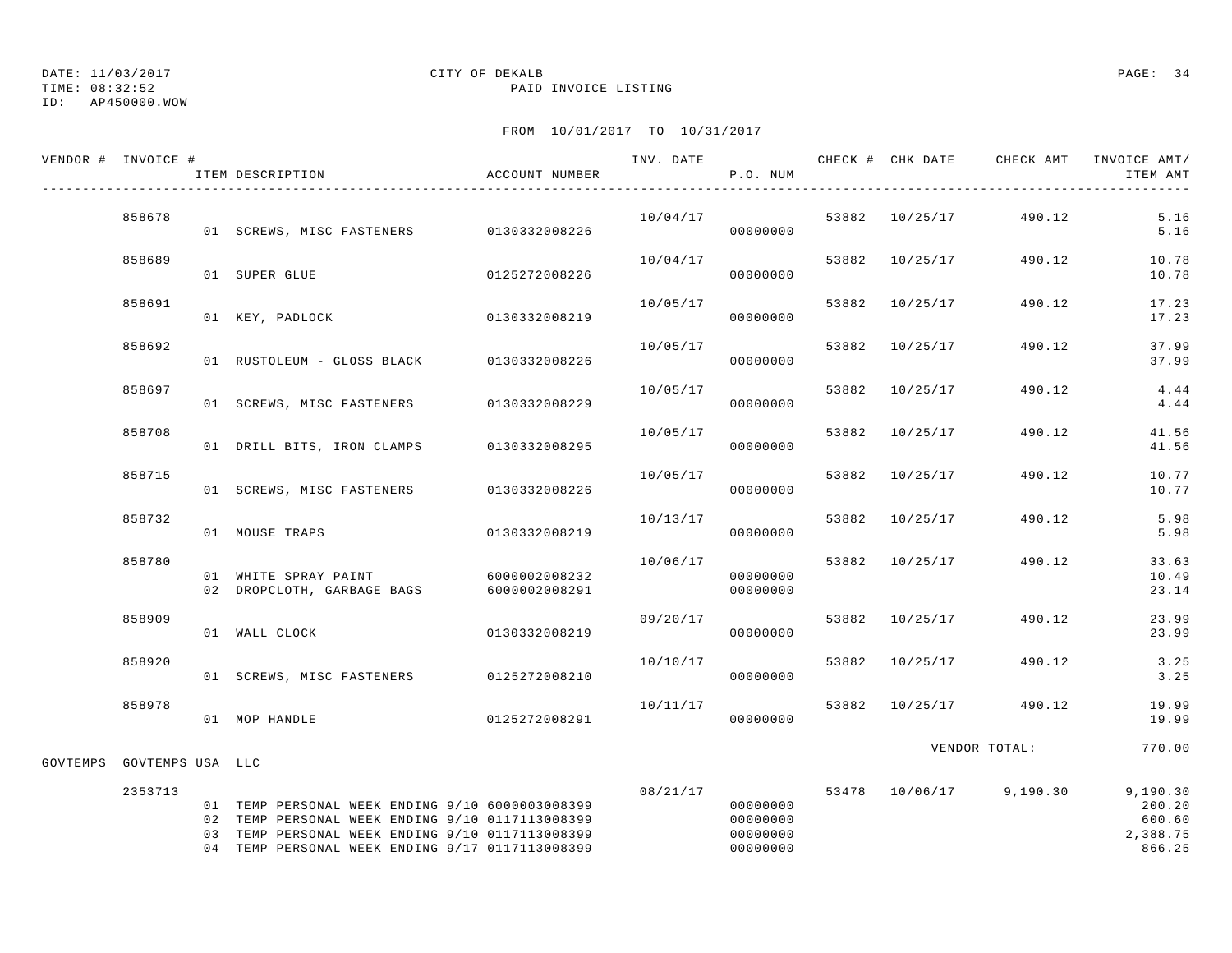TIME: 08:32:52 PAID INVOICE LISTING

## ID: AP450000.WOW

## DATE: 11/03/2017 CITY OF DEKALB PAGE: 34

|          | VENDOR # INVOICE # | ITEM DESCRIPTION                                                                                                                                                                                         | ACCOUNT NUMBER                 |          | P.O. NUM                                     |                |                         | INV. DATE 6 7 CHECK # CHK DATE CHECK AMT INVOICE AMT/<br>ITEM AMT |
|----------|--------------------|----------------------------------------------------------------------------------------------------------------------------------------------------------------------------------------------------------|--------------------------------|----------|----------------------------------------------|----------------|-------------------------|-------------------------------------------------------------------|
|          | 858678             | 01 SCREWS, MISC FASTENERS 0130332008226                                                                                                                                                                  |                                | 10/04/17 | 00000000                                     |                | 53882 10/25/17 490.12   | 5.16<br>5.16                                                      |
|          | 858689             | 01 SUPER GLUE                                                                                                                                                                                            | 0125272008226                  | 10/04/17 | 00000000                                     | 53882 10/25/17 | 490.12                  | 10.78<br>10.78                                                    |
|          | 858691             | 01 KEY, PADLOCK                                                                                                                                                                                          | 0130332008219                  | 10/05/17 | 00000000                                     | 53882 10/25/17 | 490.12                  | 17.23<br>17.23                                                    |
|          | 858692             | 01 RUSTOLEUM - GLOSS BLACK 0130332008226                                                                                                                                                                 |                                | 10/05/17 | 00000000                                     | 53882 10/25/17 | 490.12                  | 37.99<br>37.99                                                    |
|          | 858697             | 01 SCREWS, MISC FASTENERS 0130332008229                                                                                                                                                                  |                                | 10/05/17 | 00000000                                     | 53882 10/25/17 | 490.12                  | 4.44<br>4.44                                                      |
|          | 858708             | 01 DRILL BITS, IRON CLAMPS 0130332008295                                                                                                                                                                 |                                | 10/05/17 | 00000000                                     | 53882 10/25/17 | 490.12                  | 41.56<br>41.56                                                    |
|          | 858715             | 01 SCREWS, MISC FASTENERS 0130332008226                                                                                                                                                                  |                                | 10/05/17 | 00000000                                     | 53882 10/25/17 | 490.12                  | 10.77<br>10.77                                                    |
|          | 858732             | 01 MOUSE TRAPS                                                                                                                                                                                           | 0130332008219                  | 10/13/17 | 00000000                                     | 53882 10/25/17 | 490.12                  | 5.98<br>5.98                                                      |
|          | 858780             | 01 WHITE SPRAY PAINT<br>02 DROPCLOTH, GARBAGE BAGS                                                                                                                                                       | 6000002008232<br>6000002008291 | 10/06/17 | 00000000<br>00000000                         | 53882 10/25/17 | 490.12                  | 33.63<br>10.49<br>23.14                                           |
|          | 858909             | 01 WALL CLOCK                                                                                                                                                                                            | 0130332008219                  | 09/20/17 | 00000000                                     | 53882 10/25/17 | 490.12                  | 23.99<br>23.99                                                    |
|          | 858920             | 01 SCREWS, MISC FASTENERS 0125272008210                                                                                                                                                                  |                                | 10/10/17 | 00000000                                     | 53882 10/25/17 | 490.12                  | 3.25<br>3.25                                                      |
|          | 858978             | 01 MOP HANDLE                                                                                                                                                                                            | 0125272008291                  | 10/11/17 | 00000000                                     | 53882 10/25/17 | 490.12                  | 19.99<br>19.99                                                    |
| GOVTEMPS | GOVTEMPS USA LLC   |                                                                                                                                                                                                          |                                |          |                                              |                | VENDOR TOTAL:           | 770.00                                                            |
|          | 2353713            | 01 TEMP PERSONAL WEEK ENDING 9/10 6000003008399<br>02 TEMP PERSONAL WEEK ENDING 9/10 0117113008399<br>03 TEMP PERSONAL WEEK ENDING 9/10 0117113008399<br>04 TEMP PERSONAL WEEK ENDING 9/17 0117113008399 |                                | 08/21/17 | 00000000<br>00000000<br>00000000<br>00000000 |                | 53478 10/06/17 9,190.30 | 9,190.30<br>200.20<br>600.60<br>2,388.75<br>866.25                |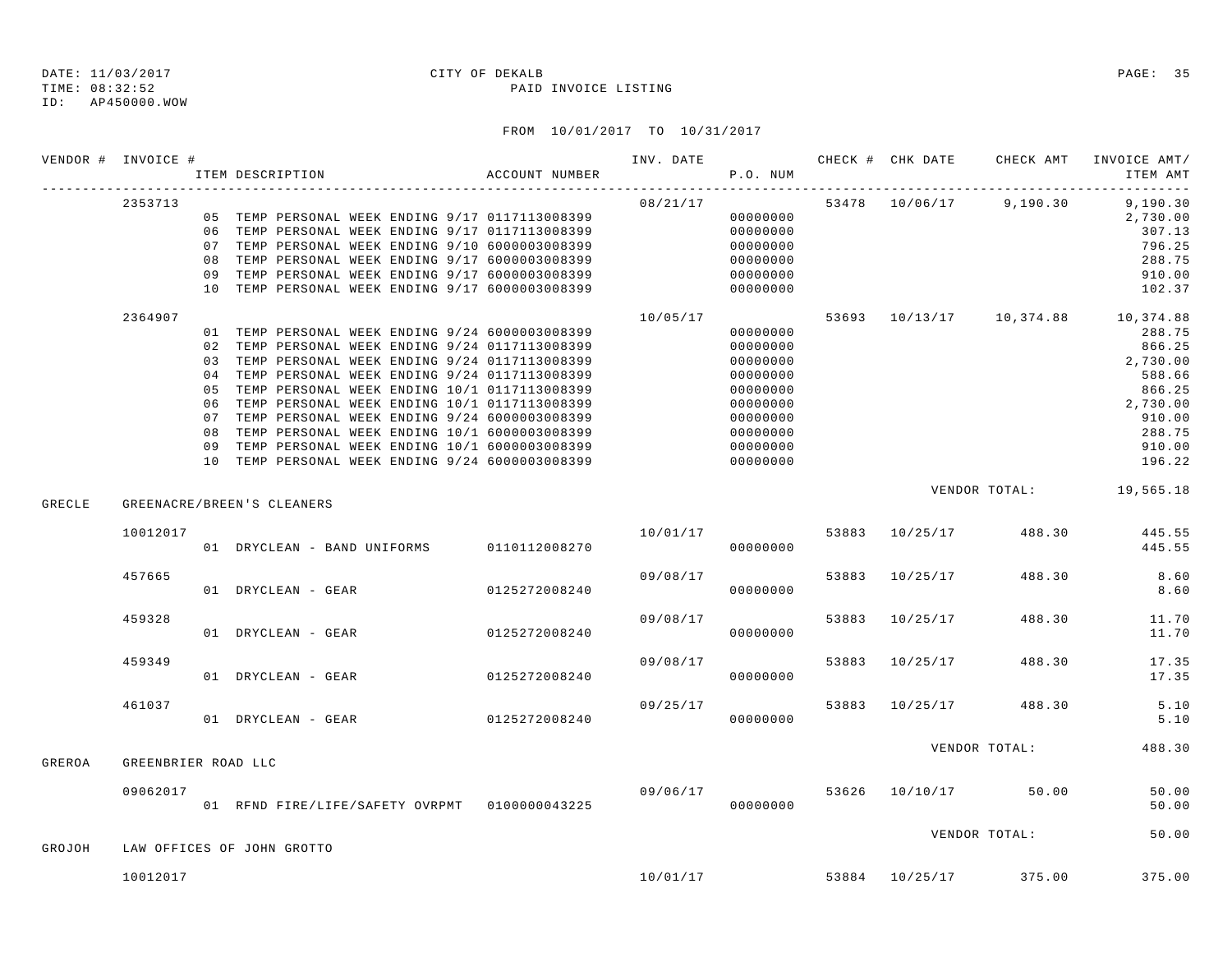ID: AP450000.WOW

#### TIME: 08:32:52 PAID INVOICE LISTING

|        | VENDOR # INVOICE #  |    | ITEM DESCRIPTION                 |  | ACCOUNT NUMBER                                                                                                                                                                                                                                                                                                                                                                                                                                                                                                          |                                  | P.O. NUM                                                                                                 |  |                                    | ITEM AMT                                                                                                                                   |
|--------|---------------------|----|----------------------------------|--|-------------------------------------------------------------------------------------------------------------------------------------------------------------------------------------------------------------------------------------------------------------------------------------------------------------------------------------------------------------------------------------------------------------------------------------------------------------------------------------------------------------------------|----------------------------------|----------------------------------------------------------------------------------------------------------|--|------------------------------------|--------------------------------------------------------------------------------------------------------------------------------------------|
|        | 2353713             |    |                                  |  | 05 TEMP PERSONAL WEEK ENDING 9/17 0117113008399<br>06 TEMP PERSONAL WEEK ENDING 9/17 0117113008399<br>07 TEMP PERSONAL WEEK ENDING 9/10 6000003008399<br>08 TEMP PERSONAL WEEK ENDING 9/17 6000003008399<br>09 TEMP PERSONAL WEEK ENDING 9/17 6000003008399<br>10 TEMP PERSONAL WEEK ENDING 9/17 6000003008399                                                                                                                                                                                                          | 08/21/17<br>$000000000$          | 00000000<br>00000000<br>00000000<br>00000000<br>00000000                                                 |  |                                    | $53478$ $10/06/17$ 9,190.30 9,190.30<br>2,730.00<br>307.13<br>796.25<br>288.75<br>910.00<br>102.37                                         |
|        | 2364907             | 09 |                                  |  | 01 TEMP PERSONAL WEEK ENDING 9/24 6000003008399<br>02 TEMP PERSONAL WEEK ENDING 9/24 0117113008399<br>03 TEMP PERSONAL WEEK ENDING 9/24 0117113008399<br>04 TEMP PERSONAL WEEK ENDING 9/24 0117113008399<br>05 TEMP PERSONAL WEEK ENDING 10/1 0117113008399<br>06 TEMP PERSONAL WEEK ENDING 10/1 0117113008399<br>07 TEMP PERSONAL WEEK ENDING 9/24 6000003008399<br>08 TEMP PERSONAL WEEK ENDING 10/1 6000003008399<br>TEMP PERSONAL WEEK ENDING 10/1 6000003008399<br>10 TEMP PERSONAL WEEK ENDING 9/24 6000003008399 | 10/05/17<br>$000000000$          | 00000000<br>00000000<br>00000000<br>00000000<br>00000000<br>00000000<br>00000000<br>00000000<br>00000000 |  |                                    | 53693 10/13/17 10,374.88 10,374.88<br>288.75<br>866.25<br>2,730.00<br>588.66<br>866.25<br>2,730.00<br>910.00<br>288.75<br>910.00<br>196.22 |
| GRECLE |                     |    | GREENACRE/BREEN'S CLEANERS       |  |                                                                                                                                                                                                                                                                                                                                                                                                                                                                                                                         |                                  |                                                                                                          |  |                                    | VENDOR TOTAL: 19,565.18                                                                                                                    |
|        | 10012017            |    |                                  |  | 01 DRYCLEAN - BAND UNIFORMS 0110112008270                                                                                                                                                                                                                                                                                                                                                                                                                                                                               |                                  | 00000000                                                                                                 |  |                                    | $10/01/17$ 53883 $10/25/17$ 488.30 445.55<br>445.55                                                                                        |
|        | 457665              |    | 01 DRYCLEAN - GEAR 0125272008240 |  |                                                                                                                                                                                                                                                                                                                                                                                                                                                                                                                         | 09/08/17                         | 00000000                                                                                                 |  | 53883 10/25/17 488.30              | 8.60<br>8.60                                                                                                                               |
|        | 459328              |    | 01 DRYCLEAN - GEAR 0125272008240 |  |                                                                                                                                                                                                                                                                                                                                                                                                                                                                                                                         | 09/08/17                         | 00000000                                                                                                 |  | 53883 10/25/17 488.30              | 11.70<br>11.70                                                                                                                             |
|        | 459349              |    | 01 DRYCLEAN - GEAR               |  | 0125272008240                                                                                                                                                                                                                                                                                                                                                                                                                                                                                                           | 09/08/17                         | 00000000                                                                                                 |  | 53883 10/25/17 488.30              | 17.35<br>17.35                                                                                                                             |
|        | 461037              |    |                                  |  | 01 DRYCLEAN - GEAR 0125272008240                                                                                                                                                                                                                                                                                                                                                                                                                                                                                        | $09/25/17$ 53883 10/25/17 488.30 | 00000000                                                                                                 |  |                                    | 5.10<br>5.10                                                                                                                               |
| GREROA | GREENBRIER ROAD LLC |    |                                  |  |                                                                                                                                                                                                                                                                                                                                                                                                                                                                                                                         |                                  |                                                                                                          |  | VENDOR TOTAL:                      | 488.30                                                                                                                                     |
|        | 09062017            |    |                                  |  | 01 RFND FIRE/LIFE/SAFETY OVRPMT 0100000043225                                                                                                                                                                                                                                                                                                                                                                                                                                                                           | 09/06/17 53626 10/10/17 50.00    | 00000000                                                                                                 |  |                                    | 50.00<br>50.00                                                                                                                             |
| GROJOH |                     |    | LAW OFFICES OF JOHN GROTTO       |  |                                                                                                                                                                                                                                                                                                                                                                                                                                                                                                                         |                                  |                                                                                                          |  | VENDOR TOTAL:                      | 50.00                                                                                                                                      |
|        | 10012017            |    |                                  |  |                                                                                                                                                                                                                                                                                                                                                                                                                                                                                                                         |                                  |                                                                                                          |  | $10/01/17$ 53884 $10/25/17$ 375.00 | 375.00                                                                                                                                     |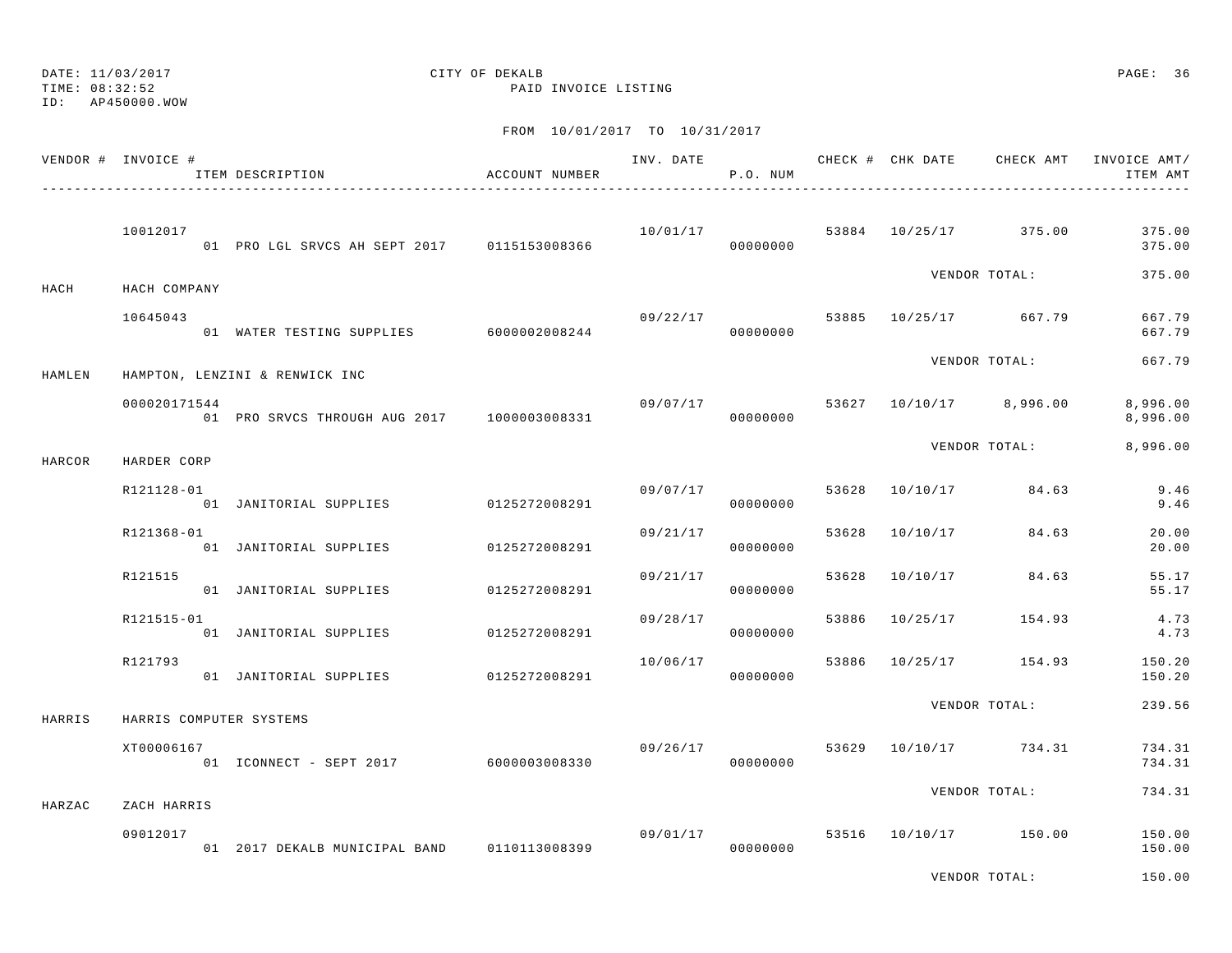ID: AP450000.WOW

TIME: 08:32:52 PAID INVOICE LISTING

|        | VENDOR # INVOICE #      | ITEM DESCRIPTION                            | ACCOUNT NUMBER |          | P.O. NUM             |       |                |                         | ITEM AMT             |
|--------|-------------------------|---------------------------------------------|----------------|----------|----------------------|-------|----------------|-------------------------|----------------------|
|        | 10012017                | 01 PRO LGL SRVCS AH SEPT 2017 0115153008366 |                | 10/01/17 | 00000000             |       |                | 53884 10/25/17 375.00   | 375.00<br>375.00     |
| HACH   | HACH COMPANY            |                                             |                |          |                      |       |                | VENDOR TOTAL:           | 375.00               |
|        | 10645043                | 01 WATER TESTING SUPPLIES 6000002008244     |                | 09/22/17 | 00000000             |       |                | 53885 10/25/17 667.79   | 667.79<br>667.79     |
| HAMLEN |                         | HAMPTON, LENZINI & RENWICK INC              |                |          |                      |       |                | VENDOR TOTAL:           | 667.79               |
|        | 000020171544            | 01 PRO SRVCS THROUGH AUG 2017 1000003008331 |                | 09/07/17 | 00000000             |       |                | 53627 10/10/17 8,996.00 | 8,996.00<br>8,996.00 |
| HARCOR | HARDER CORP             |                                             |                |          |                      |       |                | VENDOR TOTAL:           | 8,996.00             |
|        | R121128-01              | 01 JANITORIAL SUPPLIES 0125272008291        |                | 09/07/17 | 00000000             | 53628 |                | 10/10/17 84.63          | 9.46<br>9.46         |
|        | R121368-01              | 01 JANITORIAL SUPPLIES 0125272008291        |                | 09/21/17 | 00000000             | 53628 | 10/10/17       | 84.63                   | 20.00<br>20.00       |
|        | R121515                 | 01 JANITORIAL SUPPLIES                      | 0125272008291  | 09/21/17 | 00000000             |       | 53628 10/10/17 | 84.63                   | 55.17<br>55.17       |
|        | R121515-01              | 01 JANITORIAL SUPPLIES                      | 0125272008291  | 09/28/17 | 00000000             | 53886 | 10/25/17       | 154.93                  | 4.73<br>4.73         |
|        | R121793                 | 01 JANITORIAL SUPPLIES 0125272008291        |                | 10/06/17 | 00000000             | 53886 |                | 10/25/17 154.93         | 150.20<br>150.20     |
| HARRIS | HARRIS COMPUTER SYSTEMS |                                             |                |          |                      |       |                | VENDOR TOTAL:           | 239.56               |
|        | XT00006167              | 01 ICONNECT - SEPT 2017 6000003008330       |                | 09/26/17 | 00000000             |       |                | 53629 10/10/17 734.31   | 734.31<br>734.31     |
| HARZAC | ZACH HARRIS             |                                             |                |          |                      |       |                | VENDOR TOTAL:           | 734.31               |
|        | 09012017                | 01 2017 DEKALB MUNICIPAL BAND 0110113008399 |                |          | 09/01/17<br>00000000 |       |                | 53516 10/10/17 150.00   | 150.00<br>150.00     |
|        |                         |                                             |                |          |                      |       |                | VENDOR TOTAL:           | 150.00               |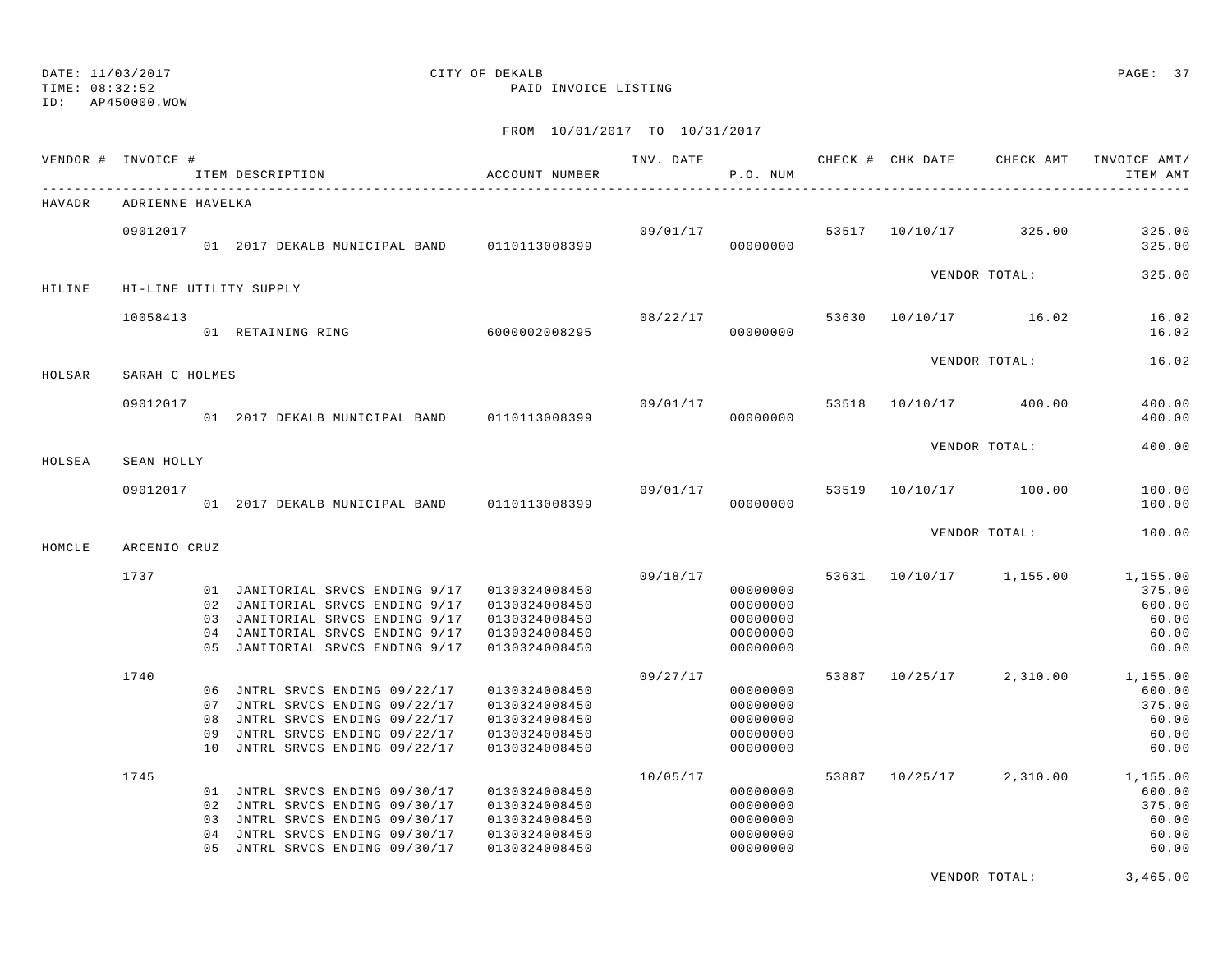TIME: 08:32:52 PAID INVOICE LISTING

ID: AP450000.WOW

### FROM 10/01/2017 TO 10/31/2017

|        | VENDOR # INVOICE # |    | ITEM DESCRIPTION                                                                                                                                                                          | ACCOUNT NUMBER                                                                    |                                  | P.O. NUM                                                             |  |                         | INV. DATE 6 1999 CHECK # CHK DATE 6 CHECK AMT INVOICE AMT<br>ITEM AMT           |
|--------|--------------------|----|-------------------------------------------------------------------------------------------------------------------------------------------------------------------------------------------|-----------------------------------------------------------------------------------|----------------------------------|----------------------------------------------------------------------|--|-------------------------|---------------------------------------------------------------------------------|
| HAVADR | ADRIENNE HAVELKA   |    |                                                                                                                                                                                           |                                                                                   |                                  |                                                                      |  |                         |                                                                                 |
|        | 09012017           |    | 01 2017 DEKALB MUNICIPAL BAND 0110113008399                                                                                                                                               |                                                                                   | $09/01/17$ 53517 10/10/17 325.00 | 00000000                                                             |  |                         | 325.00<br>325.00                                                                |
| HILINE |                    |    | HI-LINE UTILITY SUPPLY                                                                                                                                                                    |                                                                                   |                                  |                                                                      |  | VENDOR TOTAL:           | 325.00                                                                          |
|        | 10058413           |    | 01 RETAINING RING 6000002008295                                                                                                                                                           |                                                                                   |                                  | 08/22/17<br>00000000                                                 |  | 53630 10/10/17 16.02    | 16.02<br>16.02                                                                  |
| HOLSAR | SARAH C HOLMES     |    |                                                                                                                                                                                           |                                                                                   |                                  |                                                                      |  | VENDOR TOTAL:           | 16.02                                                                           |
|        | 09012017           |    | 01 2017 DEKALB MUNICIPAL BAND 0110113008399                                                                                                                                               |                                                                                   | 09/01/17 53518                   | 00000000                                                             |  | 10/10/17 400.00         | 400.00<br>400.00                                                                |
| HOLSEA | SEAN HOLLY         |    |                                                                                                                                                                                           |                                                                                   |                                  |                                                                      |  | VENDOR TOTAL:           | 400.00                                                                          |
|        | 09012017           |    | 01 2017 DEKALB MUNICIPAL BAND 0110113008399                                                                                                                                               |                                                                                   | 09/01/17                         | 00000000                                                             |  | 53519 10/10/17 100.00   | 100.00<br>100.00                                                                |
| HOMCLE | ARCENIO CRUZ       |    |                                                                                                                                                                                           |                                                                                   |                                  |                                                                      |  | VENDOR TOTAL:           | 100.00                                                                          |
|        | 1737               |    | 01 JANITORIAL SRVCS ENDING 9/17 0130324008450<br>02 JANITORIAL SRVCS ENDING 9/17<br>03 JANITORIAL SRVCS ENDING 9/17<br>04 JANITORIAL SRVCS ENDING 9/17<br>05 JANITORIAL SRVCS ENDING 9/17 | 0130324008450<br>0130324008450<br>0130324008450<br>0130324008450                  |                                  | 09/18/17<br>00000000<br>00000000<br>00000000<br>00000000<br>00000000 |  | 53631 10/10/17 1,155.00 | 1,155.00<br>375.00<br>600.00<br>60.00<br>60.00<br>60.00                         |
|        | 1740               | 09 | 06 JNTRL SRVCS ENDING 09/22/17<br>07 JNTRL SRVCS ENDING 09/22/17<br>08 JNTRL SRVCS ENDING 09/22/17<br>JNTRL SRVCS ENDING 09/22/17<br>10 JNTRL SRVCS ENDING 09/22/17                       | 0130324008450<br>0130324008450<br>0130324008450<br>0130324008450<br>0130324008450 | 09/27/17                         | 00000000<br>00000000<br>00000000<br>00000000<br>00000000             |  |                         | 53887 10/25/17 2,310.00 1,155.00<br>600.00<br>375.00<br>60.00<br>60.00<br>60.00 |
|        | 1745               | 04 | 01 JNTRL SRVCS ENDING 09/30/17<br>02 JNTRL SRVCS ENDING 09/30/17<br>03 JNTRL SRVCS ENDING 09/30/17<br>JNTRL SRVCS ENDING 09/30/17<br>05 JNTRL SRVCS ENDING 09/30/17                       | 0130324008450<br>0130324008450<br>0130324008450<br>0130324008450<br>0130324008450 | 10/05/17                         | 00000000<br>00000000<br>00000000<br>00000000<br>00000000             |  |                         | 53887 10/25/17 2,310.00 1,155.00<br>600.00<br>375.00<br>60.00<br>60.00<br>60.00 |
|        |                    |    |                                                                                                                                                                                           |                                                                                   |                                  |                                                                      |  |                         |                                                                                 |

VENDOR TOTAL: 3,465.00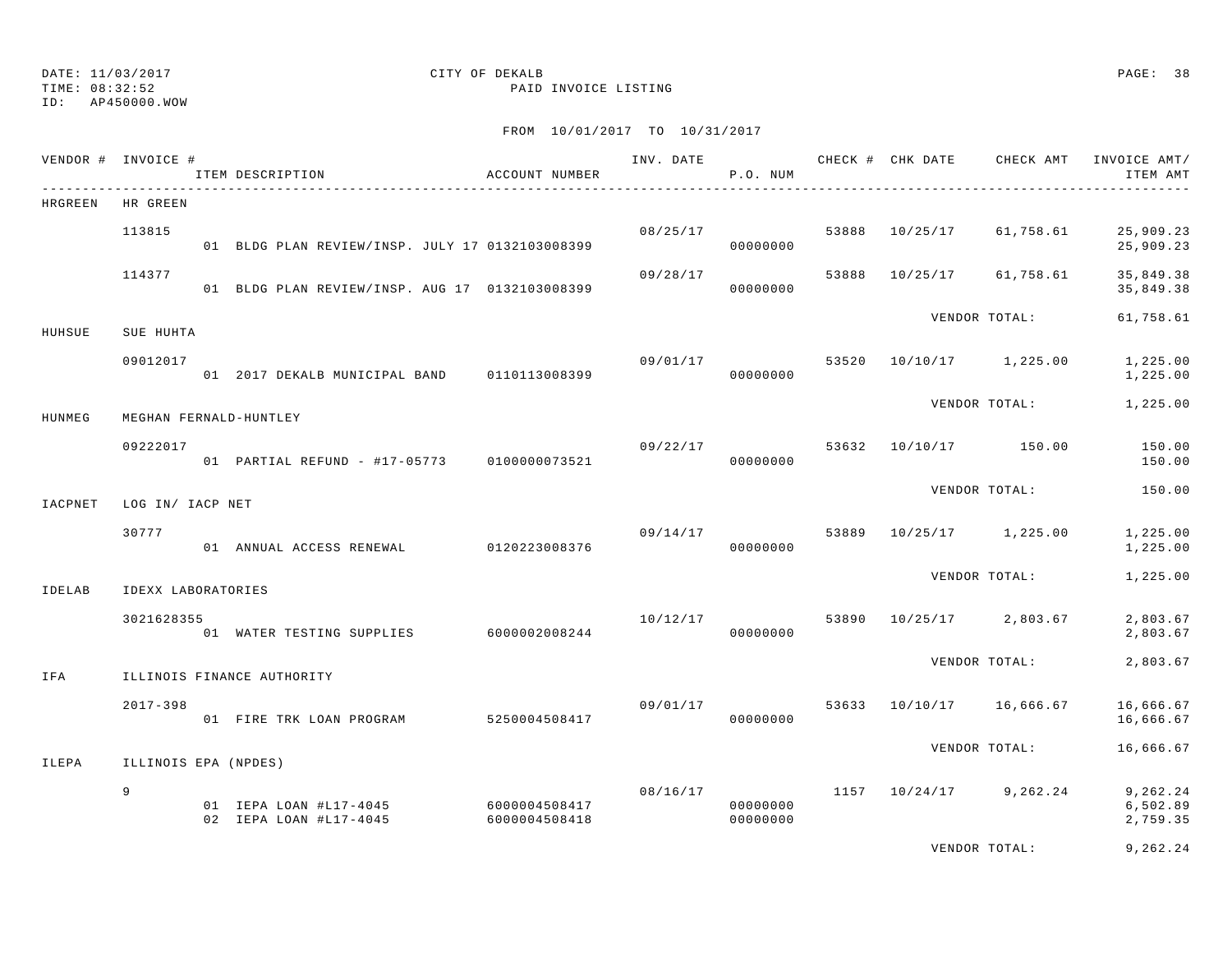ID: AP450000.WOW

TIME: 08:32:52 PAID INVOICE LISTING

### FROM 10/01/2017 TO 10/31/2017

|         | VENDOR # INVOICE #   | ITEM DESCRIPTION                                               | ACCOUNT NUMBER | INV. DATE | P.O. NUM             |       |          | CHECK # CHK DATE CHECK AMT | INVOICE AMT/<br>ITEM AMT         |
|---------|----------------------|----------------------------------------------------------------|----------------|-----------|----------------------|-------|----------|----------------------------|----------------------------------|
| HRGREEN | HR GREEN             |                                                                |                |           |                      |       |          |                            |                                  |
|         | 113815               | 01 BLDG PLAN REVIEW/INSP. JULY 17 0132103008399                |                | 08/25/17  | 00000000             | 53888 | 10/25/17 | 61,758.61                  | 25,909.23<br>25,909.23           |
|         | 114377               | 01 BLDG PLAN REVIEW/INSP. AUG 17 0132103008399                 |                | 09/28/17  | 00000000             | 53888 | 10/25/17 | 61,758.61                  | 35,849.38<br>35,849.38           |
| HUHSUE  | SUE HUHTA            |                                                                |                |           |                      |       |          | VENDOR TOTAL:              | 61,758.61                        |
|         | 09012017             | 01 2017 DEKALB MUNICIPAL BAND 0110113008399                    |                | 09/01/17  | 00000000             | 53520 |          | 10/10/17 1,225.00          | 1,225.00<br>1,225.00             |
| HUNMEG  |                      | MEGHAN FERNALD-HUNTLEY                                         |                |           |                      |       |          | VENDOR TOTAL:              | 1,225.00                         |
|         | 09222017             | 01 PARTIAL REFUND - #17-05773 0100000073521                    |                | 09/22/17  | 00000000             |       |          | 53632 10/10/17 150.00      | 150.00<br>150.00                 |
| IACPNET | LOG IN/ IACP NET     |                                                                |                |           |                      |       |          | VENDOR TOTAL:              | 150.00                           |
|         | 30777                | 01 ANNUAL ACCESS RENEWAL 0120223008376                         |                | 09/14/17  | 00000000             | 53889 |          | 10/25/17 1,225.00          | 1,225.00<br>1,225.00             |
| IDELAB  | IDEXX LABORATORIES   |                                                                |                |           |                      |       |          | VENDOR TOTAL:              | 1,225.00                         |
|         | 3021628355           | 01 WATER TESTING SUPPLIES                                      | 6000002008244  | 10/12/17  | 00000000             | 53890 |          | 10/25/17 2,803.67          | 2,803.67<br>2,803.67             |
| IFA     |                      | ILLINOIS FINANCE AUTHORITY                                     |                |           |                      |       |          | VENDOR TOTAL:              | 2,803.67                         |
|         | $2017 - 398$         | 01 FIRE TRK LOAN PROGRAM                                       | 5250004508417  | 09/01/17  | 00000000             |       |          | 53633 10/10/17 16,666.67   | 16,666.67<br>16,666.67           |
| ILEPA   | ILLINOIS EPA (NPDES) |                                                                |                |           |                      |       |          | VENDOR TOTAL:              | 16,666.67                        |
|         | 9                    | 01 IEPA LOAN #L17-4045 6000004508417<br>02 IEPA LOAN #L17-4045 | 6000004508418  | 08/16/17  | 00000000<br>00000000 |       |          | $1157$ $10/24/17$ 9,262.24 | 9,262.24<br>6,502.89<br>2,759.35 |
|         |                      |                                                                |                |           |                      |       |          |                            |                                  |

VENDOR TOTAL: 9,262.24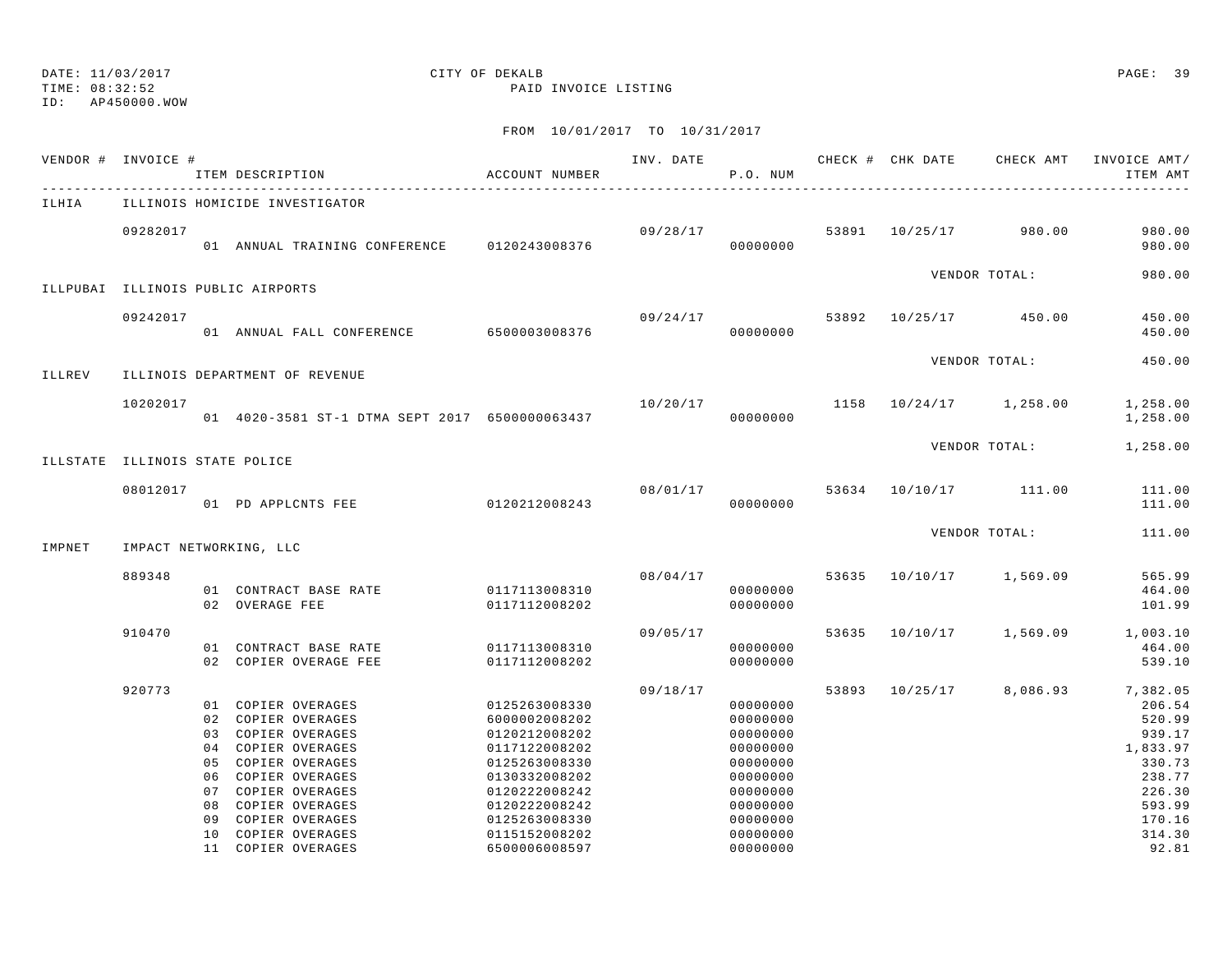TIME: 08:32:52 PAID INVOICE LISTING

ID: AP450000.WOW

|        | VENDOR # INVOICE #             | ACCOUNT NUMBER<br>ITEM DESCRIPTION                                                                                                                                                                 |                                                                                                                                                       |          | P.O. NUM                                                                                                 |       |                                     | INV. DATE 6 CHECK # CHK DATE CHECK AMT INVOICE AMT/<br>ITEM AMT                                      |
|--------|--------------------------------|----------------------------------------------------------------------------------------------------------------------------------------------------------------------------------------------------|-------------------------------------------------------------------------------------------------------------------------------------------------------|----------|----------------------------------------------------------------------------------------------------------|-------|-------------------------------------|------------------------------------------------------------------------------------------------------|
| ILHIA  |                                | ILLINOIS HOMICIDE INVESTIGATOR                                                                                                                                                                     |                                                                                                                                                       |          |                                                                                                          |       |                                     |                                                                                                      |
|        | 09282017                       | 01 ANNUAL TRAINING CONFERENCE 0120243008376                                                                                                                                                        |                                                                                                                                                       | 09/28/17 | 00000000                                                                                                 |       | 53891 10/25/17 980.00               | 980.00<br>980.00                                                                                     |
|        |                                | ILLPUBAI ILLINOIS PUBLIC AIRPORTS                                                                                                                                                                  |                                                                                                                                                       |          |                                                                                                          |       | VENDOR TOTAL:                       | 980.00                                                                                               |
|        | 09242017                       | 01 ANNUAL FALL CONFERENCE 6500003008376                                                                                                                                                            |                                                                                                                                                       | 09/24/17 | 00000000                                                                                                 |       | 53892 10/25/17 450.00               | 450.00<br>450.00                                                                                     |
| ILLREV |                                | ILLINOIS DEPARTMENT OF REVENUE                                                                                                                                                                     |                                                                                                                                                       |          |                                                                                                          |       | VENDOR TOTAL:                       | 450.00                                                                                               |
|        | 10202017                       | 01 4020-3581 ST-1 DTMA SEPT 2017 6500000063437                                                                                                                                                     |                                                                                                                                                       |          | 00000000                                                                                                 |       | $10/20/17$ 1158 $10/24/17$ 1,258.00 | 1,258.00<br>1,258.00                                                                                 |
|        | ILLSTATE ILLINOIS STATE POLICE |                                                                                                                                                                                                    |                                                                                                                                                       |          |                                                                                                          |       | VENDOR TOTAL:                       | 1,258.00                                                                                             |
|        | 08012017                       | 01 PD APPLCNTS FEE                                                                                                                                                                                 | 0120212008243                                                                                                                                         |          | 08/01/17<br>00000000                                                                                     |       | 53634 10/10/17 111.00               | 111.00<br>111.00                                                                                     |
| IMPNET |                                | IMPACT NETWORKING, LLC                                                                                                                                                                             |                                                                                                                                                       |          |                                                                                                          |       | VENDOR TOTAL:                       | 111.00                                                                                               |
|        | 889348                         | 01 CONTRACT BASE RATE<br>02 OVERAGE FEE                                                                                                                                                            | 0117113008310<br>0117112008202                                                                                                                        | 08/04/17 | 00000000<br>00000000                                                                                     | 53635 | 10/10/17 1,569.09                   | 565.99<br>464.00<br>101.99                                                                           |
|        | 910470                         | 01 CONTRACT BASE RATE<br>02 COPIER OVERAGE FEE                                                                                                                                                     | 0117113008310<br>0117112008202                                                                                                                        | 09/05/17 | 00000000<br>00000000                                                                                     | 53635 | 10/10/17 1,569.09                   | 1,003.10<br>464.00<br>539.10                                                                         |
|        | 920773                         | 01 COPIER OVERAGES<br>02 COPIER OVERAGES<br>03 COPIER OVERAGES<br>04 COPIER OVERAGES<br>05 COPIER OVERAGES<br>06 COPIER OVERAGES<br>07 COPIER OVERAGES<br>08 COPIER OVERAGES<br>09 COPIER OVERAGES | 0125263008330<br>6000002008202<br>0120212008202<br>0117122008202<br>0125263008330<br>0130332008202<br>0120222008242<br>0120222008242<br>0125263008330 | 09/18/17 | 00000000<br>00000000<br>00000000<br>00000000<br>00000000<br>00000000<br>00000000<br>00000000<br>00000000 |       | 53893 10/25/17 8,086.93             | 7,382.05<br>206.54<br>520.99<br>939.17<br>1,833.97<br>330.73<br>238.77<br>226.30<br>593.99<br>170.16 |
|        |                                | 10 COPIER OVERAGES<br>11 COPIER OVERAGES                                                                                                                                                           | 0115152008202<br>6500006008597                                                                                                                        |          | 00000000<br>00000000                                                                                     |       |                                     | 314.30<br>92.81                                                                                      |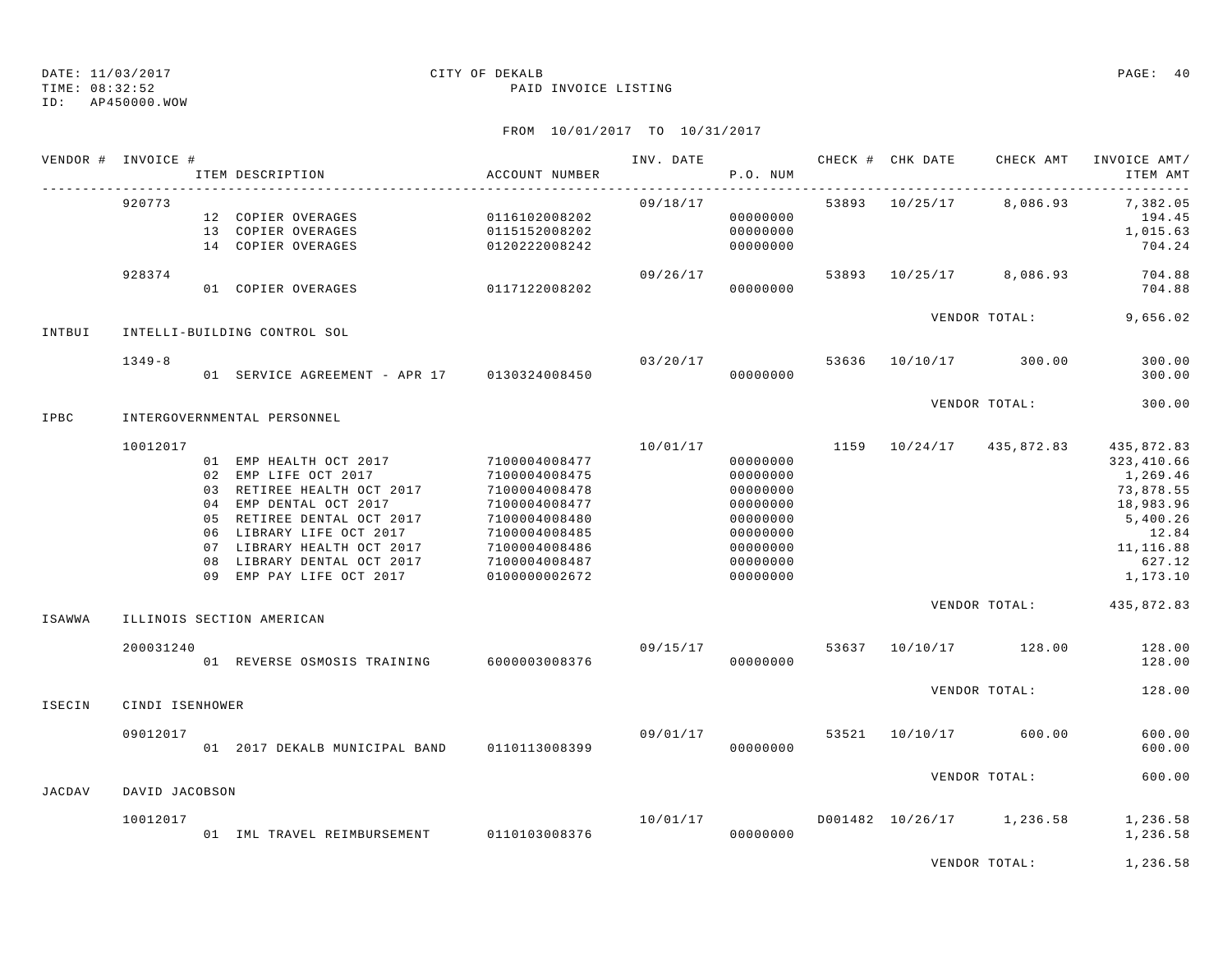TIME: 08:32:52 PAID INVOICE LISTING

ID: AP450000.WOW

|        | VENDOR # INVOICE # | ITEM DESCRIPTION                                                                                                                                                                                                                                         | ACCOUNT NUMBER                                                                                                                                        | INV. DATE | P.O. NUM                                                                                                 |       | CHECK # CHK DATE | CHECK AMT                 | INVOICE AMT/<br>ITEM AMT                                                                                                |
|--------|--------------------|----------------------------------------------------------------------------------------------------------------------------------------------------------------------------------------------------------------------------------------------------------|-------------------------------------------------------------------------------------------------------------------------------------------------------|-----------|----------------------------------------------------------------------------------------------------------|-------|------------------|---------------------------|-------------------------------------------------------------------------------------------------------------------------|
|        | 920773             | 12 COPIER OVERAGES<br>13 COPIER OVERAGES<br>14 COPIER OVERAGES                                                                                                                                                                                           | 0116102008202<br>0115152008202<br>0120222008242                                                                                                       | 09/18/17  | 00000000<br>00000000<br>00000000                                                                         |       |                  | 53893 10/25/17 8,086.93   | 7,382.05<br>194.45<br>1,015.63<br>704.24                                                                                |
|        | 928374             | 01 COPIER OVERAGES                                                                                                                                                                                                                                       | 0117122008202                                                                                                                                         | 09/26/17  | 00000000                                                                                                 | 53893 |                  | 10/25/17 8,086.93         | 704.88<br>704.88                                                                                                        |
| INTBUI |                    | INTELLI-BUILDING CONTROL SOL                                                                                                                                                                                                                             |                                                                                                                                                       |           |                                                                                                          |       |                  | VENDOR TOTAL:             | 9,656.02                                                                                                                |
|        | $1349 - 8$         | 01 SERVICE AGREEMENT - APR 17 0130324008450                                                                                                                                                                                                              |                                                                                                                                                       | 03/20/17  | 00000000                                                                                                 | 53636 |                  | 10/10/17 300.00           | 300.00<br>300.00                                                                                                        |
| IPBC   |                    | INTERGOVERNMENTAL PERSONNEL                                                                                                                                                                                                                              |                                                                                                                                                       |           |                                                                                                          |       |                  | VENDOR TOTAL:             | 300.00                                                                                                                  |
|        | 10012017           | 01 EMP HEALTH OCT 2017<br>02 EMP LIFE OCT 2017<br>03 RETIREE HEALTH OCT 2017<br>04 EMP DENTAL OCT 2017<br>05 RETIREE DENTAL OCT 2017<br>06 LIBRARY LIFE OCT 2017<br>07 LIBRARY HEALTH OCT 2017<br>08 LIBRARY DENTAL OCT 2017<br>09 EMP PAY LIFE OCT 2017 | 7100004008477<br>7100004008475<br>7100004008478<br>7100004008477<br>7100004008480<br>7100004008485<br>7100004008486<br>7100004008487<br>0100000002672 | 10/01/17  | 00000000<br>00000000<br>00000000<br>00000000<br>00000000<br>00000000<br>00000000<br>00000000<br>00000000 | 1159  |                  | 10/24/17 435,872.83       | 435,872.83<br>323, 410.66<br>1,269.46<br>73,878.55<br>18,983.96<br>5,400.26<br>12.84<br>11,116.88<br>627.12<br>1,173.10 |
| ISAWWA |                    | ILLINOIS SECTION AMERICAN                                                                                                                                                                                                                                |                                                                                                                                                       |           |                                                                                                          |       |                  | VENDOR TOTAL:             | 435,872.83                                                                                                              |
|        | 200031240          | 01 REVERSE OSMOSIS TRAINING                                                                                                                                                                                                                              | 6000003008376                                                                                                                                         | 09/15/17  | 00000000                                                                                                 | 53637 |                  | 10/10/17 128.00           | 128.00<br>128.00                                                                                                        |
| ISECIN | CINDI ISENHOWER    |                                                                                                                                                                                                                                                          |                                                                                                                                                       |           |                                                                                                          |       |                  | VENDOR TOTAL:             | 128.00                                                                                                                  |
|        | 09012017           | 01 2017 DEKALB MUNICIPAL BAND                                                                                                                                                                                                                            | 0110113008399                                                                                                                                         | 09/01/17  | 00000000                                                                                                 | 53521 | 10/10/17         | 600.00                    | 600.00<br>600.00                                                                                                        |
| JACDAV | DAVID JACOBSON     |                                                                                                                                                                                                                                                          |                                                                                                                                                       |           |                                                                                                          |       |                  | VENDOR TOTAL:             | 600.00                                                                                                                  |
|        | 10012017           | 01 IML TRAVEL REIMBURSEMENT                                                                                                                                                                                                                              | 0110103008376                                                                                                                                         | 10/01/17  | 00000000                                                                                                 |       |                  | D001482 10/26/17 1,236.58 | 1,236.58<br>1,236.58                                                                                                    |
|        |                    |                                                                                                                                                                                                                                                          |                                                                                                                                                       |           |                                                                                                          |       |                  | VENDOR TOTAL:             | 1,236.58                                                                                                                |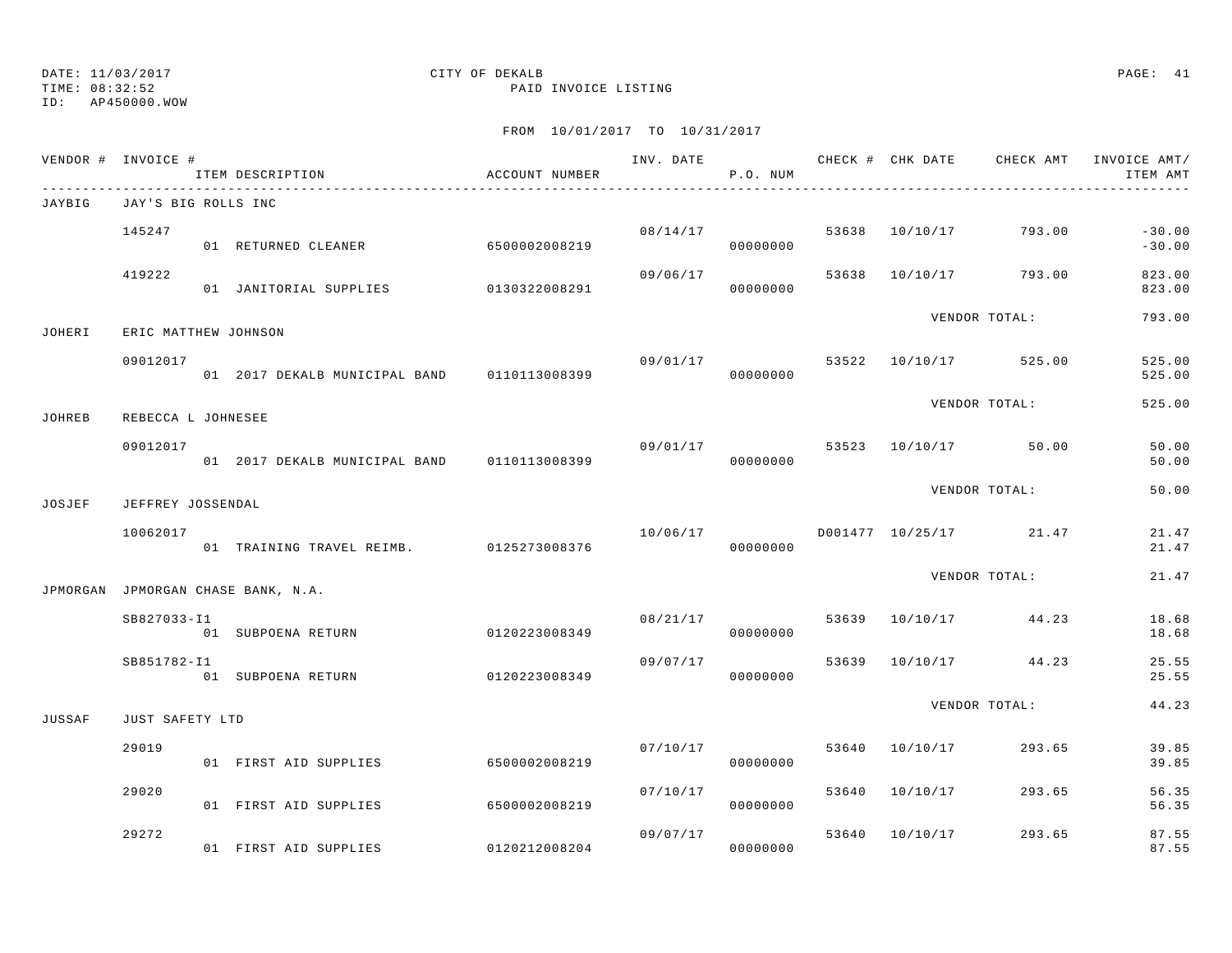TIME: 08:32:52 PAID INVOICE LISTING

ID: AP450000.WOW

|        | VENDOR # INVOICE #   | ITEM DESCRIPTION<br>_______________________________ | ACCOUNT NUMBER |          | P.O. NUM             |       |                |                                         | INV. DATE 6 CHECK # CHK DATE CHECK AMT INVOICE AMT/<br>ITEM AMT |
|--------|----------------------|-----------------------------------------------------|----------------|----------|----------------------|-------|----------------|-----------------------------------------|-----------------------------------------------------------------|
| JAYBIG | JAY'S BIG ROLLS INC  |                                                     |                |          |                      |       |                |                                         |                                                                 |
|        | 145247               | 01 RETURNED CLEANER 6500002008219                   |                |          | 08/14/17<br>00000000 |       |                | 53638 10/10/17 793.00                   | $-30.00$<br>$-30.00$                                            |
|        | 419222               | 01 JANITORIAL SUPPLIES 0130322008291                |                | 09/06/17 | 00000000             |       |                | 53638 10/10/17 793.00                   | 823.00<br>823.00                                                |
| JOHERI | ERIC MATTHEW JOHNSON |                                                     |                |          |                      |       |                | VENDOR TOTAL:                           | 793.00                                                          |
|        | 09012017             | 01  2017 DEKALB MUNICIPAL BAND   0110113008399      |                |          | 00000000             |       |                | $09/01/17$ 53522 10/10/17 525.00        | 525.00<br>525.00                                                |
| JOHREB | REBECCA L JOHNESEE   |                                                     |                |          |                      |       |                | VENDOR TOTAL:                           | 525.00                                                          |
|        | 09012017             | 01 2017 DEKALB MUNICIPAL BAND 0110113008399         |                |          | 00000000             |       |                | 09/01/17 53523 10/10/17 50.00           | 50.00<br>50.00                                                  |
| JOSJEF | JEFFREY JOSSENDAL    |                                                     |                |          |                      |       |                | VENDOR TOTAL:                           | 50.00                                                           |
|        | 10062017             | 01 TRAINING TRAVEL REIMB. 0125273008376             |                |          | 00000000             |       |                | $10/06/17$ $D001477$ $10/25/17$ $21.47$ | 21.47<br>21.47                                                  |
|        |                      | JPMORGAN JPMORGAN CHASE BANK, N.A.                  |                |          |                      |       |                | VENDOR TOTAL:                           | 21.47                                                           |
|        | SB827033-I1          | 01 SUBPOENA RETURN                                  | 0120223008349  | 08/21/17 | 00000000             |       |                | 53639 10/10/17 44.23                    | 18.68<br>18.68                                                  |
|        | SB851782-I1          | 01 SUBPOENA RETURN                                  | 0120223008349  | 09/07/17 | 00000000             |       |                | 53639 10/10/17 44.23                    | 25.55<br>25.55                                                  |
| JUSSAF | JUST SAFETY LTD      |                                                     |                |          |                      |       |                | VENDOR TOTAL:                           | 44.23                                                           |
|        | 29019                | 01 FIRST AID SUPPLIES                               | 6500002008219  |          | 07/10/17<br>00000000 |       |                | 53640 10/10/17 293.65                   | 39.85<br>39.85                                                  |
|        | 29020                | 01 FIRST AID SUPPLIES                               | 6500002008219  |          | 07/10/17<br>00000000 | 53640 |                | 10/10/17 293.65                         | 56.35<br>56.35                                                  |
|        | 29272                | 01 FIRST AID SUPPLIES                               | 0120212008204  | 09/07/17 | 00000000             |       | 53640 10/10/17 | 293.65                                  | 87.55<br>87.55                                                  |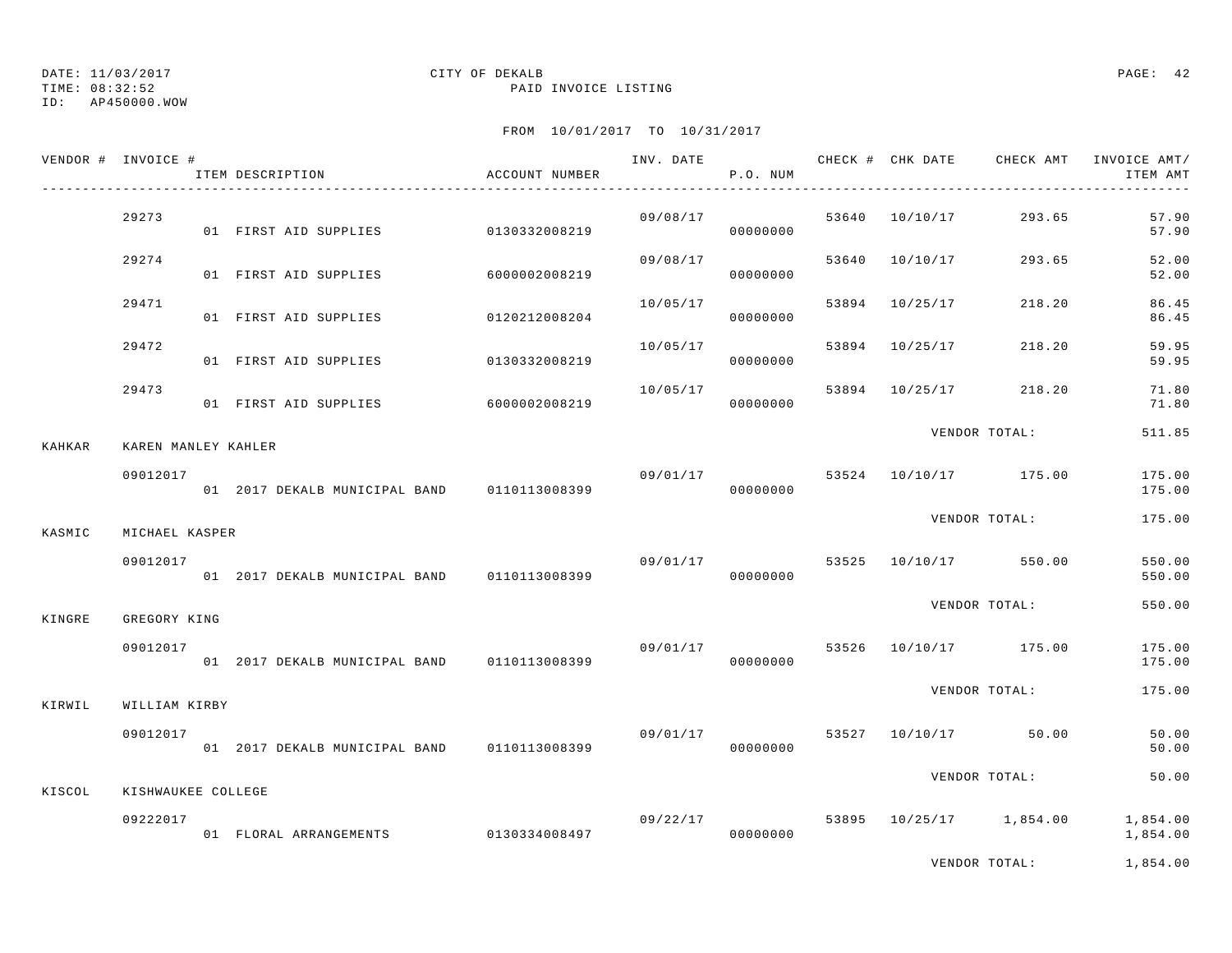TIME: 08:32:52 PAID INVOICE LISTING

ID: AP450000.WOW

|               | VENDOR # INVOICE #  | ITEM DESCRIPTION                               | ACCOUNT NUMBER |          | P.O. NUM             |       |                |                                  | ITEM AMT             |
|---------------|---------------------|------------------------------------------------|----------------|----------|----------------------|-------|----------------|----------------------------------|----------------------|
|               | 29273               | 01 FIRST AID SUPPLIES                          | 0130332008219  |          | 09/08/17<br>00000000 |       |                | 53640 10/10/17 293.65            | 57.90<br>57.90       |
|               | 29274               | 01 FIRST AID SUPPLIES                          | 6000002008219  | 09/08/17 | 00000000             |       |                | 53640 10/10/17 293.65            | 52.00<br>52.00       |
|               | 29471               | 01 FIRST AID SUPPLIES 0120212008204            |                | 10/05/17 | 00000000             |       | 53894 10/25/17 | 218.20                           | 86.45<br>86.45       |
|               | 29472               | 01 FIRST AID SUPPLIES                          | 0130332008219  | 10/05/17 | 00000000             | 53894 | 10/25/17       | 218.20                           | 59.95<br>59.95       |
|               | 29473               | 01 FIRST AID SUPPLIES                          | 6000002008219  | 10/05/17 | 00000000             |       |                | 53894 10/25/17 218.20            | 71.80<br>71.80       |
| <b>KAHKAR</b> | KAREN MANLEY KAHLER |                                                |                |          |                      |       |                | VENDOR TOTAL:                    | 511.85               |
|               | 09012017            | 01 2017 DEKALB MUNICIPAL BAND 0110113008399    |                | 09/01/17 | 00000000             |       |                | 53524 10/10/17 175.00            | 175.00<br>175.00     |
| KASMIC        | MICHAEL KASPER      |                                                |                |          |                      |       |                | VENDOR TOTAL:                    | 175.00               |
|               | 09012017            | 01  2017 DEKALB MUNICIPAL BAND   0110113008399 |                |          | 00000000             |       |                | 09/01/17 53525 10/10/17 550.00   | 550.00<br>550.00     |
| KINGRE        | GREGORY KING        |                                                |                |          |                      |       |                | VENDOR TOTAL:                    | 550.00               |
|               | 09012017            | 01 2017 DEKALB MUNICIPAL BAND 0110113008399    |                |          | 00000000             |       |                | 09/01/17 53526 10/10/17 175.00   | 175.00<br>175.00     |
| KIRWIL        | WILLIAM KIRBY       |                                                |                |          |                      |       |                | VENDOR TOTAL:                    | 175.00               |
|               | 09012017            | 01  2017 DEKALB MUNICIPAL BAND   0110113008399 |                | 09/01/17 | 00000000             |       |                | 53527 10/10/17 50.00             | 50.00<br>50.00       |
| KISCOL        | KISHWAUKEE COLLEGE  |                                                |                |          |                      |       |                | VENDOR TOTAL:                    | 50.00                |
|               | 09222017            | 01 FLORAL ARRANGEMENTS 0130334008497           |                |          | 00000000             |       |                | 09/22/17 53895 10/25/17 1,854.00 | 1,854.00<br>1,854.00 |
|               |                     |                                                |                |          |                      |       |                | VENDOR TOTAL:                    | 1,854.00             |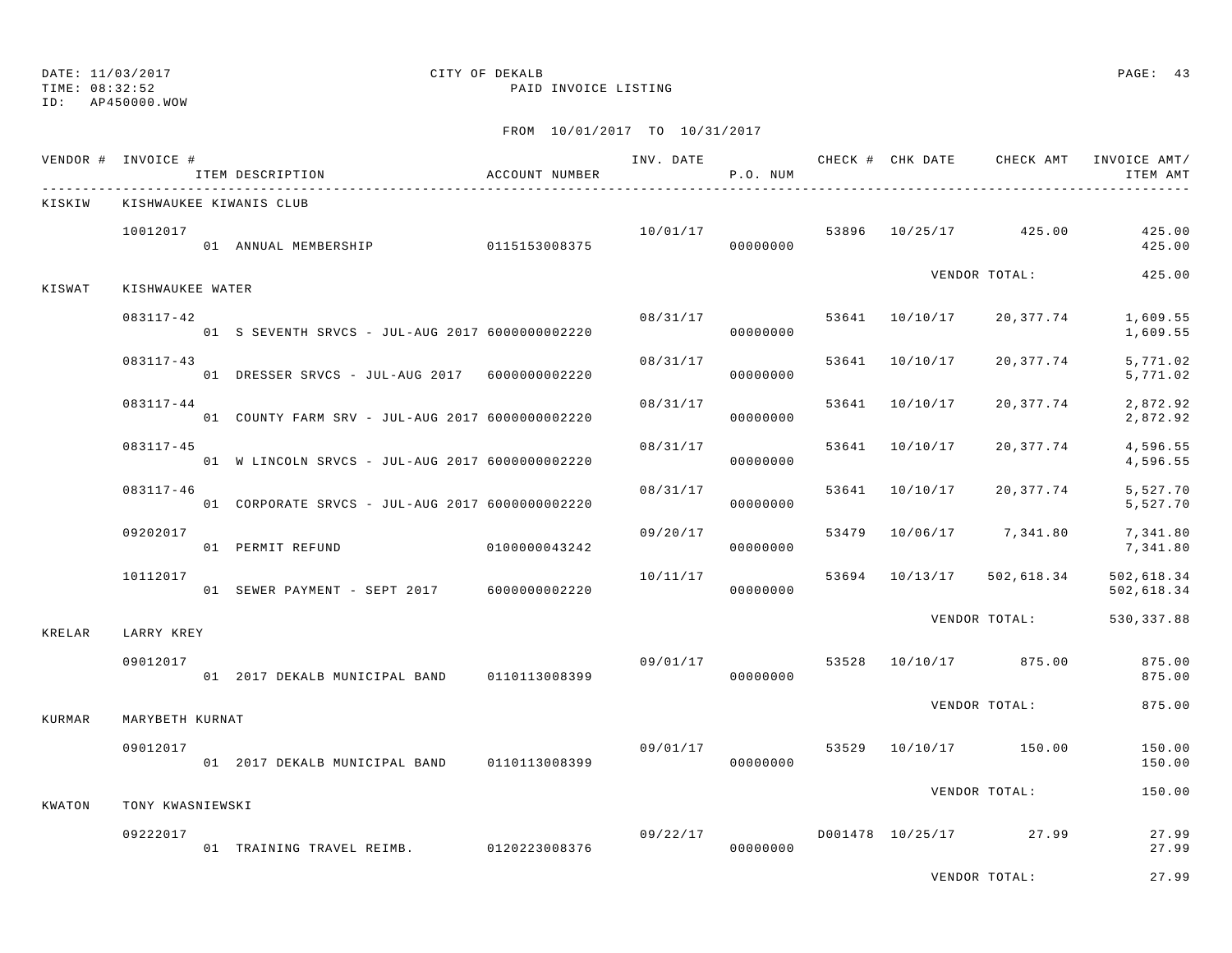# ID: AP450000.WOW

## DATE: 11/03/2017 CITY OF DEKALB PAGE: 43

TIME: 08:32:52 PAID INVOICE LISTING

|        | VENDOR # INVOICE #           | ITEM DESCRIPTION                                             | ACCOUNT NUMBER |          | P.O. NUM             |                | INV. DATE 6 CHECK # CHK DATE CHECK AMT | INVOICE AMT/<br>ITEM AMT                            |
|--------|------------------------------|--------------------------------------------------------------|----------------|----------|----------------------|----------------|----------------------------------------|-----------------------------------------------------|
| KISKIW |                              | KISHWAUKEE KIWANIS CLUB                                      |                |          |                      |                |                                        |                                                     |
|        | 10012017                     | 01 ANNUAL MEMBERSHIP 0115153008375                           |                | 00000000 |                      |                |                                        | $10/01/17$ 53896 $10/25/17$ 425.00 425.00<br>425.00 |
| KISWAT | KISHWAUKEE WATER             |                                                              |                |          |                      |                | VENDOR TOTAL:                          | 425.00                                              |
|        | 083117-42                    | 01 S SEVENTH SRVCS - JUL-AUG 2017 60000000002220             |                |          | 08/31/17<br>00000000 |                | 53641 10/10/17 20,377.74               | 1,609.55<br>1,609.55                                |
|        | 083117-43                    | 01 DRESSER SRVCS - JUL-AUG 2017 60000000002220               |                | 08/31/17 | 00000000             | 53641 10/10/17 | 20,377.74                              | 5,771.02<br>5,771.02                                |
|        | 083117-44                    | 01 COUNTY FARM SRV - JUL-AUG 2017 60000000002220             |                | 08/31/17 | 00000000             | 53641 10/10/17 | 20,377.74                              | 2,872.92<br>2,872.92                                |
|        | $083117 - 45$                | 01 W LINCOLN SRVCS - JUL-AUG 2017 6000000002220              |                | 08/31/17 | 00000000             | 53641 10/10/17 | 20,377.74                              | 4,596.55<br>4,596.55                                |
|        | 083117-46                    | 01 CORPORATE SRVCS - JUL-AUG 2017 6000000002220              |                | 08/31/17 | 00000000             | 53641 10/10/17 | 20,377.74                              | 5,527.70<br>5,527.70                                |
|        | 09202017                     | 01 PERMIT REFUND 010000043242                                |                | 09/20/17 | 00000000             |                | 53479 10/06/17 7,341.80                | 7,341.80<br>7,341.80                                |
|        | 10112017                     | 01 SEWER PAYMENT - SEPT 2017 6000000002220                   |                | 10/11/17 | 00000000             | 53694 10/13/17 | 502,618.34                             | 502,618.34<br>502,618.34                            |
| KRELAR | LARRY KREY                   |                                                              |                |          |                      |                | VENDOR TOTAL:                          | 530,337.88                                          |
|        | 09012017                     | 01 2017 DEKALB MUNICIPAL BAND 0110113008399                  |                |          | 00000000             |                | 09/01/17 53528 10/10/17 875.00         | 875.00<br>875.00                                    |
| KURMAR | MARYBETH KURNAT              |                                                              |                |          |                      |                | VENDOR TOTAL:                          | 875.00                                              |
|        | 09012017                     | 01 2017 DEKALB MUNICIPAL BAND 0110113008399                  |                | 09/01/17 | 00000000             |                | 53529 10/10/17 150.00                  | 150.00<br>150.00                                    |
|        |                              |                                                              |                |          |                      |                | VENDOR TOTAL:                          | 150.00                                              |
| KWATON | TONY KWASNIEWSKI<br>09222017 | 09/22/17<br>01 TRAINING TRAVEL REIMB. 0120223008376 09/22/17 |                |          |                      |                | $09/22/17$ D001478 10/25/17 27.99      | 27.99<br>27.99                                      |
|        |                              |                                                              |                |          |                      |                | VENDOR TOTAL:                          | 27.99                                               |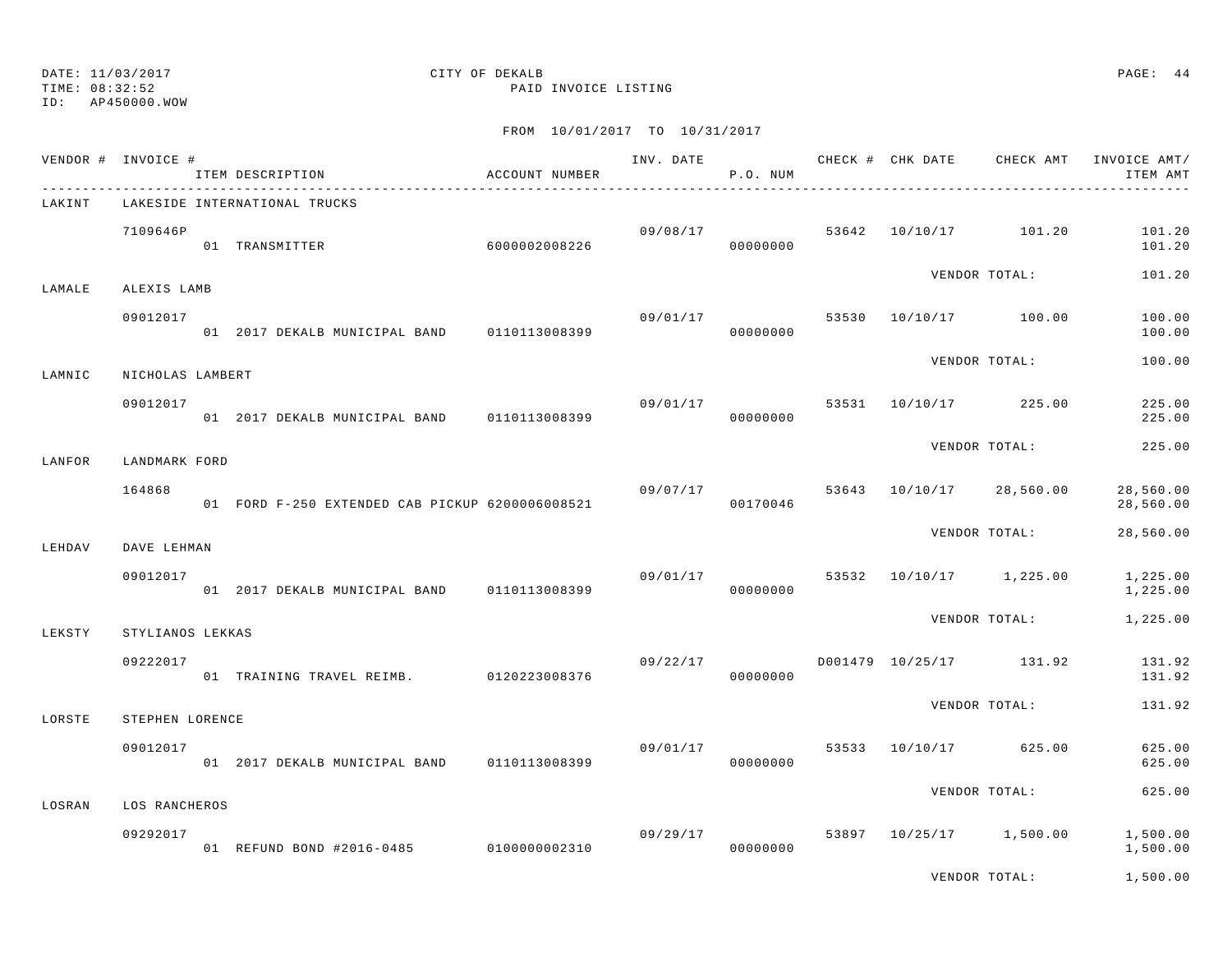TIME: 08:32:52 PAID INVOICE LISTING

ID: AP450000.WOW

|        | VENDOR # INVOICE #        | ITEM DESCRIPTION                                | ACCOUNT NUMBER |                | P.O. NUM             |  | INV. DATE 6 CHECK # CHK DATE CHECK AMT | INVOICE AMT/<br>ITEM AMT |
|--------|---------------------------|-------------------------------------------------|----------------|----------------|----------------------|--|----------------------------------------|--------------------------|
| LAKINT |                           | LAKESIDE INTERNATIONAL TRUCKS                   |                |                |                      |  |                                        |                          |
|        | 7109646P                  | 01 TRANSMITTER                                  | 6000002008226  |                | 09/08/17<br>00000000 |  | 53642 10/10/17 101.20                  | 101.20<br>101.20         |
| LAMALE | ALEXIS LAMB               |                                                 |                |                |                      |  | VENDOR TOTAL:                          | 101.20                   |
|        | 09012017                  | 01 2017 DEKALB MUNICIPAL BAND                   | 0110113008399  | 09/01/17       | 00000000             |  | 53530 10/10/17 100.00                  | 100.00<br>100.00         |
| LAMNIC | NICHOLAS LAMBERT          |                                                 |                |                |                      |  | VENDOR TOTAL:                          | 100.00                   |
|        | 09012017                  | 01 2017 DEKALB MUNICIPAL BAND 0110113008399     |                | 09/01/17       | 00000000             |  | 53531 10/10/17 225.00                  | 225.00<br>225.00         |
| LANFOR | LANDMARK FORD             |                                                 |                |                |                      |  | VENDOR TOTAL:                          | 225.00                   |
|        | 164868                    | 01 FORD F-250 EXTENDED CAB PICKUP 6200006008521 |                | 09/07/17 53643 | 00170046             |  | 10/10/17 28,560.00                     | 28,560.00<br>28,560.00   |
| LEHDAV | DAVE LEHMAN               |                                                 |                |                |                      |  | VENDOR TOTAL:                          | 28,560.00                |
|        | 09012017                  | 01 2017 DEKALB MUNICIPAL BAND 0110113008399     |                | 09/01/17       | 00000000             |  | 53532 10/10/17 1,225.00                | 1,225.00<br>1,225.00     |
| LEKSTY | STYLIANOS LEKKAS          |                                                 |                |                |                      |  | VENDOR TOTAL:                          | 1,225.00                 |
|        | 09222017                  | 01 TRAINING TRAVEL REIMB. 0120223008376         |                | 09/22/17       | 00000000             |  | D001479 10/25/17 131.92                | 131.92<br>131.92         |
| LORSTE | STEPHEN LORENCE           |                                                 |                |                |                      |  | VENDOR TOTAL:                          | 131.92                   |
|        | 09012017                  | 01 2017 DEKALB MUNICIPAL BAND                   | 0110113008399  | 09/01/17       | 00000000             |  | 53533 10/10/17 625.00                  | 625.00<br>625.00         |
|        |                           |                                                 |                |                |                      |  | VENDOR TOTAL:                          | 625.00                   |
| LOSRAN | LOS RANCHEROS<br>09292017 | 01 REFUND BOND #2016-0485 0100000002310         |                |                | 09/29/17<br>00000000 |  | 53897 10/25/17 1,500.00                | 1,500.00<br>1,500.00     |
|        |                           |                                                 |                |                |                      |  | VENDOR TOTAL:                          | 1,500.00                 |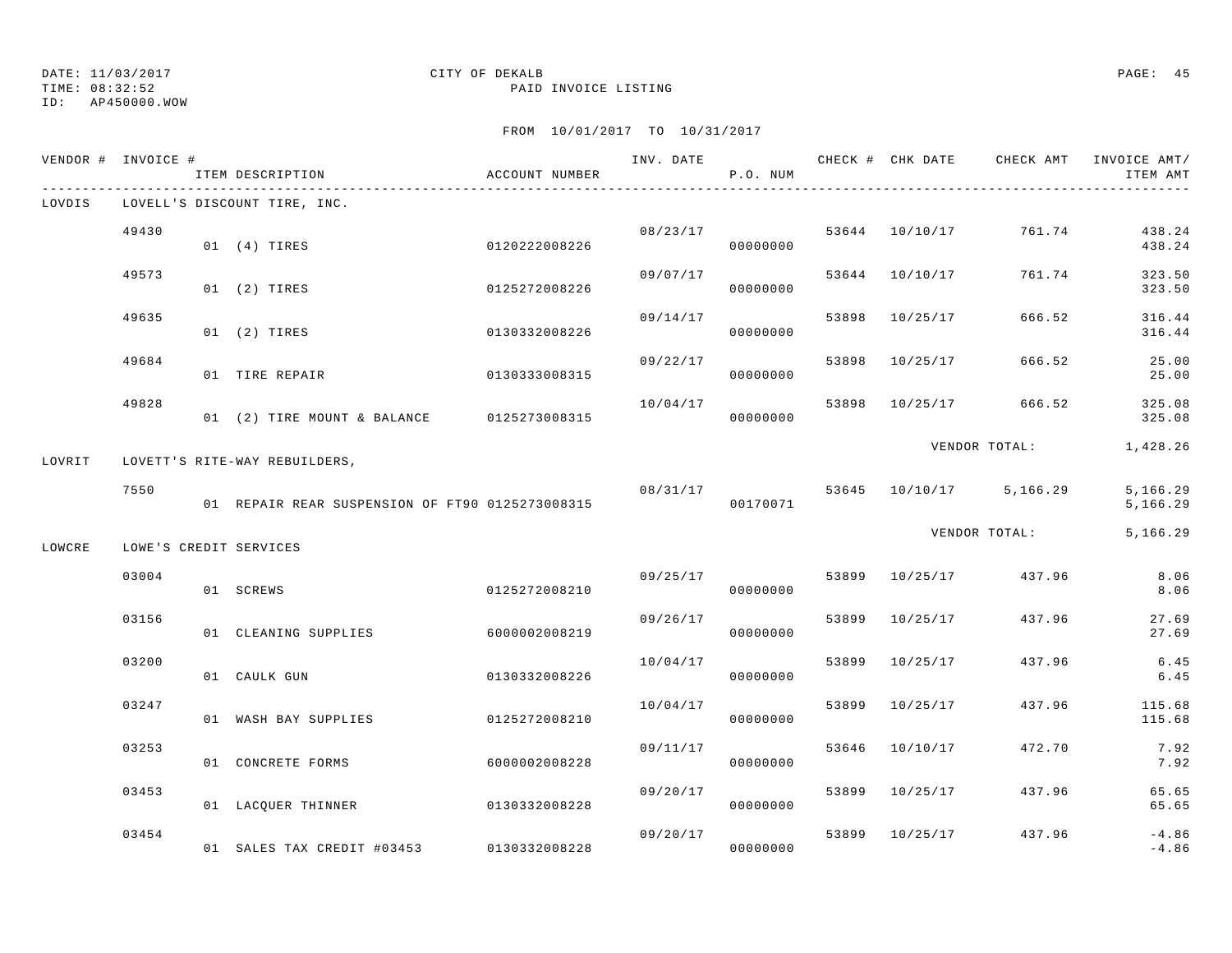TIME: 08:32:52 PAID INVOICE LISTING

ID: AP450000.WOW

|        | VENDOR # INVOICE # | ITEM DESCRIPTION                                | ACCOUNT NUMBER | INV. DATE | P.O. NUM             |       | CHECK # CHK DATE | CHECK AMT               | INVOICE AMT/<br>ITEM AMT |
|--------|--------------------|-------------------------------------------------|----------------|-----------|----------------------|-------|------------------|-------------------------|--------------------------|
| LOVDIS |                    | LOVELL'S DISCOUNT TIRE, INC.                    |                |           |                      |       |                  |                         |                          |
|        | 49430              | 01 (4) TIRES                                    | 0120222008226  |           | 08/23/17<br>00000000 |       | 53644 10/10/17   | 761.74                  | 438.24<br>438.24         |
|        | 49573              | 01 (2) TIRES                                    | 0125272008226  | 09/07/17  | 00000000             | 53644 | 10/10/17         | 761.74                  | 323.50<br>323.50         |
|        | 49635              | 01 (2) TIRES                                    | 0130332008226  | 09/14/17  | 00000000             | 53898 | 10/25/17         | 666.52                  | 316.44<br>316.44         |
|        | 49684              | 01 TIRE REPAIR                                  | 0130333008315  | 09/22/17  | 00000000             | 53898 | 10/25/17         | 666.52                  | 25.00<br>25.00           |
|        | 49828              | 01 (2) TIRE MOUNT & BALANCE                     | 0125273008315  | 10/04/17  | 00000000             | 53898 | 10/25/17         | 666.52                  | 325.08<br>325.08         |
| LOVRIT |                    | LOVETT'S RITE-WAY REBUILDERS,                   |                |           |                      |       |                  | VENDOR TOTAL:           | 1,428.26                 |
|        | 7550               | 01 REPAIR REAR SUSPENSION OF FT90 0125273008315 |                | 08/31/17  | 00170071             |       |                  | 53645 10/10/17 5,166.29 | 5,166.29<br>5,166.29     |
| LOWCRE |                    | LOWE'S CREDIT SERVICES                          |                |           |                      |       |                  | VENDOR TOTAL:           | 5,166.29                 |
|        | 03004              | 01 SCREWS                                       | 0125272008210  | 09/25/17  | 00000000             | 53899 | 10/25/17         | 437.96                  | 8.06<br>8.06             |
|        | 03156              | 01 CLEANING SUPPLIES                            | 6000002008219  | 09/26/17  | 00000000             | 53899 | 10/25/17         | 437.96                  | 27.69<br>27.69           |
|        | 03200              | 01 CAULK GUN                                    | 0130332008226  | 10/04/17  | 00000000             | 53899 | 10/25/17         | 437.96                  | 6.45<br>6.45             |
|        | 03247              | 01 WASH BAY SUPPLIES                            | 0125272008210  | 10/04/17  | 00000000             | 53899 | 10/25/17         | 437.96                  | 115.68<br>115.68         |
|        | 03253              | 01 CONCRETE FORMS                               | 6000002008228  | 09/11/17  | 00000000             | 53646 | 10/10/17         | 472.70                  | 7.92<br>7.92             |
|        | 03453              | 01 LACQUER THINNER                              | 0130332008228  | 09/20/17  | 00000000             | 53899 | 10/25/17         | 437.96                  | 65.65<br>65.65           |
|        | 03454              | 01 SALES TAX CREDIT #03453                      | 0130332008228  | 09/20/17  | 00000000             | 53899 | 10/25/17         | 437.96                  | $-4.86$<br>$-4.86$       |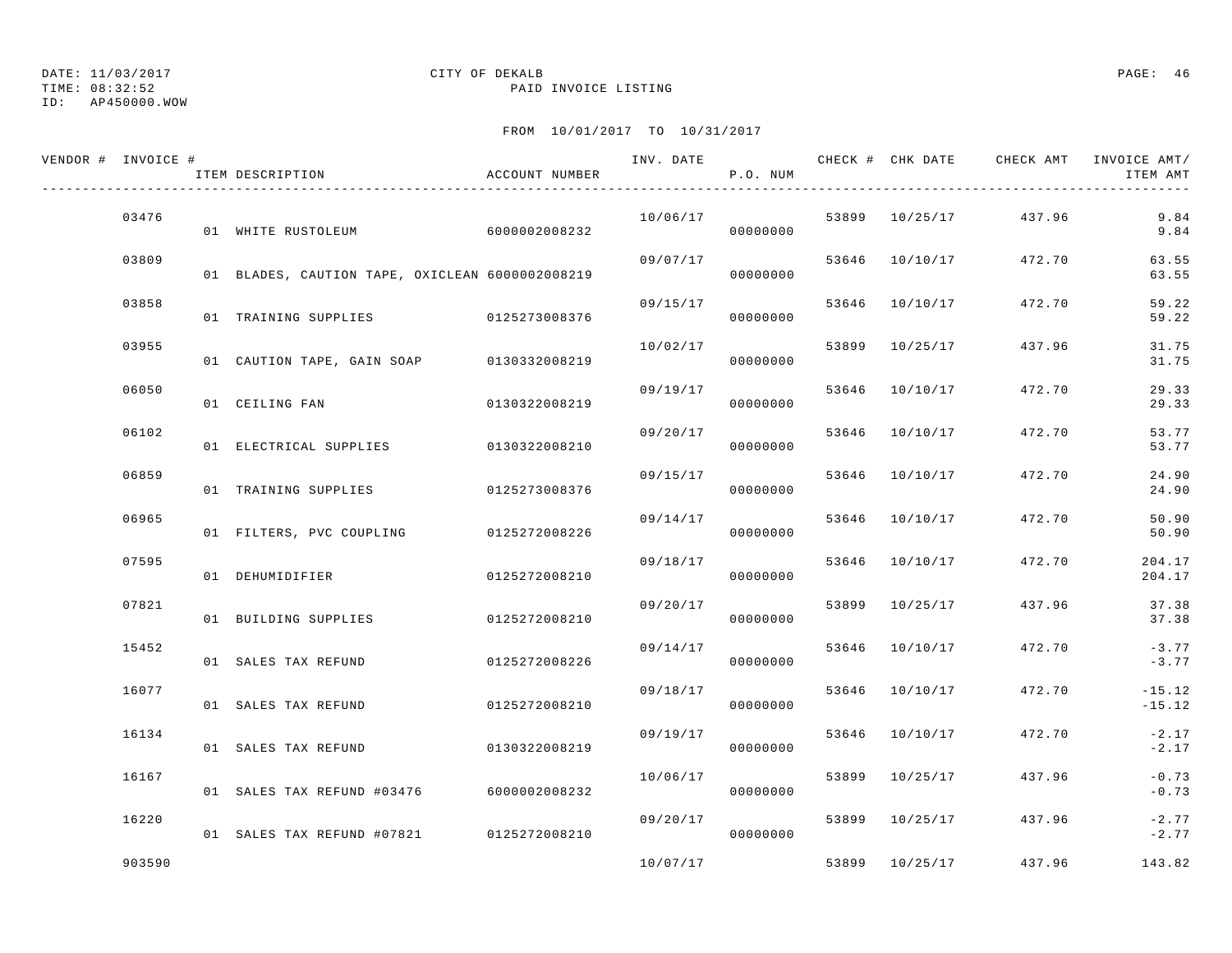## ID: AP450000.WOW

## DATE: 11/03/2017 CITY OF DEKALB PAGE: 46

TIME: 08:32:52 PAID INVOICE LISTING

| VENDOR # INVOICE # | ITEM DESCRIPTION                                | ACCOUNT NUMBER | INV. DATE | P.O. NUM |       | CHECK # CHK DATE | CHECK AMT | INVOICE AMT/<br>ITEM AMT |
|--------------------|-------------------------------------------------|----------------|-----------|----------|-------|------------------|-----------|--------------------------|
| 03476              | 01 WHITE RUSTOLEUM                              | 6000002008232  | 10/06/17  | 00000000 |       | 53899 10/25/17   | 437.96    | 9.84<br>9.84             |
| 03809              | 01 BLADES, CAUTION TAPE, OXICLEAN 6000002008219 |                | 09/07/17  | 00000000 | 53646 | 10/10/17         | 472.70    | 63.55<br>63.55           |
| 03858              | 01 TRAINING SUPPLIES                            | 0125273008376  | 09/15/17  | 00000000 | 53646 | 10/10/17         | 472.70    | 59.22<br>59.22           |
| 03955              | 01 CAUTION TAPE, GAIN SOAP                      | 0130332008219  | 10/02/17  | 00000000 | 53899 | 10/25/17         | 437.96    | 31.75<br>31.75           |
| 06050              | 01 CEILING FAN                                  | 0130322008219  | 09/19/17  | 00000000 | 53646 | 10/10/17         | 472.70    | 29.33<br>29.33           |
| 06102              | 01 ELECTRICAL SUPPLIES                          | 0130322008210  | 09/20/17  | 00000000 | 53646 | 10/10/17         | 472.70    | 53.77<br>53.77           |
| 06859              | 01 TRAINING SUPPLIES                            | 0125273008376  | 09/15/17  | 00000000 | 53646 | 10/10/17         | 472.70    | 24.90<br>24.90           |
| 06965              | 01 FILTERS, PVC COUPLING                        | 0125272008226  | 09/14/17  | 00000000 | 53646 | 10/10/17         | 472.70    | 50.90<br>50.90           |
| 07595              | 01 DEHUMIDIFIER                                 | 0125272008210  | 09/18/17  | 00000000 | 53646 | 10/10/17         | 472.70    | 204.17<br>204.17         |
| 07821              | 01 BUILDING SUPPLIES                            | 0125272008210  | 09/20/17  | 00000000 | 53899 | 10/25/17         | 437.96    | 37.38<br>37.38           |
| 15452              | 01 SALES TAX REFUND                             | 0125272008226  | 09/14/17  | 00000000 | 53646 | 10/10/17         | 472.70    | $-3.77$<br>$-3.77$       |
| 16077              | 01 SALES TAX REFUND                             | 0125272008210  | 09/18/17  | 00000000 | 53646 | 10/10/17         | 472.70    | $-15.12$<br>$-15.12$     |
| 16134              | 01 SALES TAX REFUND                             | 0130322008219  | 09/19/17  | 00000000 | 53646 | 10/10/17         | 472.70    | $-2.17$<br>$-2.17$       |
| 16167              | 01 SALES TAX REFUND #03476                      | 6000002008232  | 10/06/17  | 00000000 | 53899 | 10/25/17         | 437.96    | $-0.73$<br>$-0.73$       |
| 16220              | 01 SALES TAX REFUND #07821 0125272008210        |                | 09/20/17  | 00000000 |       | 53899 10/25/17   | 437.96    | $-2.77$<br>$-2.77$       |
| 903590             |                                                 |                | 10/07/17  |          |       | 53899 10/25/17   | 437.96    | 143.82                   |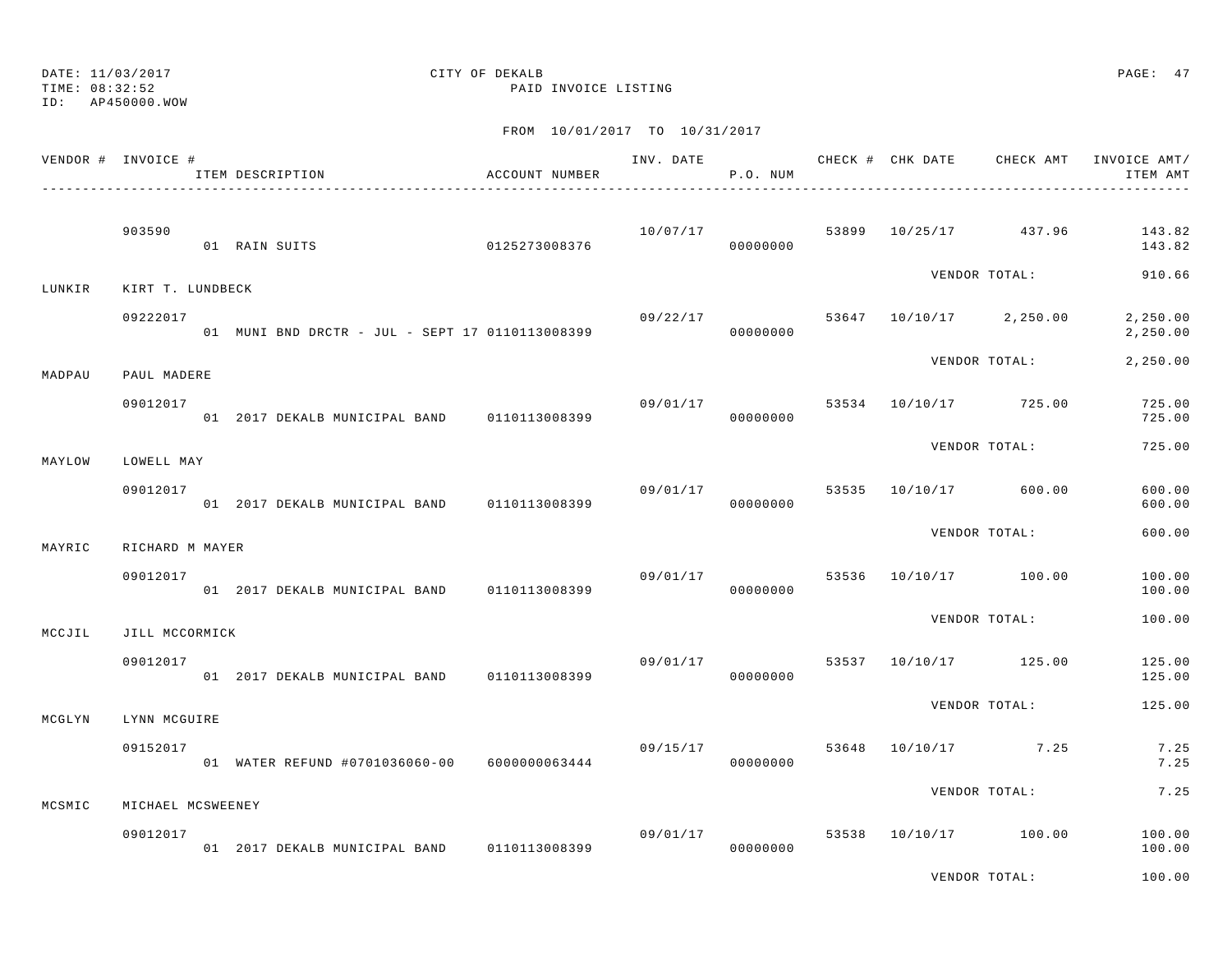ID: AP450000.WOW

## DATE: 11/03/2017 CITY OF DEKALB PAGE: 47

TIME: 08:32:52 PAID INVOICE LISTING

|        | VENDOR # INVOICE # | ITEM DESCRIPTION                                | ACCOUNT NUMBER |                | P.O. NUM             |  |                                    | ITEM AMT             |
|--------|--------------------|-------------------------------------------------|----------------|----------------|----------------------|--|------------------------------------|----------------------|
|        | 903590             | 0125273008376<br>01 RAIN SUITS                  |                | 10/07/17       | 00000000             |  | 53899 10/25/17 437.96              | 143.82<br>143.82     |
| LUNKIR | KIRT T. LUNDBECK   |                                                 |                |                |                      |  |                                    | VENDOR TOTAL: 910.66 |
|        | 09222017           | 01 MUNI BND DRCTR - JUL - SEPT 17 0110113008399 |                |                | 00000000             |  | $09/22/17$ 53647 10/10/17 2,250.00 | 2,250.00<br>2,250.00 |
| MADPAU | PAUL MADERE        |                                                 |                |                |                      |  | VENDOR TOTAL:                      | 2,250.00             |
|        | 09012017           | 01 2017 DEKALB MUNICIPAL BAND 0110113008399     |                | 09/01/17       | 00000000             |  | 53534 10/10/17 725.00              | 725.00<br>725.00     |
| MAYLOW | LOWELL MAY         |                                                 |                |                |                      |  | VENDOR TOTAL:                      | 725.00               |
|        | 09012017           | 01 2017 DEKALB MUNICIPAL BAND 0110113008399     |                | 09/01/17 53535 | 00000000             |  | 10/10/17 600.00                    | 600.00<br>600.00     |
| MAYRIC | RICHARD M MAYER    |                                                 |                |                |                      |  | VENDOR TOTAL:                      | 600.00               |
|        | 09012017           | 01 2017 DEKALB MUNICIPAL BAND 0110113008399     |                | 09/01/17       | 00000000             |  | 53536 10/10/17 100.00              | 100.00<br>100.00     |
| MCCJIL | JILL MCCORMICK     |                                                 |                |                |                      |  | VENDOR TOTAL:                      | 100.00               |
|        | 09012017           | 01 2017 DEKALB MUNICIPAL BAND 0110113008399     |                |                | 09/01/17<br>00000000 |  | 53537 10/10/17 125.00              | 125.00<br>125.00     |
| MCGLYN | LYNN MCGUIRE       |                                                 |                |                |                      |  | VENDOR TOTAL:                      | 125.00               |
|        | 09152017           | 01 WATER REFUND #0701036060-00 6000000063444    |                | 09/15/17       | 00000000             |  | 53648 10/10/17 7.25                | 7.25<br>7.25         |
| MCSMIC | MICHAEL MCSWEENEY  |                                                 |                |                |                      |  | VENDOR TOTAL:                      | 7.25                 |
|        | 09012017           | 01 2017 DEKALB MUNICIPAL BAND 0110113008399     |                |                | 09/01/17<br>00000000 |  | 53538 10/10/17 100.00              | 100.00<br>100.00     |
|        |                    |                                                 |                |                |                      |  | VENDOR TOTAL:                      | 100.00               |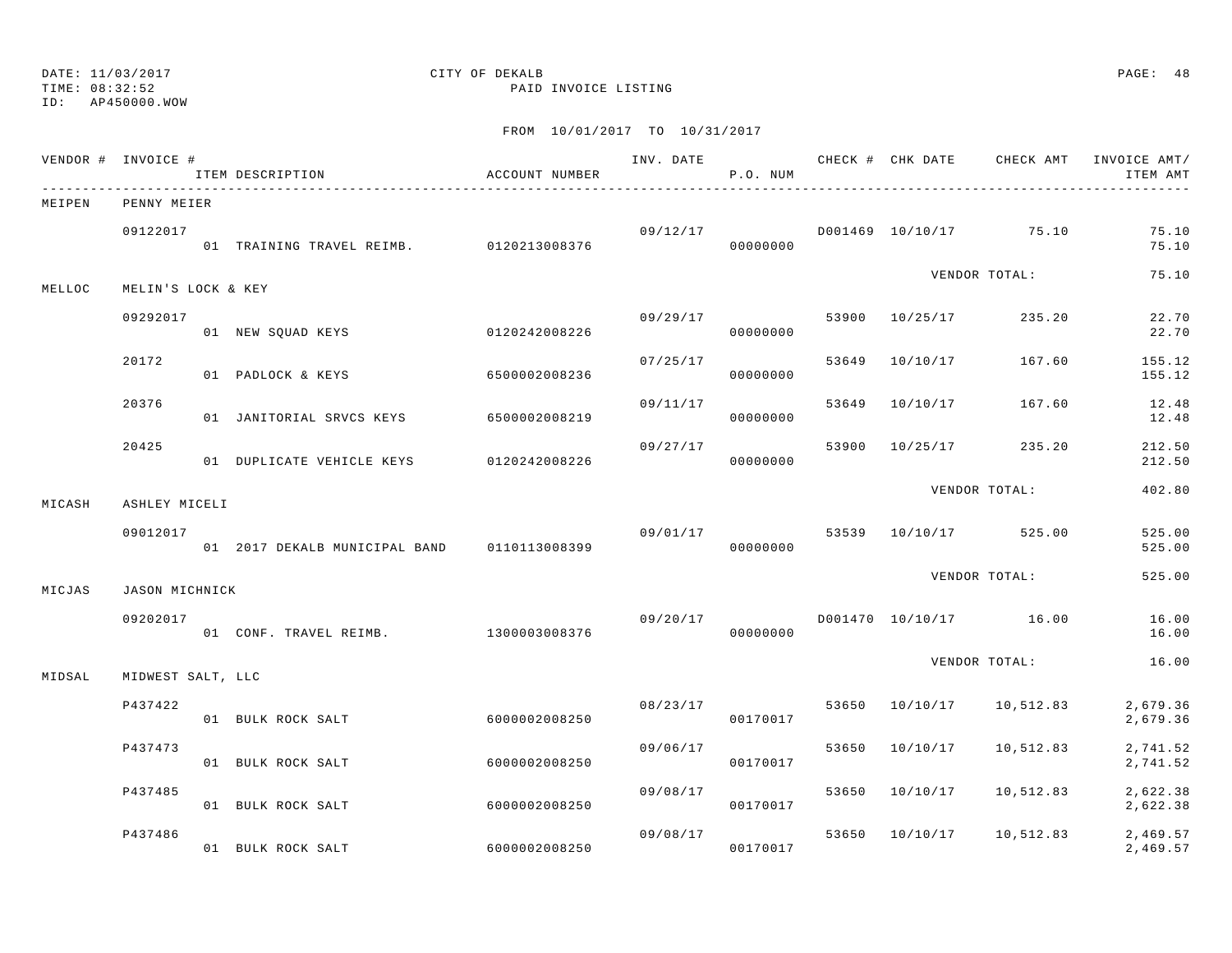### TIME: 08:32:52 PAID INVOICE LISTING

### ID: AP450000.WOW

# DATE: 11/03/2017 CITY OF DEKALB PAGE: 48

|        | VENDOR # INVOICE #    | ITEM DESCRIPTION                               | ACCOUNT NUMBER | INV. DATE | P.O. NUM             |       |                |                                  | CHECK # CHK DATE CHECK AMT INVOICE AMT/<br>ITEM AMT |
|--------|-----------------------|------------------------------------------------|----------------|-----------|----------------------|-------|----------------|----------------------------------|-----------------------------------------------------|
| MEIPEN | PENNY MEIER           |                                                |                |           |                      |       |                |                                  |                                                     |
|        | 09122017              | 01 TRAINING TRAVEL REIMB. 0120213008376        |                |           | 09/12/17<br>00000000 |       |                | D001469 10/10/17 75.10           | 75.10<br>75.10                                      |
| MELLOC | MELIN'S LOCK & KEY    |                                                |                |           |                      |       |                | VENDOR TOTAL:                    | 75.10                                               |
|        | 09292017              | 01 NEW SQUAD KEYS 0120242008226                |                | 09/29/17  | 00000000             |       | 53900 10/25/17 | 235.20                           | 22.70<br>22.70                                      |
|        | 20172                 | 01 PADLOCK & KEYS                              | 6500002008236  | 07/25/17  | 00000000             | 53649 | 10/10/17       | 167.60                           | 155.12<br>155.12                                    |
|        | 20376                 | 01 JANITORIAL SRVCS KEYS                       | 6500002008219  | 09/11/17  | 00000000             | 53649 | 10/10/17       | 167.60                           | 12.48<br>12.48                                      |
|        | 20425                 | 01 DUPLICATE VEHICLE KEYS                      | 0120242008226  | 09/27/17  | 00000000             |       | 53900 10/25/17 | 235.20                           | 212.50<br>212.50                                    |
| MICASH | ASHLEY MICELI         |                                                |                |           |                      |       |                | VENDOR TOTAL:                    | 402.80                                              |
|        | 09012017              | 01  2017 DEKALB MUNICIPAL BAND   0110113008399 |                |           | 00000000             |       |                | $09/01/17$ 53539 10/10/17 525.00 | 525.00<br>525.00                                    |
| MICJAS | <b>JASON MICHNICK</b> |                                                |                |           |                      |       |                | VENDOR TOTAL:                    | 525.00                                              |
|        | 09202017              | 01 CONF. TRAVEL REIMB. 1300003008376           |                | 09/20/17  | 00000000             |       |                | D001470 10/10/17 16.00           | 16.00<br>16.00                                      |
| MIDSAL | MIDWEST SALT, LLC     |                                                |                |           |                      |       |                | VENDOR TOTAL:                    | 16.00                                               |
|        | P437422               | 01 BULK ROCK SALT                              | 6000002008250  | 08/23/17  | 00170017             |       | 53650 10/10/17 | 10,512.83                        | 2,679.36<br>2,679.36                                |
|        | P437473               | 01 BULK ROCK SALT                              | 6000002008250  | 09/06/17  | 00170017             |       | 53650 10/10/17 | 10,512.83                        | 2,741.52<br>2,741.52                                |
|        | P437485               | 01 BULK ROCK SALT                              | 6000002008250  | 09/08/17  | 00170017             | 53650 | 10/10/17       | 10,512.83                        | 2,622.38<br>2,622.38                                |
|        | P437486               | 01 BULK ROCK SALT                              | 6000002008250  |           | 09/08/17<br>00170017 | 53650 | 10/10/17       | 10,512.83                        | 2,469.57<br>2,469.57                                |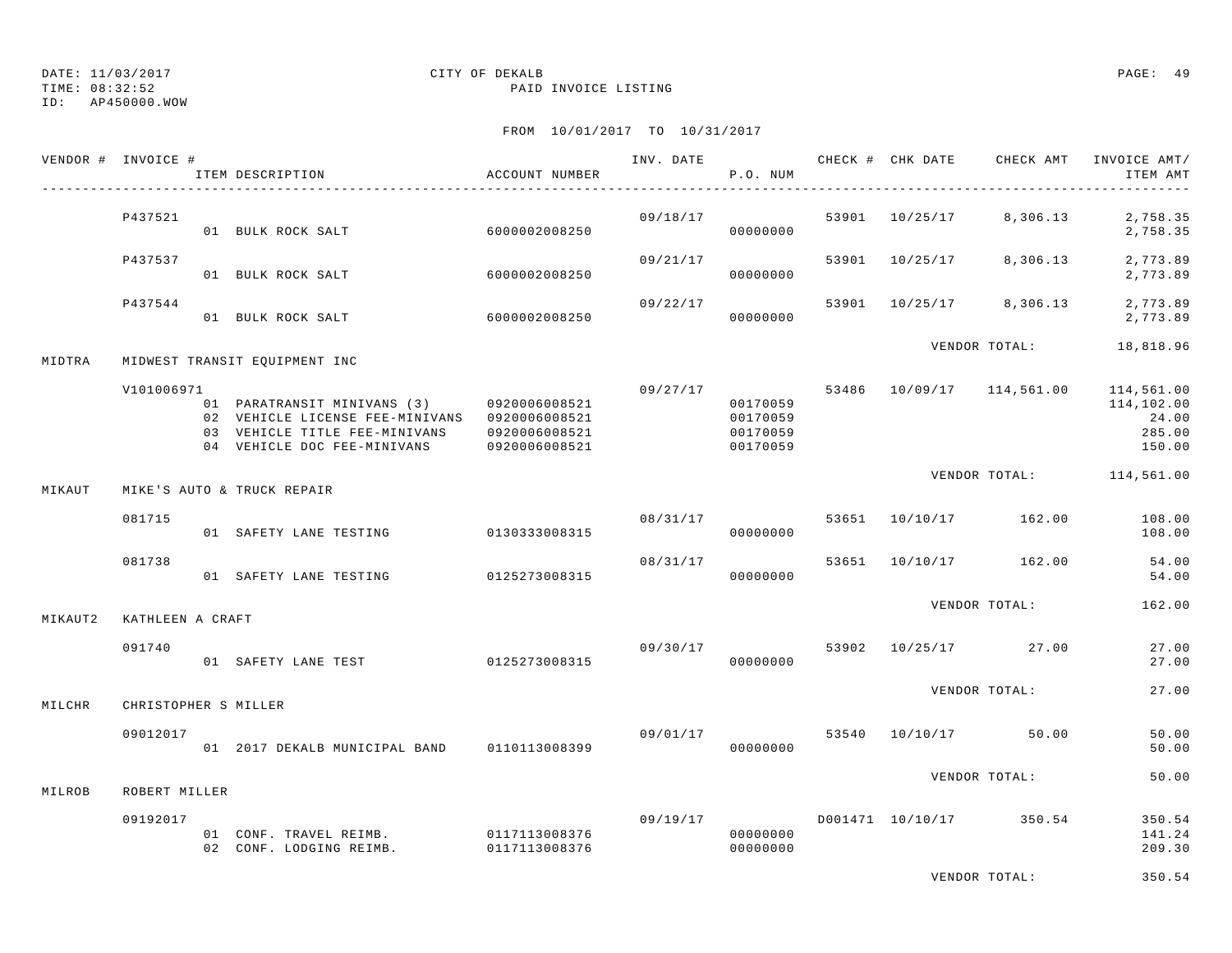TIME: 08:32:52 PAID INVOICE LISTING

ID: AP450000.WOW

|         | VENDOR # INVOICE #   | ITEM DESCRIPTION                                                                                                                                           | ACCOUNT NUMBER                 | INV. DATE | P.O. NUM                                                 |       | CHECK # CHK DATE | CHECK AMT                            | INVOICE AMT/<br>ITEM AMT                |
|---------|----------------------|------------------------------------------------------------------------------------------------------------------------------------------------------------|--------------------------------|-----------|----------------------------------------------------------|-------|------------------|--------------------------------------|-----------------------------------------|
|         | P437521              | 01 BULK ROCK SALT                                                                                                                                          | 6000002008250                  |           | 09/18/17<br>00000000                                     | 53901 | 10/25/17         | 8,306.13                             | 2,758.35<br>2,758.35                    |
|         | P437537              | 01 BULK ROCK SALT                                                                                                                                          | 6000002008250                  | 09/21/17  | 00000000                                                 | 53901 | 10/25/17         | 8,306.13                             | 2,773.89<br>2,773.89                    |
|         | P437544              | 01 BULK ROCK SALT                                                                                                                                          | 6000002008250                  | 09/22/17  | 00000000                                                 |       | 53901 10/25/17   | 8,306.13                             | 2,773.89<br>2,773.89                    |
| MIDTRA  |                      | MIDWEST TRANSIT EQUIPMENT INC                                                                                                                              |                                |           |                                                          |       |                  | VENDOR TOTAL:                        | 18,818.96                               |
|         | V101006971           | 01 PARATRANSIT MINIVANS (3) 0920006008521<br>02 VEHICLE LICENSE FEE-MINIVANS 0920006008521<br>03 VEHICLE TITLE FEE-MINIVANS<br>04 VEHICLE DOC FEE-MINIVANS | 0920006008521<br>0920006008521 |           | 09/27/17<br>00170059<br>00170059<br>00170059<br>00170059 |       |                  | 53486 10/09/17 114,561.00 114,561.00 | 114,102.00<br>24.00<br>285.00<br>150.00 |
| MIKAUT  |                      | MIKE'S AUTO & TRUCK REPAIR                                                                                                                                 |                                |           |                                                          |       |                  | VENDOR TOTAL: 114,561.00             |                                         |
|         | 081715               | 01 SAFETY LANE TESTING                                                                                                                                     | 0130333008315                  | 08/31/17  | 00000000                                                 |       |                  | 53651 10/10/17 162.00                | 108.00<br>108.00                        |
|         | 081738               | 01 SAFETY LANE TESTING                                                                                                                                     | 0125273008315                  | 08/31/17  | 00000000                                                 | 53651 |                  | 10/10/17 162.00                      | 54.00<br>54.00                          |
| MIKAUT2 | KATHLEEN A CRAFT     |                                                                                                                                                            |                                |           |                                                          |       |                  | VENDOR TOTAL:                        | 162.00                                  |
|         | 091740               | 01 SAFETY LANE TEST 0125273008315                                                                                                                          |                                | 09/30/17  | 00000000                                                 | 53902 |                  | 10/25/17 27.00                       | 27.00<br>27.00                          |
| MILCHR  | CHRISTOPHER S MILLER |                                                                                                                                                            |                                |           |                                                          |       |                  | VENDOR TOTAL:                        | 27.00                                   |
|         | 09012017             | 01 2017 DEKALB MUNICIPAL BAND 0110113008399                                                                                                                |                                | 09/01/17  | 00000000                                                 |       |                  | 53540 10/10/17 50.00                 | 50.00<br>50.00                          |
| MILROB  | ROBERT MILLER        |                                                                                                                                                            |                                |           |                                                          |       |                  | VENDOR TOTAL:                        | 50.00                                   |
|         | 09192017             | 01 CONF. TRAVEL REIMB.<br>02 CONF. LODGING REIMB. 0117113008376                                                                                            | 0117113008376                  |           | 09/19/17<br>00000000<br>00000000                         |       |                  | D001471 10/10/17 350.54              | 350.54<br>141.24<br>209.30              |
|         |                      |                                                                                                                                                            |                                |           |                                                          |       |                  | VENDOR TOTAL:                        | 350.54                                  |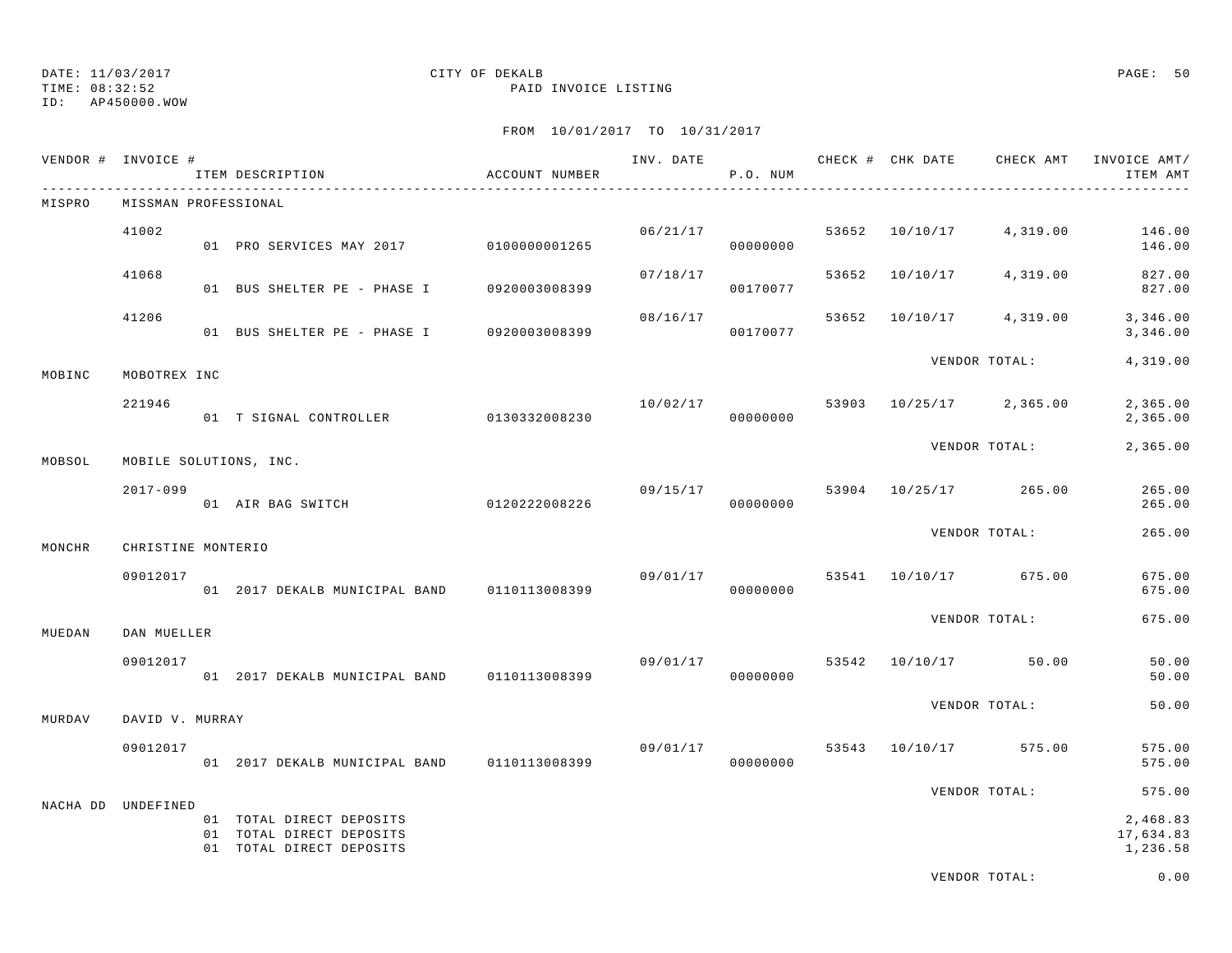TIME: 08:32:52 PAID INVOICE LISTING

ID: AP450000.WOW

| VENDOR # INVOICE # |                                | ITEM DESCRIPTION                                                                 | ACCOUNT NUMBER | INV. DATE | P.O. NUM             |       | CHECK # CHK DATE | CHECK AMT            | INVOICE AMT/<br>ITEM AMT          |
|--------------------|--------------------------------|----------------------------------------------------------------------------------|----------------|-----------|----------------------|-------|------------------|----------------------|-----------------------------------|
| MISPRO             | MISSMAN PROFESSIONAL           |                                                                                  |                |           |                      |       |                  |                      |                                   |
|                    | 41002                          | 01 PRO SERVICES MAY 2017 0100000001265                                           |                |           | 06/21/17<br>00000000 |       | 53652 10/10/17   | 4,319.00             | 146.00<br>146.00                  |
|                    | 41068                          | 01 BUS SHELTER PE - PHASE I                                                      | 0920003008399  | 07/18/17  | 00170077             | 53652 | 10/10/17         | 4,319.00             | 827.00<br>827.00                  |
|                    | 41206                          | 01 BUS SHELTER PE - PHASE I                                                      | 0920003008399  | 08/16/17  | 00170077             | 53652 | 10/10/17         | 4,319.00             | 3,346.00<br>3,346.00              |
| MOBINC             | MOBOTREX INC                   |                                                                                  |                |           |                      |       |                  | VENDOR TOTAL:        | 4,319.00                          |
|                    | 221946                         | 01 T SIGNAL CONTROLLER                                                           | 0130332008230  | 10/02/17  | 00000000             | 53903 |                  | 10/25/17 2,365.00    | 2,365.00<br>2,365.00              |
| MOBSOL             |                                | MOBILE SOLUTIONS, INC.                                                           |                |           |                      |       |                  | VENDOR TOTAL:        | 2,365.00                          |
|                    | $2017 - 099$                   | 01 AIR BAG SWITCH 0120222008226                                                  |                |           | 09/15/17<br>00000000 | 53904 | 10/25/17         | 265.00               | 265.00<br>265.00                  |
|                    |                                |                                                                                  |                |           |                      |       |                  | VENDOR TOTAL:        | 265.00                            |
| MONCHR             | CHRISTINE MONTERIO<br>09012017 |                                                                                  |                | 09/01/17  |                      |       | 53541 10/10/17   | 675.00               | 675.00                            |
|                    |                                | 01 2017 DEKALB MUNICIPAL BAND                                                    | 0110113008399  |           | 00000000             |       |                  |                      | 675.00                            |
| MUEDAN             | DAN MUELLER                    |                                                                                  |                |           |                      |       |                  | VENDOR TOTAL:        | 675.00                            |
|                    | 09012017                       | 01 2017 DEKALB MUNICIPAL BAND 0110113008399                                      |                |           | 09/01/17<br>00000000 |       |                  | 53542 10/10/17 50.00 | 50.00<br>50.00                    |
| MURDAV             | DAVID V. MURRAY                |                                                                                  |                |           |                      |       |                  | VENDOR TOTAL:        | 50.00                             |
|                    | 09012017                       | 01 2017 DEKALB MUNICIPAL BAND                                                    | 0110113008399  | 09/01/17  | 00000000             | 53543 | 10/10/17         | 575.00               | 575.00<br>575.00                  |
|                    |                                |                                                                                  |                |           |                      |       |                  | VENDOR TOTAL:        | 575.00                            |
| NACHA DD           | UNDEFINED                      | 01 TOTAL DIRECT DEPOSITS<br>01 TOTAL DIRECT DEPOSITS<br>01 TOTAL DIRECT DEPOSITS |                |           |                      |       |                  |                      | 2,468.83<br>17,634.83<br>1,236.58 |
|                    |                                |                                                                                  |                |           |                      |       |                  | VENDOR TOTAL:        | 0.00                              |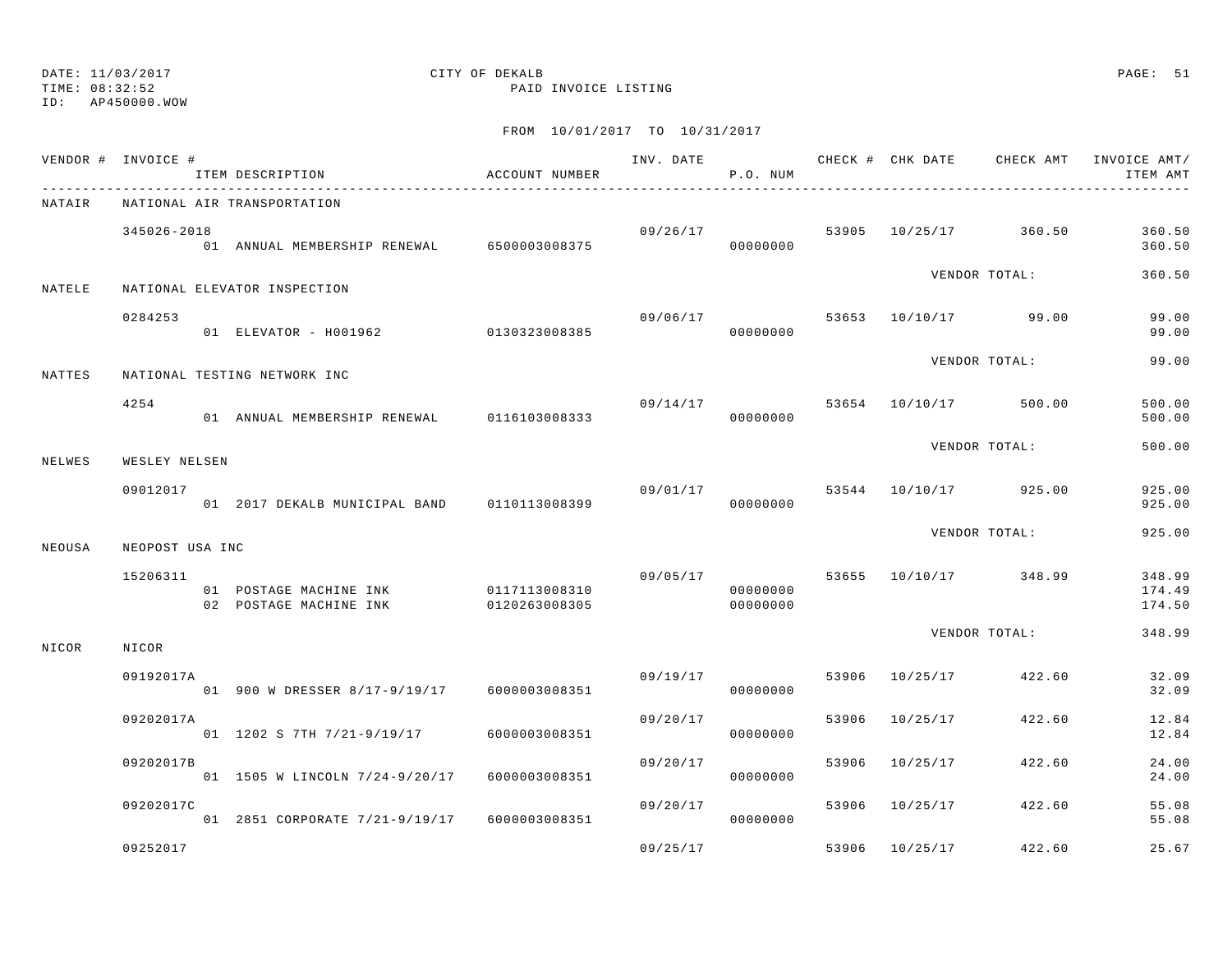TIME: 08:32:52 PAID INVOICE LISTING

ID: AP450000.WOW

|        | VENDOR # INVOICE # | ITEM DESCRIPTION<br>------------------------                   | ACCOUNT NUMBER                 |          | P.O. NUM             |       |                | INV. DATE 6 CHECK # CHK DATE CHECK AMT INVOICE AMT/ | ITEM AMT                   |
|--------|--------------------|----------------------------------------------------------------|--------------------------------|----------|----------------------|-------|----------------|-----------------------------------------------------|----------------------------|
| NATAIR |                    | NATIONAL AIR TRANSPORTATION                                    |                                |          |                      |       |                |                                                     |                            |
|        | 345026-2018        | - -<br>01   ANNUAL MEMBERSHIP RENEWAL            6500003008375 |                                |          | 09/26/17<br>00000000 |       |                | 53905 10/25/17 360.50                               | 360.50<br>360.50           |
| NATELE |                    | NATIONAL ELEVATOR INSPECTION                                   |                                |          |                      |       |                | VENDOR TOTAL:                                       | 360.50                     |
|        | 0284253            | 01 ELEVATOR - H001962 0130323008385                            |                                |          | 09/06/17<br>00000000 |       |                | 53653 10/10/17 99.00                                | 99.00<br>99.00             |
| NATTES |                    | NATIONAL TESTING NETWORK INC                                   |                                |          |                      |       |                | VENDOR TOTAL:                                       | 99.00                      |
|        | 4254               | 01 ANNUAL MEMBERSHIP RENEWAL 0116103008333                     |                                |          | 09/14/17<br>00000000 |       |                | 53654 10/10/17 500.00                               | 500.00<br>500.00           |
| NELWES | WESLEY NELSEN      |                                                                |                                |          |                      |       |                | VENDOR TOTAL:                                       | 500.00                     |
|        | 09012017           | 01 2017 DEKALB MUNICIPAL BAND 0110113008399                    |                                | 09/01/17 | 00000000             |       |                | 53544 10/10/17 925.00                               | 925.00<br>925.00           |
| NEOUSA | NEOPOST USA INC    |                                                                |                                |          |                      |       |                | VENDOR TOTAL:                                       | 925.00                     |
|        | 15206311           | 01 POSTAGE MACHINE INK<br>02 POSTAGE MACHINE INK               | 0117113008310<br>0120263008305 | 09/05/17 | 00000000<br>00000000 |       |                | 53655 10/10/17 348.99                               | 348.99<br>174.49<br>174.50 |
| NICOR  | NICOR              |                                                                |                                |          |                      |       |                | VENDOR TOTAL:                                       | 348.99                     |
|        | 09192017A          | 01 900 W DRESSER 8/17-9/19/17 6000003008351                    |                                | 09/19/17 | 00000000             | 53906 | 10/25/17       | 422.60                                              | 32.09<br>32.09             |
|        | 09202017A          | 01 1202 S 7TH 7/21-9/19/17                                     | 6000003008351                  | 09/20/17 | 00000000             | 53906 | 10/25/17       | 422.60                                              | 12.84<br>12.84             |
|        | 09202017B          | 01 1505 W LINCOLN 7/24-9/20/17                                 | 6000003008351                  | 09/20/17 | 00000000             | 53906 | 10/25/17       | 422.60                                              | 24.00<br>24.00             |
|        | 09202017C          | 01 2851 CORPORATE 7/21-9/19/17 6000003008351                   |                                | 09/20/17 | 00000000             |       | 53906 10/25/17 | 422.60                                              | 55.08<br>55.08             |
|        | 09252017           |                                                                |                                | 09/25/17 |                      | 53906 | 10/25/17       | 422.60                                              | 25.67                      |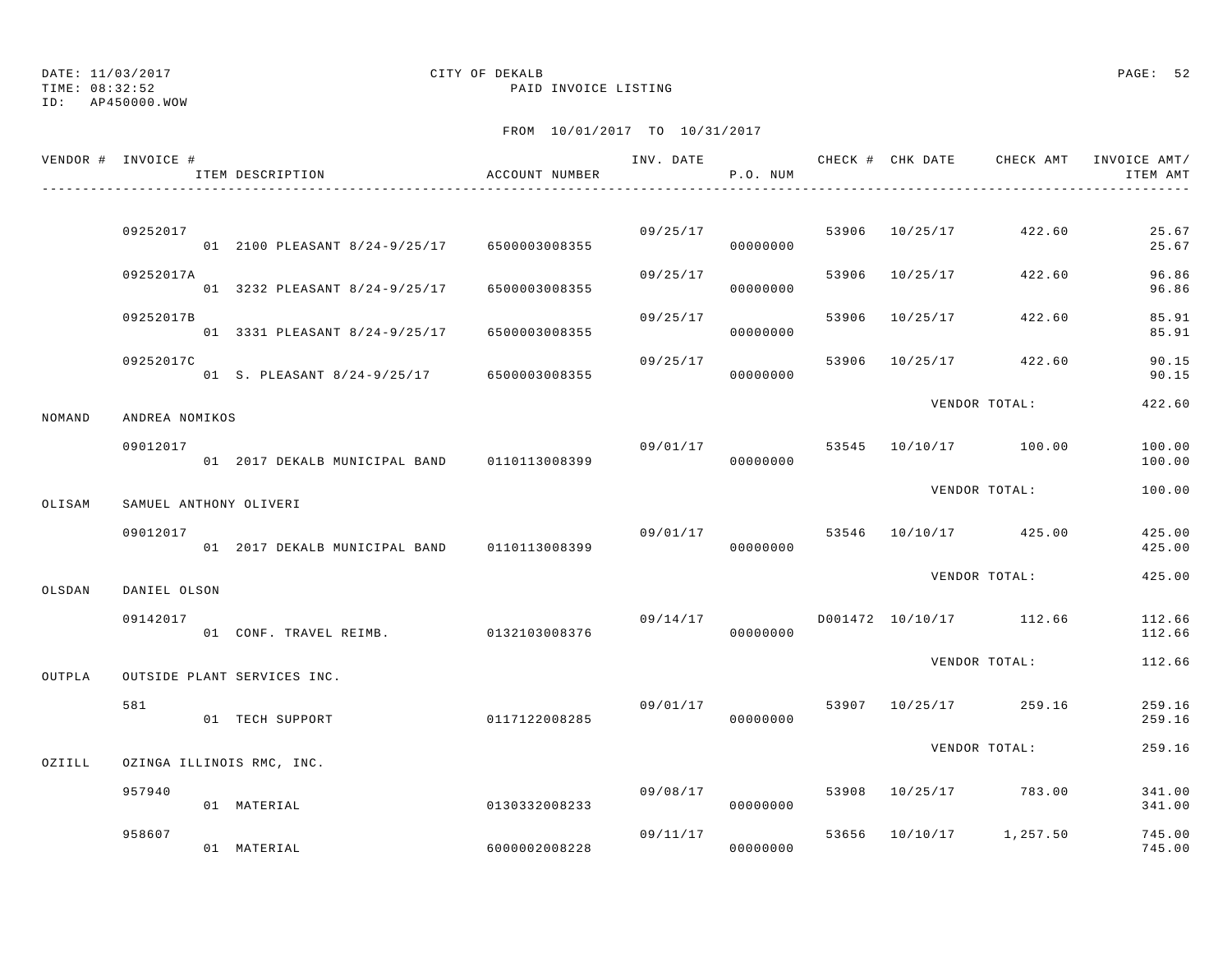ID: AP450000.WOW

|        | VENDOR # INVOICE #     | ITEM DESCRIPTION                            | ACCOUNT NUMBER |          | P.O. NUM             |       | INV. DATE 6 . CHECK # CHK DATE CHECK AMT INVOICE AMT/ | ITEM AMT         |
|--------|------------------------|---------------------------------------------|----------------|----------|----------------------|-------|-------------------------------------------------------|------------------|
|        |                        |                                             |                |          |                      |       |                                                       |                  |
|        | 09252017               | 01 2100 PLEASANT 8/24-9/25/17 6500003008355 |                |          | 09/25/17<br>00000000 |       | 53906 10/25/17 422.60                                 | 25.67<br>25.67   |
|        | 09252017A              | 01 3232 PLEASANT 8/24-9/25/17               | 6500003008355  | 09/25/17 | 00000000             | 53906 | 10/25/17 422.60                                       | 96.86<br>96.86   |
|        | 09252017B              | 01 3331 PLEASANT 8/24-9/25/17 6500003008355 |                | 09/25/17 | 00000000             | 53906 | 10/25/17 422.60                                       | 85.91<br>85.91   |
|        | 09252017C              | 01 S. PLEASANT 8/24-9/25/17 6500003008355   |                | 09/25/17 | 00000000             |       | 53906 10/25/17 422.60                                 | 90.15<br>90.15   |
| NOMAND | ANDREA NOMIKOS         |                                             |                |          |                      |       | VENDOR TOTAL:                                         | 422.60           |
|        | 09012017               | 01 2017 DEKALB MUNICIPAL BAND 0110113008399 |                |          | 00000000             |       | $09/01/17$ 53545 10/10/17 100.00                      | 100.00<br>100.00 |
| OLISAM | SAMUEL ANTHONY OLIVERI |                                             |                |          |                      |       | VENDOR TOTAL:                                         | 100.00           |
|        | 09012017               | 01 2017 DEKALB MUNICIPAL BAND 0110113008399 |                |          | 00000000             |       | $09/01/17$ 53546 10/10/17 425.00                      | 425.00<br>425.00 |
| OLSDAN | DANIEL OLSON           |                                             |                |          |                      |       | VENDOR TOTAL:                                         | 425.00           |
|        | 09142017               | 01 CONF. TRAVEL REIMB. 0132103008376        |                |          | 00000000             |       | $09/14/17$ $D001472$ $10/10/17$ $112.66$              | 112.66<br>112.66 |
| OUTPLA |                        | OUTSIDE PLANT SERVICES INC.                 |                |          |                      |       | VENDOR TOTAL:                                         | 112.66           |
|        | 581                    | 01 TECH SUPPORT                             | 0117122008285  | 09/01/17 | 00000000             |       | 53907 10/25/17 259.16                                 | 259.16<br>259.16 |
| OZIILL |                        | OZINGA ILLINOIS RMC, INC.                   |                |          |                      |       | VENDOR TOTAL:                                         | 259.16           |
|        | 957940                 | 01 MATERIAL                                 | 0130332008233  | 09/08/17 | 00000000             |       | 53908 10/25/17 783.00                                 | 341.00<br>341.00 |
|        | 958607                 | 01 MATERIAL                                 | 6000002008228  | 09/11/17 | 00000000             |       | 53656 10/10/17 1,257.50                               | 745.00<br>745.00 |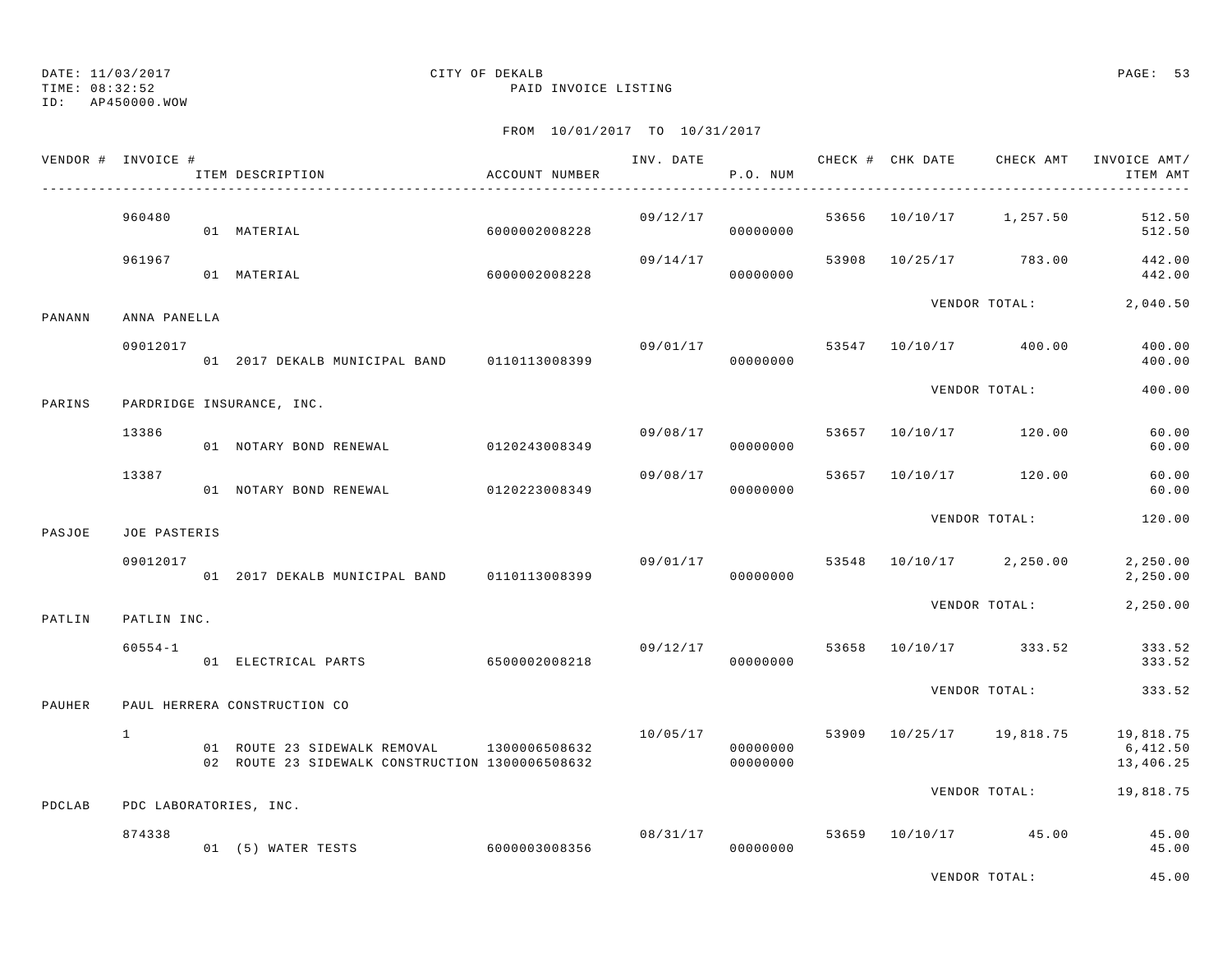TIME: 08:32:52 PAID INVOICE LISTING

ID: AP450000.WOW

|        | VENDOR # INVOICE # | ITEM DESCRIPTION                                                                | ACCOUNT NUMBER |                | P.O. NUM             |       | INV. DATE CHECK # CHK DATE | CHECK AMT                | INVOICE AMT/<br>ITEM AMT           |
|--------|--------------------|---------------------------------------------------------------------------------|----------------|----------------|----------------------|-------|----------------------------|--------------------------|------------------------------------|
|        | 960480             | 01 MATERIAL                                                                     | 6000002008228  |                | 09/12/17<br>00000000 |       |                            | 53656 10/10/17 1,257.50  | 512.50<br>512.50                   |
|        | 961967             | 01 MATERIAL                                                                     | 6000002008228  | 09/14/17       | 00000000             | 53908 |                            | 10/25/17 783.00          | 442.00<br>442.00                   |
| PANANN | ANNA PANELLA       |                                                                                 |                |                |                      |       |                            | VENDOR TOTAL:            | 2,040.50                           |
|        | 09012017           | 01 2017 DEKALB MUNICIPAL BAND 0110113008399                                     |                | 09/01/17       | 00000000             |       |                            | 53547 10/10/17 400.00    | 400.00<br>400.00                   |
| PARINS |                    | PARDRIDGE INSURANCE, INC.                                                       |                |                |                      |       |                            | VENDOR TOTAL:            | 400.00                             |
|        | 13386              | 01 NOTARY BOND RENEWAL                                                          | 0120243008349  |                | 09/08/17<br>00000000 | 53657 |                            | 10/10/17 120.00          | 60.00<br>60.00                     |
|        | 13387              | 01 NOTARY BOND RENEWAL                                                          | 0120223008349  | 09/08/17       | 00000000             | 53657 |                            | 10/10/17 120.00          | 60.00<br>60.00                     |
| PASJOE | JOE PASTERIS       |                                                                                 |                |                |                      |       |                            | VENDOR TOTAL:            | 120.00                             |
|        | 09012017           | 01 2017 DEKALB MUNICIPAL BAND 0110113008399                                     |                |                | 09/01/17<br>00000000 | 53548 |                            | 10/10/17 2,250.00        | 2,250.00<br>2,250.00               |
| PATLIN | PATLIN INC.        |                                                                                 |                |                |                      |       |                            | VENDOR TOTAL:            | 2,250.00                           |
|        | $60554 - 1$        | 01 ELECTRICAL PARTS                                                             | 6500002008218  | 09/12/17 53658 | 00000000             |       |                            | 10/10/17 333.52          | 333.52<br>333.52                   |
| PAUHER |                    | PAUL HERRERA CONSTRUCTION CO                                                    |                |                |                      |       |                            | VENDOR TOTAL:            | 333.52                             |
|        | $\mathbf{1}$       | 01 ROUTE 23 SIDEWALK REMOVAL<br>02 ROUTE 23 SIDEWALK CONSTRUCTION 1300006508632 | 1300006508632  | 10/05/17       | 00000000<br>00000000 |       |                            | 53909 10/25/17 19,818.75 | 19,818.75<br>6,412.50<br>13,406.25 |
| PDCLAB |                    | PDC LABORATORIES, INC.                                                          |                |                |                      |       |                            | VENDOR TOTAL:            | 19,818.75                          |
|        | 874338             | 01 (5) WATER TESTS                                                              | 6000003008356  |                | 08/31/17<br>00000000 |       |                            | 53659 10/10/17 45.00     | 45.00<br>45.00                     |
|        |                    |                                                                                 |                |                |                      |       |                            | VENDOR TOTAL:            | 45.00                              |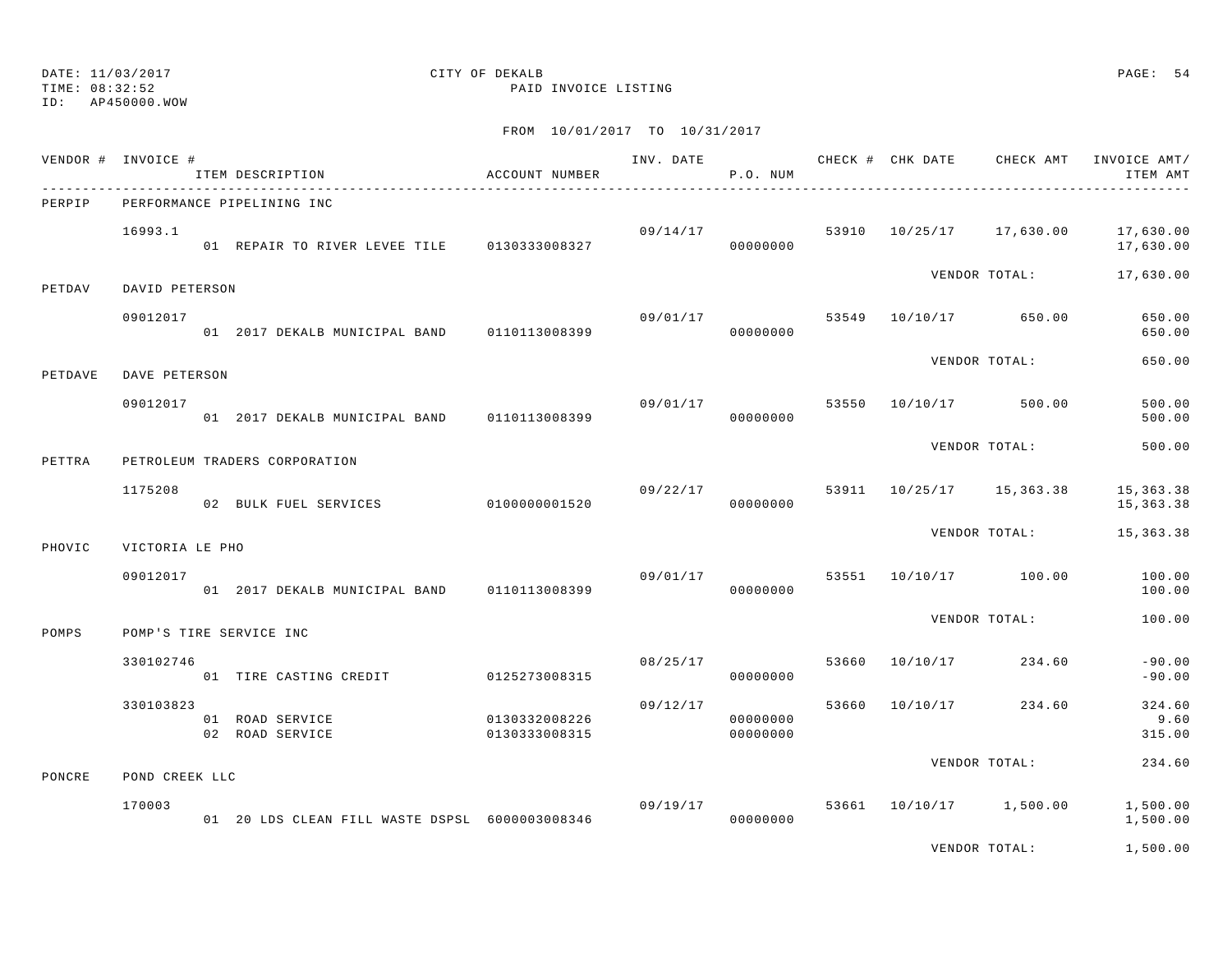TIME: 08:32:52 PAID INVOICE LISTING

ID: AP450000.WOW

### FROM 10/01/2017 TO 10/31/2017

|         | VENDOR # INVOICE # | ITEM DESCRIPTION                                    | ACCOUNT NUMBER |          | P.O. NUM             |       |                         |                          | INV. DATE 6 CHECK # CHK DATE CHECK AMT INVOICE AMT/<br>ITEM AMT |
|---------|--------------------|-----------------------------------------------------|----------------|----------|----------------------|-------|-------------------------|--------------------------|-----------------------------------------------------------------|
| PERPIP  |                    | PERFORMANCE PIPELINING INC                          |                |          |                      |       |                         |                          |                                                                 |
|         | 16993.1            | 01 REPAIR TO RIVER LEVEE TILE 0130333008327         |                |          | 09/14/17<br>00000000 |       |                         | 53910 10/25/17 17,630.00 | 17,630.00<br>17,630.00                                          |
| PETDAV  | DAVID PETERSON     |                                                     |                |          |                      |       |                         | VENDOR TOTAL:            | 17,630.00                                                       |
|         | 09012017           | 01 2017 DEKALB MUNICIPAL BAND 0110113008399         |                | 09/01/17 | 00000000             | 53549 | 10/10/17 650.00         |                          | 650.00<br>650.00                                                |
| PETDAVE | DAVE PETERSON      |                                                     |                |          |                      |       |                         | VENDOR TOTAL:            | 650.00                                                          |
|         | 09012017           | 01 2017 DEKALB MUNICIPAL BAND                       | 0110113008399  |          | 09/01/17<br>00000000 | 53550 | 10/10/17 500.00         |                          | 500.00<br>500.00                                                |
| PETTRA  |                    | PETROLEUM TRADERS CORPORATION                       |                |          |                      |       |                         | VENDOR TOTAL:            | 500.00                                                          |
|         | 1175208            | 02 BULK FUEL SERVICES 0100000001520                 |                | 09/22/17 | 00000000             | 53911 |                         | 10/25/17 15,363.38       | 15,363.38<br>15, 363. 38                                        |
| PHOVIC  | VICTORIA LE PHO    |                                                     |                |          |                      |       |                         | VENDOR TOTAL:            | 15,363.38                                                       |
|         | 09012017           | 01 2017 DEKALB MUNICIPAL BAND 0110113008399         |                | 09/01/17 | 00000000             |       | 53551 10/10/17 100.00   |                          | 100.00<br>100.00                                                |
| POMPS   |                    | POMP'S TIRE SERVICE INC                             |                |          |                      |       |                         | VENDOR TOTAL:            | 100.00                                                          |
|         | 330102746          | 01 TIRE CASTING CREDIT                              | 0125273008315  | 08/25/17 | 00000000             | 53660 | 10/10/17                | 234.60                   | $-90.00$<br>$-90.00$                                            |
|         | 330103823          | 01 ROAD SERVICE<br>0130332008226<br>02 ROAD SERVICE | 0130333008315  | 09/12/17 | 00000000<br>00000000 | 53660 | 10/10/17 234.60         |                          | 324.60<br>9.60<br>315.00                                        |
| PONCRE  | POND CREEK LLC     |                                                     |                |          |                      |       |                         | VENDOR TOTAL:            | 234.60                                                          |
|         | 170003             |                                                     |                | 09/19/17 |                      |       | 53661 10/10/17 1,500.00 |                          | 1,500.00                                                        |
|         |                    | 01 20 LDS CLEAN FILL WASTE DSPSL 6000003008346      |                |          | 00000000             |       |                         |                          | 1,500.00                                                        |

VENDOR TOTAL: 1,500.00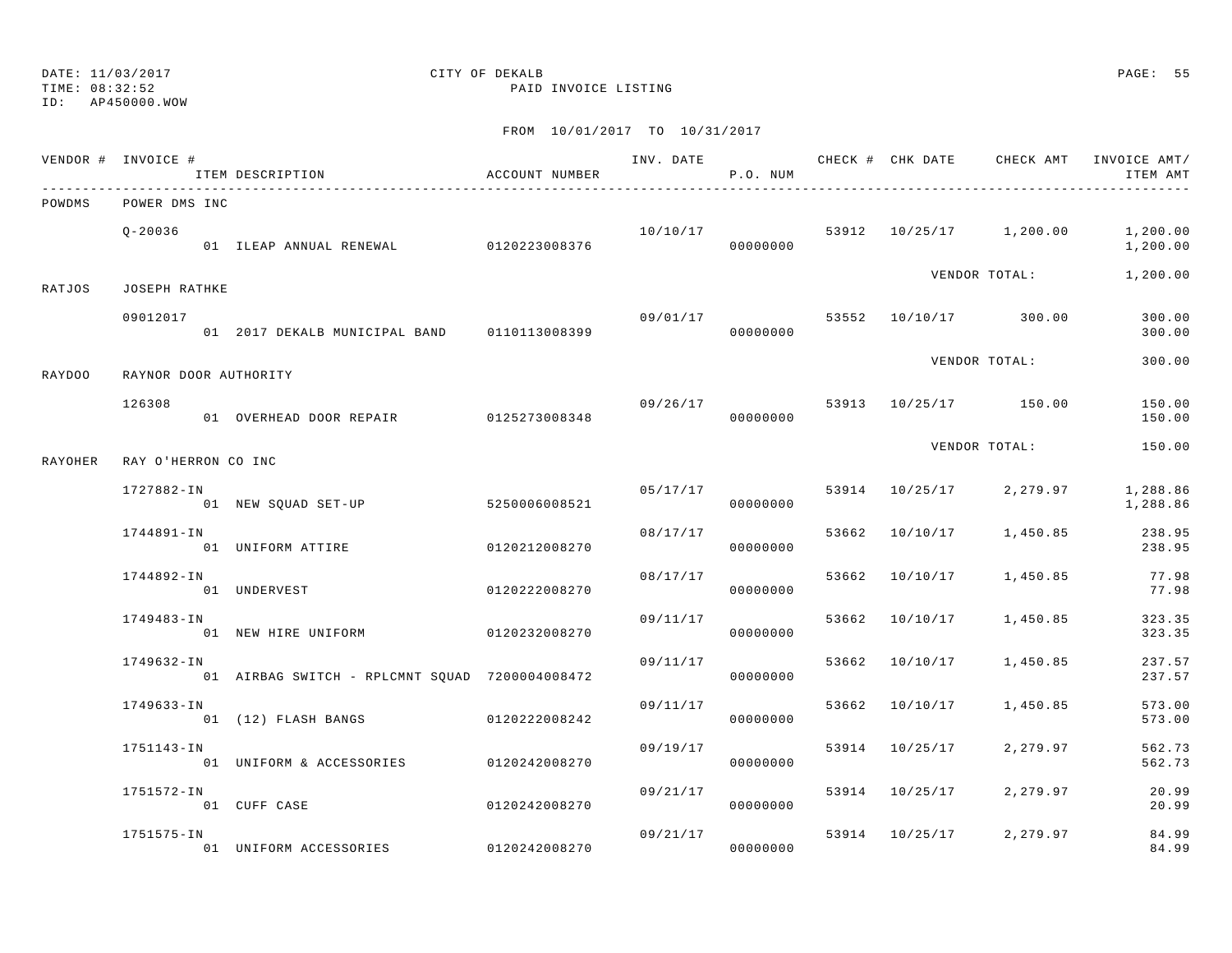ID: AP450000.WOW

TIME: 08:32:52 PAID INVOICE LISTING

|         | VENDOR # INVOICE #    | ITEM DESCRIPTION                               | ACCOUNT NUMBER | INV. DATE | P.O. NUM             |       |                |                                      | CHECK # CHK DATE CHECK AMT INVOICE AMT/<br>ITEM AMT |
|---------|-----------------------|------------------------------------------------|----------------|-----------|----------------------|-------|----------------|--------------------------------------|-----------------------------------------------------|
| POWDMS  | POWER DMS INC         |                                                |                |           |                      |       |                |                                      |                                                     |
|         | $0 - 20036$           | 01 ILEAP ANNUAL RENEWAL                        | 0120223008376  |           | 00000000             |       |                | $10/10/17$ 53912 $10/25/17$ 1,200.00 | 1,200.00<br>1,200.00                                |
| RATJOS  | JOSEPH RATHKE         |                                                |                |           |                      |       |                | VENDOR TOTAL:                        | 1,200.00                                            |
|         | 09012017              | 01 2017 DEKALB MUNICIPAL BAND 0110113008399    |                | 09/01/17  | 00000000             |       |                | 53552 10/10/17 300.00                | 300.00<br>300.00                                    |
| RAYDOO  | RAYNOR DOOR AUTHORITY |                                                |                |           |                      |       |                | VENDOR TOTAL:                        | 300.00                                              |
|         | 126308                | 01 OVERHEAD DOOR REPAIR 6125273008348          |                | 09/26/17  | 00000000             |       |                | 53913 10/25/17 150.00                | 150.00<br>150.00                                    |
| RAYOHER | RAY O'HERRON CO INC   |                                                |                |           |                      |       |                | VENDOR TOTAL:                        | 150.00                                              |
|         | 1727882-IN            | 01 NEW SQUAD SET-UP                            | 5250006008521  |           | 05/17/17<br>00000000 |       | 53914 10/25/17 | 2,279.97                             | 1,288.86<br>1,288.86                                |
|         | 1744891-IN            | 01 UNIFORM ATTIRE                              | 0120212008270  | 08/17/17  | 00000000             | 53662 | 10/10/17       | 1,450.85                             | 238.95<br>238.95                                    |
|         | 1744892-IN            | 01 UNDERVEST                                   | 0120222008270  | 08/17/17  | 00000000             |       | 53662 10/10/17 | 1,450.85                             | 77.98<br>77.98                                      |
|         | 1749483-IN            | 01 NEW HIRE UNIFORM                            | 0120232008270  | 09/11/17  | 00000000             |       | 53662 10/10/17 | 1,450.85                             | 323.35<br>323.35                                    |
|         | 1749632-IN            | 01 AIRBAG SWITCH - RPLCMNT SQUAD 7200004008472 |                | 09/11/17  | 00000000             | 53662 | 10/10/17       | 1,450.85                             | 237.57<br>237.57                                    |
|         | 1749633-IN            | 01 (12) FLASH BANGS                            | 0120222008242  | 09/11/17  | 00000000             |       | 53662 10/10/17 | 1,450.85                             | 573.00<br>573.00                                    |
|         | 1751143-IN            | 01 UNIFORM & ACCESSORIES 0120242008270         |                | 09/19/17  | 00000000             |       | 53914 10/25/17 | 2,279.97                             | 562.73<br>562.73                                    |
|         | 1751572-IN            | 01 CUFF CASE                                   | 0120242008270  | 09/21/17  | 00000000             |       | 53914 10/25/17 | 2,279.97                             | 20.99<br>20.99                                      |
|         | 1751575-IN            | 01 UNIFORM ACCESSORIES                         | 0120242008270  | 09/21/17  | 00000000             |       | 53914 10/25/17 | 2,279.97                             | 84.99<br>84.99                                      |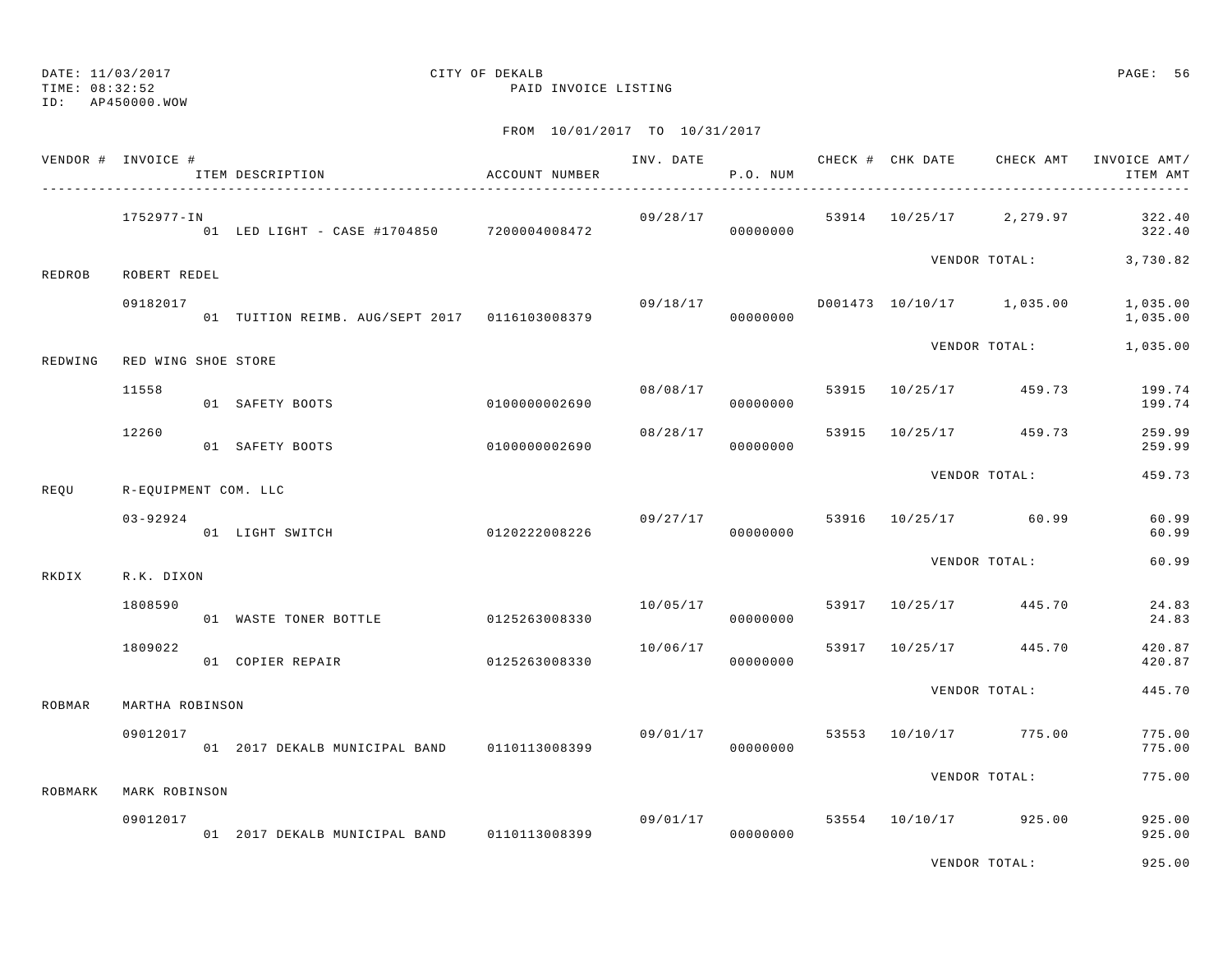TIME: 08:32:52 PAID INVOICE LISTING

ID: AP450000.WOW

|               | VENDOR # INVOICE #   | ITEM DESCRIPTION                              | ACCOUNT NUMBER | INV. DATE | P.O. NUM             |       | CHECK # CHK DATE | CHECK AMT                 | INVOICE AMT/<br>ITEM AMT |
|---------------|----------------------|-----------------------------------------------|----------------|-----------|----------------------|-------|------------------|---------------------------|--------------------------|
|               | 1752977-IN           | 01 LED LIGHT - CASE #1704850 7200004008472    |                |           | 09/28/17<br>00000000 |       |                  | 53914 10/25/17 2,279.97   | 322.40<br>322.40         |
| REDROB        | ROBERT REDEL         |                                               |                |           |                      |       |                  | VENDOR TOTAL:             | 3,730.82                 |
|               | 09182017             | 01 TUITION REIMB. AUG/SEPT 2017 0116103008379 |                | 09/18/17  | 00000000             |       |                  | D001473 10/10/17 1,035.00 | 1,035.00<br>1,035.00     |
| REDWING       | RED WING SHOE STORE  |                                               |                |           |                      |       |                  | VENDOR TOTAL:             | 1,035.00                 |
|               | 11558                | 01 SAFETY BOOTS                               | 0100000002690  |           | 08/08/17<br>00000000 | 53915 |                  | 10/25/17 459.73           | 199.74<br>199.74         |
|               | 12260                | 01 SAFETY BOOTS                               | 0100000002690  | 08/28/17  | 00000000             |       |                  | 53915 10/25/17 459.73     | 259.99<br>259.99         |
| REOU          | R-EQUIPMENT COM. LLC |                                               |                |           |                      |       |                  | VENDOR TOTAL:             | 459.73                   |
|               | $03 - 92924$         | 01 LIGHT SWITCH                               | 0120222008226  |           | 09/27/17<br>00000000 | 53916 |                  | 10/25/17 60.99            | 60.99<br>60.99           |
| RKDIX         | R.K. DIXON           |                                               |                |           |                      |       |                  | VENDOR TOTAL:             | 60.99                    |
|               | 1808590              | 01 WASTE TONER BOTTLE                         | 0125263008330  | 10/05/17  | 00000000             |       |                  | 53917 10/25/17 445.70     | 24.83<br>24.83           |
|               | 1809022              | 01 COPIER REPAIR                              | 0125263008330  | 10/06/17  | 00000000             |       |                  | 53917 10/25/17 445.70     | 420.87<br>420.87         |
| <b>ROBMAR</b> | MARTHA ROBINSON      |                                               |                |           |                      |       |                  | VENDOR TOTAL:             | 445.70                   |
|               | 09012017             | 01 2017 DEKALB MUNICIPAL BAND                 | 0110113008399  |           | 09/01/17<br>00000000 | 53553 |                  | 10/10/17 775.00           | 775.00<br>775.00         |
| ROBMARK       | MARK ROBINSON        |                                               |                |           |                      |       |                  | VENDOR TOTAL:             | 775.00                   |
|               | 09012017             | 01 2017 DEKALB MUNICIPAL BAND 0110113008399   |                |           | 09/01/17<br>00000000 |       |                  | 53554 10/10/17 925.00     | 925.00<br>925.00         |
|               |                      |                                               |                |           |                      |       |                  | VENDOR TOTAL:             | 925.00                   |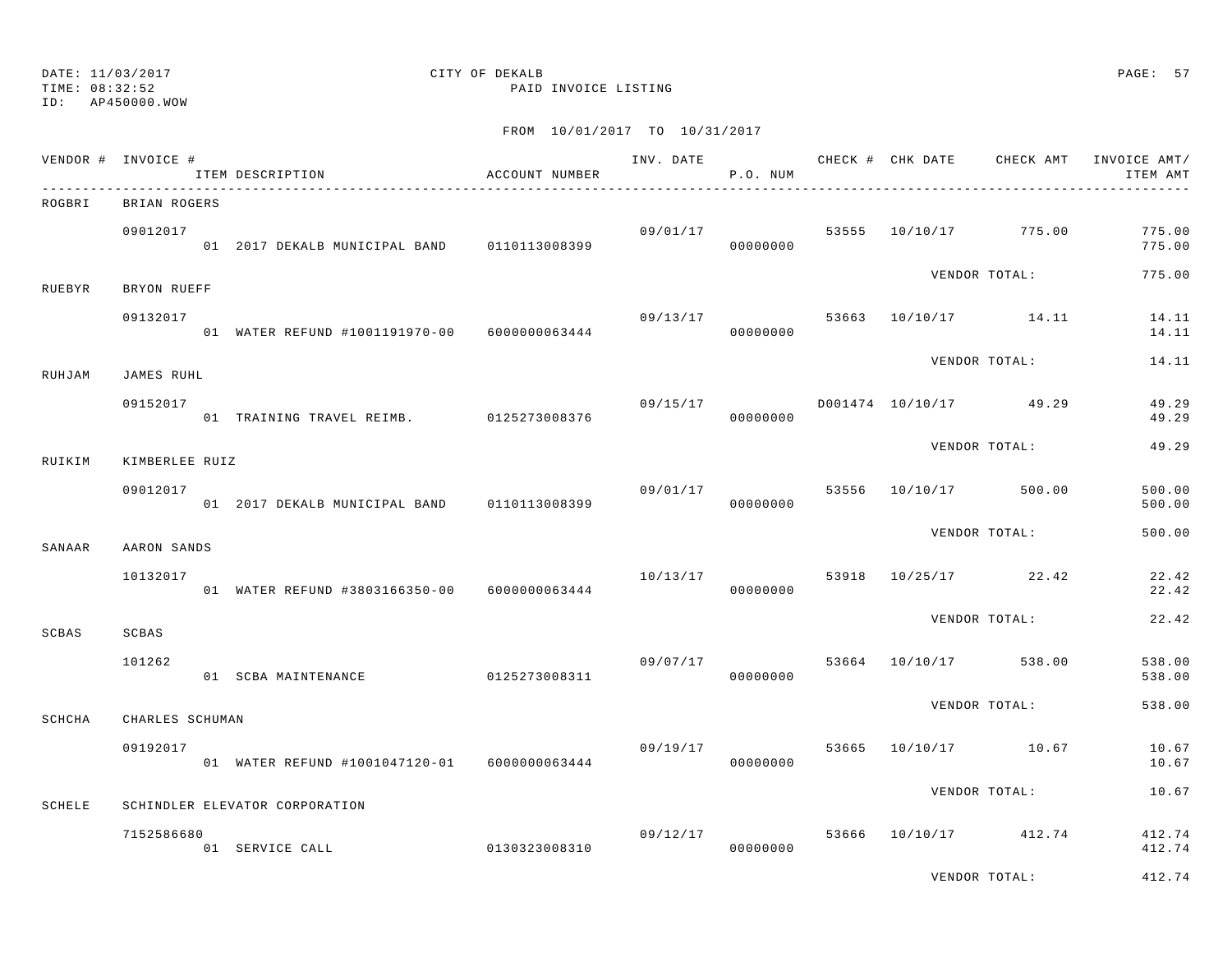### TIME: 08:32:52 PAID INVOICE LISTING ID: AP450000.WOW

# DATE: 11/03/2017 CITY OF DEKALB PAGE: 57

|        | VENDOR # INVOICE #          | ITEM DESCRIPTION                             | ACCOUNT NUMBER |                      | P.O. NUM             |  |                                  | INV. DATE 6 CHECK # CHK DATE CHECK AMT INVOICE AMT/<br>ITEM AMT |
|--------|-----------------------------|----------------------------------------------|----------------|----------------------|----------------------|--|----------------------------------|-----------------------------------------------------------------|
| ROGBRI | BRIAN ROGERS                |                                              |                |                      |                      |  |                                  |                                                                 |
|        | 09012017                    | 01 2017 DEKALB MUNICIPAL BAND 0110113008399  |                |                      | 09/01/17<br>00000000 |  | 53555 10/10/17 775.00            | 775.00<br>775.00                                                |
| RUEBYR | BRYON RUEFF                 |                                              |                |                      |                      |  | VENDOR TOTAL:                    | 775.00                                                          |
|        | 09132017                    | 01 WATER REFUND #1001191970-00 6000000063444 |                |                      | 00000000             |  | 09/13/17 53663 10/10/17 14.11    | 14.11<br>14.11                                                  |
| RUHJAM | JAMES RUHL                  |                                              |                |                      |                      |  | VENDOR TOTAL:                    | 14.11                                                           |
|        | 09152017                    | 01 TRAINING TRAVEL REIMB. 0125273008376      |                | 09/15/17<br>00000000 |                      |  | D001474 10/10/17 49.29           | 49.29<br>49.29                                                  |
| RUIKIM |                             |                                              |                |                      |                      |  | VENDOR TOTAL:                    | 49.29                                                           |
|        | KIMBERLEE RUIZ<br>09012017  | 01 2017 DEKALB MUNICIPAL BAND 0110113008399  |                |                      | 00000000             |  | 09/01/17 53556 10/10/17 500.00   | 500.00<br>500.00                                                |
|        |                             |                                              |                |                      |                      |  | VENDOR TOTAL:                    | 500.00                                                          |
| SANAAR | AARON SANDS<br>10132017     | 01 WATER REFUND #3803166350-00 6000000063444 |                | 10/13/17             | 00000000             |  | 53918 10/25/17 22.42             | 22.42<br>22.42                                                  |
| SCBAS  | SCBAS                       |                                              |                |                      |                      |  | VENDOR TOTAL:                    | 22.42                                                           |
|        | 101262                      | 01 SCBA MAINTENANCE                          | 0125273008311  |                      | 00000000             |  | $09/07/17$ 53664 10/10/17 538.00 | 538.00<br>538.00                                                |
|        |                             |                                              |                |                      |                      |  | VENDOR TOTAL:                    | 538.00                                                          |
| SCHCHA | CHARLES SCHUMAN<br>09192017 | 01 WATER REFUND #1001047120-01 6000000063444 |                | 09/19/17             | 00000000             |  | 53665 10/10/17 10.67             | 10.67<br>10.67                                                  |
|        |                             |                                              |                |                      |                      |  | VENDOR TOTAL:                    | 10.67                                                           |
| SCHELE |                             | SCHINDLER ELEVATOR CORPORATION               |                |                      |                      |  |                                  |                                                                 |
|        | 7152586680                  | 01 SERVICE CALL                              | 0130323008310  |                      | 00000000             |  | 09/12/17 53666 10/10/17 412.74   | 412.74<br>412.74                                                |
|        |                             |                                              |                |                      |                      |  | VENDOR TOTAL:                    | 412.74                                                          |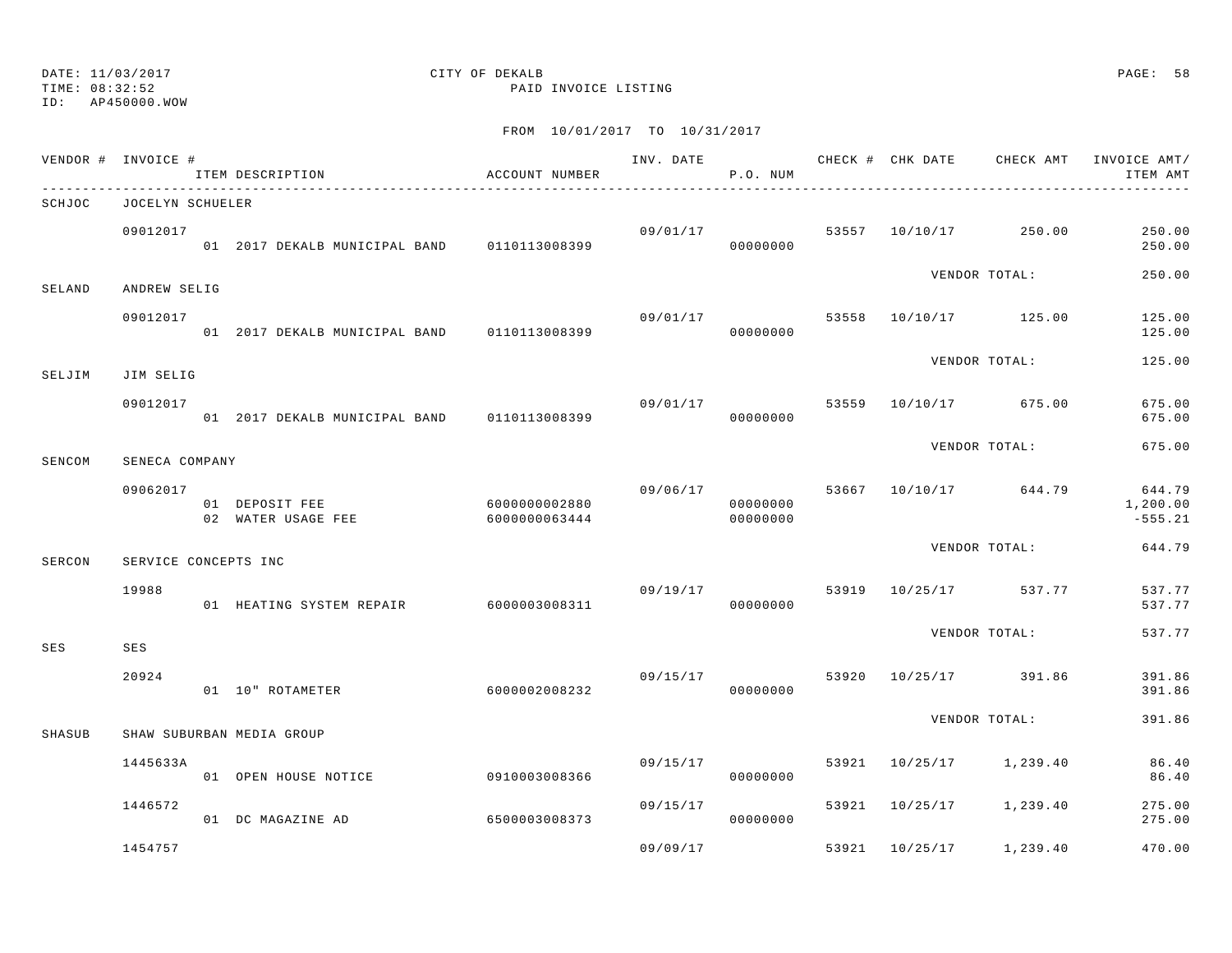ID: AP450000.WOW

TIME: 08:32:52 PAID INVOICE LISTING

|        | VENDOR # INVOICE #   | ITEM DESCRIPTION                                   | ACCOUNT NUMBER |                | P.O. NUM             |       |                         |                                  | INV. DATE 6 7 200 CHECK # CHK DATE CHECK AMT INVOICE AMT/<br>ITEM AMT |
|--------|----------------------|----------------------------------------------------|----------------|----------------|----------------------|-------|-------------------------|----------------------------------|-----------------------------------------------------------------------|
| SCHJOC | JOCELYN SCHUELER     |                                                    |                |                |                      |       |                         |                                  |                                                                       |
|        | 09012017             | 01 2017 DEKALB MUNICIPAL BAND 0110113008399        |                |                | 00000000             |       |                         | $09/01/17$ 53557 10/10/17 250.00 | 250.00<br>250.00                                                      |
| SELAND | ANDREW SELIG         |                                                    |                |                |                      |       |                         | VENDOR TOTAL:                    | 250.00                                                                |
|        | 09012017             | 01 2017 DEKALB MUNICIPAL BAND 0110113008399        |                | 09/01/17       | 00000000             |       |                         | 53558 10/10/17 125.00            | 125.00<br>125.00                                                      |
| SELJIM | JIM SELIG            |                                                    |                |                |                      |       |                         | VENDOR TOTAL:                    | 125.00                                                                |
|        | 09012017             | 01 2017 DEKALB MUNICIPAL BAND 0110113008399        |                | 09/01/17 53559 | 00000000             |       |                         | 10/10/17 675.00                  | 675.00<br>675.00                                                      |
| SENCOM | SENECA COMPANY       |                                                    |                |                |                      |       |                         | VENDOR TOTAL:                    | 675.00                                                                |
|        | 09062017             | 01 DEPOSIT FEE 6000000002880<br>02 WATER USAGE FEE | 6000000063444  | 09/06/17       | 00000000<br>00000000 |       |                         | 53667 10/10/17 644.79            | 644.79<br>1,200.00<br>$-555.21$                                       |
| SERCON | SERVICE CONCEPTS INC |                                                    |                |                |                      |       |                         | VENDOR TOTAL:                    | 644.79                                                                |
|        | 19988                | 01 HEATING SYSTEM REPAIR 6000003008311             |                |                | 00000000             |       | 09/19/17 53919 10/25/17 | 537.77                           | 537.77<br>537.77                                                      |
| SES    | SES                  |                                                    |                |                |                      |       |                         | VENDOR TOTAL:                    | 537.77                                                                |
|        | 20924                | 01 10" ROTAMETER                                   | 6000002008232  |                | 09/15/17<br>00000000 | 53920 |                         | 10/25/17 391.86                  | 391.86<br>391.86                                                      |
| SHASUB |                      | SHAW SUBURBAN MEDIA GROUP                          |                |                |                      |       |                         | VENDOR TOTAL:                    | 391.86                                                                |
|        | 1445633A             | 01 OPEN HOUSE NOTICE                               | 0910003008366  | 09/15/17       | 00000000             |       | 53921 10/25/17          | 1,239.40                         | 86.40<br>86.40                                                        |
|        | 1446572              | 01 DC MAGAZINE AD                                  | 6500003008373  | 09/15/17       | 00000000             |       | 53921 10/25/17          | 1,239.40                         | 275.00<br>275.00                                                      |
|        | 1454757              |                                                    |                | 09/09/17       |                      |       | 53921 10/25/17          | 1,239.40                         | 470.00                                                                |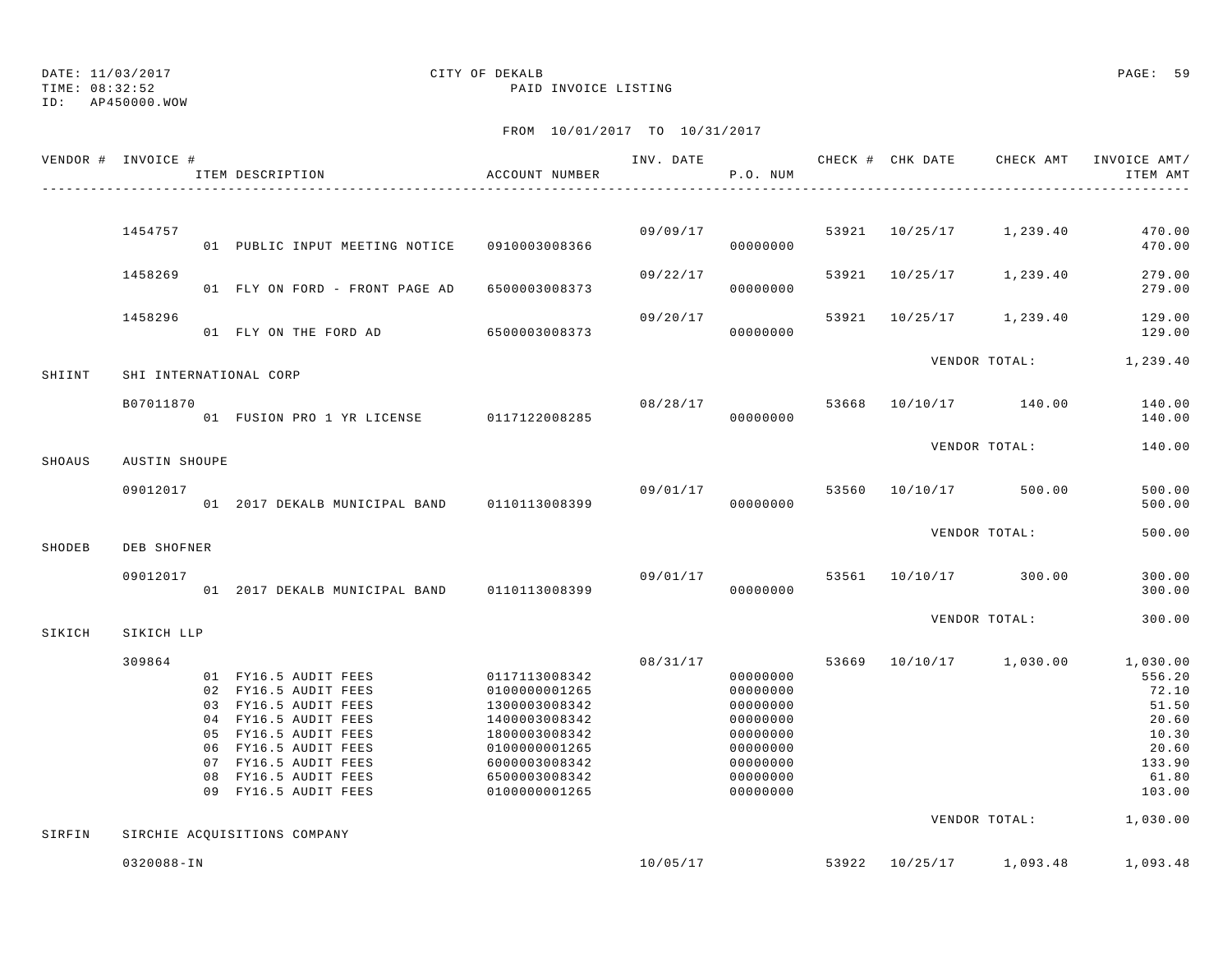TIME: 08:32:52 PAID INVOICE LISTING

ID: AP450000.WOW

|        | VENDOR # INVOICE #   | ITEM DESCRIPTION                                                                                                                                                                                                     | ACCOUNT NUMBER                                                                                                                                        |          | INV. DATE<br>P.O. NUM                                                                                    |       | CHECK # CHK DATE CHECK AMT INVOICE AMT/ | ITEM AMT                                                                                                 |
|--------|----------------------|----------------------------------------------------------------------------------------------------------------------------------------------------------------------------------------------------------------------|-------------------------------------------------------------------------------------------------------------------------------------------------------|----------|----------------------------------------------------------------------------------------------------------|-------|-----------------------------------------|----------------------------------------------------------------------------------------------------------|
|        |                      |                                                                                                                                                                                                                      |                                                                                                                                                       |          |                                                                                                          |       |                                         |                                                                                                          |
|        | 1454757              | 01 PUBLIC INPUT MEETING NOTICE 0910003008366                                                                                                                                                                         |                                                                                                                                                       | 09/09/17 | 00000000                                                                                                 |       | 53921 10/25/17 1,239.40                 | 470.00<br>470.00                                                                                         |
|        | 1458269              | 01 FLY ON FORD - FRONT PAGE AD                                                                                                                                                                                       | 6500003008373                                                                                                                                         | 09/22/17 | 00000000                                                                                                 | 53921 | 10/25/17 1,239.40                       | 279.00<br>279.00                                                                                         |
|        | 1458296              | 01 FLY ON THE FORD AD                                                                                                                                                                                                | 6500003008373                                                                                                                                         | 09/20/17 | 00000000                                                                                                 |       | 53921 10/25/17 1,239.40                 | 129.00<br>129.00                                                                                         |
|        |                      |                                                                                                                                                                                                                      |                                                                                                                                                       |          |                                                                                                          |       | VENDOR TOTAL: 1,239.40                  |                                                                                                          |
| SHIINT |                      | SHI INTERNATIONAL CORP                                                                                                                                                                                               |                                                                                                                                                       |          |                                                                                                          |       |                                         |                                                                                                          |
|        | B07011870            | 01 FUSION PRO 1 YR LICENSE 0117122008285                                                                                                                                                                             |                                                                                                                                                       | 08/28/17 | 00000000                                                                                                 | 53668 | 10/10/17 140.00                         | 140.00<br>140.00                                                                                         |
| SHOAUS | <b>AUSTIN SHOUPE</b> |                                                                                                                                                                                                                      |                                                                                                                                                       |          |                                                                                                          |       | VENDOR TOTAL:                           | 140.00                                                                                                   |
|        |                      |                                                                                                                                                                                                                      |                                                                                                                                                       |          |                                                                                                          |       |                                         |                                                                                                          |
|        | 09012017             | 01 2017 DEKALB MUNICIPAL BAND                                                                                                                                                                                        | 0110113008399                                                                                                                                         | 09/01/17 | 00000000                                                                                                 | 53560 | 10/10/17 500.00                         | 500.00<br>500.00                                                                                         |
| SHODEB | DEB SHOFNER          |                                                                                                                                                                                                                      |                                                                                                                                                       |          |                                                                                                          |       | VENDOR TOTAL:                           | 500.00                                                                                                   |
|        |                      |                                                                                                                                                                                                                      |                                                                                                                                                       |          |                                                                                                          |       |                                         |                                                                                                          |
|        | 09012017             | 01 2017 DEKALB MUNICIPAL BAND 0110113008399                                                                                                                                                                          |                                                                                                                                                       | 09/01/17 | 00000000                                                                                                 | 53561 | 10/10/17 300.00                         | 300.00<br>300.00                                                                                         |
| SIKICH | SIKICH LLP           |                                                                                                                                                                                                                      |                                                                                                                                                       |          |                                                                                                          |       | VENDOR TOTAL:                           | 300.00                                                                                                   |
|        | 309864               | 01 FY16.5 AUDIT FEES<br>02 FY16.5 AUDIT FEES<br>03 FY16.5 AUDIT FEES<br>04 FY16.5 AUDIT FEES<br>05 FY16.5 AUDIT FEES<br>06 FY16.5 AUDIT FEES<br>07 FY16.5 AUDIT FEES<br>08 FY16.5 AUDIT FEES<br>09 FY16.5 AUDIT FEES | 0117113008342<br>0100000001265<br>1300003008342<br>1400003008342<br>1800003008342<br>0100000001265<br>6000003008342<br>6500003008342<br>0100000001265 | 08/31/17 | 00000000<br>00000000<br>00000000<br>00000000<br>00000000<br>00000000<br>00000000<br>00000000<br>00000000 | 53669 | 10/10/17 1,030.00<br>VENDOR TOTAL:      | 1,030.00<br>556.20<br>72.10<br>51.50<br>20.60<br>10.30<br>20.60<br>133.90<br>61.80<br>103.00<br>1,030.00 |
| SIRFIN |                      | SIRCHIE ACOUISITIONS COMPANY                                                                                                                                                                                         |                                                                                                                                                       |          |                                                                                                          |       |                                         |                                                                                                          |
|        | 0320088-IN           |                                                                                                                                                                                                                      |                                                                                                                                                       | 10/05/17 |                                                                                                          | 53922 | 10/25/17 1,093.48                       | 1,093.48                                                                                                 |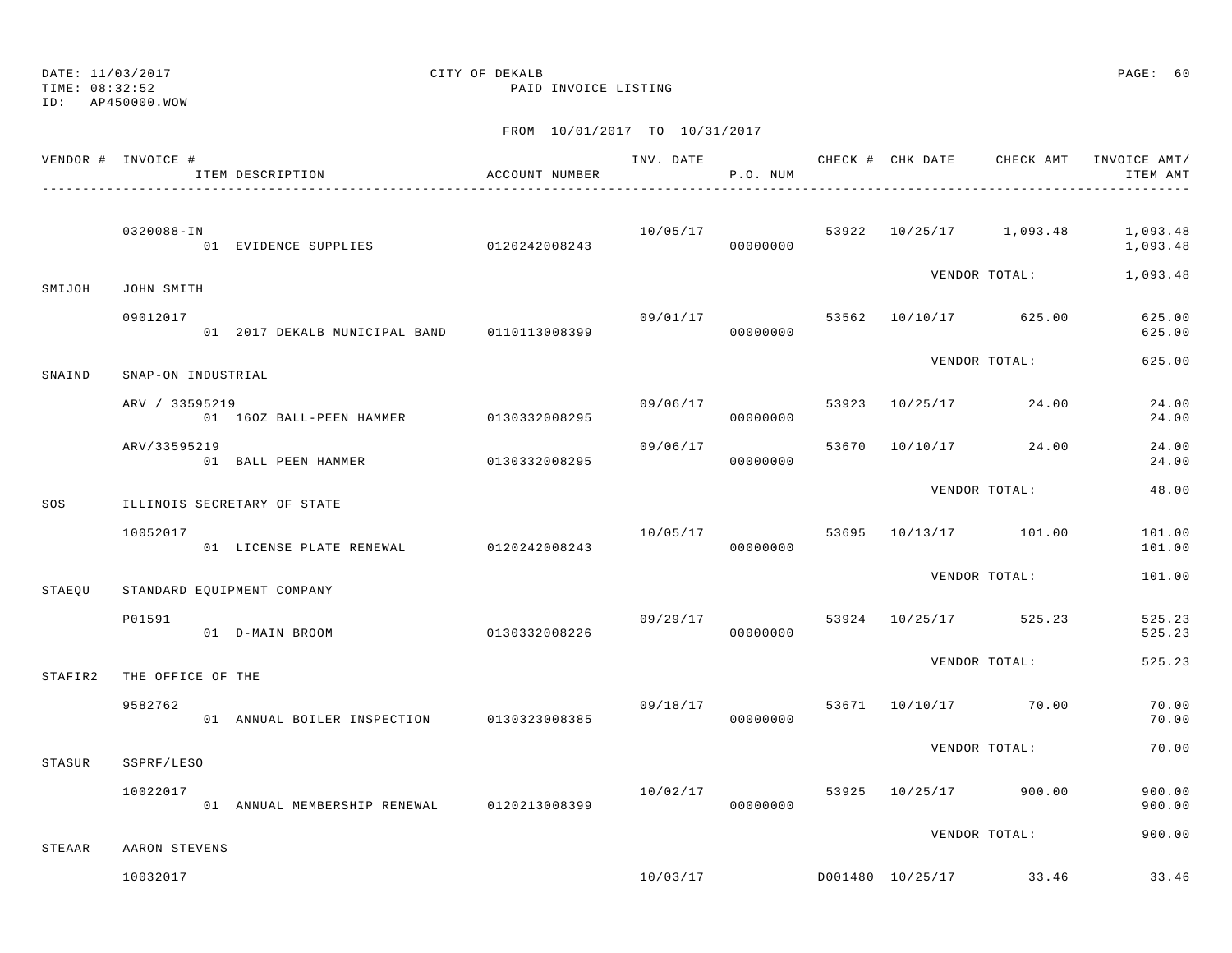TIME: 08:32:52 PAID INVOICE LISTING

ID: AP450000.WOW

|         | VENDOR # INVOICE #          | ITEM DESCRIPTION                           | ACCOUNT NUMBER           |          | P.O. NUM |  |                                    | ITEM AMT         |
|---------|-----------------------------|--------------------------------------------|--------------------------|----------|----------|--|------------------------------------|------------------|
|         | 0320088-IN                  |                                            |                          | 10/05/17 |          |  | 53922 10/25/17 1,093.48 1,093.48   | 1,093.48         |
| SMIJOH  | JOHN SMITH                  |                                            |                          |          |          |  | VENDOR TOTAL: 1,093.48             |                  |
|         | 09012017                    |                                            |                          |          | 00000000 |  | $09/01/17$ 53562 10/10/17 625.00   | 625.00<br>625.00 |
| SNAIND  | SNAP-ON INDUSTRIAL          |                                            |                          |          |          |  | VENDOR TOTAL:                      | 625.00           |
|         | ARV / 33595219              | 01 160Z BALL-PEEN HAMMER 0130332008295     |                          | 09/06/17 | 00000000 |  | 53923 10/25/17 24.00               | 24.00<br>24.00   |
|         | ARV/33595219                | 01 BALL PEEN HAMMER 0130332008295          |                          | 09/06/17 | 00000000 |  | 53670 10/10/17 24.00               | 24.00<br>24.00   |
| SOS     | ILLINOIS SECRETARY OF STATE |                                            |                          |          |          |  | VENDOR TOTAL:                      | 48.00            |
|         | 10052017                    | 01 LICENSE PLATE RENEWAL 0120242008243     |                          |          | 00000000 |  | $10/05/17$ 53695 $10/13/17$ 101.00 | 101.00<br>101.00 |
| STAEQU  | STANDARD EQUIPMENT COMPANY  |                                            |                          |          |          |  | VENDOR TOTAL:                      | 101.00           |
|         | P01591                      | 01 D-MAIN BROOM                            | $0130332008226$ 00000000 | 09/29/17 |          |  | 53924 10/25/17 525.23              | 525.23<br>525.23 |
| STAFIR2 | THE OFFICE OF THE           |                                            |                          |          |          |  | VENDOR TOTAL:                      | 525.23           |
|         | 9582762                     | 01 ANNUAL BOILER INSPECTION 0130323008385  |                          |          | 00000000 |  | 09/18/17 53671 10/10/17 70.00      | 70.00<br>70.00   |
| STASUR  | SSPRF/LESO                  |                                            |                          |          |          |  | VENDOR TOTAL:                      | 70.00            |
|         | 10022017                    | 01 ANNUAL MEMBERSHIP RENEWAL 0120213008399 |                          | 10/02/17 | 00000000 |  | 53925 10/25/17 900.00              | 900.00<br>900.00 |
| STEAAR  | AARON STEVENS               |                                            |                          |          |          |  | VENDOR TOTAL:                      | 900.00           |
|         | 10032017                    |                                            |                          |          |          |  | $10/03/17$ D001480 10/25/17 33.46  | 33.46            |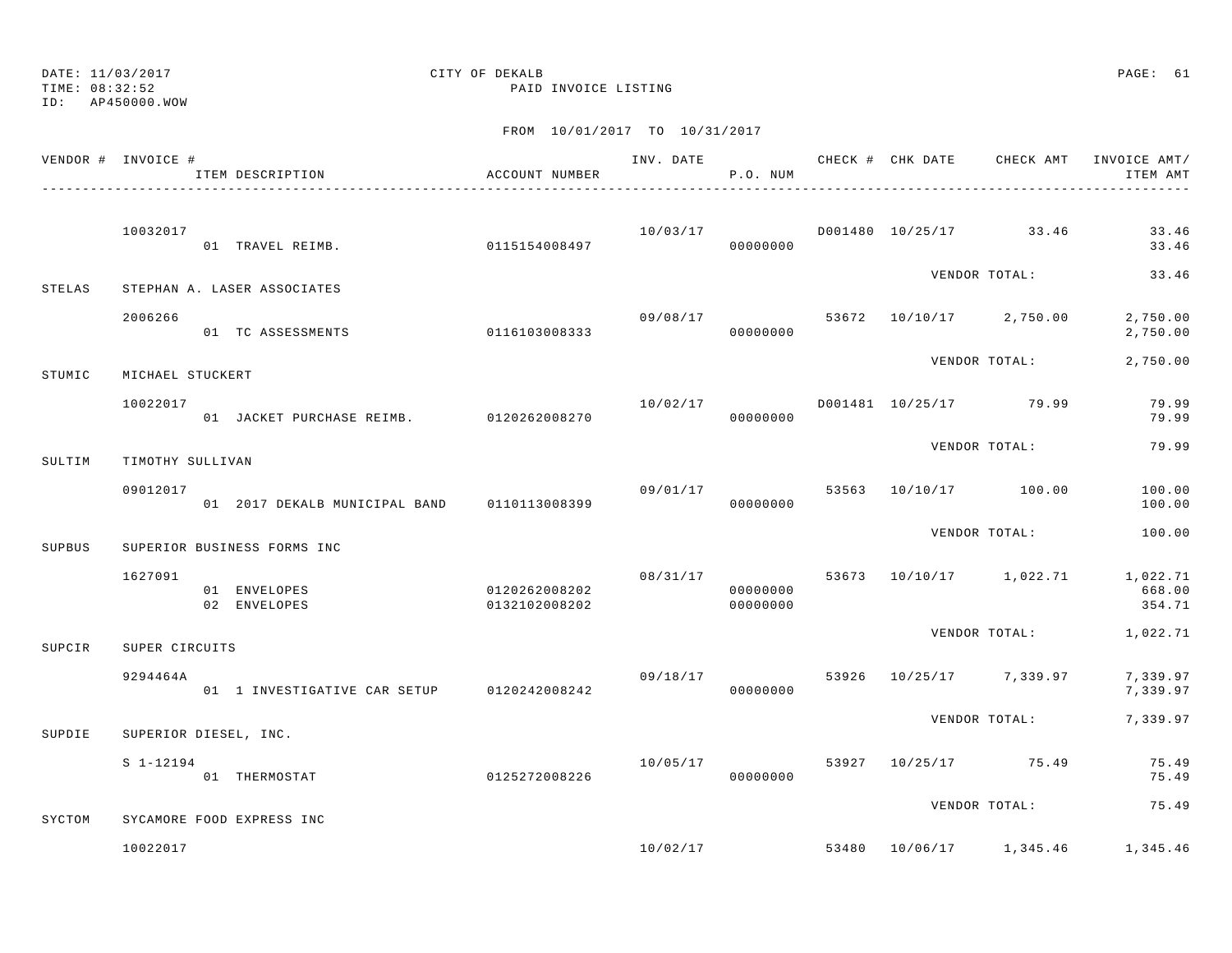# DATE: 11/03/2017 QUELLE CITY OF DEKALB QUELLE QUELLE PAGE: 61

ID: AP450000.WOW

### TIME: 08:32:52 PAID INVOICE LISTING

|        | VENDOR # INVOICE # | ITEM DESCRIPTION                                               | ACCOUNT NUMBER                 | P.O. NUM             |  |                                      | INV. DATE 6 CHECK # CHK DATE CHECK AMT INVOICE AMT/<br>ITEM AMT |
|--------|--------------------|----------------------------------------------------------------|--------------------------------|----------------------|--|--------------------------------------|-----------------------------------------------------------------|
|        | 10032017           | 01 TRAVEL REIMB.                                               | 0115154008497                  | 00000000             |  | $10/03/17$ D001480 $10/25/17$ 33.46  | 33.46<br>33.46                                                  |
| STELAS |                    | STEPHAN A. LASER ASSOCIATES                                    |                                |                      |  | VENDOR TOTAL:                        | 33.46                                                           |
|        | 2006266            | 01 TC ASSESSMENTS                                              | 0116103008333                  | 00000000             |  | $09/08/17$ 53672 10/10/17 2,750.00   | 2,750.00<br>2,750.00                                            |
| STUMIC | MICHAEL STUCKERT   |                                                                |                                |                      |  | VENDOR TOTAL:                        | 2,750.00                                                        |
|        | 10022017           |                                                                |                                |                      |  | $10/02/17$ D001481 $10/25/17$ 79.99  | 79.99<br>79.99                                                  |
| SULTIM | TIMOTHY SULLIVAN   |                                                                |                                |                      |  | VENDOR TOTAL:                        | 79.99                                                           |
|        | 09012017           | 01 2017 DEKALB MUNICIPAL BAND 0110113008399 000000000 00000000 |                                |                      |  | 09/01/17 53563 10/10/17 100.00       | 100.00<br>100.00                                                |
| SUPBUS |                    | SUPERIOR BUSINESS FORMS INC                                    |                                |                      |  | VENDOR TOTAL:                        | 100.00                                                          |
|        | 1627091            | 01 ENVELOPES<br>02 ENVELOPES                                   | 0120262008202<br>0132102008202 | 00000000<br>00000000 |  |                                      | $08/31/17$ 53673 10/10/17 1,022.71 1,022.71<br>668.00<br>354.71 |
| SUPCIR | SUPER CIRCUITS     |                                                                |                                |                      |  |                                      | VENDOR TOTAL: 1,022.71                                          |
|        | 9294464A           |                                                                |                                |                      |  | $09/18/17$ 53926 $10/25/17$ 7,339.97 | 7,339.97<br>7,339.97                                            |
| SUPDIE |                    | SUPERIOR DIESEL, INC.                                          |                                |                      |  |                                      | VENDOR TOTAL: 7,339.97                                          |
|        | $S_1 - 12194$      | 01 THERMOSTAT                                                  | 0125272008226                  | 00000000             |  | 10/05/17 53927 10/25/17 75.49        | 75.49<br>75.49                                                  |
| SYCTOM |                    | SYCAMORE FOOD EXPRESS INC                                      |                                |                      |  | VENDOR TOTAL:                        | 75.49                                                           |
|        | 10022017           |                                                                |                                |                      |  | $10/02/17$ 53480 $10/06/17$ 1,345.46 | 1,345.46                                                        |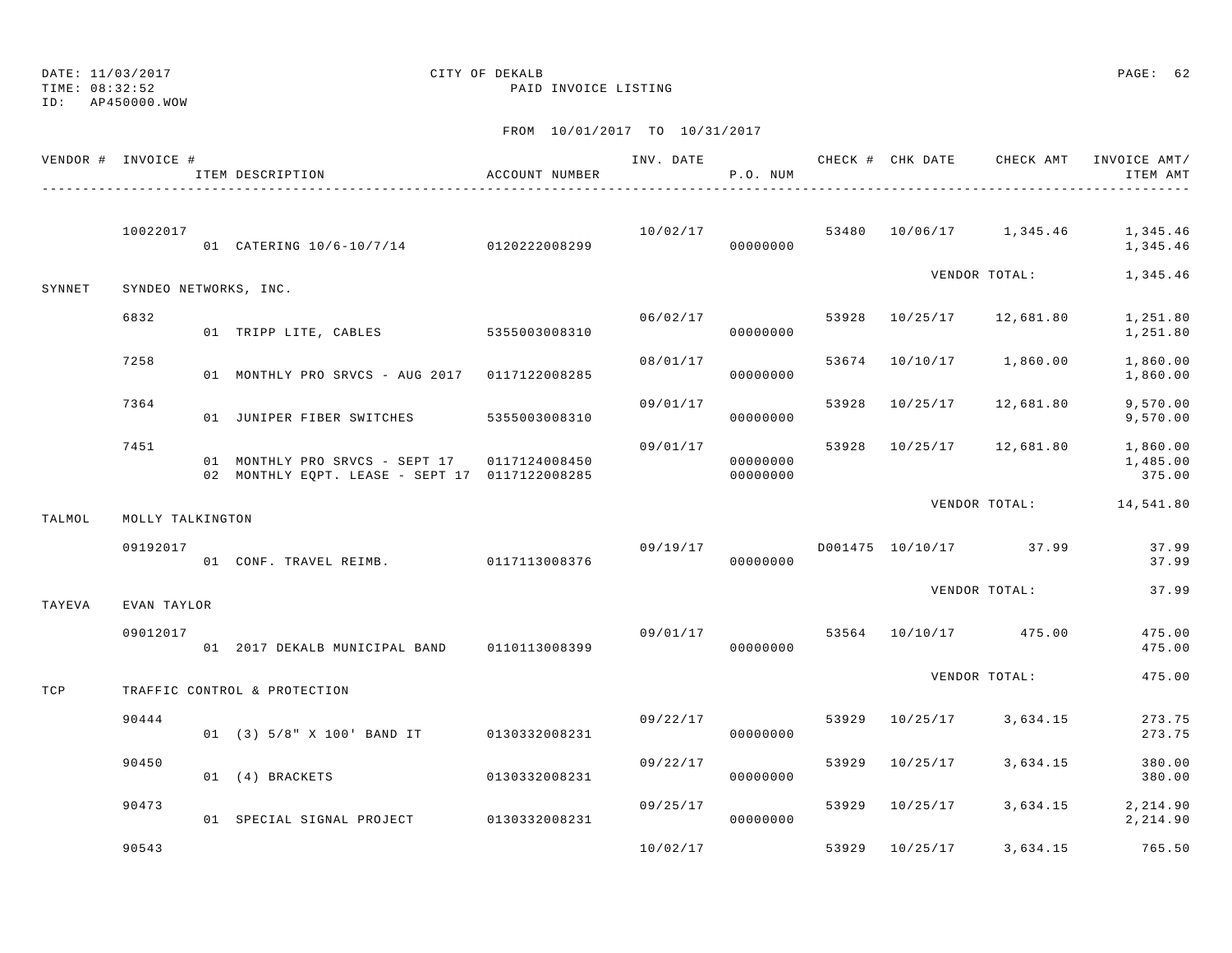TIME: 08:32:52 PAID INVOICE LISTING

ID: AP450000.WOW

|        | VENDOR # INVOICE #    | ITEM DESCRIPTION                                                                               | ACCOUNT NUMBER |          | P.O. NUM             |       |                | INV. DATE 6 7 200 CHECK # CHK DATE 6 CHECK AMT INVOICE AMT/ | ITEM AMT                       |
|--------|-----------------------|------------------------------------------------------------------------------------------------|----------------|----------|----------------------|-------|----------------|-------------------------------------------------------------|--------------------------------|
|        | 10022017              | 01 CATERING 10/6-10/7/14 0120222008299                                                         |                |          | 00000000             |       |                | $10/02/17$ 53480 $10/06/17$ 1,345.46 1,345.46               | 1,345.46                       |
| SYNNET | SYNDEO NETWORKS, INC. |                                                                                                |                |          |                      |       |                | VENDOR TOTAL:                                               | 1,345.46                       |
|        | 6832                  | 01 TRIPP LITE, CABLES 5355003008310                                                            |                | 06/02/17 | 00000000             |       |                | 53928 10/25/17 12,681.80                                    | 1,251.80<br>1,251.80           |
|        | 7258                  | 01 MONTHLY PRO SRVCS - AUG 2017 0117122008285                                                  |                | 08/01/17 | 00000000             | 53674 |                | 10/10/17 1,860.00                                           | 1,860.00<br>1,860.00           |
|        | 7364                  | 01 JUNIPER FIBER SWITCHES 5355003008310                                                        |                | 09/01/17 | 00000000             | 53928 | 10/25/17       | 12,681.80                                                   | 9,570.00<br>9,570.00           |
|        | 7451                  | 01 MONTHLY PRO SRVCS - SEPT 17 0117124008450<br>02 MONTHLY EQPT. LEASE - SEPT 17 0117122008285 |                | 09/01/17 | 00000000<br>00000000 |       |                | 53928 10/25/17 12,681.80                                    | 1,860.00<br>1,485.00<br>375.00 |
| TALMOL | MOLLY TALKINGTON      |                                                                                                |                |          |                      |       |                | VENDOR TOTAL: 14,541.80                                     |                                |
|        | 09192017              | 01 CONF. TRAVEL REIMB. 0117113008376                                                           |                |          | 00000000             |       |                |                                                             | 37.99<br>37.99                 |
| TAYEVA | EVAN TAYLOR           |                                                                                                |                |          |                      |       |                | VENDOR TOTAL:                                               | 37.99                          |
|        | 09012017              | 01 2017 DEKALB MUNICIPAL BAND 0110113008399                                                    |                | 09/01/17 | 00000000             |       |                | 53564 10/10/17 475.00                                       | 475.00<br>475.00               |
| TCP    |                       | TRAFFIC CONTROL & PROTECTION                                                                   |                |          |                      |       |                | VENDOR TOTAL:                                               | 475.00                         |
|        | 90444                 | 01 (3) 5/8" X 100' BAND IT 0130332008231                                                       |                |          | 09/22/17<br>00000000 | 53929 |                | 10/25/17 3,634.15                                           | 273.75<br>273.75               |
|        | 90450                 | 01 (4) BRACKETS                                                                                | 0130332008231  | 09/22/17 | 00000000             | 53929 | 10/25/17       | 3,634.15                                                    | 380.00<br>380.00               |
|        | 90473                 | 01 SPECIAL SIGNAL PROJECT 0130332008231                                                        |                | 09/25/17 | 00000000             |       | 53929 10/25/17 | 3,634.15                                                    | 2, 214.90<br>2,214.90          |
|        | 90543                 |                                                                                                |                | 10/02/17 |                      | 53929 | 10/25/17       | 3,634.15                                                    | 765.50                         |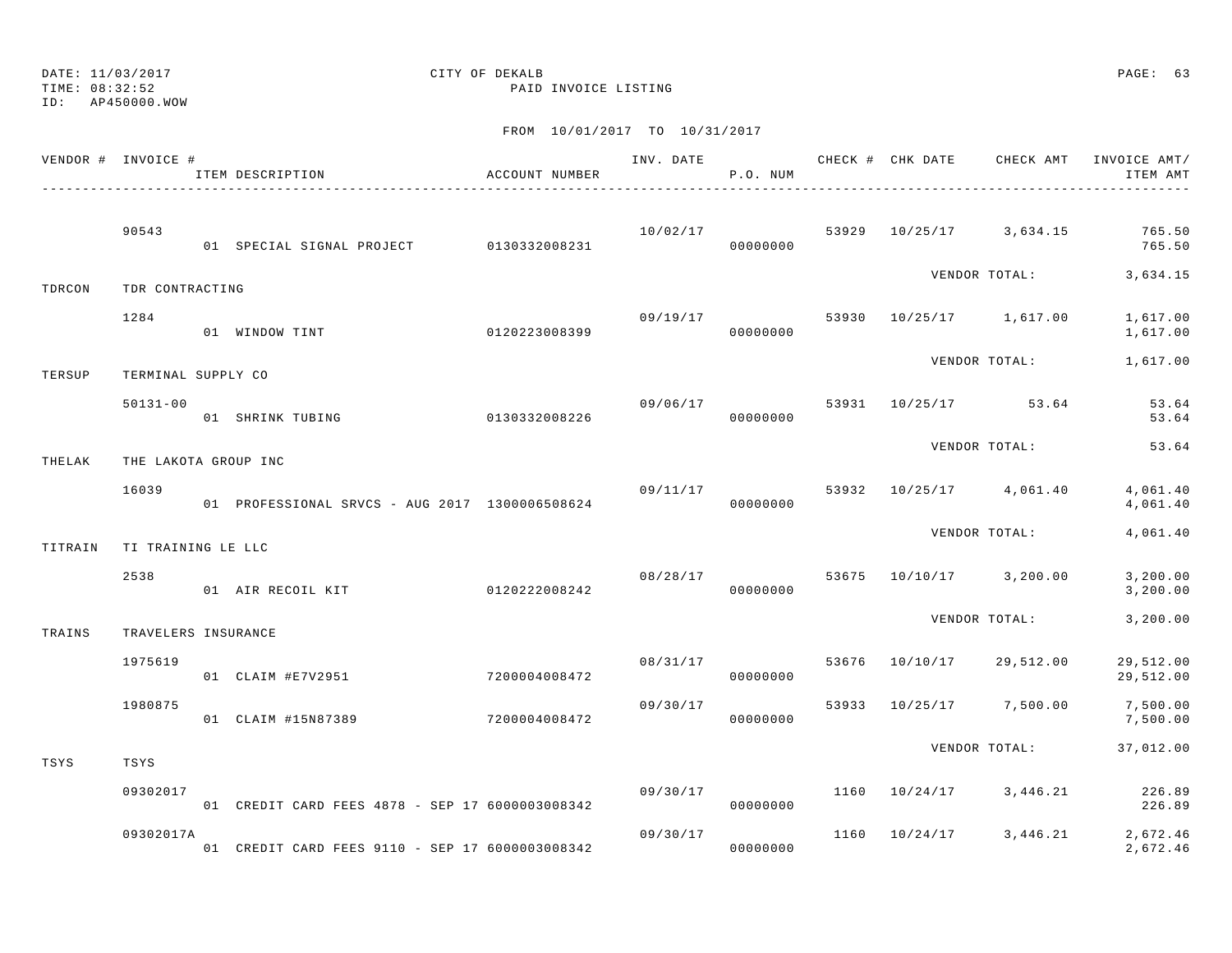DATE: 11/03/2017 CITY OF DEKALB PAGE: 63 TIME: 08:32:52 PAID INVOICE LISTING ID: AP450000.WOW

|         | VENDOR # INVOICE #   | ITEM DESCRIPTION                                | ACCOUNT NUMBER |          | P.O. NUM             |      |                                    | INV. DATE 6 CHECK # CHK DATE CHECK AMT INVOICE AMT/<br>ITEM AMT |
|---------|----------------------|-------------------------------------------------|----------------|----------|----------------------|------|------------------------------------|-----------------------------------------------------------------|
|         | 90543                | 01 SPECIAL SIGNAL PROJECT 0130332008231         |                |          |                      |      |                                    | $10/02/17$ 53929 $10/25/17$ 3,634.15 765.50<br>765.50           |
| TDRCON  | TDR CONTRACTING      |                                                 |                |          |                      |      |                                    | VENDOR TOTAL: 3,634.15                                          |
|         | 1284                 | 0120223008399<br>01 WINDOW TINT                 |                | 09/19/17 | 00000000             |      | 53930 10/25/17 1,617.00            | 1,617.00<br>1,617.00                                            |
| TERSUP  | TERMINAL SUPPLY CO   |                                                 |                |          |                      |      | VENDOR TOTAL:                      | 1,617.00                                                        |
|         | $50131 - 00$         | 01 SHRINK TUBING                                | 0130332008226  |          | 00000000             |      | $09/06/17$ 53931 10/25/17 53.64    | 53.64<br>53.64                                                  |
| THELAK  | THE LAKOTA GROUP INC |                                                 |                |          |                      |      | VENDOR TOTAL:                      | 53.64                                                           |
|         | 16039                |                                                 |                |          |                      |      | $09/11/17$ 53932 10/25/17 4,061.40 | 4,061.40<br>4,061.40                                            |
| TITRAIN | TI TRAINING LE LLC   |                                                 |                |          |                      |      | VENDOR TOTAL:                      | 4,061.40                                                        |
|         | 2538                 | 01 AIR RECOIL KIT                               | 0120222008242  |          | 00000000             |      | 08/28/17 53675 10/10/17 3,200.00   | 3, 200.00<br>3, 200.00                                          |
| TRAINS  | TRAVELERS INSURANCE  |                                                 |                |          |                      |      | VENDOR TOTAL:                      | 3, 200.00                                                       |
|         | 1975619              | 01 CLAIM #E7V2951                               | 7200004008472  |          | 08/31/17<br>00000000 |      | 53676 10/10/17 29,512.00           | 29,512.00<br>29,512.00                                          |
|         | 1980875              | 01 CLAIM #15N87389                              | 7200004008472  | 09/30/17 | 00000000             |      | 53933 10/25/17 7,500.00            | 7,500.00<br>7,500.00                                            |
| TSYS    | TSYS                 |                                                 |                |          |                      |      | VENDOR TOTAL:                      | 37,012.00                                                       |
|         | 09302017             | 01 CREDIT CARD FEES 4878 - SEP 17 6000003008342 |                | 09/30/17 | 00000000             |      | 1160 10/24/17 3,446.21             | 226.89<br>226.89                                                |
|         | 09302017A            | 01 CREDIT CARD FEES 9110 - SEP 17 6000003008342 |                | 09/30/17 | 00000000             | 1160 |                                    | $10/24/17$ 3, 446.21 2, 672.46<br>2,672.46                      |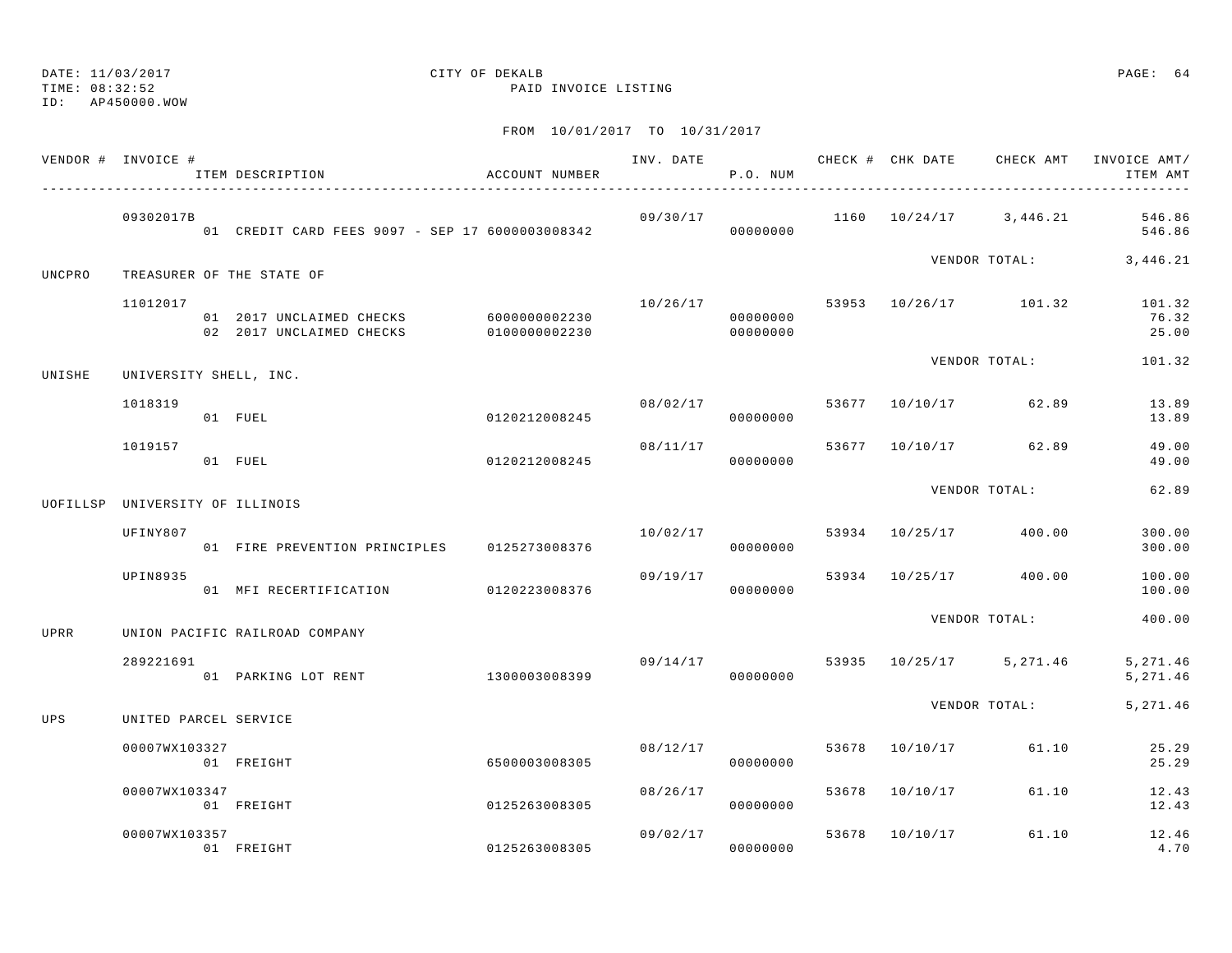TIME: 08:32:52 PAID INVOICE LISTING

ID: AP450000.WOW

|        | VENDOR # INVOICE #              | ITEM DESCRIPTION                                                   | ACCOUNT NUMBER |          | P.O. NUM             |       |                                 | ITEM AMT                                             |
|--------|---------------------------------|--------------------------------------------------------------------|----------------|----------|----------------------|-------|---------------------------------|------------------------------------------------------|
|        | 09302017B                       |                                                                    |                |          |                      |       |                                 | $09/30/17$ 1160 $10/24/17$ 3,446.21 546.86<br>546.86 |
| UNCPRO |                                 | TREASURER OF THE STATE OF                                          |                |          |                      |       |                                 | VENDOR TOTAL: 3,446.21                               |
|        | 11012017                        | 01 2017 UNCLAIMED CHECKS 6000000002230<br>02 2017 UNCLAIMED CHECKS | 0100000002230  | 10/26/17 | 00000000<br>00000000 |       | 53953 10/26/17 101.32           | 101.32<br>76.32<br>25.00                             |
| UNISHE |                                 | UNIVERSITY SHELL, INC.                                             |                |          |                      |       | VENDOR TOTAL:                   | 101.32                                               |
|        | 1018319                         | 01 FUEL                                                            | 0120212008245  |          | 00000000             |       | $08/02/17$ 53677 10/10/17 62.89 | 13.89<br>13.89                                       |
|        | 1019157                         | 01 FUEL                                                            | 0120212008245  | 08/11/17 | 00000000             |       | 53677 10/10/17 62.89            | 49.00<br>49.00                                       |
|        | UOFILLSP UNIVERSITY OF ILLINOIS |                                                                    |                |          |                      |       | VENDOR TOTAL:                   | 62.89                                                |
|        | UFINY807                        | 01 FIRE PREVENTION PRINCIPLES 0125273008376                        |                | 10/02/17 | 00000000             |       | 53934 10/25/17 400.00           | 300.00<br>300.00                                     |
|        | UPIN8935                        | 01 MFI RECERTIFICATION 0120223008376                               |                | 09/19/17 | 00000000             |       | 53934 10/25/17 400.00           | 100.00<br>100.00                                     |
| UPRR   |                                 | UNION PACIFIC RAILROAD COMPANY                                     |                |          |                      |       | VENDOR TOTAL:                   | 400.00                                               |
|        | 289221691                       | 01 PARKING LOT RENT                                                | 1300003008399  | 09/14/17 | 00000000             |       | 53935 10/25/17 5,271.46         | 5, 271.46<br>5,271.46                                |
| UPS    | UNITED PARCEL SERVICE           |                                                                    |                |          |                      |       | VENDOR TOTAL:                   | 5, 271.46                                            |
|        | 00007WX103327                   | 01 FREIGHT                                                         | 6500003008305  |          | 08/12/17<br>00000000 |       | 53678 10/10/17 61.10            | 25.29<br>25.29                                       |
|        | 00007WX103347                   | 01 FREIGHT                                                         | 0125263008305  | 08/26/17 | 00000000             | 53678 | 10/10/17 61.10                  | 12.43<br>12.43                                       |
|        | 00007WX103357                   | 01 FREIGHT                                                         | 0125263008305  |          | 09/02/17<br>00000000 | 53678 | 10/10/17 61.10                  | 12.46<br>4.70                                        |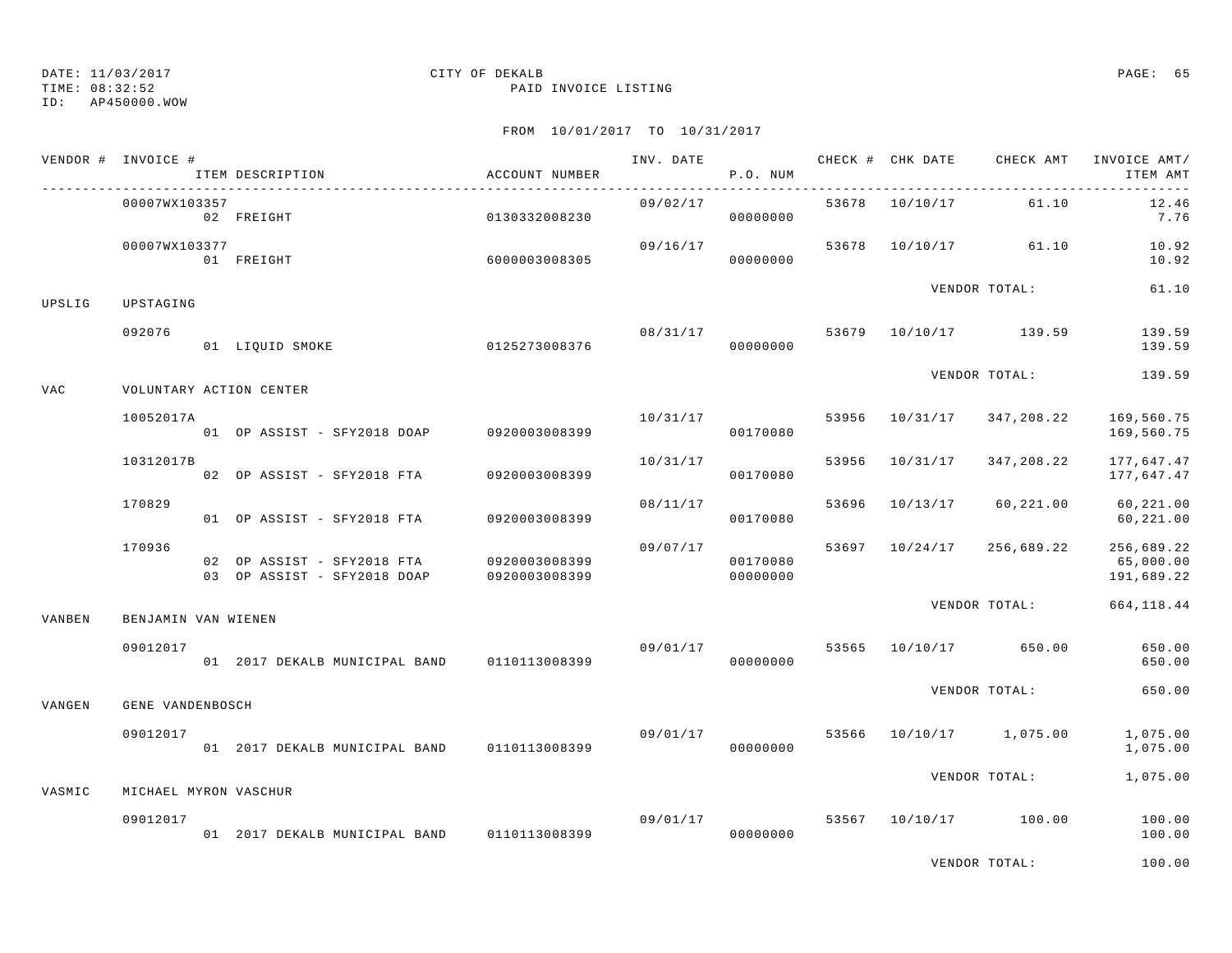TIME: 08:32:52 PAID INVOICE LISTING

ID: AP450000.WOW

|            | VENDOR # INVOICE #    | ITEM DESCRIPTION                                          | ACCOUNT NUMBER                 | INV. DATE      | P.O. NUM             |       | CHECK # CHK DATE | CHECK AMT             | INVOICE AMT/<br>ITEM AMT              |
|------------|-----------------------|-----------------------------------------------------------|--------------------------------|----------------|----------------------|-------|------------------|-----------------------|---------------------------------------|
|            | 00007WX103357         | 02 FREIGHT                                                | 0130332008230                  | 09/02/17       | 00000000             |       | 53678 10/10/17   | 61.10                 | 12.46<br>7.76                         |
|            | 00007WX103377         | 01 FREIGHT                                                | 6000003008305                  | 09/16/17       | 00000000             |       |                  | 53678 10/10/17 61.10  | 10.92<br>10.92                        |
| UPSLIG     | UPSTAGING             |                                                           |                                |                |                      |       |                  | VENDOR TOTAL:         | 61.10                                 |
|            | 092076                | 01 LIQUID SMOKE                                           | 0125273008376                  | 08/31/17 53679 | 00000000             |       |                  | 10/10/17 139.59       | 139.59<br>139.59                      |
| <b>VAC</b> |                       | VOLUNTARY ACTION CENTER                                   |                                |                |                      |       |                  | VENDOR TOTAL:         | 139.59                                |
|            | 10052017A             | 01 OP ASSIST - SFY2018 DOAP 0920003008399                 |                                | 10/31/17       | 00170080             | 53956 | 10/31/17         | 347,208.22            | 169,560.75<br>169,560.75              |
|            | 10312017B             | 02 OP ASSIST - SFY2018 FTA                                | 0920003008399                  | 10/31/17       | 00170080             | 53956 | 10/31/17         | 347,208.22            | 177,647.47<br>177,647.47              |
|            | 170829                | 01 OP ASSIST - SFY2018 FTA                                | 0920003008399                  |                | 08/11/17<br>00170080 | 53696 | 10/13/17         | 60,221.00             | 60,221.00<br>60,221.00                |
|            | 170936                | 02 OP ASSIST - SFY2018 FTA<br>03 OP ASSIST - SFY2018 DOAP | 0920003008399<br>0920003008399 | 09/07/17       | 00170080<br>00000000 |       | 53697 10/24/17   | 256,689.22            | 256,689.22<br>65,000.00<br>191,689.22 |
| VANBEN     | BENJAMIN VAN WIENEN   |                                                           |                                |                |                      |       |                  |                       | VENDOR TOTAL: 664, 118.44             |
|            | 09012017              | 01 2017 DEKALB MUNICIPAL BAND 0110113008399               |                                | 09/01/17       | 00000000             | 53565 |                  | 10/10/17 650.00       | 650.00<br>650.00                      |
| VANGEN     | GENE VANDENBOSCH      |                                                           |                                |                |                      |       |                  | VENDOR TOTAL:         | 650.00                                |
|            | 09012017              | 01 2017 DEKALB MUNICIPAL BAND 0110113008399               |                                | 09/01/17 53566 | 00000000             |       |                  | 10/10/17 1,075.00     | 1,075.00<br>1,075.00                  |
| VASMIC     | MICHAEL MYRON VASCHUR |                                                           |                                |                |                      |       |                  | VENDOR TOTAL:         | 1,075.00                              |
|            | 09012017              | 01 2017 DEKALB MUNICIPAL BAND 0110113008399               |                                |                | 09/01/17<br>00000000 |       |                  | 53567 10/10/17 100.00 | 100.00<br>100.00                      |
|            |                       |                                                           |                                |                |                      |       |                  | VENDOR TOTAL:         | 100.00                                |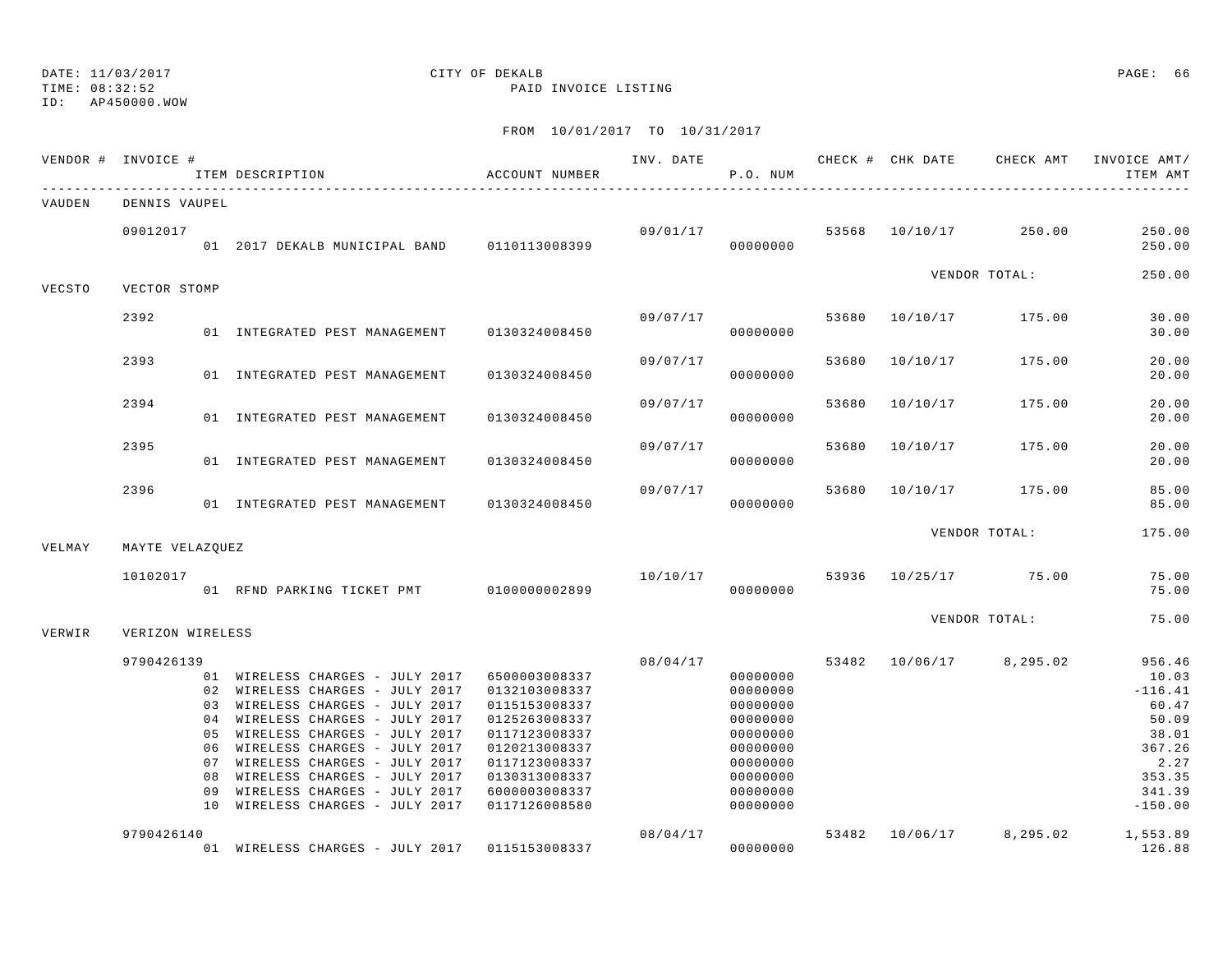## ID: AP450000.WOW

## DATE: 11/03/2017 CITY OF DEKALB PAGE: 66

TIME: 08:32:52 PAID INVOICE LISTING

|        | VENDOR # INVOICE # |    | ACCOUNT NUMBER<br>ITEM DESCRIPTION                                 |                                |          | P.O. NUM             |       |                | INV. DATE 6 CHECK # CHK DATE CHECK AMT | INVOICE AMT/<br>ITEM AMT         |
|--------|--------------------|----|--------------------------------------------------------------------|--------------------------------|----------|----------------------|-------|----------------|----------------------------------------|----------------------------------|
| VAUDEN | DENNIS VAUPEL      |    |                                                                    |                                |          |                      |       |                |                                        |                                  |
|        | 09012017           |    | 01  2017 DEKALB MUNICIPAL BAND   0110113008399                     |                                |          | 00000000             |       |                | $09/01/17$ 53568 10/10/17 250.00       | 250.00<br>250.00                 |
| VECSTO | VECTOR STOMP       |    |                                                                    |                                |          |                      |       |                | VENDOR TOTAL:                          | 250.00                           |
|        | 2392               |    |                                                                    |                                | 09/07/17 |                      |       |                | 53680 10/10/17 175.00                  | 30.00                            |
|        |                    |    | 01 INTEGRATED PEST MANAGEMENT 0130324008450                        |                                |          | 00000000             |       |                |                                        | 30.00                            |
|        | 2393               |    | 01 INTEGRATED PEST MANAGEMENT                                      | 0130324008450                  | 09/07/17 | 00000000             | 53680 | 10/10/17       | 175.00                                 | 20.00<br>20.00                   |
|        |                    |    |                                                                    |                                |          |                      |       |                |                                        |                                  |
|        | 2394               |    | 01 INTEGRATED PEST MANAGEMENT                                      | 0130324008450                  | 09/07/17 | 00000000             | 53680 | 10/10/17       | 175.00                                 | 20.00<br>20.00                   |
|        | 2395               |    | 01 INTEGRATED PEST MANAGEMENT                                      | 0130324008450                  | 09/07/17 | 00000000             |       | 53680 10/10/17 | 175.00                                 | 20.00<br>20.00                   |
|        |                    |    |                                                                    |                                |          |                      |       |                |                                        |                                  |
|        | 2396               |    | 01 INTEGRATED PEST MANAGEMENT 0130324008450                        |                                | 09/07/17 | 00000000             | 53680 |                | 10/10/17 175.00                        | 85.00<br>85.00                   |
|        |                    |    |                                                                    |                                |          |                      |       |                | VENDOR TOTAL:                          | 175.00                           |
| VELMAY | MAYTE VELAZOUEZ    |    |                                                                    |                                |          |                      |       |                |                                        |                                  |
|        | 10102017           |    | 01 RFND PARKING TICKET PMT 0100000002899                           |                                |          | 00000000             |       |                | 10/10/17 53936 10/25/17 75.00          | 75.00<br>75.00                   |
| VERWIR | VERIZON WIRELESS   |    |                                                                    |                                |          |                      |       |                | VENDOR TOTAL:                          | 75.00                            |
|        |                    |    |                                                                    |                                |          | 08/04/17             |       |                | 53482 10/06/17 8,295.02                | 956.46                           |
|        | 9790426139         |    | 01 WIRELESS CHARGES - JULY 2017                                    | 6500003008337                  |          | 00000000             |       |                |                                        | 10.03                            |
|        |                    |    | 02 WIRELESS CHARGES - JULY 2017                                    | 0132103008337                  |          | 00000000             |       |                |                                        | $-116.41$                        |
|        |                    |    | 03 WIRELESS CHARGES - JULY 2017                                    | 0115153008337                  |          | 00000000             |       |                |                                        | 60.47                            |
|        |                    |    | 04 WIRELESS CHARGES - JULY 2017                                    | 0125263008337                  |          | 00000000             |       |                |                                        | 50.09                            |
|        |                    |    | 05 WIRELESS CHARGES - JULY 2017                                    | 0117123008337                  |          | 00000000             |       |                |                                        | 38.01                            |
|        |                    |    | 06 WIRELESS CHARGES - JULY 2017                                    | 0120213008337                  |          | 00000000             |       |                |                                        | 367.26                           |
|        |                    |    | 07 WIRELESS CHARGES - JULY 2017<br>08 WIRELESS CHARGES - JULY 2017 | 0117123008337                  |          | 00000000<br>00000000 |       |                |                                        | 2.27<br>353.35                   |
|        |                    | 09 | WIRELESS CHARGES - JULY 2017                                       | 0130313008337<br>6000003008337 |          | 00000000             |       |                |                                        | 341.39                           |
|        |                    |    | 10 WIRELESS CHARGES - JULY 2017                                    | 0117126008580                  |          | 00000000             |       |                |                                        | $-150.00$                        |
|        | 9790426140         |    |                                                                    |                                | 08/04/17 |                      |       |                |                                        | 53482 10/06/17 8,295.02 1,553.89 |
|        |                    |    | 01 WIRELESS CHARGES - JULY 2017 0115153008337                      |                                |          | 00000000             |       |                |                                        | 126.88                           |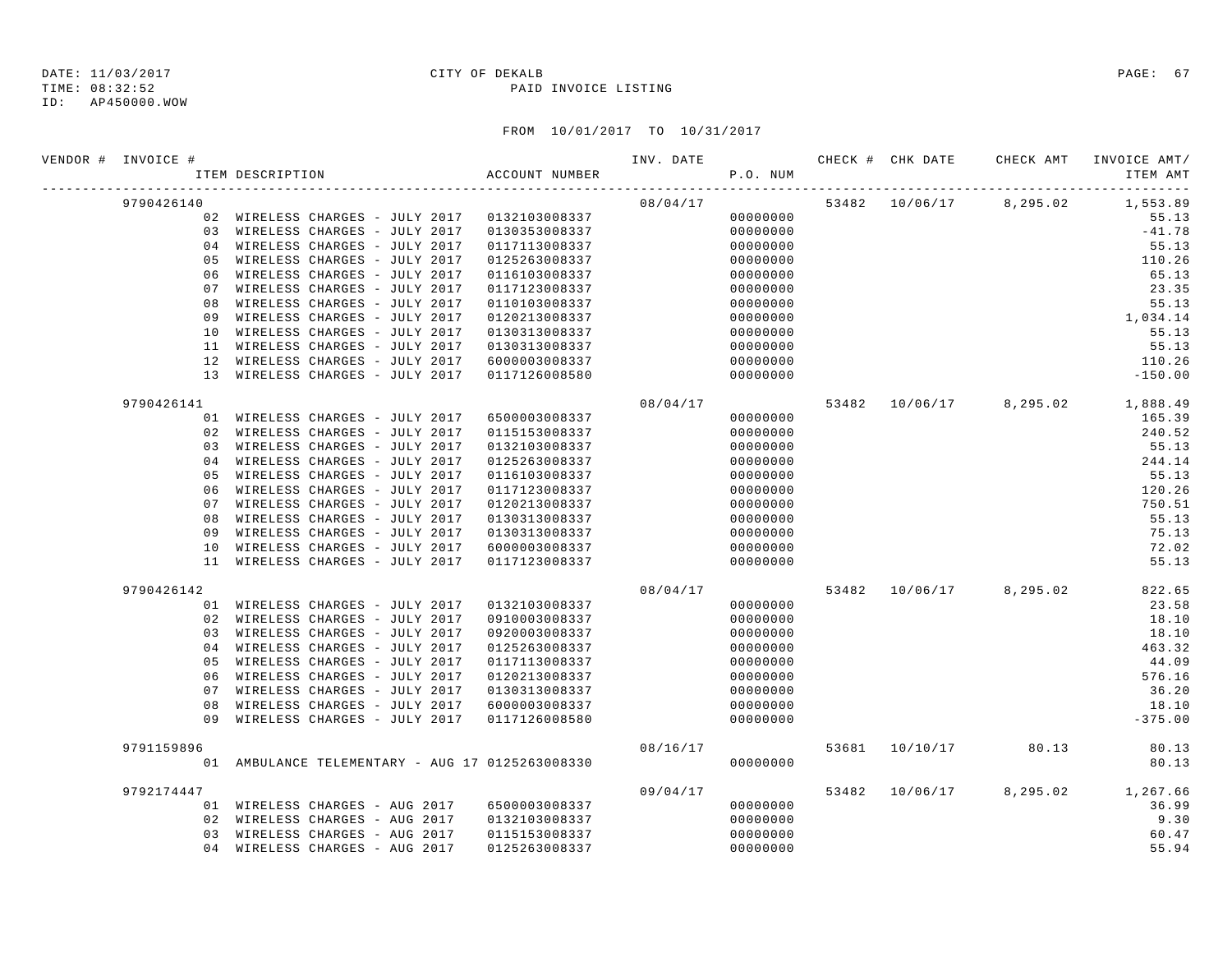| VENDOR # INVOICE # |                | ITEM DESCRIPTION                                | ACCOUNT NUMBER | INV. DATE | P.O. NUM |  |                         | CHECK # CHK DATE CHECK AMT INVOICE AMT/<br>ITEM AMT |
|--------------------|----------------|-------------------------------------------------|----------------|-----------|----------|--|-------------------------|-----------------------------------------------------|
| 9790426140         |                |                                                 |                | 08/04/17  |          |  | 53482 10/06/17 8,295.02 | 1,553.89                                            |
|                    |                | 02 WIRELESS CHARGES - JULY 2017 0132103008337   |                |           | 00000000 |  |                         | 55.13                                               |
|                    |                | 03 WIRELESS CHARGES - JULY 2017                 | 0130353008337  |           | 00000000 |  |                         | $-41.78$                                            |
|                    |                | 04 WIRELESS CHARGES - JULY 2017                 | 0117113008337  |           | 00000000 |  |                         | 55.13                                               |
|                    | 0.5            | WIRELESS CHARGES - JULY 2017                    | 0125263008337  |           | 00000000 |  |                         | 110.26                                              |
|                    | 06             | WIRELESS CHARGES - JULY 2017                    | 0116103008337  |           | 00000000 |  |                         | 65.13                                               |
|                    | 07             | WIRELESS CHARGES - JULY 2017                    | 0117123008337  |           | 00000000 |  |                         | 23.35                                               |
|                    | 08             | WIRELESS CHARGES - JULY 2017                    | 0110103008337  |           | 00000000 |  |                         | 55.13                                               |
|                    | 09             | WIRELESS CHARGES - JULY 2017                    | 0120213008337  |           | 00000000 |  |                         | 1,034.14                                            |
|                    | 10             | WIRELESS CHARGES - JULY 2017                    | 0130313008337  |           | 00000000 |  |                         | 55.13                                               |
|                    |                | 11 WIRELESS CHARGES - JULY 2017                 | 0130313008337  |           | 00000000 |  |                         | 55.13                                               |
|                    |                | 12 WIRELESS CHARGES - JULY 2017                 | 6000003008337  |           | 00000000 |  |                         | 110.26                                              |
|                    |                | 13 WIRELESS CHARGES - JULY 2017                 | 0117126008580  |           | 00000000 |  |                         | $-150.00$                                           |
| 9790426141         |                |                                                 |                | 08/04/17  |          |  |                         | 53482 10/06/17 8,295.02 1,888.49                    |
|                    |                | 01 WIRELESS CHARGES - JULY 2017                 | 6500003008337  |           | 00000000 |  |                         | 165.39                                              |
|                    |                | 02 WIRELESS CHARGES - JULY 2017                 | 0115153008337  |           | 00000000 |  |                         | 240.52                                              |
|                    |                | 03 WIRELESS CHARGES - JULY 2017                 | 0132103008337  |           | 00000000 |  |                         | 55.13                                               |
|                    | 0 <sub>4</sub> | WIRELESS CHARGES - JULY 2017                    | 0125263008337  |           | 00000000 |  |                         | 244.14                                              |
|                    | 05             | WIRELESS CHARGES - JULY 2017                    | 0116103008337  |           | 00000000 |  |                         | 55.13                                               |
|                    | 06             | WIRELESS CHARGES - JULY 2017                    | 0117123008337  |           | 00000000 |  |                         | 120.26                                              |
|                    | 07             | WIRELESS CHARGES - JULY 2017                    | 0120213008337  |           | 00000000 |  |                         | 750.51                                              |
|                    | 08             | WIRELESS CHARGES - JULY 2017                    | 0130313008337  |           | 00000000 |  |                         | 55.13                                               |
|                    | 09             | WIRELESS CHARGES - JULY 2017                    | 0130313008337  |           | 00000000 |  |                         | 75.13                                               |
|                    | 10             | WIRELESS CHARGES - JULY 2017                    | 6000003008337  |           | 00000000 |  |                         | 72.02                                               |
|                    |                | 11 WIRELESS CHARGES - JULY 2017                 | 0117123008337  |           | 00000000 |  |                         | 55.13                                               |
| 9790426142         |                |                                                 |                | 08/04/17  |          |  | 53482 10/06/17 8,295.02 | 822.65                                              |
|                    |                | 01 WIRELESS CHARGES - JULY 2017                 | 0132103008337  |           | 00000000 |  |                         | 23.58                                               |
|                    |                | 02 WIRELESS CHARGES - JULY 2017                 | 0910003008337  |           | 00000000 |  |                         | 18.10                                               |
|                    |                | 03 WIRELESS CHARGES - JULY 2017                 | 0920003008337  |           | 00000000 |  |                         | 18.10                                               |
|                    |                | 04 WIRELESS CHARGES - JULY 2017                 | 0125263008337  |           | 00000000 |  |                         | 463.32                                              |
|                    | 05             | WIRELESS CHARGES - JULY 2017                    | 0117113008337  |           | 00000000 |  |                         | 44.09                                               |
|                    | 06             | WIRELESS CHARGES - JULY 2017                    | 0120213008337  |           | 00000000 |  |                         | 576.16                                              |
|                    | 07             | WIRELESS CHARGES - JULY 2017                    | 0130313008337  |           | 00000000 |  |                         | 36.20                                               |
|                    | 08             | WIRELESS CHARGES - JULY 2017                    | 6000003008337  |           | 00000000 |  |                         | 18.10                                               |
|                    | 09             | WIRELESS CHARGES - JULY 2017                    | 0117126008580  |           | 00000000 |  |                         | $-375.00$                                           |
| 9791159896         |                |                                                 |                | 08/16/17  |          |  | 53681 10/10/17 80.13    | 80.13                                               |
|                    |                | 01 AMBULANCE TELEMENTARY - AUG 17 0125263008330 |                |           | 00000000 |  |                         | 80.13                                               |
| 9792174447         |                |                                                 |                | 09/04/17  |          |  |                         | 53482 10/06/17 8,295.02 1,267.66                    |
|                    |                | 01 WIRELESS CHARGES - AUG 2017                  | 6500003008337  |           | 00000000 |  |                         | 36.99                                               |
|                    | 02             | WIRELESS CHARGES - AUG 2017                     | 0132103008337  |           | 00000000 |  |                         | 9.30                                                |
|                    |                | 03 WIRELESS CHARGES - AUG 2017                  | 0115153008337  |           | 00000000 |  |                         | 60.47                                               |
|                    |                | 04 WIRELESS CHARGES - AUG 2017                  | 0125263008337  |           | 00000000 |  |                         | 55.94                                               |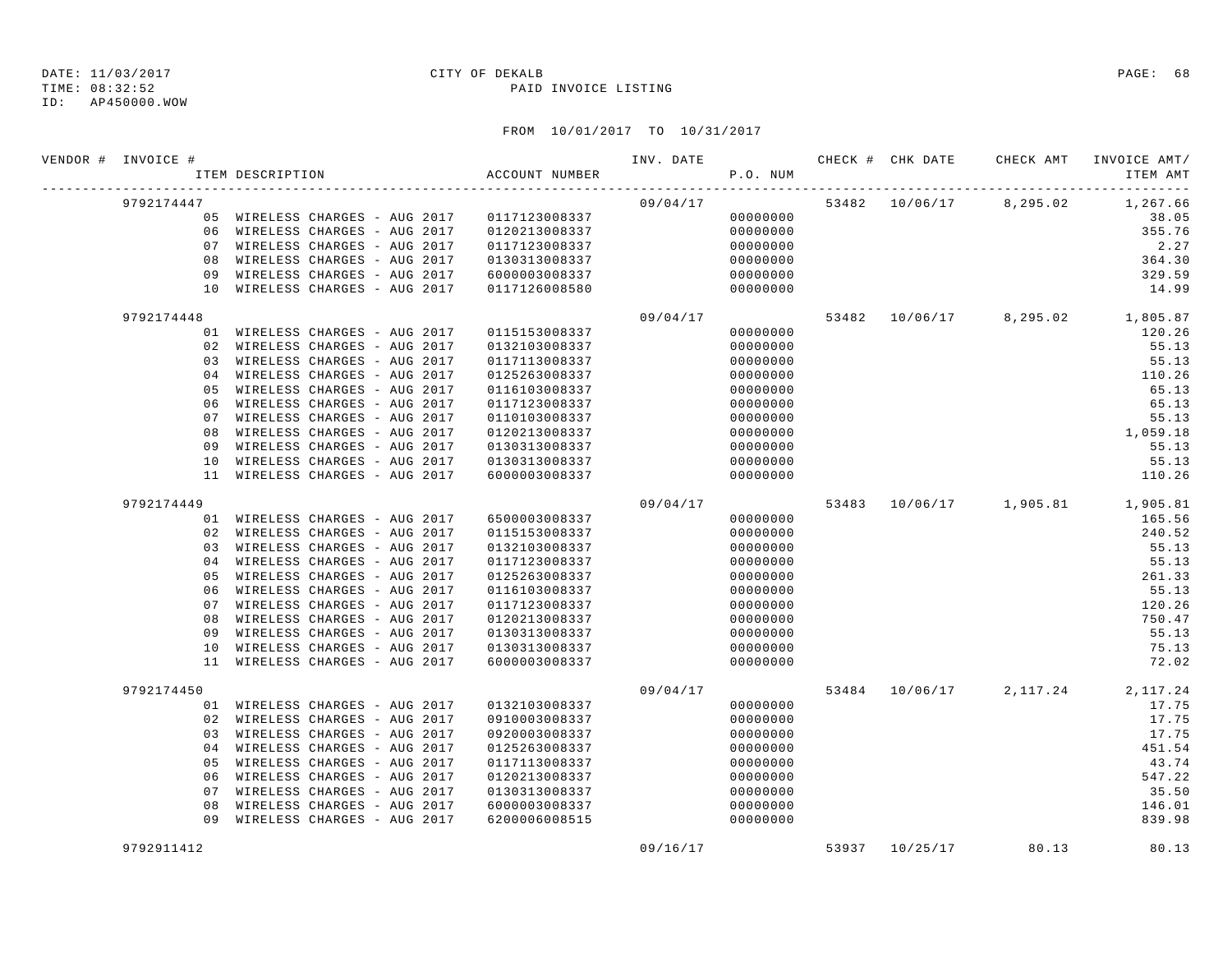TIME: 08:32:52 PAID INVOICE LISTING

ID: AP450000.WOW

| VENDOR # INVOICE # | ITEM DESCRIPTION |                                              | ACCOUNT NUMBER |          | P.O. NUM |  |                         | INV. DATE 6 1999 CHECK # CHK DATE CHECK AMT INVOICE AMT<br>ITEM AMT |
|--------------------|------------------|----------------------------------------------|----------------|----------|----------|--|-------------------------|---------------------------------------------------------------------|
| 9792174447         |                  |                                              |                |          | 09/04/17 |  | 53482 10/06/17 8,295.02 | 1,267.66                                                            |
|                    |                  | 05 WIRELESS CHARGES - AUG 2017 0117123008337 |                |          | 00000000 |  |                         | 38.05                                                               |
|                    |                  | 06 WIRELESS CHARGES - AUG 2017               | 0120213008337  |          | 00000000 |  |                         | 355.76                                                              |
|                    |                  | 07 WIRELESS CHARGES - AUG 2017               | 0117123008337  |          | 00000000 |  |                         | 2.27                                                                |
|                    |                  | 08 WIRELESS CHARGES - AUG 2017               | 0130313008337  |          | 00000000 |  |                         | 364.30                                                              |
|                    |                  | 09 WIRELESS CHARGES - AUG 2017               | 6000003008337  |          | 00000000 |  |                         | 329.59                                                              |
|                    |                  | 10 WIRELESS CHARGES - AUG 2017               | 0117126008580  |          | 00000000 |  |                         | 14.99                                                               |
| 9792174448         |                  |                                              |                | 09/04/17 |          |  |                         | 53482 10/06/17 8,295.02 1,805.87                                    |
|                    |                  | 01 WIRELESS CHARGES - AUG 2017               | 0115153008337  |          | 00000000 |  |                         | 120.26                                                              |
|                    |                  | 02 WIRELESS CHARGES - AUG 2017               | 0132103008337  |          | 00000000 |  |                         | 55.13                                                               |
|                    |                  | 03 WIRELESS CHARGES - AUG 2017               | 0117113008337  |          | 00000000 |  |                         | 55.13                                                               |
|                    |                  | 04 WIRELESS CHARGES - AUG 2017               | 0125263008337  |          | 00000000 |  |                         | 110.26                                                              |
| 0 <sub>5</sub>     |                  | WIRELESS CHARGES - AUG 2017                  | 0116103008337  |          | 00000000 |  |                         | 65.13                                                               |
| 06                 |                  | WIRELESS CHARGES - AUG 2017                  | 0117123008337  |          | 00000000 |  |                         | 65.13                                                               |
| 07                 |                  | WIRELESS CHARGES - AUG 2017                  | 0110103008337  |          | 00000000 |  |                         | 55.13                                                               |
| 08                 |                  | WIRELESS CHARGES - AUG 2017                  | 0120213008337  |          | 00000000 |  |                         | 1,059.18                                                            |
|                    |                  | 09 WIRELESS CHARGES - AUG 2017               | 0130313008337  |          | 00000000 |  |                         | 55.13                                                               |
|                    |                  | 10 WIRELESS CHARGES - AUG 2017               | 0130313008337  |          | 00000000 |  |                         | 55.13                                                               |
|                    |                  | 11 WIRELESS CHARGES - AUG 2017               | 6000003008337  |          | 00000000 |  |                         | 110.26                                                              |
| 9792174449         |                  |                                              |                | 09/04/17 |          |  |                         | 53483 $10/06/17$ 1,905.81 1,905.81                                  |
|                    |                  | 01 WIRELESS CHARGES - AUG 2017               | 6500003008337  |          | 00000000 |  |                         | 165.56                                                              |
|                    |                  | 02 WIRELESS CHARGES - AUG 2017               | 0115153008337  |          | 00000000 |  |                         | 240.52                                                              |
|                    |                  | 03 WIRELESS CHARGES - AUG 2017               | 0132103008337  |          | 00000000 |  |                         | 55.13                                                               |
|                    |                  | 04 WIRELESS CHARGES - AUG 2017               | 0117123008337  |          | 00000000 |  |                         | 55.13                                                               |
|                    |                  | 05 WIRELESS CHARGES - AUG 2017               | 0125263008337  |          | 00000000 |  |                         | 261.33                                                              |
|                    |                  | 06 WIRELESS CHARGES - AUG 2017               | 0116103008337  |          | 00000000 |  |                         | 55.13                                                               |
| 07                 |                  | WIRELESS CHARGES - AUG 2017                  | 0117123008337  |          | 00000000 |  |                         | 120.26                                                              |
| 08                 |                  | WIRELESS CHARGES - AUG 2017                  | 0120213008337  |          | 00000000 |  |                         | 750.47                                                              |
| 09                 |                  | WIRELESS CHARGES - AUG 2017                  | 0130313008337  |          | 00000000 |  |                         | 55.13                                                               |
|                    |                  | 10 WIRELESS CHARGES - AUG 2017               | 0130313008337  |          | 00000000 |  |                         | 75.13                                                               |
|                    |                  | 11 WIRELESS CHARGES - AUG 2017               | 6000003008337  |          | 00000000 |  |                         | 72.02                                                               |
| 9792174450         |                  |                                              |                | 09/04/17 |          |  | 53484 10/06/17 2,117.24 | 2,117.24                                                            |
|                    |                  | 01 WIRELESS CHARGES - AUG 2017               | 0132103008337  |          | 00000000 |  |                         | 17.75                                                               |
|                    |                  | 02 WIRELESS CHARGES - AUG 2017               | 0910003008337  |          | 00000000 |  |                         | 17.75                                                               |
| 03                 |                  | WIRELESS CHARGES - AUG 2017                  | 0920003008337  |          | 00000000 |  |                         | 17.75                                                               |
|                    |                  | 04 WIRELESS CHARGES - AUG 2017               | 0125263008337  |          | 00000000 |  |                         | 451.54                                                              |
| 05                 |                  | WIRELESS CHARGES - AUG 2017                  | 0117113008337  |          | 00000000 |  |                         | 43.74                                                               |
| 06                 |                  | WIRELESS CHARGES - AUG 2017                  | 0120213008337  |          | 00000000 |  |                         | 547.22                                                              |
| 07                 |                  | WIRELESS CHARGES - AUG 2017                  | 0130313008337  |          | 00000000 |  |                         | 35.50                                                               |
| 08                 |                  | WIRELESS CHARGES - AUG 2017                  | 6000003008337  |          | 00000000 |  |                         | 146.01                                                              |
|                    |                  | 09 WIRELESS CHARGES - AUG 2017               | 6200006008515  |          | 00000000 |  |                         | 839.98                                                              |
| 9792911412         |                  |                                              |                | 09/16/17 |          |  | 53937 10/25/17 80.13    | 80.13                                                               |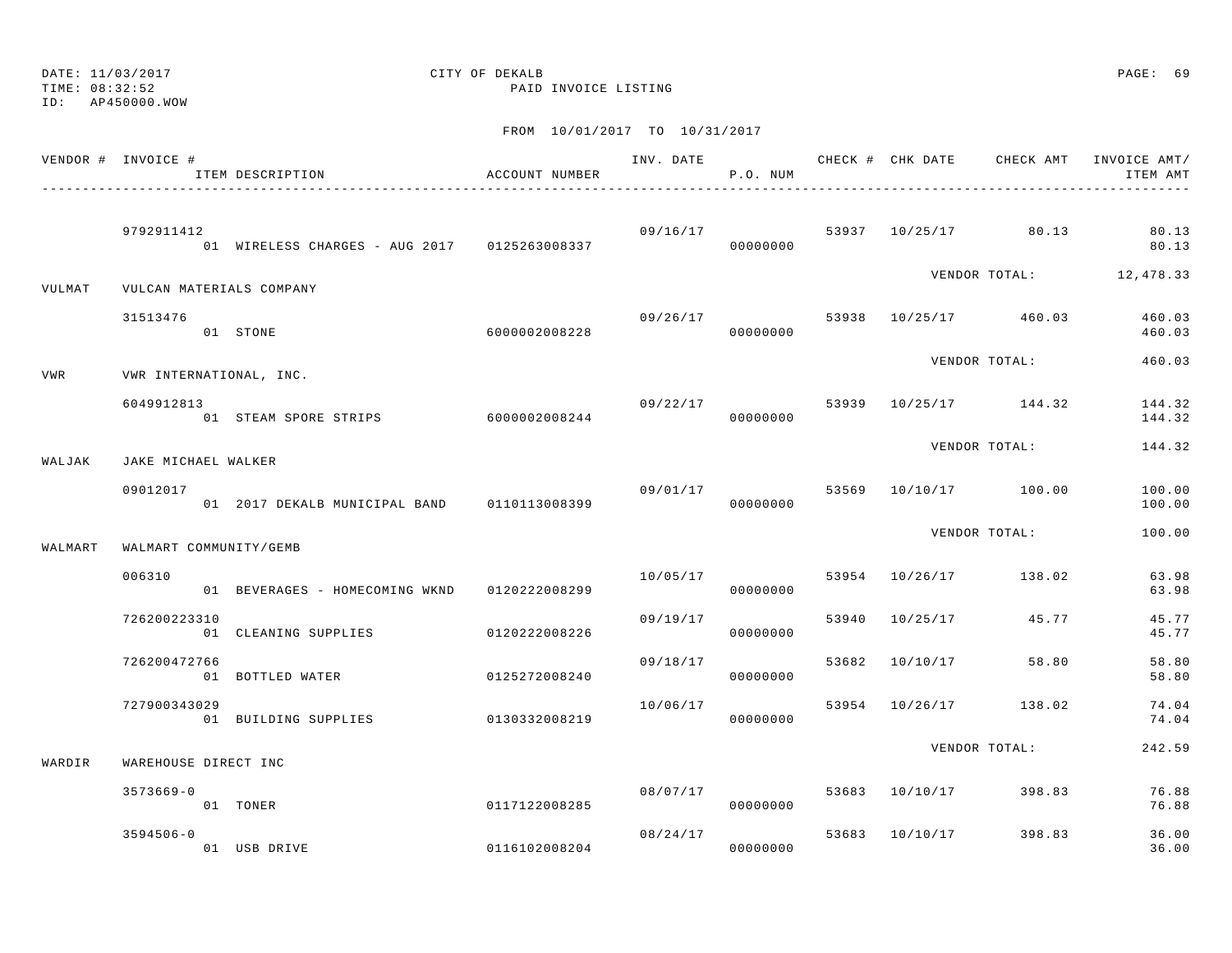ID: AP450000.WOW

TIME: 08:32:52 PAID INVOICE LISTING

|         | VENDOR # INVOICE #       | ITEM DESCRIPTION                               | ACCOUNT NUMBER |          | P.O. NUM             |       |                |                                    | INV. DATE 6 CHECK # CHK DATE CHECK AMT INVOICE AMT/<br>ITEM AMT |
|---------|--------------------------|------------------------------------------------|----------------|----------|----------------------|-------|----------------|------------------------------------|-----------------------------------------------------------------|
|         | 9792911412               | 01 WIRELESS CHARGES - AUG 2017 0125263008337   |                |          | 09/16/17<br>00000000 |       |                | 53937 10/25/17 80.13               | 80.13<br>80.13                                                  |
| VULMAT  | VULCAN MATERIALS COMPANY |                                                |                |          |                      |       |                |                                    | VENDOR TOTAL: 12,478.33                                         |
|         | 31513476                 | 01 STONE                                       | 6000002008228  | 09/26/17 | 00000000             |       |                | 53938 10/25/17 460.03              | 460.03<br>460.03                                                |
| VWR     | VWR INTERNATIONAL, INC.  |                                                |                |          |                      |       |                | VENDOR TOTAL:                      | 460.03                                                          |
|         | 6049912813               | 01 STEAM SPORE STRIPS 6000002008244            |                |          | 00000000             |       |                | $09/22/17$ 53939 $10/25/17$ 144.32 | 144.32<br>144.32                                                |
| WALJAK  | JAKE MICHAEL WALKER      |                                                |                |          |                      |       |                | VENDOR TOTAL:                      | 144.32                                                          |
|         | 09012017                 | 01  2017 DEKALB MUNICIPAL BAND   0110113008399 |                | 09/01/17 | 00000000             |       |                | 53569 10/10/17 100.00              | 100.00<br>100.00                                                |
| WALMART | WALMART COMMUNITY/GEMB   |                                                |                |          |                      |       |                | VENDOR TOTAL:                      | 100.00                                                          |
|         | 006310                   | 01 BEVERAGES - HOMECOMING WKND 0120222008299   |                | 10/05/17 | 00000000             |       |                | 53954 10/26/17 138.02              | 63.98<br>63.98                                                  |
|         | 726200223310             | 01 CLEANING SUPPLIES 0120222008226             |                | 09/19/17 | 00000000             |       |                | 53940 10/25/17 45.77               | 45.77<br>45.77                                                  |
|         | 726200472766             | 01 BOTTLED WATER                               | 0125272008240  | 09/18/17 | 00000000             | 53682 |                | 10/10/17 58.80                     | 58.80<br>58.80                                                  |
|         | 727900343029             | 01 BUILDING SUPPLIES 0130332008219             |                | 10/06/17 | 00000000             |       | 53954 10/26/17 | 138.02                             | 74.04<br>74.04                                                  |
| WARDIR  | WAREHOUSE DIRECT INC     |                                                |                |          |                      |       |                | VENDOR TOTAL:                      | 242.59                                                          |
|         | $3573669 - 0$            | 01 TONER                                       | 0117122008285  | 08/07/17 | 00000000             |       |                | 53683 10/10/17 398.83              | 76.88<br>76.88                                                  |
|         | $3594506 - 0$            | 01 USB DRIVE                                   | 0116102008204  |          | 08/24/17<br>00000000 |       | 53683 10/10/17 | 398.83                             | 36.00<br>36.00                                                  |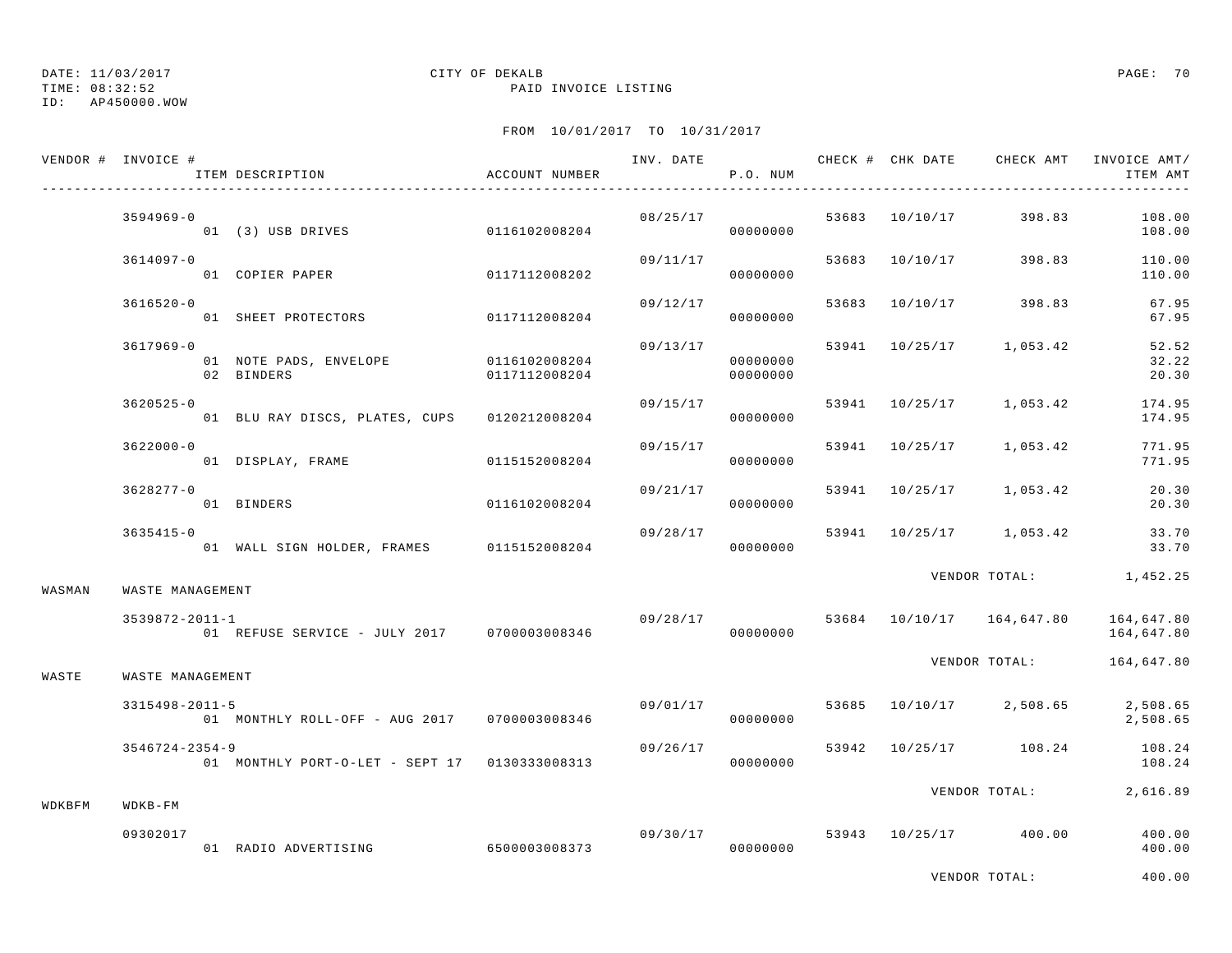TIME: 08:32:52 PAID INVOICE LISTING

ID: AP450000.WOW

|        | VENDOR # INVOICE #   | ITEM DESCRIPTION                                     | ACCOUNT NUMBER |          | P.O. NUM             |       | INV. DATE 6 CHECK # CHK DATE CHECK AMT INVOICE AMT/ | ITEM AMT                 |
|--------|----------------------|------------------------------------------------------|----------------|----------|----------------------|-------|-----------------------------------------------------|--------------------------|
|        | $3594969 - 0$        |                                                      |                |          | 08/25/17<br>00000000 |       | 53683 10/10/17 398.83                               | 108.00<br>108.00         |
|        | 3614097-0            | 01 COPIER PAPER                                      | 0117112008202  | 09/11/17 | 00000000             |       | 53683 10/10/17 398.83                               | 110.00<br>110.00         |
|        | $3616520 - 0$        | 01 SHEET PROTECTORS                                  | 0117112008204  | 09/12/17 | 00000000             |       | 53683 10/10/17 398.83                               | 67.95<br>67.95           |
|        | 3617969-0            | 01 NOTE PADS, ENVELOPE 0116102008204<br>02 BINDERS   | 0117112008204  | 09/13/17 | 00000000<br>00000000 |       | 53941 10/25/17 1,053.42                             | 52.52<br>32.22<br>20.30  |
|        | $3620525 - 0$        | 01 BLU RAY DISCS, PLATES, CUPS 0120212008204         |                | 09/15/17 | 00000000             |       | 53941 10/25/17 1,053.42                             | 174.95<br>174.95         |
|        | $3622000 - 0$        | 01 DISPLAY, FRAME 0115152008204                      |                | 09/15/17 | 00000000             | 53941 | 10/25/17 1,053.42                                   | 771.95<br>771.95         |
|        | $3628277 - 0$        | 01 BINDERS                                           | 0116102008204  | 09/21/17 | 00000000             |       | 53941 10/25/17 1,053.42                             | 20.30<br>20.30           |
|        | $3635415 - 0$        | 01 WALL SIGN HOLDER, FRAMES 0115152008204            |                | 09/28/17 | 00000000             |       | 53941 10/25/17 1,053.42                             | 33.70<br>33.70           |
| WASMAN | WASTE MANAGEMENT     |                                                      |                |          |                      |       | VENDOR TOTAL: 1,452.25                              |                          |
|        | $3539872 - 2011 - 1$ | 011-1<br>01 REFUSE SERVICE - JULY 2017 0700003008346 |                | 09/28/17 | 00000000             |       | 53684 10/10/17 164,647.80                           | 164,647.80<br>164,647.80 |
| WASTE  | WASTE MANAGEMENT     |                                                      |                |          |                      |       | VENDOR TOTAL: 164,647.80                            |                          |
|        | $3315498 - 2011 - 5$ | 01 MONTHLY ROLL-OFF - AUG 2017 0700003008346         |                | 09/01/17 | 00000000             |       | 53685 10/10/17 2,508.65                             | 2,508.65<br>2,508.65     |
|        | $3546724 - 2354 - 9$ | 01 MONTHLY PORT-O-LET - SEPT 17 0130333008313        |                | 09/26/17 | 00000000             |       | 53942 10/25/17 108.24                               | 108.24<br>108.24         |
| WDKBFM | $WDKB-FM$            |                                                      |                |          |                      |       | VENDOR TOTAL:                                       | 2,616.89                 |
|        | 09302017             | 01 RADIO ADVERTISING                                 | 6500003008373  |          | 09/30/17<br>00000000 |       | 53943 10/25/17 400.00                               | 400.00<br>400.00         |
|        |                      |                                                      |                |          |                      |       | VENDOR TOTAL:                                       | 400.00                   |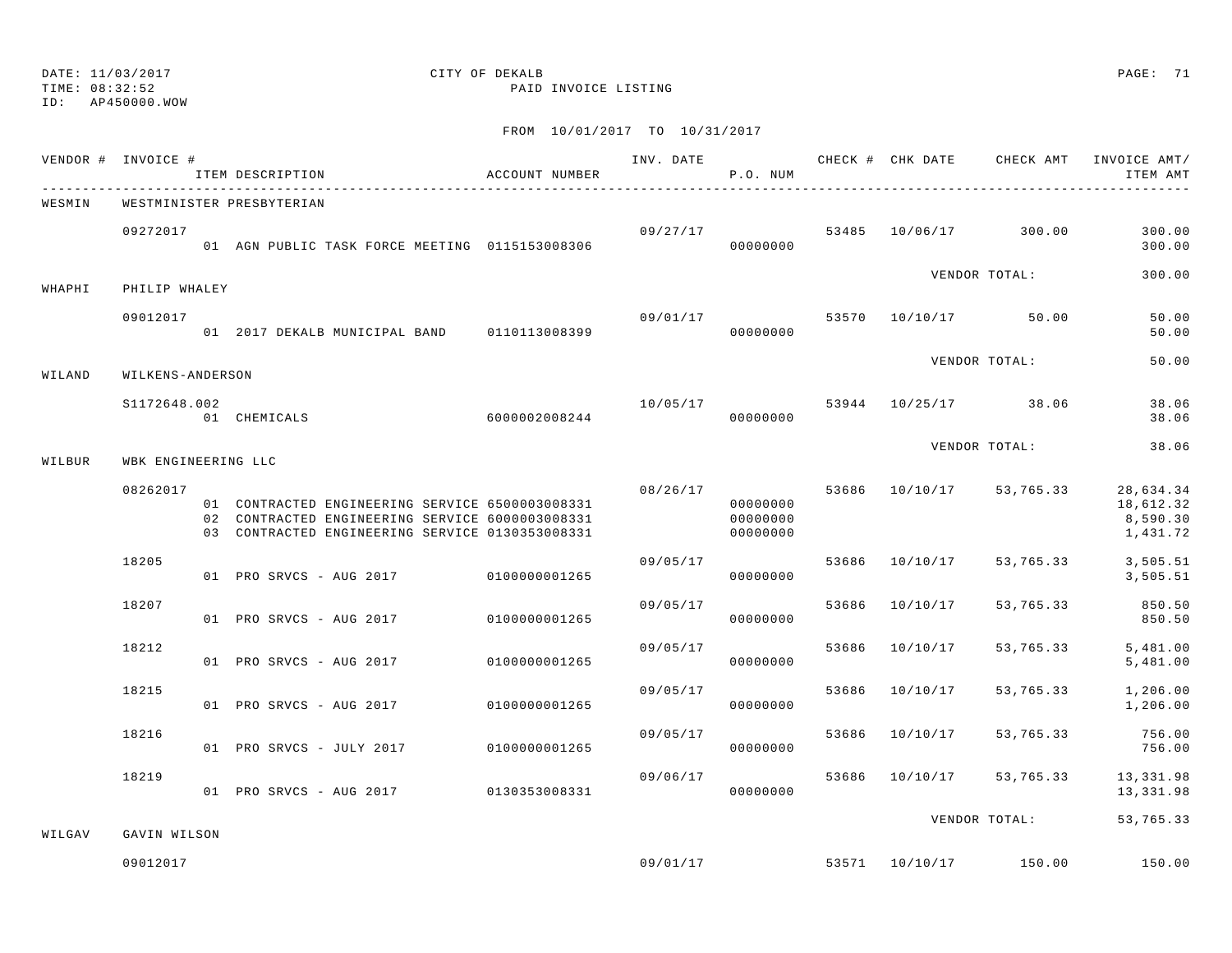TIME: 08:32:52 PAID INVOICE LISTING

ID: AP450000.WOW

|        | VENDOR # INVOICE #  | ITEM DESCRIPTION                                                                                                                                      | ACCOUNT NUMBER |                      | P.O. NUM                         |       |          |                          | INV. DATE 6 CHECK # CHK DATE 6 CHECK AMT INVOICE AMT/<br>ITEM AMT |
|--------|---------------------|-------------------------------------------------------------------------------------------------------------------------------------------------------|----------------|----------------------|----------------------------------|-------|----------|--------------------------|-------------------------------------------------------------------|
| WESMIN |                     | WESTMINISTER PRESBYTERIAN                                                                                                                             |                |                      |                                  |       |          |                          |                                                                   |
|        | 09272017            | 01 AGN PUBLIC TASK FORCE MEETING 0115153008306                                                                                                        |                | 09/27/17<br>00000000 |                                  |       |          | 53485 10/06/17 300.00    | 300.00<br>300.00                                                  |
| WHAPHI | PHILIP WHALEY       |                                                                                                                                                       |                |                      |                                  |       |          | VENDOR TOTAL:            | 300.00                                                            |
|        | 09012017            | 01 2017 DEKALB MUNICIPAL BAND 0110113008399                                                                                                           |                | 09/01/17             | 00000000                         |       |          | 53570 10/10/17 50.00     | 50.00<br>50.00                                                    |
| WILAND | WILKENS-ANDERSON    |                                                                                                                                                       |                |                      |                                  |       |          | VENDOR TOTAL:            | 50.00                                                             |
|        | S1172648.002        | 6000002008244<br>01 CHEMICALS                                                                                                                         |                | 10/05/17             | 00000000                         |       |          | 53944 10/25/17 38.06     | 38.06<br>38.06                                                    |
| WILBUR | WBK ENGINEERING LLC |                                                                                                                                                       |                |                      |                                  |       |          | VENDOR TOTAL:            | 38.06                                                             |
|        | 08262017            | 01 CONTRACTED ENGINEERING SERVICE 6500003008331<br>02 CONTRACTED ENGINEERING SERVICE 6000003008331<br>03 CONTRACTED ENGINEERING SERVICE 0130353008331 |                | 08/26/17             | 00000000<br>00000000<br>00000000 |       |          | 53686 10/10/17 53,765.33 | 28,634.34<br>18,612.32<br>8,590.30<br>1,431.72                    |
|        | 18205               | 01 PRO SRVCS - AUG 2017 0100000001265                                                                                                                 |                | 09/05/17             | 00000000                         | 53686 |          | 10/10/17 53,765.33       | 3,505.51<br>3,505.51                                              |
|        | 18207               | 01 PRO SRVCS - AUG 2017 0100000001265                                                                                                                 |                | 09/05/17             | 00000000                         | 53686 | 10/10/17 | 53,765.33                | 850.50<br>850.50                                                  |
|        | 18212               | 01 PRO SRVCS - AUG 2017                                                                                                                               | 0100000001265  | 09/05/17             | 00000000                         | 53686 | 10/10/17 | 53,765.33                | 5,481.00<br>5,481.00                                              |
|        | 18215               | 01 PRO SRVCS - AUG 2017                                                                                                                               | 0100000001265  | 09/05/17             | 00000000                         | 53686 | 10/10/17 | 53,765.33                | 1,206.00<br>1,206.00                                              |
|        | 18216               | 01 PRO SRVCS - JULY 2017                                                                                                                              | 0100000001265  | 09/05/17             | 00000000                         | 53686 | 10/10/17 | 53,765.33                | 756.00<br>756.00                                                  |
|        | 18219               | 01 PRO SRVCS - AUG 2017 0130353008331                                                                                                                 |                | 09/06/17             | 00000000                         |       |          | 53686 10/10/17 53,765.33 | 13,331.98<br>13,331.98                                            |
| WILGAV | GAVIN WILSON        |                                                                                                                                                       |                |                      |                                  |       |          | VENDOR TOTAL:            | 53,765.33                                                         |
|        | 09012017            |                                                                                                                                                       |                |                      | 09/01/17                         |       |          | 53571 10/10/17 150.00    | 150.00                                                            |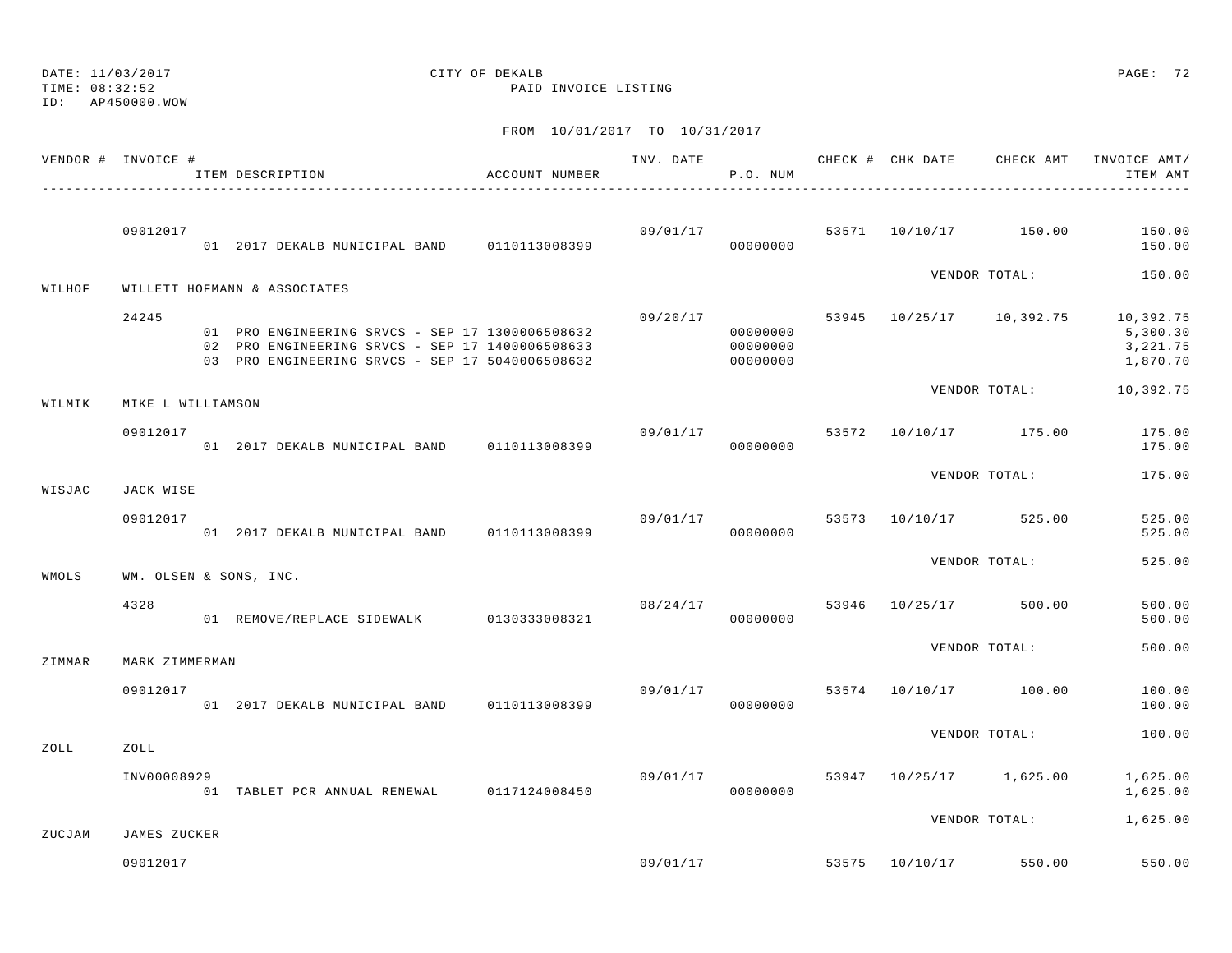DATE: 11/03/2017 CITY OF DEKALB PAGE: 72 TIME: 08:32:52 PAID INVOICE LISTING ID: AP450000.WOWFROM 10/01/2017 TO 10/31/2017 VENDOR # INVOICE # THE THE RESERVE THAT AND THE RECK AND CHECK AND CHECK AMT INVOICE AMT/ ITEM DESCRIPTION ACCOUNT NUMBER P.O. NUM ITEM AMT---------------------------------------------------------------------------------------------------------------------------------------------- 09012017 09/01/17 53571 10/10/17 150.00 150.00 01 2017 DEKALB MUNICIPAL BAND 0110113008399 00000000 00000000 150.00 VENDOR TOTAL: 150.00 WILHOF WILLETT HOFMANN & ASSOCIATES 24245 09/20/17 53945 10/25/17 10,392.75 10,392.75 01 PRO ENGINEERING SRVCS - SEP 17 1300006508632 00000000 0000000 0000000 5,300.30 02 PRO ENGINEERING SRVCS - SEP 17 1400006508633 00000000 00000000 3,221.75 03 PRO ENGINEERING SRVCS - SEP 17 5040006508632 00000000 0000000 0000000 1,870.70 VENDOR TOTAL: 10,392.75 WILMIK MIKE L WILLIAMSON 09012017 09/01/17 53572 10/10/17 175.00 175.00 01 2017 DEKALB MUNICIPAL BAND 0110113008399 00000000 175.00VENDOR TOTAL: 175.00 WISJAC JACK WISE 09012017 09/01/17 53573 10/10/17 525.00 525.00 01 2017 DEKALB MUNICIPAL BAND 0110113008399 000000000 00000000 525.00 VENDOR TOTAL: 525.00 WMOLS WM. OLSEN & SONS, INC. 4328 08/24/17 53946 10/25/17 500.00 500.00 01 REMOVE/REPLACE SIDEWALK 0130333008321 00000000 500.00 VENDOR TOTAL: 500.00 ZIMMAR MARK ZIMMERMAN 09012017 09/01/17 53574 10/10/17 100.00 100.00 01 2017 DEKALB MUNICIPAL BAND 0110113008399 00000000 100.00VENDOR TOTAL: 100.00ZOLL ZOLL INV00008929 09/01/17 53947 10/25/17 1,625.00 1,625.00 01 TABLET PCR ANNUAL RENEWAL 0117124008450 00000000 00000000 0000000 1,625.00 VENDOR TOTAL: 1,625.00 ZUCJAM JAMES ZUCKER $09/01/17$  550.00 550.00 550.00 550.00